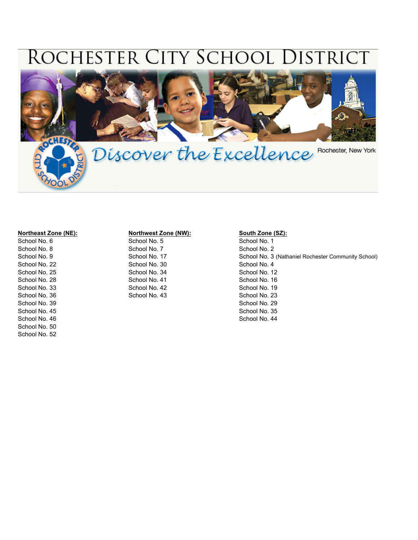# ROCHESTER CITY SCHOOL DISTRICT



School No. 6 School No. 5 School No. 5 School No. 1 School No. 1 School No. 8 School No. 7 School No. 2 School No. 2 School No. 2 School No. 2 School No. 22 School No. 30 School No. 4 School No. 25 School No. 34 School No. 34 School No. 12 School No. 28 School No. 41 School No. 41 School No. 16 School No. 33 School No. 42 School No. 40 School No. 19 School No. 36 School No. 43 School No. 43 School No. 23 School No. 39 School No. 29 School No. 29 School No. 29 School No. 29 School No. 29 School No. 45 School No. 35 School No. 46 School No. 44 School No. 44 School No. 44 School No. 44 School No. 44 School No. 50 School No. 52

#### **Northeast Zone (NE): Northwest Zone (NW): South Zone (SZ):**

School No. 9 School No. 17 School No. 17 School No. 3 (Nathaniel Rochester Community School)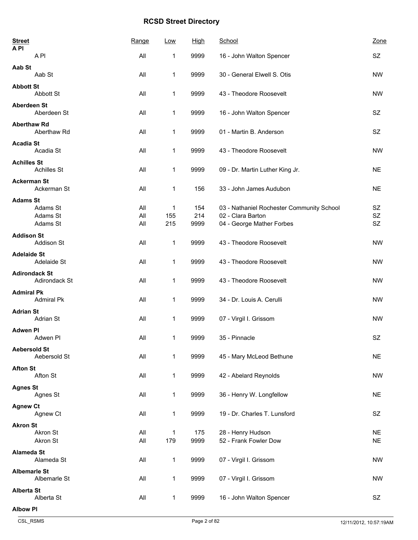| <b>Street</b><br><b>API</b>              | Range      | Low          | High        | School                                                         | Zone                   |
|------------------------------------------|------------|--------------|-------------|----------------------------------------------------------------|------------------------|
| A <sub>PI</sub>                          | All        | 1            | 9999        | 16 - John Walton Spencer                                       | SZ                     |
| Aab St<br>Aab St                         | All        | 1            | 9999        | 30 - General Elwell S. Otis                                    | <b>NW</b>              |
| <b>Abbott St</b><br>Abbott St            | All        | 1            | 9999        | 43 - Theodore Roosevelt                                        | <b>NW</b>              |
| <b>Aberdeen St</b><br>Aberdeen St        | All        | 1            | 9999        | 16 - John Walton Spencer                                       | <b>SZ</b>              |
| <b>Aberthaw Rd</b><br>Aberthaw Rd        | All        | 1            | 9999        | 01 - Martin B. Anderson                                        | SZ                     |
| <b>Acadia St</b><br>Acadia St            | All        | 1            | 9999        | 43 - Theodore Roosevelt                                        | <b>NW</b>              |
| <b>Achilles St</b><br><b>Achilles St</b> | All        | 1            | 9999        | 09 - Dr. Martin Luther King Jr.                                | <b>NE</b>              |
| <b>Ackerman St</b><br>Ackerman St        | All        | 1            | 156         | 33 - John James Audubon                                        | <b>NE</b>              |
| <b>Adams St</b>                          |            |              |             |                                                                |                        |
| Adams St<br>Adams St                     | All<br>All | 1<br>155     | 154<br>214  | 03 - Nathaniel Rochester Community School<br>02 - Clara Barton | SZ<br>SZ               |
| Adams St                                 | All        | 215          | 9999        | 04 - George Mather Forbes                                      | SZ                     |
| <b>Addison St</b><br>Addison St          | All        | $\mathbf 1$  | 9999        | 43 - Theodore Roosevelt                                        | <b>NW</b>              |
| <b>Adelaide St</b><br>Adelaide St        | All        | 1            | 9999        | 43 - Theodore Roosevelt                                        | <b>NW</b>              |
| <b>Adirondack St</b><br>Adirondack St    | All        | 1            | 9999        | 43 - Theodore Roosevelt                                        | <b>NW</b>              |
| <b>Admiral Pk</b><br><b>Admiral Pk</b>   | All        | 1            | 9999        | 34 - Dr. Louis A. Cerulli                                      | <b>NW</b>              |
| <b>Adrian St</b><br>Adrian St            | All        | 1            | 9999        | 07 - Virgil I. Grissom                                         | <b>NW</b>              |
| <b>Adwen PI</b><br>Adwen Pl              | All        | 1            | 9999        | 35 - Pinnacle                                                  | SZ                     |
| <b>Aebersold St</b><br>Aebersold St      | All        | $\mathbf{1}$ | 9999        | 45 - Mary McLeod Bethune                                       | <b>NE</b>              |
| <b>Afton St</b><br>Afton St              | All        | $\mathbf 1$  | 9999        | 42 - Abelard Reynolds                                          | <b>NW</b>              |
| <b>Agnes St</b><br>Agnes St              | All        | 1            | 9999        | 36 - Henry W. Longfellow                                       | <b>NE</b>              |
| <b>Agnew Ct</b><br>Agnew Ct              | All        | 1            | 9999        | 19 - Dr. Charles T. Lunsford                                   | SZ                     |
| <b>Akron St</b><br>Akron St<br>Akron St  | All<br>All | 1<br>179     | 175<br>9999 | 28 - Henry Hudson<br>52 - Frank Fowler Dow                     | <b>NE</b><br><b>NE</b> |
| <b>Alameda St</b>                        |            |              |             |                                                                |                        |
| Alameda St                               | All        | 1            | 9999        | 07 - Virgil I. Grissom                                         | <b>NW</b>              |
| <b>Albemarle St</b><br>Albemarle St      | All        | $\mathbf{1}$ | 9999        | 07 - Virgil I. Grissom                                         | <b>NW</b>              |
| <b>Alberta St</b><br>Alberta St          | All        | $\mathbf{1}$ | 9999        | 16 - John Walton Spencer                                       | SZ                     |
| <b>Albow PI</b>                          |            |              |             |                                                                |                        |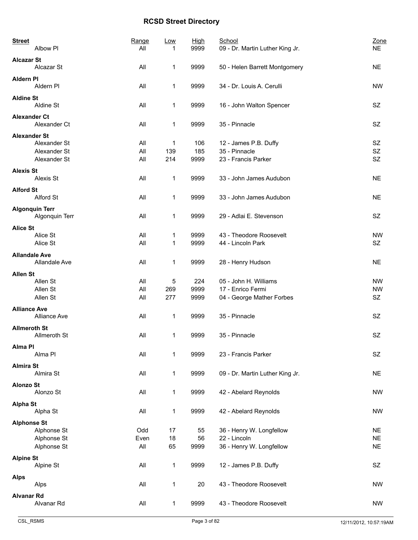| <b>Street</b>        | Albow PI                                | Range<br>All | Low<br>1     | <u>High</u><br>9999 | School<br>09 - Dr. Martin Luther King Jr. | Zone<br><b>NE</b> |
|----------------------|-----------------------------------------|--------------|--------------|---------------------|-------------------------------------------|-------------------|
| <b>Alcazar St</b>    | Alcazar St                              | All          | 1            | 9999                | 50 - Helen Barrett Montgomery             | <b>NE</b>         |
| <b>Aldern PI</b>     | Aldern PI                               | All          | $\mathbf{1}$ | 9999                | 34 - Dr. Louis A. Cerulli                 | <b>NW</b>         |
| <b>Aldine St</b>     | Aldine St                               | All          | 1            | 9999                | 16 - John Walton Spencer                  | SZ                |
| <b>Alexander Ct</b>  | Alexander Ct                            | All          | 1            | 9999                | 35 - Pinnacle                             | SZ                |
| <b>Alexander St</b>  |                                         |              |              |                     |                                           |                   |
|                      | Alexander St                            | All          | 1            | 106                 | 12 - James P.B. Duffy                     | SZ                |
|                      | Alexander St                            | All          | 139          | 185                 | 35 - Pinnacle                             | SZ                |
|                      | Alexander St                            | All          | 214          | 9999                | 23 - Francis Parker                       | <b>SZ</b>         |
| <b>Alexis St</b>     | Alexis St                               | All          | 1            | 9999                | 33 - John James Audubon                   | <b>NE</b>         |
| <b>Alford St</b>     |                                         |              |              |                     |                                           |                   |
|                      | Alford St                               | All          | 1            | 9999                | 33 - John James Audubon                   | <b>NE</b>         |
|                      | <b>Algonquin Terr</b><br>Algonquin Terr | All          | 1            | 9999                | 29 - Adlai E. Stevenson                   | SZ                |
| <b>Alice St</b>      |                                         |              |              |                     |                                           |                   |
|                      | Alice St                                | All          | 1            | 9999                | 43 - Theodore Roosevelt                   | <b>NW</b>         |
|                      | Alice St                                | All          | 1            | 9999                | 44 - Lincoln Park                         | SZ                |
| <b>Allandale Ave</b> | Allandale Ave                           | All          | 1            | 9999                | 28 - Henry Hudson                         | <b>NE</b>         |
| <b>Allen St</b>      |                                         |              |              |                     |                                           |                   |
|                      | Allen St                                | All          | 5            | 224                 | 05 - John H. Williams                     | <b>NW</b>         |
|                      | Allen St                                | All          | 269          | 9999                | 17 - Enrico Fermi                         | <b>NW</b>         |
|                      | Allen St                                | All          | 277          | 9999                | 04 - George Mather Forbes                 | SZ                |
| <b>Alliance Ave</b>  | <b>Alliance Ave</b>                     | All          | 1            | 9999                | 35 - Pinnacle                             | <b>SZ</b>         |
| <b>Allmeroth St</b>  |                                         |              |              |                     |                                           |                   |
|                      | Allmeroth St                            | All          | 1            | 9999                | 35 - Pinnacle                             | SZ                |
| Alma PI              | Alma PI                                 | All          | 1            | 9999                | 23 - Francis Parker                       | SZ                |
|                      |                                         |              |              |                     |                                           |                   |
| <b>Almira St</b>     | Almira St                               | All          | 1            | 9999                | 09 - Dr. Martin Luther King Jr.           | <b>NE</b>         |
| <b>Alonzo St</b>     |                                         |              |              |                     |                                           |                   |
|                      | Alonzo St                               | All          | $\mathbf{1}$ | 9999                | 42 - Abelard Reynolds                     | <b>NW</b>         |
| <b>Alpha St</b>      | Alpha St                                | All          | 1            | 9999                | 42 - Abelard Reynolds                     | <b>NW</b>         |
| <b>Alphonse St</b>   |                                         |              |              |                     |                                           |                   |
|                      | Alphonse St                             | Odd          | 17           | 55                  | 36 - Henry W. Longfellow                  | <b>NE</b>         |
|                      | Alphonse St                             | Even         | 18           | 56                  | 22 - Lincoln                              | <b>NE</b>         |
|                      | Alphonse St                             | All          | 65           | 9999                | 36 - Henry W. Longfellow                  | <b>NE</b>         |
| <b>Alpine St</b>     |                                         |              |              |                     |                                           |                   |
|                      | Alpine St                               | All          | 1            | 9999                | 12 - James P.B. Duffy                     | SZ                |
| <b>Alps</b>          |                                         |              |              |                     |                                           |                   |
|                      | Alps                                    | All          | 1            | 20                  | 43 - Theodore Roosevelt                   | <b>NW</b>         |
| <b>Alvanar Rd</b>    |                                         |              |              |                     |                                           |                   |
|                      | Alvanar Rd                              | All          | 1            | 9999                | 43 - Theodore Roosevelt                   | <b>NW</b>         |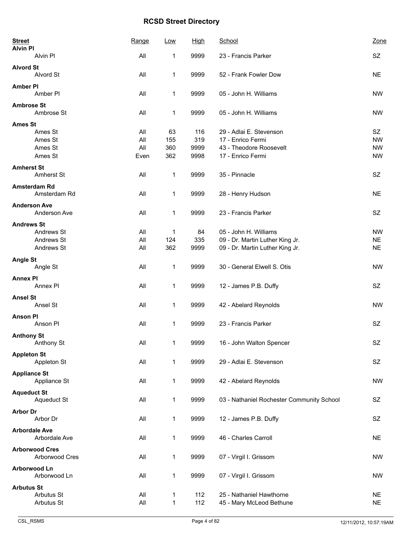| <b>Street</b><br><b>Alvin PI</b>    | Range      | Low          | High       | School                                               | Zone                   |
|-------------------------------------|------------|--------------|------------|------------------------------------------------------|------------------------|
| Alvin Pl                            | All        | 1            | 9999       | 23 - Francis Parker                                  | SZ                     |
| <b>Alvord St</b><br>Alvord St       | All        | 1            | 9999       | 52 - Frank Fowler Dow                                | <b>NE</b>              |
| <b>Amber PI</b><br>Amber PI         | All        | 1            | 9999       | 05 - John H. Williams                                | <b>NW</b>              |
| <b>Ambrose St</b><br>Ambrose St     | All        | 1            | 9999       | 05 - John H. Williams                                | <b>NW</b>              |
| <b>Ames St</b>                      |            |              |            |                                                      |                        |
| Ames St                             | All        | 63           | 116        | 29 - Adlai E. Stevenson                              | SZ                     |
| Ames St                             | All        | 155          | 319        | 17 - Enrico Fermi                                    | <b>NW</b>              |
| Ames St                             | All        | 360          | 9999       | 43 - Theodore Roosevelt                              | <b>NW</b>              |
| Ames St                             | Even       | 362          | 9998       | 17 - Enrico Fermi                                    | <b>NW</b>              |
| <b>Amherst St</b><br>Amherst St     | All        | 1            | 9999       | 35 - Pinnacle                                        | SZ                     |
| Amsterdam Rd<br>Amsterdam Rd        | All        | 1            | 9999       | 28 - Henry Hudson                                    | <b>NE</b>              |
| <b>Anderson Ave</b><br>Anderson Ave | All        | 1            | 9999       | 23 - Francis Parker                                  | SZ                     |
| <b>Andrews St</b>                   |            |              |            |                                                      |                        |
| Andrews St                          | All        | 1            | 84         | 05 - John H. Williams                                | <b>NW</b>              |
| Andrews St                          | All        | 124          | 335        | 09 - Dr. Martin Luther King Jr.                      | <b>NE</b>              |
| Andrews St                          | All        | 362          | 9999       | 09 - Dr. Martin Luther King Jr.                      | <b>NE</b>              |
| <b>Angle St</b>                     |            |              |            |                                                      |                        |
| Angle St                            | All        | 1            | 9999       | 30 - General Elwell S. Otis                          | <b>NW</b>              |
| <b>Annex PI</b>                     |            |              |            |                                                      |                        |
| Annex PI                            | All        | 1            | 9999       | 12 - James P.B. Duffy                                | SZ                     |
| <b>Ansel St</b>                     |            |              |            |                                                      |                        |
| Ansel St                            | All        | 1            | 9999       | 42 - Abelard Reynolds                                | <b>NW</b>              |
|                                     |            |              |            |                                                      |                        |
| <b>Anson PI</b><br>Anson PI         | All        | 1            | 9999       | 23 - Francis Parker                                  | <b>SZ</b>              |
|                                     |            |              |            |                                                      |                        |
| <b>Anthony St</b><br>Anthony St     | All        | $\mathbf 1$  | 9999       | 16 - John Walton Spencer                             | $\mbox{SZ}$            |
|                                     |            |              |            |                                                      |                        |
| <b>Appleton St</b>                  |            |              |            |                                                      |                        |
| Appleton St                         | All        | 1            | 9999       | 29 - Adlai E. Stevenson                              | <b>SZ</b>              |
| <b>Appliance St</b>                 |            |              |            |                                                      |                        |
| Appliance St                        | All        | 1            | 9999       | 42 - Abelard Reynolds                                | <b>NW</b>              |
| <b>Aqueduct St</b>                  |            |              |            |                                                      |                        |
| Aqueduct St                         | All        | 1            | 9999       | 03 - Nathaniel Rochester Community School            | SZ                     |
| <b>Arbor Dr</b>                     |            |              |            |                                                      |                        |
| Arbor Dr                            | All        | 1            | 9999       | 12 - James P.B. Duffy                                | SZ                     |
| <b>Arbordale Ave</b>                |            |              |            |                                                      |                        |
| Arbordale Ave                       | All        | 1            | 9999       | 46 - Charles Carroll                                 | <b>NE</b>              |
| <b>Arborwood Cres</b>               |            |              |            |                                                      |                        |
| Arborwood Cres                      | All        | 1            | 9999       | 07 - Virgil I. Grissom                               | <b>NW</b>              |
|                                     |            |              |            |                                                      |                        |
| Arborwood Ln<br>Arborwood Ln        | All        | $\mathbf{1}$ | 9999       | 07 - Virgil I. Grissom                               | <b>NW</b>              |
|                                     |            |              |            |                                                      |                        |
| <b>Arbutus St</b>                   |            |              |            |                                                      |                        |
| Arbutus St<br>Arbutus St            | All<br>All | 1<br>1       | 112<br>112 | 25 - Nathaniel Hawthorne<br>45 - Mary McLeod Bethune | <b>NE</b><br><b>NE</b> |
|                                     |            |              |            |                                                      |                        |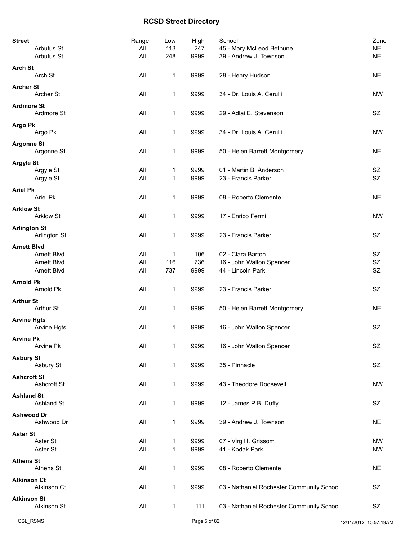| <b>Street</b>       | Arbutus St             | Range<br>All | Low<br>113   | <b>High</b><br>247 | School<br>45 - Mary McLeod Bethune             | Zone<br><b>NE</b> |
|---------------------|------------------------|--------------|--------------|--------------------|------------------------------------------------|-------------------|
|                     | Arbutus St             | All          | 248          | 9999               | 39 - Andrew J. Townson                         | <b>NE</b>         |
| <b>Arch St</b>      | Arch St                | All          | 1            | 9999               | 28 - Henry Hudson                              | <b>NE</b>         |
| <b>Archer St</b>    | Archer St              | All          | 1            | 9999               | 34 - Dr. Louis A. Cerulli                      | <b>NW</b>         |
| <b>Ardmore St</b>   | Ardmore St             | All          | 1            | 9999               | 29 - Adlai E. Stevenson                        | SZ                |
| <b>Argo Pk</b>      | Argo Pk                | All          | 1            | 9999               | 34 - Dr. Louis A. Cerulli                      | <b>NW</b>         |
| <b>Argonne St</b>   |                        |              |              |                    |                                                |                   |
|                     | Argonne St             | All          | 1            | 9999               | 50 - Helen Barrett Montgomery                  | <b>NE</b>         |
| <b>Argyle St</b>    | Argyle St<br>Argyle St | All<br>All   | 1<br>1       | 9999<br>9999       | 01 - Martin B. Anderson<br>23 - Francis Parker | SZ<br><b>SZ</b>   |
|                     |                        |              |              |                    |                                                |                   |
| <b>Ariel Pk</b>     | Ariel Pk               | All          | 1            | 9999               | 08 - Roberto Clemente                          | <b>NE</b>         |
| <b>Arklow St</b>    | <b>Arklow St</b>       | All          | 1            | 9999               | 17 - Enrico Fermi                              | <b>NW</b>         |
| <b>Arlington St</b> | Arlington St           | All          | 1            | 9999               | 23 - Francis Parker                            | <b>SZ</b>         |
| <b>Arnett Blvd</b>  |                        |              |              |                    |                                                |                   |
|                     | Arnett Blvd            | All          | 1            | 106                | 02 - Clara Barton                              | SZ                |
|                     | Arnett Blvd            | All          | 116          | 736                | 16 - John Walton Spencer                       | <b>SZ</b>         |
|                     | Arnett Blvd            | All          | 737          | 9999               | 44 - Lincoln Park                              | <b>SZ</b>         |
| <b>Arnold Pk</b>    | Arnold Pk              | All          | $\mathbf{1}$ | 9999               | 23 - Francis Parker                            | SZ                |
| <b>Arthur St</b>    | Arthur St              | All          | 1            | 9999               | 50 - Helen Barrett Montgomery                  | <b>NE</b>         |
| <b>Arvine Hgts</b>  |                        |              |              |                    |                                                |                   |
|                     | Arvine Hgts            | All          | 1            | 9999               | 16 - John Walton Spencer                       | SZ                |
| <b>Arvine Pk</b>    | Arvine Pk              | All          | 1            | 9999               | 16 - John Walton Spencer                       | SZ                |
| <b>Asbury St</b>    | Asbury St              | All          | 1            | 9999               | 35 - Pinnacle                                  | SZ                |
| <b>Ashcroft St</b>  |                        |              |              |                    |                                                |                   |
|                     | Ashcroft St            | All          | 1            | 9999               | 43 - Theodore Roosevelt                        | <b>NW</b>         |
| <b>Ashland St</b>   | Ashland St             | All          | 1            | 9999               | 12 - James P.B. Duffy                          | SZ                |
| <b>Ashwood Dr</b>   | Ashwood Dr             | All          | 1            | 9999               | 39 - Andrew J. Townson                         | <b>NE</b>         |
| <b>Aster St</b>     |                        |              |              |                    |                                                |                   |
|                     | Aster St               | All          | 1            | 9999               | 07 - Virgil I. Grissom                         | NW                |
|                     | Aster St               | All          | 1            | 9999               | 41 - Kodak Park                                | <b>NW</b>         |
| <b>Athens St</b>    | Athens St              | All          | 1            | 9999               | 08 - Roberto Clemente                          | <b>NE</b>         |
| <b>Atkinson Ct</b>  |                        |              |              |                    |                                                |                   |
|                     | Atkinson Ct            | All          | 1            | 9999               | 03 - Nathaniel Rochester Community School      | SZ                |
| <b>Atkinson St</b>  |                        |              |              |                    |                                                |                   |
|                     | Atkinson St            | All          | $\mathbf 1$  | 111                | 03 - Nathaniel Rochester Community School      | SZ                |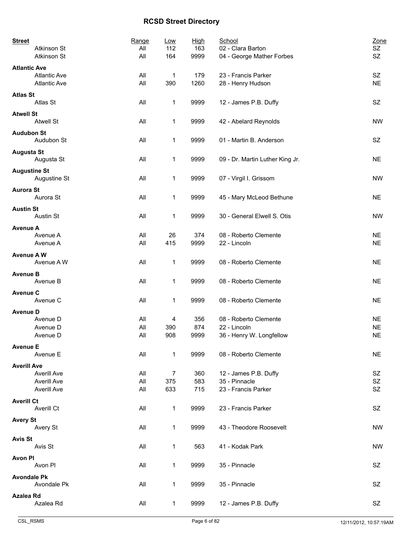| <b>Street</b>       |                     | Range | Low          | <b>High</b> | School                          | Zone      |
|---------------------|---------------------|-------|--------------|-------------|---------------------------------|-----------|
|                     | Atkinson St         | All   | 112          | 163         | 02 - Clara Barton               | SZ        |
|                     | Atkinson St         | All   | 164          | 9999        | 04 - George Mather Forbes       | SZ        |
| <b>Atlantic Ave</b> |                     |       |              |             |                                 |           |
|                     | <b>Atlantic Ave</b> | All   | $\mathbf 1$  | 179         | 23 - Francis Parker             | SZ        |
|                     | <b>Atlantic Ave</b> | All   | 390          | 1260        | 28 - Henry Hudson               | <b>NE</b> |
|                     |                     |       |              |             |                                 |           |
| <b>Atlas St</b>     | Atlas St            | All   |              | 9999        |                                 | SZ        |
|                     |                     |       | 1            |             | 12 - James P.B. Duffy           |           |
| <b>Atwell St</b>    |                     |       |              |             |                                 |           |
|                     | <b>Atwell St</b>    | All   | 1            | 9999        | 42 - Abelard Reynolds           | <b>NW</b> |
| <b>Audubon St</b>   |                     |       |              |             |                                 |           |
|                     | Audubon St          | All   | $\mathbf{1}$ | 9999        | 01 - Martin B. Anderson         | SZ        |
|                     |                     |       |              |             |                                 |           |
| <b>Augusta St</b>   |                     |       |              |             |                                 |           |
|                     | Augusta St          | All   | 1            | 9999        | 09 - Dr. Martin Luther King Jr. | <b>NE</b> |
| <b>Augustine St</b> |                     |       |              |             |                                 |           |
|                     | Augustine St        | All   | 1            | 9999        | 07 - Virgil I. Grissom          | <b>NW</b> |
|                     |                     |       |              |             |                                 |           |
| <b>Aurora St</b>    |                     |       |              |             |                                 |           |
|                     | Aurora St           | All   | 1            | 9999        | 45 - Mary McLeod Bethune        | <b>NE</b> |
| <b>Austin St</b>    |                     |       |              |             |                                 |           |
|                     | <b>Austin St</b>    | All   | 1            | 9999        | 30 - General Elwell S. Otis     | <b>NW</b> |
| <b>Avenue A</b>     |                     |       |              |             |                                 |           |
|                     | Avenue A            | All   | 26           | 374         | 08 - Roberto Clemente           | <b>NE</b> |
|                     | Avenue A            | All   | 415          | 9999        | 22 - Lincoln                    | <b>NE</b> |
|                     |                     |       |              |             |                                 |           |
| <b>Avenue AW</b>    |                     |       |              |             |                                 |           |
|                     | Avenue A W          | All   | 1            | 9999        | 08 - Roberto Clemente           | <b>NE</b> |
| <b>Avenue B</b>     |                     |       |              |             |                                 |           |
|                     | Avenue B            | All   | 1            | 9999        | 08 - Roberto Clemente           | <b>NE</b> |
|                     |                     |       |              |             |                                 |           |
| <b>Avenue C</b>     |                     |       |              |             |                                 |           |
|                     | Avenue C            | All   | 1            | 9999        | 08 - Roberto Clemente           | <b>NE</b> |
| <b>Avenue D</b>     |                     |       |              |             |                                 |           |
|                     | Avenue D            | All   | 4            | 356         | 08 - Roberto Clemente           | <b>NE</b> |
|                     | Avenue D            | All   | 390          | 874         | 22 - Lincoln                    | <b>NE</b> |
|                     | Avenue D            | All   | 908          | 9999        | 36 - Henry W. Longfellow        | <b>NE</b> |
|                     |                     |       |              |             |                                 |           |
| <b>Avenue E</b>     | Avenue E            | All   | $\mathbf{1}$ | 9999        | 08 - Roberto Clemente           | <b>NE</b> |
|                     |                     |       |              |             |                                 |           |
| <b>Averill Ave</b>  |                     |       |              |             |                                 |           |
|                     | Averill Ave         | All   | 7            | 360         | 12 - James P.B. Duffy           | SZ        |
|                     | <b>Averill Ave</b>  | All   | 375          | 583         | 35 - Pinnacle                   | SZ        |
|                     | <b>Averill Ave</b>  | All   | 633          | 715         | 23 - Francis Parker             | SZ        |
|                     |                     |       |              |             |                                 |           |
| <b>Averill Ct</b>   | Averill Ct          | All   | 1            | 9999        | 23 - Francis Parker             | SZ        |
|                     |                     |       |              |             |                                 |           |
| <b>Avery St</b>     |                     |       |              |             |                                 |           |
|                     | Avery St            | All   | $\mathbf{1}$ | 9999        | 43 - Theodore Roosevelt         | <b>NW</b> |
| <b>Avis St</b>      |                     |       |              |             |                                 |           |
|                     | Avis St             | All   | $\mathbf{1}$ | 563         | 41 - Kodak Park                 | <b>NW</b> |
|                     |                     |       |              |             |                                 |           |
| Avon Pl             |                     |       |              |             |                                 |           |
|                     | Avon Pl             | All   | 1            | 9999        | 35 - Pinnacle                   | SZ        |
| <b>Avondale Pk</b>  |                     |       |              |             |                                 |           |
|                     | Avondale Pk         | All   | $\mathbf{1}$ | 9999        | 35 - Pinnacle                   | SZ        |
|                     |                     |       |              |             |                                 |           |
| <b>Azalea Rd</b>    | Azalea Rd           | All   | $\mathbf{1}$ | 9999        | 12 - James P.B. Duffy           | SZ        |
|                     |                     |       |              |             |                                 |           |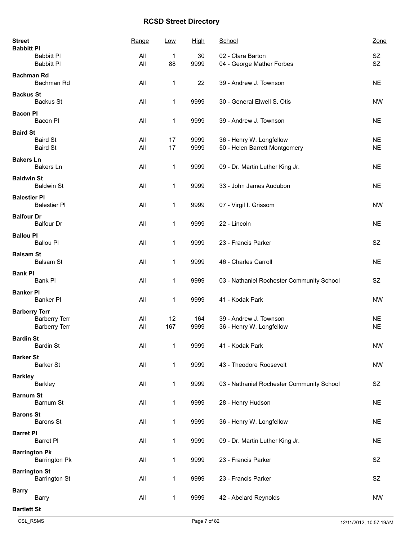| <b>Street</b><br><b>Babbitt PI</b>           | Range      | Low          | High         | School                                                    | Zone                   |
|----------------------------------------------|------------|--------------|--------------|-----------------------------------------------------------|------------------------|
| <b>Babbitt PI</b>                            | All        | 1            | 30           | 02 - Clara Barton                                         | <b>SZ</b>              |
| <b>Babbitt Pl</b>                            | All        | 88           | 9999         | 04 - George Mather Forbes                                 | <b>SZ</b>              |
| <b>Bachman Rd</b><br>Bachman Rd              | All        | 1            | 22           | 39 - Andrew J. Townson                                    | <b>NE</b>              |
| <b>Backus St</b><br><b>Backus St</b>         | All        | 1            | 9999         | 30 - General Elwell S. Otis                               | <b>NW</b>              |
| <b>Bacon PI</b><br>Bacon Pl                  | All        | 1            | 9999         | 39 - Andrew J. Townson                                    | <b>NE</b>              |
| <b>Baird St</b>                              |            |              |              |                                                           |                        |
| <b>Baird St</b><br><b>Baird St</b>           | All<br>All | 17<br>17     | 9999<br>9999 | 36 - Henry W. Longfellow<br>50 - Helen Barrett Montgomery | <b>NE</b><br><b>NE</b> |
| <b>Bakers Ln</b><br><b>Bakers Ln</b>         | All        | 1            | 9999         | 09 - Dr. Martin Luther King Jr.                           | <b>NE</b>              |
| <b>Baldwin St</b><br><b>Baldwin St</b>       | All        | 1            | 9999         | 33 - John James Audubon                                   | <b>NE</b>              |
| <b>Balestier PI</b><br><b>Balestier PI</b>   | All        | 1            | 9999         | 07 - Virgil I. Grissom                                    | <b>NW</b>              |
| <b>Balfour Dr</b><br><b>Balfour Dr</b>       | All        | 1            | 9999         | 22 - Lincoln                                              | <b>NE</b>              |
| <b>Ballou PI</b><br><b>Ballou PI</b>         | All        | $\mathbf{1}$ | 9999         | 23 - Francis Parker                                       | <b>SZ</b>              |
| <b>Balsam St</b><br>Balsam St                | All        | 1            | 9999         | 46 - Charles Carroll                                      | <b>NE</b>              |
| <b>Bank PI</b><br>Bank Pl                    | All        | 1            | 9999         | 03 - Nathaniel Rochester Community School                 | SZ                     |
| <b>Banker PI</b><br>Banker Pl                | All        | 1            | 9999         | 41 - Kodak Park                                           | <b>NW</b>              |
| <b>Barberry Terr</b><br><b>Barberry Terr</b> | All        | 12           | 164          | 39 - Andrew J. Townson                                    | <b>NE</b>              |
| <b>Barberry Terr</b>                         | All        | 167          | 9999         | 36 - Henry W. Longfellow                                  | <b>NE</b>              |
| <b>Bardin St</b><br><b>Bardin St</b>         | All        | 1            | 9999         | 41 - Kodak Park                                           | <b>NW</b>              |
| <b>Barker St</b><br><b>Barker St</b>         | All        | 1            | 9999         | 43 - Theodore Roosevelt                                   | <b>NW</b>              |
| <b>Barkley</b><br>Barkley                    | All        | $\mathbf{1}$ | 9999         | 03 - Nathaniel Rochester Community School                 | SZ                     |
| <b>Barnum St</b><br>Barnum St                | All        | 1            | 9999         | 28 - Henry Hudson                                         | <b>NE</b>              |
| <b>Barons St</b><br><b>Barons St</b>         | All        | 1            | 9999         | 36 - Henry W. Longfellow                                  | <b>NE</b>              |
| <b>Barret PI</b><br><b>Barret PI</b>         | All        | 1            | 9999         | 09 - Dr. Martin Luther King Jr.                           | <b>NE</b>              |
| <b>Barrington Pk</b><br><b>Barrington Pk</b> | All        | $\mathbf{1}$ | 9999         | 23 - Francis Parker                                       | <b>SZ</b>              |
| <b>Barrington St</b><br><b>Barrington St</b> | All        | 1            | 9999         | 23 - Francis Parker                                       | <b>SZ</b>              |
| <b>Barry</b><br><b>Barry</b>                 | All        | 1            | 9999         | 42 - Abelard Reynolds                                     | <b>NW</b>              |
| <b>Bartlett St</b>                           |            |              |              |                                                           |                        |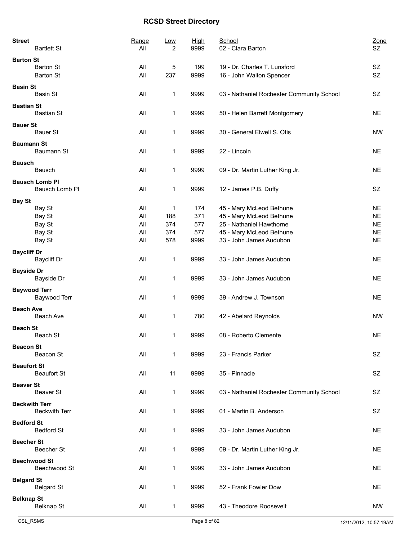| <b>Street</b><br><b>Bartlett St</b>          | Range | <u>Low</u><br>All | 2  | <b>High</b><br>9999 | School<br>02 - Clara Barton                              | Zone<br>SZ.     |
|----------------------------------------------|-------|-------------------|----|---------------------|----------------------------------------------------------|-----------------|
| <b>Barton St</b>                             |       |                   |    |                     |                                                          |                 |
| <b>Barton St</b><br><b>Barton St</b>         |       | All<br>All<br>237 | 5  | 199<br>9999         | 19 - Dr. Charles T. Lunsford<br>16 - John Walton Spencer | SZ<br><b>SZ</b> |
| <b>Basin St</b><br>Basin St                  |       | All               | 1  | 9999                | 03 - Nathaniel Rochester Community School                | <b>SZ</b>       |
| <b>Bastian St</b><br><b>Bastian St</b>       |       | All               | 1  | 9999                | 50 - Helen Barrett Montgomery                            | <b>NE</b>       |
| <b>Bauer St</b><br><b>Bauer St</b>           |       | All               | 1  | 9999                | 30 - General Elwell S. Otis                              | <b>NW</b>       |
| <b>Baumann St</b><br>Baumann St              |       | All               | 1  | 9999                | 22 - Lincoln                                             | <b>NE</b>       |
| <b>Bausch</b>                                |       |                   |    |                     |                                                          |                 |
| Bausch                                       |       | All               | 1  | 9999                | 09 - Dr. Martin Luther King Jr.                          | <b>NE</b>       |
| <b>Bausch Lomb PI</b><br>Bausch Lomb Pl      |       | All               | 1  | 9999                | 12 - James P.B. Duffy                                    | <b>SZ</b>       |
|                                              |       |                   |    |                     |                                                          |                 |
| <b>Bay St</b><br>Bay St                      |       | All               | 1  | 174                 | 45 - Mary McLeod Bethune                                 | <b>NE</b>       |
| Bay St                                       |       | All<br>188        |    | 371                 | 45 - Mary McLeod Bethune                                 | <b>NE</b>       |
| Bay St                                       |       | All<br>374        |    | 577                 | 25 - Nathaniel Hawthorne                                 | <b>NE</b>       |
| Bay St                                       |       | All<br>374        |    | 577                 | 45 - Mary McLeod Bethune                                 | <b>NE</b>       |
| Bay St                                       |       | All<br>578        |    | 9999                | 33 - John James Audubon                                  | <b>NE</b>       |
|                                              |       |                   |    |                     |                                                          |                 |
| <b>Baycliff Dr</b><br>Baycliff Dr            |       | All               | 1  | 9999                | 33 - John James Audubon                                  | <b>NE</b>       |
| <b>Bayside Dr</b><br>Bayside Dr              |       | All               | 1  | 9999                | 33 - John James Audubon                                  | <b>NE</b>       |
| <b>Baywood Terr</b>                          |       |                   |    |                     |                                                          |                 |
| Baywood Terr                                 |       | All               | 1  | 9999                | 39 - Andrew J. Townson                                   | <b>NE</b>       |
| <b>Beach Ave</b>                             |       |                   |    |                     |                                                          |                 |
| Beach Ave                                    |       | All               | 1  | 780                 | 42 - Abelard Reynolds                                    | <b>NW</b>       |
| <b>Beach St</b>                              |       |                   |    |                     |                                                          |                 |
| Beach St                                     |       | All               | 1  | 9999                | 08 - Roberto Clemente                                    | <b>NE</b>       |
| <b>Beacon St</b>                             |       |                   |    |                     |                                                          |                 |
| Beacon St                                    |       | All               | 1  | 9999                | 23 - Francis Parker                                      | SZ.             |
| <b>Beaufort St</b><br><b>Beaufort St</b>     |       | All               | 11 | 9999                | 35 - Pinnacle                                            | <b>SZ</b>       |
| <b>Beaver St</b><br>Beaver St                |       | All               | 1  | 9999                | 03 - Nathaniel Rochester Community School                | SZ              |
| <b>Beckwith Terr</b><br><b>Beckwith Terr</b> |       | All               | 1  | 9999                | 01 - Martin B. Anderson                                  | <b>SZ</b>       |
|                                              |       |                   |    |                     |                                                          |                 |
| <b>Bedford St</b><br><b>Bedford St</b>       |       | All               | 1  | 9999                | 33 - John James Audubon                                  | <b>NE</b>       |
| <b>Beecher St</b><br><b>Beecher St</b>       |       | All               | 1  | 9999                | 09 - Dr. Martin Luther King Jr.                          | <b>NE</b>       |
| <b>Beechwood St</b><br>Beechwood St          |       | All               | 1  | 9999                | 33 - John James Audubon                                  | <b>NE</b>       |
|                                              |       |                   |    |                     |                                                          |                 |
| <b>Belgard St</b><br><b>Belgard St</b>       |       | All               | 1  | 9999                | 52 - Frank Fowler Dow                                    | <b>NE</b>       |
| <b>Belknap St</b><br>Belknap St              |       | All               | 1  | 9999                | 43 - Theodore Roosevelt                                  | <b>NW</b>       |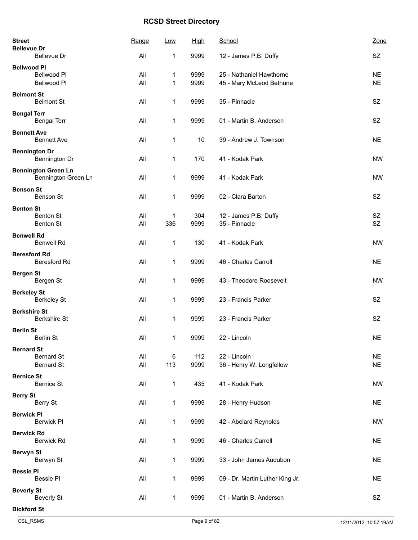| <b>Street</b><br><b>Bellevue Dr</b>               | Range      | Low          | High        | School                                   | Zone                   |
|---------------------------------------------------|------------|--------------|-------------|------------------------------------------|------------------------|
| Bellevue Dr<br><b>Bellwood PI</b>                 | All        | 1            | 9999        | 12 - James P.B. Duffy                    | <b>SZ</b>              |
| Bellwood Pl                                       | All        | 1            | 9999        | 25 - Nathaniel Hawthorne                 | <b>NE</b>              |
| Bellwood Pl                                       | All        | $\mathbf{1}$ | 9999        | 45 - Mary McLeod Bethune                 | <b>NE</b>              |
| <b>Belmont St</b><br><b>Belmont St</b>            | All        | 1            | 9999        | 35 - Pinnacle                            | <b>SZ</b>              |
| <b>Bengal Terr</b><br><b>Bengal Terr</b>          | All        | 1            | 9999        | 01 - Martin B. Anderson                  | <b>SZ</b>              |
| <b>Bennett Ave</b><br><b>Bennett Ave</b>          | All        | 1            | 10          | 39 - Andrew J. Townson                   | <b>NE</b>              |
| <b>Bennington Dr</b><br>Bennington Dr             | All        | 1            | 170         | 41 - Kodak Park                          | <b>NW</b>              |
| <b>Bennington Green Ln</b><br>Bennington Green Ln | All        | 1            | 9999        | 41 - Kodak Park                          | <b>NW</b>              |
| <b>Benson St</b><br>Benson St                     | All        | 1            | 9999        | 02 - Clara Barton                        | <b>SZ</b>              |
| <b>Benton St</b>                                  |            |              |             |                                          |                        |
| <b>Benton St</b>                                  | All        | 1            | 304         | 12 - James P.B. Duffy                    | SZ                     |
| <b>Benton St</b>                                  | All        | 336          | 9999        | 35 - Pinnacle                            | <b>SZ</b>              |
| <b>Benwell Rd</b><br><b>Benwell Rd</b>            | All        | 1            | 130         | 41 - Kodak Park                          | <b>NW</b>              |
| <b>Beresford Rd</b><br><b>Beresford Rd</b>        | All        | 1            | 9999        | 46 - Charles Carroll                     | <b>NE</b>              |
| <b>Bergen St</b><br>Bergen St                     | All        | 1            | 9999        | 43 - Theodore Roosevelt                  | <b>NW</b>              |
| <b>Berkeley St</b><br><b>Berkeley St</b>          | All        | 1            | 9999        | 23 - Francis Parker                      | <b>SZ</b>              |
| <b>Berkshire St</b>                               |            |              |             |                                          |                        |
| <b>Berkshire St</b>                               | All        | 1            | 9999        | 23 - Francis Parker                      | <b>SZ</b>              |
| <b>Berlin St</b><br>Berlin St                     | All        | 1            | 9999        | 22 - Lincoln                             | <b>NE</b>              |
| <b>Bernard St</b>                                 |            |              |             |                                          |                        |
| <b>Bernard St</b><br><b>Bernard St</b>            | All<br>All | 6<br>113     | 112<br>9999 | 22 - Lincoln<br>36 - Henry W. Longfellow | <b>NE</b><br><b>NE</b> |
| <b>Bernice St</b><br><b>Bernice St</b>            | All        | $\mathbf{1}$ | 435         | 41 - Kodak Park                          | <b>NW</b>              |
| <b>Berry St</b><br>Berry St                       | All        | $\mathbf{1}$ | 9999        | 28 - Henry Hudson                        | <b>NE</b>              |
| <b>Berwick PI</b><br><b>Berwick PI</b>            | All        | 1            | 9999        | 42 - Abelard Reynolds                    | <b>NW</b>              |
| <b>Berwick Rd</b><br><b>Berwick Rd</b>            | All        | 1            | 9999        | 46 - Charles Carroll                     | <b>NE</b>              |
| <b>Berwyn St</b><br>Berwyn St                     | All        | 1            | 9999        | 33 - John James Audubon                  | <b>NE</b>              |
| <b>Bessie PI</b>                                  |            |              |             |                                          |                        |
| <b>Bessie PI</b>                                  | All        | 1            | 9999        | 09 - Dr. Martin Luther King Jr.          | <b>NE</b>              |
| <b>Beverly St</b><br><b>Beverly St</b>            | All        | 1            | 9999        | 01 - Martin B. Anderson                  | SZ                     |
| <b>Bickford St</b>                                |            |              |             |                                          |                        |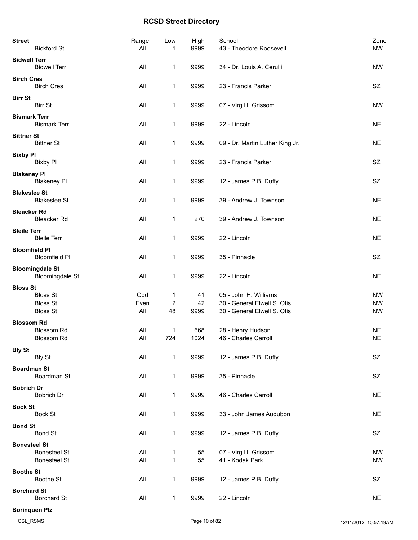| <b>Street</b>        | <b>Bickford St</b>                               | Range<br>All | Low<br>1                | <b>High</b><br>9999 | School<br>43 - Theodore Roosevelt | Zone<br><b>NW</b> |
|----------------------|--------------------------------------------------|--------------|-------------------------|---------------------|-----------------------------------|-------------------|
| <b>Bidwell Terr</b>  | <b>Bidwell Terr</b>                              | All          | 1                       | 9999                | 34 - Dr. Louis A. Cerulli         | <b>NW</b>         |
| <b>Birch Cres</b>    | <b>Birch Cres</b>                                | All          | 1                       | 9999                | 23 - Francis Parker               | SZ                |
| <b>Birr St</b>       | <b>Birr St</b>                                   | All          | 1                       | 9999                | 07 - Virgil I. Grissom            | <b>NW</b>         |
| <b>Bismark Terr</b>  | <b>Bismark Terr</b>                              | All          | 1                       | 9999                | 22 - Lincoln                      | <b>NE</b>         |
| <b>Bittner St</b>    | <b>Bittner St</b>                                | All          | 1                       | 9999                | 09 - Dr. Martin Luther King Jr.   | <b>NE</b>         |
| <b>Bixby PI</b>      | <b>Bixby PI</b>                                  | All          | 1                       | 9999                | 23 - Francis Parker               | <b>SZ</b>         |
| <b>Blakeney PI</b>   | <b>Blakeney PI</b>                               | All          | 1                       | 9999                | 12 - James P.B. Duffy             | SZ                |
| <b>Blakeslee St</b>  | <b>Blakeslee St</b>                              | All          | 1                       | 9999                | 39 - Andrew J. Townson            | <b>NE</b>         |
| <b>Bleacker Rd</b>   | <b>Bleacker Rd</b>                               | All          | 1                       | 270                 | 39 - Andrew J. Townson            | <b>NE</b>         |
| <b>Bleile Terr</b>   | <b>Bleile Terr</b>                               | All          | 1                       | 9999                | 22 - Lincoln                      | <b>NE</b>         |
| <b>Bloomfield PI</b> | <b>Bloomfield PI</b>                             | All          | $\mathbf{1}$            | 9999                | 35 - Pinnacle                     | SZ                |
|                      | <b>Bloomingdale St</b><br><b>Bloomingdale St</b> | All          | 1                       | 9999                | 22 - Lincoln                      | <b>NE</b>         |
| <b>Bloss St</b>      |                                                  |              |                         |                     |                                   |                   |
|                      | <b>Bloss St</b>                                  | Odd          | 1                       | 41                  | 05 - John H. Williams             | <b>NW</b>         |
|                      | <b>Bloss St</b>                                  | Even         | $\overline{\mathbf{c}}$ | 42                  | 30 - General Elwell S. Otis       | <b>NW</b>         |
|                      | <b>Bloss St</b>                                  | All          | 48                      | 9999                | 30 - General Elwell S. Otis       | <b>NW</b>         |
| <b>Blossom Rd</b>    |                                                  |              |                         |                     |                                   |                   |
|                      | Blossom Rd                                       | All          | 1                       | 668                 | 28 - Henry Hudson                 | <b>NE</b>         |
|                      | <b>Blossom Rd</b>                                | All          | 724                     | 1024                | 46 - Charles Carroll              | <b>NE</b>         |
|                      |                                                  |              |                         |                     |                                   |                   |
| <b>Bly St</b>        | <b>Bly St</b>                                    | All          | 1                       | 9999                | 12 - James P.B. Duffy             | SZ                |
|                      |                                                  |              |                         |                     |                                   |                   |
| <b>Boardman St</b>   | Boardman St                                      | All          | 1                       | 9999                | 35 - Pinnacle                     | SZ                |
| <b>Bobrich Dr</b>    | <b>Bobrich Dr</b>                                | All          | $\mathbf{1}$            | 9999                | 46 - Charles Carroll              | <b>NE</b>         |
| <b>Bock St</b>       | <b>Bock St</b>                                   | All          | 1                       | 9999                | 33 - John James Audubon           | <b>NE</b>         |
| <b>Bond St</b>       | <b>Bond St</b>                                   | All          | 1                       | 9999                | 12 - James P.B. Duffy             | SZ                |
| <b>Bonesteel St</b>  |                                                  |              |                         |                     |                                   |                   |
|                      | <b>Bonesteel St</b>                              | All          | $\mathbf 1$             | 55                  | 07 - Virgil I. Grissom            | <b>NW</b>         |
|                      | <b>Bonesteel St</b>                              | All          | 1                       | 55                  | 41 - Kodak Park                   | <b>NW</b>         |
|                      |                                                  |              |                         |                     |                                   |                   |
| <b>Boothe St</b>     | Boothe St                                        | All          | 1                       | 9999                | 12 - James P.B. Duffy             | SZ                |
| <b>Borchard St</b>   | <b>Borchard St</b>                               | All          | 1                       | 9999                | 22 - Lincoln                      | <b>NE</b>         |
|                      | <b>Borinquen Plz</b>                             |              |                         |                     |                                   |                   |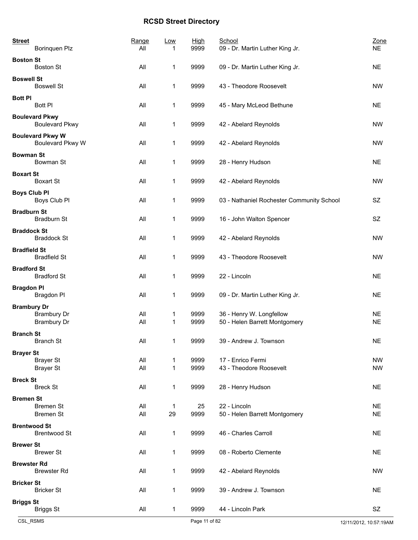| <b>Street</b>       | Borinquen Plz                                  | Range<br>All | Low<br>1 | <b>High</b><br>9999 | School<br>09 - Dr. Martin Luther King Jr.                 | Zone<br><b>NE</b>      |
|---------------------|------------------------------------------------|--------------|----------|---------------------|-----------------------------------------------------------|------------------------|
| <b>Boston St</b>    | <b>Boston St</b>                               | All          | 1        | 9999                | 09 - Dr. Martin Luther King Jr.                           | <b>NE</b>              |
| <b>Boswell St</b>   | <b>Boswell St</b>                              | All          | 1        | 9999                | 43 - Theodore Roosevelt                                   | <b>NW</b>              |
| <b>Bott PI</b>      |                                                |              |          |                     |                                                           |                        |
|                     | <b>Bott PI</b>                                 | All          | 1        | 9999                | 45 - Mary McLeod Bethune                                  | <b>NE</b>              |
|                     | <b>Boulevard Pkwy</b><br><b>Boulevard Pkwy</b> | All          | 1        | 9999                | 42 - Abelard Reynolds                                     | <b>NW</b>              |
|                     | <b>Boulevard Pkwy W</b><br>Boulevard Pkwy W    | All          | 1        | 9999                | 42 - Abelard Reynolds                                     | <b>NW</b>              |
| <b>Bowman St</b>    | Bowman St                                      | All          | 1        | 9999                | 28 - Henry Hudson                                         | <b>NE</b>              |
| <b>Boxart St</b>    | <b>Boxart St</b>                               | All          | 1        | 9999                | 42 - Abelard Reynolds                                     | <b>NW</b>              |
| <b>Boys Club Pl</b> | Boys Club Pl                                   | All          | 1        | 9999                | 03 - Nathaniel Rochester Community School                 | SZ                     |
| <b>Bradburn St</b>  | Bradburn St                                    | All          | 1        | 9999                | 16 - John Walton Spencer                                  | SZ                     |
| <b>Braddock St</b>  |                                                |              |          |                     |                                                           |                        |
|                     | <b>Braddock St</b>                             | All          | 1        | 9999                | 42 - Abelard Reynolds                                     | <b>NW</b>              |
| <b>Bradfield St</b> | <b>Bradfield St</b>                            | All          | 1        | 9999                | 43 - Theodore Roosevelt                                   | <b>NW</b>              |
| <b>Bradford St</b>  | <b>Bradford St</b>                             | All          | 1        | 9999                | 22 - Lincoln                                              | <b>NE</b>              |
| <b>Bragdon Pl</b>   | Bragdon PI                                     | All          | 1        | 9999                | 09 - Dr. Martin Luther King Jr.                           | <b>NE</b>              |
| <b>Brambury Dr</b>  |                                                |              |          |                     |                                                           |                        |
|                     | <b>Brambury Dr</b><br><b>Brambury Dr</b>       | All<br>All   | 1<br>1   | 9999<br>9999        | 36 - Henry W. Longfellow<br>50 - Helen Barrett Montgomery | <b>NE</b><br><b>NE</b> |
| <b>Branch St</b>    |                                                |              |          |                     |                                                           |                        |
|                     | <b>Branch St</b>                               | All          | 1        | 9999                | 39 - Andrew J. Townson                                    | $N\mathsf{E}$          |
| <b>Brayer St</b>    |                                                |              |          |                     |                                                           |                        |
|                     | <b>Brayer St</b><br><b>Brayer St</b>           | All<br>All   | 1<br>1   | 9999<br>9999        | 17 - Enrico Fermi<br>43 - Theodore Roosevelt              | <b>NW</b><br><b>NW</b> |
| <b>Breck St</b>     |                                                |              |          |                     |                                                           |                        |
|                     | <b>Breck St</b>                                | All          | 1        | 9999                | 28 - Henry Hudson                                         | <b>NE</b>              |
| <b>Bremen St</b>    |                                                |              |          |                     |                                                           |                        |
|                     | <b>Bremen St</b><br><b>Bremen St</b>           | All<br>All   | 1<br>29  | 25<br>9999          | 22 - Lincoln<br>50 - Helen Barrett Montgomery             | <b>NE</b><br><b>NE</b> |
| <b>Brentwood St</b> |                                                |              |          |                     |                                                           |                        |
|                     | <b>Brentwood St</b>                            | All          | 1        | 9999                | 46 - Charles Carroll                                      | <b>NE</b>              |
| <b>Brewer St</b>    | <b>Brewer St</b>                               | All          | 1        | 9999                | 08 - Roberto Clemente                                     | <b>NE</b>              |
| <b>Brewster Rd</b>  | <b>Brewster Rd</b>                             | All          | 1        | 9999                | 42 - Abelard Reynolds                                     | <b>NW</b>              |
| <b>Bricker St</b>   |                                                |              |          |                     |                                                           |                        |
|                     | <b>Bricker St</b>                              | All          | 1        | 9999                | 39 - Andrew J. Townson                                    | <b>NE</b>              |
| <b>Briggs St</b>    | <b>Briggs St</b>                               | All          | 1        | 9999                | 44 - Lincoln Park                                         | SZ                     |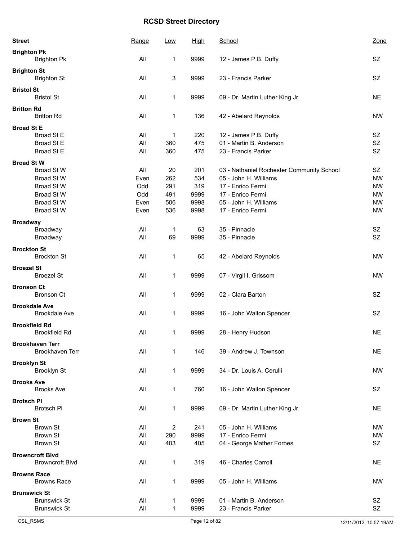| <b>Street</b>       |                                                                                         | Range                                     | Low                                   | <u>High</u>                               | School                                                                                                                                                     | Zone                                                                |
|---------------------|-----------------------------------------------------------------------------------------|-------------------------------------------|---------------------------------------|-------------------------------------------|------------------------------------------------------------------------------------------------------------------------------------------------------------|---------------------------------------------------------------------|
| <b>Brighton Pk</b>  | <b>Brighton Pk</b>                                                                      | All                                       | 1                                     | 9999                                      | 12 - James P.B. Duffy                                                                                                                                      | SZ                                                                  |
| <b>Brighton St</b>  | <b>Brighton St</b>                                                                      | All                                       | 3                                     | 9999                                      | 23 - Francis Parker                                                                                                                                        | <b>SZ</b>                                                           |
| <b>Bristol St</b>   | <b>Bristol St</b>                                                                       | All                                       | 1                                     | 9999                                      | 09 - Dr. Martin Luther King Jr.                                                                                                                            | <b>NE</b>                                                           |
| <b>Britton Rd</b>   | <b>Britton Rd</b>                                                                       | All                                       | 1                                     | 136                                       | 42 - Abelard Reynolds                                                                                                                                      | <b>NW</b>                                                           |
| <b>Broad St E</b>   | Broad St E<br>Broad St E<br>Broad St E                                                  | All<br>All<br>All                         | 1<br>360<br>360                       | 220<br>475<br>475                         | 12 - James P.B. Duffy<br>01 - Martin B. Anderson<br>23 - Francis Parker                                                                                    | <b>SZ</b><br>SZ<br>SZ                                               |
| <b>Broad St W</b>   | <b>Broad St W</b><br>Broad St W<br>Broad St W<br>Broad St W<br>Broad St W<br>Broad St W | All<br>Even<br>Odd<br>Odd<br>Even<br>Even | 20<br>262<br>291<br>491<br>506<br>536 | 201<br>534<br>319<br>9999<br>9998<br>9998 | 03 - Nathaniel Rochester Community School<br>05 - John H. Williams<br>17 - Enrico Fermi<br>17 - Enrico Fermi<br>05 - John H. Williams<br>17 - Enrico Fermi | SZ<br><b>NW</b><br><b>NW</b><br><b>NW</b><br><b>NW</b><br><b>NW</b> |
| <b>Broadway</b>     | Broadway<br>Broadway                                                                    | All<br>All                                | 1<br>69                               | 63<br>9999                                | 35 - Pinnacle<br>35 - Pinnacle                                                                                                                             | SZ<br><b>SZ</b>                                                     |
| <b>Brockton St</b>  | <b>Brockton St</b>                                                                      | All                                       | 1                                     | 65                                        | 42 - Abelard Reynolds                                                                                                                                      | <b>NW</b>                                                           |
| <b>Broezel St</b>   | <b>Broezel St</b>                                                                       | All                                       | 1                                     | 9999                                      | 07 - Virgil I. Grissom                                                                                                                                     | <b>NW</b>                                                           |
| <b>Bronson Ct</b>   | <b>Bronson Ct</b>                                                                       | All                                       | 1                                     | 9999                                      | 02 - Clara Barton                                                                                                                                          | <b>SZ</b>                                                           |
|                     | <b>Brookdale Ave</b><br><b>Brookdale Ave</b>                                            | All                                       | 1                                     | 9999                                      | 16 - John Walton Spencer                                                                                                                                   | <b>SZ</b>                                                           |
|                     | <b>Brookfield Rd</b><br><b>Brookfield Rd</b>                                            | All                                       | 1                                     | 9999                                      | 28 - Henry Hudson                                                                                                                                          | <b>NE</b>                                                           |
|                     | <b>Brookhaven Terr</b><br><b>Brookhaven Terr</b>                                        | All                                       | 1                                     | 146                                       | 39 - Andrew J. Townson                                                                                                                                     | <b>NE</b>                                                           |
| <b>Brooklyn St</b>  | <b>Brooklyn St</b>                                                                      | All                                       | 1                                     | 9999                                      | 34 - Dr. Louis A. Cerulli                                                                                                                                  | <b>NW</b>                                                           |
| <b>Brooks Ave</b>   | <b>Brooks Ave</b>                                                                       | All                                       | 1                                     | 760                                       | 16 - John Walton Spencer                                                                                                                                   | SZ                                                                  |
| <b>Brotsch PI</b>   | <b>Brotsch PI</b>                                                                       | All                                       | 1                                     | 9999                                      | 09 - Dr. Martin Luther King Jr.                                                                                                                            | <b>NE</b>                                                           |
| <b>Brown St</b>     | <b>Brown St</b><br><b>Brown St</b><br><b>Brown St</b>                                   | All<br>All<br>All                         | $\overline{c}$<br>290<br>403          | 241<br>9999<br>405                        | 05 - John H. Williams<br>17 - Enrico Fermi<br>04 - George Mather Forbes                                                                                    | <b>NW</b><br><b>NW</b><br>SZ                                        |
|                     | <b>Browncroft Blvd</b><br><b>Browncroft Blvd</b>                                        | All                                       | 1                                     | 319                                       | 46 - Charles Carroll                                                                                                                                       | <b>NE</b>                                                           |
| <b>Browns Race</b>  | <b>Browns Race</b>                                                                      | All                                       | 1                                     | 9999                                      | 05 - John H. Williams                                                                                                                                      | <b>NW</b>                                                           |
| <b>Brunswick St</b> | <b>Brunswick St</b><br><b>Brunswick St</b>                                              | All<br>All                                | 1<br>1                                | 9999<br>9999                              | 01 - Martin B. Anderson<br>23 - Francis Parker                                                                                                             | SZ<br>SZ                                                            |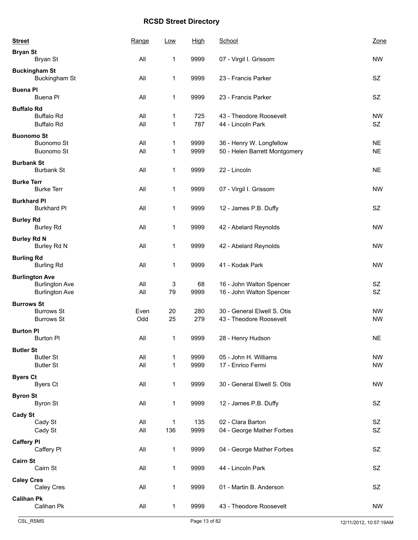| <b>Street</b>      |                                              | Range      | <u>Low</u>        | <b>High</b>  | School                                       | Zone                   |
|--------------------|----------------------------------------------|------------|-------------------|--------------|----------------------------------------------|------------------------|
| <b>Bryan St</b>    |                                              | All        |                   |              |                                              |                        |
|                    | Bryan St                                     |            | 1                 | 9999         | 07 - Virgil I. Grissom                       | <b>NW</b>              |
|                    | <b>Buckingham St</b><br><b>Buckingham St</b> | All        | 1                 | 9999         | 23 - Francis Parker                          | SZ                     |
| <b>Buena PI</b>    | Buena Pl                                     | All        | 1                 | 9999         | 23 - Francis Parker                          | SZ                     |
| <b>Buffalo Rd</b>  |                                              |            |                   |              |                                              |                        |
|                    | <b>Buffalo Rd</b><br><b>Buffalo Rd</b>       | All<br>All | 1<br>$\mathbf{1}$ | 725<br>787   | 43 - Theodore Roosevelt<br>44 - Lincoln Park | <b>NW</b><br>SZ        |
| <b>Buonomo St</b>  |                                              |            |                   |              |                                              |                        |
|                    | <b>Buonomo St</b>                            | All        | 1                 | 9999         | 36 - Henry W. Longfellow                     | <b>NE</b>              |
|                    | <b>Buonomo St</b>                            | All        | 1                 | 9999         | 50 - Helen Barrett Montgomery                | <b>NE</b>              |
| <b>Burbank St</b>  | <b>Burbank St</b>                            | All        | 1                 | 9999         | 22 - Lincoln                                 | <b>NE</b>              |
| <b>Burke Terr</b>  |                                              |            |                   |              |                                              |                        |
|                    | <b>Burke Terr</b>                            | All        | 1                 | 9999         | 07 - Virgil I. Grissom                       | <b>NW</b>              |
| <b>Burkhard PI</b> |                                              |            |                   |              |                                              |                        |
|                    | <b>Burkhard Pl</b>                           | All        | 1                 | 9999         | 12 - James P.B. Duffy                        | SZ                     |
| <b>Burley Rd</b>   |                                              |            |                   |              |                                              |                        |
|                    | <b>Burley Rd</b>                             | All        | 1                 | 9999         | 42 - Abelard Reynolds                        | <b>NW</b>              |
| <b>Burley Rd N</b> | Burley Rd N                                  | All        | 1                 | 9999         | 42 - Abelard Reynolds                        | <b>NW</b>              |
| <b>Burling Rd</b>  |                                              |            |                   |              |                                              |                        |
|                    | <b>Burling Rd</b>                            | All        | 1                 | 9999         | 41 - Kodak Park                              | <b>NW</b>              |
|                    | <b>Burlington Ave</b>                        |            |                   |              |                                              |                        |
|                    | <b>Burlington Ave</b>                        | All        | 3                 | 68           | 16 - John Walton Spencer                     | SZ                     |
|                    | <b>Burlington Ave</b>                        | All        | 79                | 9999         | 16 - John Walton Spencer                     | <b>SZ</b>              |
| <b>Burrows St</b>  |                                              |            |                   |              |                                              |                        |
|                    | <b>Burrows St</b>                            | Even       | 20                | 280          | 30 - General Elwell S. Otis                  | <b>NW</b>              |
|                    | <b>Burrows St</b>                            | Odd        | 25                | 279          | 43 - Theodore Roosevelt                      | <b>NW</b>              |
| <b>Burton PI</b>   |                                              |            |                   |              |                                              |                        |
|                    | <b>Burton PI</b>                             | All        | 1                 | 9999         | 28 - Henry Hudson                            | <b>NE</b>              |
| <b>Butler St</b>   |                                              |            |                   |              |                                              |                        |
|                    | <b>Butler St</b><br><b>Butler St</b>         | All<br>All | 1<br>$\mathbf{1}$ | 9999<br>9999 | 05 - John H. Williams<br>17 - Enrico Fermi   | <b>NW</b><br><b>NW</b> |
|                    |                                              |            |                   |              |                                              |                        |
| <b>Byers Ct</b>    | <b>Byers Ct</b>                              | All        | 1                 | 9999         | 30 - General Elwell S. Otis                  | <b>NW</b>              |
|                    |                                              |            |                   |              |                                              |                        |
| <b>Byron St</b>    | <b>Byron St</b>                              |            |                   |              |                                              |                        |
|                    |                                              | All        | 1                 | 9999         | 12 - James P.B. Duffy                        | SZ                     |
| <b>Cady St</b>     | Cady St                                      | All        | $\mathbf{1}$      | 135          | 02 - Clara Barton                            | SZ                     |
|                    | Cady St                                      | All        | 136               | 9999         | 04 - George Mather Forbes                    | <b>SZ</b>              |
|                    |                                              |            |                   |              |                                              |                        |
| <b>Caffery PI</b>  | Caffery PI                                   | All        | 1                 | 9999         | 04 - George Mather Forbes                    | SZ                     |
|                    |                                              |            |                   |              |                                              |                        |
| <b>Cairn St</b>    | Cairn St                                     | All        | $\mathbf{1}$      | 9999         | 44 - Lincoln Park                            | SZ                     |
|                    |                                              |            |                   |              |                                              |                        |
| <b>Caley Cres</b>  | Caley Cres                                   | All        | 1                 | 9999         | 01 - Martin B. Anderson                      | SZ                     |
|                    |                                              |            |                   |              |                                              |                        |
| <b>Calihan Pk</b>  | Calihan Pk                                   | All        | $\mathbf{1}$      | 9999         | 43 - Theodore Roosevelt                      | <b>NW</b>              |
|                    |                                              |            |                   |              |                                              |                        |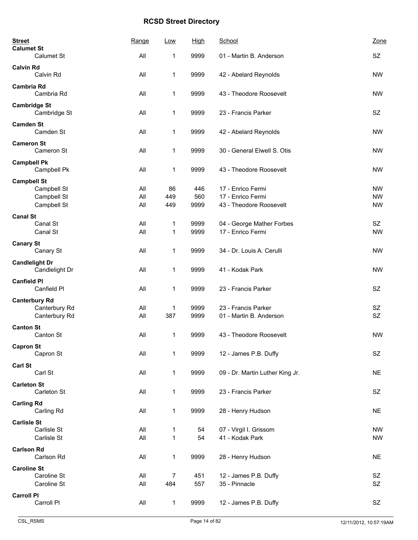| <b>Street</b><br><b>Calumet St</b>      | Range | Low            | <b>High</b> | School                          | Zone      |
|-----------------------------------------|-------|----------------|-------------|---------------------------------|-----------|
| Calumet St                              | All   | 1              | 9999        | 01 - Martin B. Anderson         | SZ        |
| <b>Calvin Rd</b><br>Calvin Rd           | All   | 1              | 9999        | 42 - Abelard Reynolds           | <b>NW</b> |
| <b>Cambria Rd</b><br>Cambria Rd         | All   | 1              | 9999        | 43 - Theodore Roosevelt         | <b>NW</b> |
| <b>Cambridge St</b><br>Cambridge St     | All   | 1              | 9999        | 23 - Francis Parker             | <b>SZ</b> |
| <b>Camden St</b><br>Camden St           | All   | 1              | 9999        | 42 - Abelard Reynolds           | <b>NW</b> |
| <b>Cameron St</b><br>Cameron St         | All   | 1              | 9999        | 30 - General Elwell S. Otis     | <b>NW</b> |
| <b>Campbell Pk</b><br>Campbell Pk       | All   | 1              | 9999        | 43 - Theodore Roosevelt         | <b>NW</b> |
| <b>Campbell St</b>                      |       |                |             |                                 |           |
| Campbell St                             | All   | 86             | 446         | 17 - Enrico Fermi               | <b>NW</b> |
| Campbell St                             | All   | 449            | 560         | 17 - Enrico Fermi               | <b>NW</b> |
| Campbell St                             | All   | 449            | 9999        | 43 - Theodore Roosevelt         | <b>NW</b> |
| <b>Canal St</b>                         |       |                |             |                                 |           |
| Canal St                                | All   | 1              | 9999        | 04 - George Mather Forbes       | SZ        |
| Canal St                                | All   | 1              | 9999        | 17 - Enrico Fermi               | <b>NW</b> |
| <b>Canary St</b><br>Canary St           | All   | 1              | 9999        | 34 - Dr. Louis A. Cerulli       | <b>NW</b> |
| <b>Candlelight Dr</b><br>Candlelight Dr | All   | 1              | 9999        | 41 - Kodak Park                 | <b>NW</b> |
| <b>Canfield PI</b><br>Canfield PI       | All   | 1              | 9999        | 23 - Francis Parker             | <b>SZ</b> |
| <b>Canterbury Rd</b>                    |       |                |             |                                 |           |
| Canterbury Rd                           | All   | 1              | 9999        | 23 - Francis Parker             | SZ        |
| Canterbury Rd                           | All   | 387            | 9999        | 01 - Martin B. Anderson         | SZ        |
| <b>Canton St</b><br>Canton St           | All   | 1              | 9999        | 43 - Theodore Roosevelt         | <b>NW</b> |
| <b>Capron St</b>                        |       |                |             |                                 |           |
| Capron St                               | All   | 1              | 9999        | 12 - James P.B. Duffy           | SZ        |
| <b>Carl St</b>                          |       |                |             |                                 |           |
| Carl St                                 | All   | 1              | 9999        | 09 - Dr. Martin Luther King Jr. | <b>NE</b> |
| <b>Carleton St</b><br>Carleton St       | All   | 1              | 9999        | 23 - Francis Parker             | SZ        |
| <b>Carling Rd</b>                       |       |                |             |                                 |           |
| Carling Rd                              | All   | 1              | 9999        | 28 - Henry Hudson               | <b>NE</b> |
| <b>Carlisle St</b>                      |       |                |             |                                 |           |
| Carlisle St                             | All   | 1              | 54          | 07 - Virgil I. Grissom          | <b>NW</b> |
| Carlisle St                             | All   | $\mathbf{1}$   | 54          | 41 - Kodak Park                 | <b>NW</b> |
| <b>Carlson Rd</b>                       |       |                |             |                                 |           |
| Carlson Rd                              | All   | 1              | 9999        | 28 - Henry Hudson               | <b>NE</b> |
| <b>Caroline St</b>                      |       |                |             |                                 |           |
| Caroline St                             | All   | $\overline{7}$ | 451         | 12 - James P.B. Duffy           | SZ        |
| Caroline St                             | All   | 484            | 557         | 35 - Pinnacle                   | SZ        |
| <b>Carroll PI</b>                       |       |                |             |                                 |           |
| Carroll PI                              | All   | 1              | 9999        | 12 - James P.B. Duffy           | SZ        |
|                                         |       |                |             |                                 |           |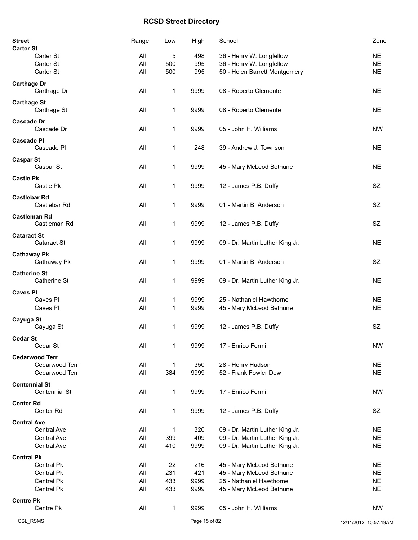| <b>Street</b><br><b>Carter St</b>     | Range      | Low         | <u>High</u>  | School                                               | Zone                   |
|---------------------------------------|------------|-------------|--------------|------------------------------------------------------|------------------------|
| Carter St                             | All        | 5           | 498          | 36 - Henry W. Longfellow                             | <b>NE</b>              |
| Carter St                             | All        | 500         | 995          | 36 - Henry W. Longfellow                             | <b>NE</b>              |
| Carter St                             | All        | 500         | 995          | 50 - Helen Barrett Montgomery                        | <b>NE</b>              |
| <b>Carthage Dr</b><br>Carthage Dr     | All        | 1           | 9999         | 08 - Roberto Clemente                                | <b>NE</b>              |
| <b>Carthage St</b><br>Carthage St     | All        | 1           | 9999         | 08 - Roberto Clemente                                | <b>NE</b>              |
| <b>Cascade Dr</b><br>Cascade Dr       | All        | 1           | 9999         | 05 - John H. Williams                                | <b>NW</b>              |
| <b>Cascade PI</b><br>Cascade PI       | All        | 1           | 248          | 39 - Andrew J. Townson                               | <b>NE</b>              |
| <b>Caspar St</b><br>Caspar St         | All        | 1           | 9999         | 45 - Mary McLeod Bethune                             | <b>NE</b>              |
| <b>Castle Pk</b><br>Castle Pk         | All        | 1           | 9999         | 12 - James P.B. Duffy                                | SZ                     |
| <b>Castlebar Rd</b><br>Castlebar Rd   | All        | 1           | 9999         | 01 - Martin B. Anderson                              | <b>SZ</b>              |
| <b>Castleman Rd</b><br>Castleman Rd   | All        | 1           | 9999         | 12 - James P.B. Duffy                                | <b>SZ</b>              |
| <b>Cataract St</b><br>Cataract St     | All        | 1           | 9999         | 09 - Dr. Martin Luther King Jr.                      | <b>NE</b>              |
| <b>Cathaway Pk</b><br>Cathaway Pk     | All        | 1           | 9999         | 01 - Martin B. Anderson                              | <b>SZ</b>              |
| <b>Catherine St</b><br>Catherine St   | All        | 1           | 9999         | 09 - Dr. Martin Luther King Jr.                      | <b>NE</b>              |
| <b>Caves PI</b>                       |            |             |              |                                                      |                        |
| Caves PI<br>Caves PI                  | All<br>All | 1<br>1      | 9999<br>9999 | 25 - Nathaniel Hawthorne<br>45 - Mary McLeod Bethune | <b>NE</b><br><b>NE</b> |
| Cayuga St<br>Cayuga St                | All        | 1           | 9999         | 12 - James P.B. Duffy                                | <b>SZ</b>              |
| <b>Cedar St</b><br>Cedar St           | All        | 1           | 9999         | 17 - Enrico Fermi                                    | <b>NW</b>              |
| <b>Cedarwood Terr</b>                 |            |             |              |                                                      |                        |
| Cedarwood Terr                        | All        | 1           | 350          | 28 - Henry Hudson                                    | <b>NE</b>              |
| Cedarwood Terr                        | All        | 384         | 9999         | 52 - Frank Fowler Dow                                | <b>NE</b>              |
| <b>Centennial St</b><br>Centennial St | All        | $\mathbf 1$ | 9999         | 17 - Enrico Fermi                                    | <b>NW</b>              |
| <b>Center Rd</b><br>Center Rd         | All        | $\mathbf 1$ | 9999         | 12 - James P.B. Duffy                                | SZ                     |
| <b>Central Ave</b>                    |            |             |              |                                                      |                        |
| Central Ave                           | All        | 1           | 320          | 09 - Dr. Martin Luther King Jr.                      | <b>NE</b>              |
| Central Ave                           | All        | 399         | 409          | 09 - Dr. Martin Luther King Jr.                      | <b>NE</b>              |
| <b>Central Ave</b>                    | All        | 410         | 9999         | 09 - Dr. Martin Luther King Jr.                      | <b>NE</b>              |
| <b>Central Pk</b>                     |            |             |              |                                                      |                        |
| Central Pk                            | All        | 22          | 216          | 45 - Mary McLeod Bethune                             | <b>NE</b>              |
| Central Pk                            | All        | 231         | 421          | 45 - Mary McLeod Bethune                             | <b>NE</b>              |
| Central Pk                            | All        | 433         | 9999         | 25 - Nathaniel Hawthorne                             | <b>NE</b>              |
| Central Pk                            | All        | 433         | 9999         | 45 - Mary McLeod Bethune                             | <b>NE</b>              |
| <b>Centre Pk</b><br>Centre Pk         | All        | $\mathbf 1$ | 9999         | 05 - John H. Williams                                | <b>NW</b>              |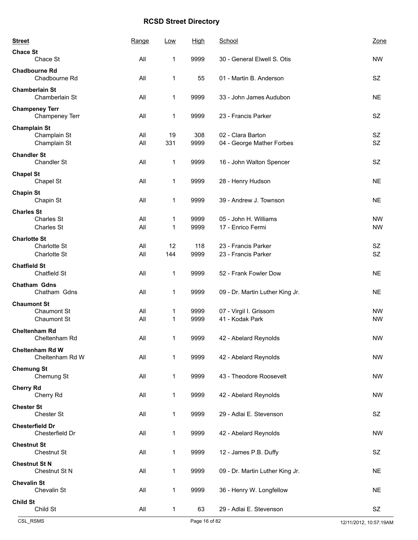| <b>Street</b>        |                                           | Range      | Low       | <b>High</b>  | School                                         | Zone                   |
|----------------------|-------------------------------------------|------------|-----------|--------------|------------------------------------------------|------------------------|
| <b>Chace St</b>      | Chace St                                  | All        | 1         | 9999         | 30 - General Elwell S. Otis                    | <b>NW</b>              |
|                      | <b>Chadbourne Rd</b><br>Chadbourne Rd     | All        | 1         | 55           | 01 - Martin B. Anderson                        | SZ                     |
|                      | <b>Chamberlain St</b><br>Chamberlain St   | All        | 1         | 9999         | 33 - John James Audubon                        | <b>NE</b>              |
|                      | <b>Champeney Terr</b><br>Champeney Terr   | All        | 1         | 9999         | 23 - Francis Parker                            | <b>SZ</b>              |
| <b>Champlain St</b>  | Champlain St<br>Champlain St              | All<br>All | 19<br>331 | 308<br>9999  | 02 - Clara Barton<br>04 - George Mather Forbes | SZ<br><b>SZ</b>        |
| <b>Chandler St</b>   | Chandler St                               | All        | 1         | 9999         | 16 - John Walton Spencer                       | <b>SZ</b>              |
| <b>Chapel St</b>     | Chapel St                                 | All        | 1         | 9999         | 28 - Henry Hudson                              | <b>NE</b>              |
| <b>Chapin St</b>     | Chapin St                                 | All        | 1         | 9999         | 39 - Andrew J. Townson                         | <b>NE</b>              |
| <b>Charles St</b>    | Charles St<br><b>Charles St</b>           | All<br>All | 1<br>1    | 9999<br>9999 | 05 - John H. Williams<br>17 - Enrico Fermi     | <b>NW</b><br><b>NW</b> |
| <b>Charlotte St</b>  | Charlotte St<br>Charlotte St              | All<br>All | 12<br>144 | 118<br>9999  | 23 - Francis Parker<br>23 - Francis Parker     | <b>SZ</b><br><b>SZ</b> |
| <b>Chatfield St</b>  | Chatfield St                              | All        | 1         | 9999         | 52 - Frank Fowler Dow                          | <b>NE</b>              |
|                      | <b>Chatham Gdns</b><br>Chatham Gdns       | All        | 1         | 9999         | 09 - Dr. Martin Luther King Jr.                | <b>NE</b>              |
| <b>Chaumont St</b>   | <b>Chaumont St</b><br><b>Chaumont St</b>  | All<br>All | 1<br>1    | 9999<br>9999 | 07 - Virgil I. Grissom<br>41 - Kodak Park      | <b>NW</b><br><b>NW</b> |
|                      | <b>Cheltenham Rd</b><br>Cheltenham Rd     | All        | 1         | 9999         | 42 - Abelard Reynolds                          | <b>NW</b>              |
|                      | <b>Cheltenham Rd W</b><br>Cheltenham Rd W | All        | 1         | 9999         | 42 - Abelard Reynolds                          | <b>NW</b>              |
| <b>Chemung St</b>    | Chemung St                                | All        | 1         | 9999         | 43 - Theodore Roosevelt                        | <b>NW</b>              |
| <b>Cherry Rd</b>     | Cherry Rd                                 | All        | 1         | 9999         | 42 - Abelard Reynolds                          | <b>NW</b>              |
| <b>Chester St</b>    | Chester St                                | All        | 1         | 9999         | 29 - Adlai E. Stevenson                        | SZ                     |
|                      | <b>Chesterfield Dr</b><br>Chesterfield Dr | All        | 1         | 9999         | 42 - Abelard Reynolds                          | <b>NW</b>              |
| <b>Chestnut St</b>   | Chestnut St                               | All        | 1         | 9999         | 12 - James P.B. Duffy                          | SZ                     |
| <b>Chestnut St N</b> | Chestnut St N                             | All        | 1         | 9999         | 09 - Dr. Martin Luther King Jr.                | <b>NE</b>              |
| <b>Chevalin St</b>   | Chevalin St                               | All        | 1         | 9999         | 36 - Henry W. Longfellow                       | <b>NE</b>              |
| <b>Child St</b>      | Child St                                  | All        | 1         | 63           | 29 - Adlai E. Stevenson                        | SZ                     |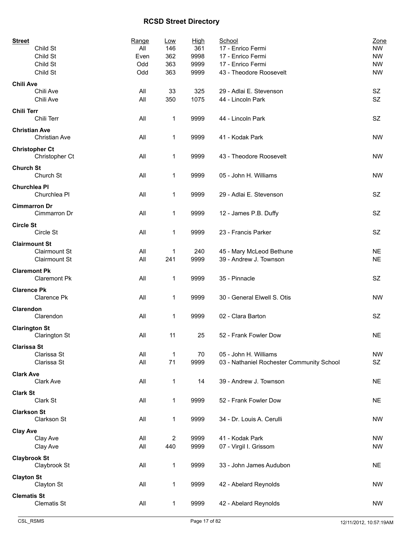| <b>Street</b>        |                       | Range | Low          | High | School                                    | Zone      |
|----------------------|-----------------------|-------|--------------|------|-------------------------------------------|-----------|
|                      | Child St              | All   | 146          | 361  | 17 - Enrico Fermi                         | <b>NW</b> |
|                      | Child St              | Even  | 362          | 9998 | 17 - Enrico Fermi                         | <b>NW</b> |
|                      | Child St              | Odd   | 363          | 9999 | 17 - Enrico Fermi                         | <b>NW</b> |
|                      | Child St              | Odd   | 363          | 9999 | 43 - Theodore Roosevelt                   | <b>NW</b> |
| <b>Chili Ave</b>     |                       |       |              |      |                                           |           |
|                      | Chili Ave             | All   | 33           | 325  | 29 - Adlai E. Stevenson                   | SZ        |
|                      | Chili Ave             | All   | 350          | 1075 | 44 - Lincoln Park                         | SZ        |
| <b>Chili Terr</b>    |                       |       |              |      |                                           |           |
|                      | Chili Terr            | All   | 1            | 9999 | 44 - Lincoln Park                         | SZ        |
|                      |                       |       |              |      |                                           |           |
| <b>Christian Ave</b> |                       |       |              |      |                                           |           |
|                      | <b>Christian Ave</b>  | All   | 1            | 9999 | 41 - Kodak Park                           | <b>NW</b> |
|                      | <b>Christopher Ct</b> |       |              |      |                                           |           |
|                      | Christopher Ct        | All   | 1            | 9999 | 43 - Theodore Roosevelt                   | <b>NW</b> |
| <b>Church St</b>     |                       |       |              |      |                                           |           |
|                      | Church St             | All   | 1            | 9999 | 05 - John H. Williams                     | <b>NW</b> |
|                      |                       |       |              |      |                                           |           |
| <b>Churchlea PI</b>  |                       |       |              |      |                                           |           |
|                      | Churchlea Pl          | All   | 1            | 9999 | 29 - Adlai E. Stevenson                   | SZ        |
| <b>Cimmarron Dr</b>  |                       |       |              |      |                                           |           |
|                      | Cimmarron Dr          | All   | 1            | 9999 | 12 - James P.B. Duffy                     | <b>SZ</b> |
|                      |                       |       |              |      |                                           |           |
| <b>Circle St</b>     |                       |       |              |      |                                           |           |
|                      | Circle St             | All   | 1            | 9999 | 23 - Francis Parker                       | SZ        |
| <b>Clairmount St</b> |                       |       |              |      |                                           |           |
|                      | <b>Clairmount St</b>  | All   | 1            | 240  | 45 - Mary McLeod Bethune                  | <b>NE</b> |
|                      | <b>Clairmount St</b>  | All   | 241          | 9999 | 39 - Andrew J. Townson                    | <b>NE</b> |
|                      |                       |       |              |      |                                           |           |
| <b>Claremont Pk</b>  |                       |       |              |      |                                           | SZ        |
|                      | <b>Claremont Pk</b>   | All   | 1            | 9999 | 35 - Pinnacle                             |           |
| <b>Clarence Pk</b>   |                       |       |              |      |                                           |           |
|                      | Clarence Pk           | All   | 1            | 9999 | 30 - General Elwell S. Otis               | <b>NW</b> |
| Clarendon            |                       |       |              |      |                                           |           |
|                      | Clarendon             | All   | 1            | 9999 | 02 - Clara Barton                         | SZ        |
|                      |                       |       |              |      |                                           |           |
| <b>Clarington St</b> |                       |       |              |      |                                           |           |
|                      | <b>Clarington St</b>  | All   | 11           | 25   | 52 - Frank Fowler Dow                     | NE.       |
| <b>Clarissa St</b>   |                       |       |              |      |                                           |           |
|                      | Clarissa St           | All   | $\mathbf{1}$ | 70   | 05 - John H. Williams                     | <b>NW</b> |
|                      | Clarissa St           | All   | 71           | 9999 | 03 - Nathaniel Rochester Community School | <b>SZ</b> |
|                      |                       |       |              |      |                                           |           |
| <b>Clark Ave</b>     |                       |       |              |      |                                           |           |
|                      | Clark Ave             | All   | 1            | 14   | 39 - Andrew J. Townson                    | <b>NE</b> |
| <b>Clark St</b>      |                       |       |              |      |                                           |           |
|                      | Clark St              | All   | 1            | 9999 | 52 - Frank Fowler Dow                     | <b>NE</b> |
| <b>Clarkson St</b>   |                       |       |              |      |                                           |           |
|                      | Clarkson St           | All   | 1            | 9999 | 34 - Dr. Louis A. Cerulli                 | <b>NW</b> |
|                      |                       |       |              |      |                                           |           |
| <b>Clay Ave</b>      |                       |       |              |      |                                           |           |
|                      | Clay Ave              | All   | $\sqrt{2}$   | 9999 | 41 - Kodak Park                           | <b>NW</b> |
|                      | Clay Ave              | All   | 440          | 9999 | 07 - Virgil I. Grissom                    | <b>NW</b> |
| <b>Claybrook St</b>  |                       |       |              |      |                                           |           |
|                      | Claybrook St          | All   | 1            | 9999 | 33 - John James Audubon                   | <b>NE</b> |
|                      |                       |       |              |      |                                           |           |
| <b>Clayton St</b>    |                       |       |              |      |                                           |           |
|                      | Clayton St            | All   | 1            | 9999 | 42 - Abelard Reynolds                     | <b>NW</b> |
| <b>Clematis St</b>   |                       |       |              |      |                                           |           |
|                      | <b>Clematis St</b>    | All   | $\mathbf 1$  | 9999 | 42 - Abelard Reynolds                     | <b>NW</b> |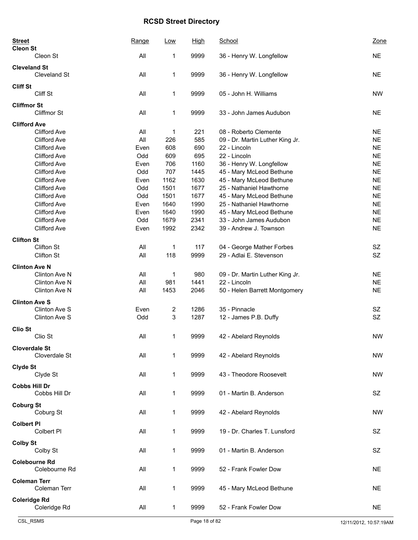| <b>Street</b><br><b>Cleon St</b> |                                            | Range       | Low          | <b>High</b>  | School                                               | Zone                   |
|----------------------------------|--------------------------------------------|-------------|--------------|--------------|------------------------------------------------------|------------------------|
|                                  | Cleon St                                   | All         | 1            | 9999         | 36 - Henry W. Longfellow                             | <b>NE</b>              |
| <b>Cleveland St</b>              | Cleveland St                               | All         | 1            | 9999         | 36 - Henry W. Longfellow                             | <b>NE</b>              |
| <b>Cliff St</b>                  | Cliff St                                   | All         | 1            | 9999         | 05 - John H. Williams                                | <b>NW</b>              |
| <b>Cliffmor St</b>               | Cliffmor St                                | All         | 1            | 9999         | 33 - John James Audubon                              | <b>NE</b>              |
| <b>Clifford Ave</b>              |                                            |             |              |              |                                                      |                        |
|                                  | <b>Clifford Ave</b>                        | All         | 1            | 221          | 08 - Roberto Clemente                                | <b>NE</b>              |
|                                  | <b>Clifford Ave</b>                        | All         | 226          | 585          | 09 - Dr. Martin Luther King Jr.                      | <b>NE</b>              |
|                                  | <b>Clifford Ave</b>                        | Even        | 608          | 690          | 22 - Lincoln                                         | <b>NE</b>              |
|                                  | <b>Clifford Ave</b>                        | Odd         | 609          | 695          | 22 - Lincoln                                         | <b>NE</b>              |
|                                  | <b>Clifford Ave</b><br><b>Clifford Ave</b> | Even<br>Odd | 706<br>707   | 1160<br>1445 | 36 - Henry W. Longfellow                             | <b>NE</b><br><b>NE</b> |
|                                  | <b>Clifford Ave</b>                        | Even        | 1162         | 1630         | 45 - Mary McLeod Bethune                             | <b>NE</b>              |
|                                  | <b>Clifford Ave</b>                        | Odd         | 1501         | 1677         | 45 - Mary McLeod Bethune<br>25 - Nathaniel Hawthorne | <b>NE</b>              |
|                                  | <b>Clifford Ave</b>                        |             |              |              |                                                      |                        |
|                                  | <b>Clifford Ave</b>                        | Odd         | 1501         | 1677         | 45 - Mary McLeod Bethune                             | <b>NE</b>              |
|                                  |                                            | Even        | 1640         | 1990         | 25 - Nathaniel Hawthorne                             | <b>NE</b>              |
|                                  | <b>Clifford Ave</b><br><b>Clifford Ave</b> | Even<br>Odd | 1640<br>1679 | 1990<br>2341 | 45 - Mary McLeod Bethune<br>33 - John James Audubon  | <b>NE</b><br><b>NE</b> |
|                                  | <b>Clifford Ave</b>                        | Even        | 1992         | 2342         | 39 - Andrew J. Townson                               | <b>NE</b>              |
|                                  |                                            |             |              |              |                                                      |                        |
| <b>Clifton St</b>                |                                            |             |              |              |                                                      |                        |
|                                  | Clifton St                                 | All         | 1            | 117          | 04 - George Mather Forbes                            | SZ                     |
|                                  | <b>Clifton St</b>                          | All         | 118          | 9999         | 29 - Adlai E. Stevenson                              | <b>SZ</b>              |
| <b>Clinton Ave N</b>             |                                            |             |              |              |                                                      |                        |
|                                  | Clinton Ave N                              | All         | 1            | 980          | 09 - Dr. Martin Luther King Jr.                      | <b>NE</b>              |
|                                  | Clinton Ave N                              | All         | 981          | 1441         | 22 - Lincoln                                         | <b>NE</b>              |
|                                  | Clinton Ave N                              | All         | 1453         | 2046         | 50 - Helen Barrett Montgomery                        | <b>NE</b>              |
| <b>Clinton Ave S</b>             |                                            |             |              |              |                                                      |                        |
|                                  | Clinton Ave S                              | Even        | 2            | 1286         | 35 - Pinnacle                                        | SZ                     |
|                                  | Clinton Ave S                              | Odd         | 3            | 1287         | 12 - James P.B. Duffy                                | SZ                     |
|                                  |                                            |             |              |              |                                                      |                        |
| <b>Clio St</b>                   | Clio St                                    | All         | 1            | 9999         | 42 - Abelard Reynolds                                | <b>NW</b>              |
|                                  |                                            |             |              |              |                                                      |                        |
|                                  | <b>Cloverdale St</b><br>Cloverdale St      | All         | 1            | 9999         | 42 - Abelard Reynolds                                | <b>NW</b>              |
| Clyde St                         |                                            |             |              |              |                                                      |                        |
|                                  | Clyde St                                   | All         | 1            | 9999         | 43 - Theodore Roosevelt                              | <b>NW</b>              |
| <b>Cobbs Hill Dr</b>             |                                            |             |              |              |                                                      |                        |
|                                  | Cobbs Hill Dr                              | All         | 1            | 9999         | 01 - Martin B. Anderson                              | SZ                     |
| <b>Coburg St</b>                 |                                            |             |              |              |                                                      |                        |
|                                  | Coburg St                                  | All         | 1            | 9999         | 42 - Abelard Reynolds                                | <b>NW</b>              |
| <b>Colbert PI</b>                |                                            |             |              |              |                                                      |                        |
|                                  | Colbert PI                                 | All         | 1            | 9999         | 19 - Dr. Charles T. Lunsford                         | <b>SZ</b>              |
|                                  |                                            |             |              |              |                                                      |                        |
| <b>Colby St</b>                  |                                            |             |              |              |                                                      |                        |
|                                  | Colby St                                   | All         | 1            | 9999         | 01 - Martin B. Anderson                              | SZ                     |
|                                  | <b>Colebourne Rd</b>                       |             |              |              |                                                      |                        |
|                                  | Colebourne Rd                              | All         | 1            | 9999         | 52 - Frank Fowler Dow                                | NE.                    |
|                                  |                                            |             |              |              |                                                      |                        |
| <b>Coleman Terr</b>              | Coleman Terr                               | All         | 1            | 9999         | 45 - Mary McLeod Bethune                             | <b>NE</b>              |
|                                  |                                            |             |              |              |                                                      |                        |
| <b>Coleridge Rd</b>              |                                            |             |              |              |                                                      |                        |
|                                  | Coleridge Rd                               | All         | 1            | 9999         | 52 - Frank Fowler Dow                                | <b>NE</b>              |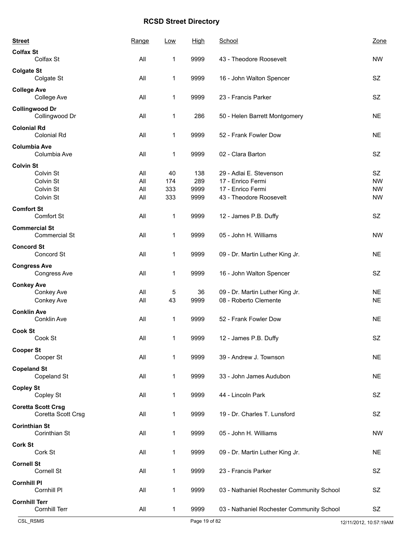| <b>Street</b>        |                                                 | Range | Low          | <b>High</b> | School                                    | Zone      |
|----------------------|-------------------------------------------------|-------|--------------|-------------|-------------------------------------------|-----------|
| <b>Colfax St</b>     |                                                 |       |              |             |                                           |           |
|                      | Colfax St                                       | All   | 1            | 9999        | 43 - Theodore Roosevelt                   | <b>NW</b> |
| <b>Colgate St</b>    | Colgate St                                      | All   | 1            | 9999        | 16 - John Walton Spencer                  | SZ        |
| <b>College Ave</b>   | College Ave                                     | All   | 1            | 9999        | 23 - Francis Parker                       | <b>SZ</b> |
|                      | <b>Collingwood Dr</b><br>Collingwood Dr         | All   | 1            | 286         | 50 - Helen Barrett Montgomery             | <b>NE</b> |
| <b>Colonial Rd</b>   | <b>Colonial Rd</b>                              | All   | $\mathbf{1}$ | 9999        | 52 - Frank Fowler Dow                     | <b>NE</b> |
| <b>Columbia Ave</b>  | Columbia Ave                                    | All   | 1            | 9999        | 02 - Clara Barton                         | <b>SZ</b> |
| <b>Colvin St</b>     |                                                 |       |              |             |                                           |           |
|                      | Colvin St                                       | All   | 40           | 138         | 29 - Adlai E. Stevenson                   | SZ        |
|                      | Colvin St                                       | All   | 174          | 289         | 17 - Enrico Fermi                         | <b>NW</b> |
|                      | Colvin St                                       | All   | 333          | 9999        | 17 - Enrico Fermi                         | <b>NW</b> |
|                      | Colvin St                                       | All   | 333          | 9999        | 43 - Theodore Roosevelt                   | <b>NW</b> |
| <b>Comfort St</b>    | Comfort St                                      | All   | 1            | 9999        | 12 - James P.B. Duffy                     | SZ        |
|                      | <b>Commercial St</b><br><b>Commercial St</b>    | All   | 1            | 9999        | 05 - John H. Williams                     | <b>NW</b> |
| <b>Concord St</b>    |                                                 |       |              |             |                                           |           |
|                      | Concord St                                      | All   | 1            | 9999        | 09 - Dr. Martin Luther King Jr.           | <b>NE</b> |
| <b>Congress Ave</b>  | Congress Ave                                    | All   | 1            | 9999        | 16 - John Walton Spencer                  | <b>SZ</b> |
| <b>Conkey Ave</b>    |                                                 |       |              |             |                                           |           |
|                      | Conkey Ave                                      | All   | 5            | 36          | 09 - Dr. Martin Luther King Jr.           | <b>NE</b> |
|                      | Conkey Ave                                      | All   | 43           | 9999        | 08 - Roberto Clemente                     | <b>NE</b> |
| <b>Conklin Ave</b>   | Conklin Ave                                     | All   | 1            | 9999        | 52 - Frank Fowler Dow                     | <b>NE</b> |
| <b>Cook St</b>       |                                                 |       |              |             |                                           |           |
|                      | Cook St                                         | All   | 1            | 9999        | 12 - James P.B. Duffy                     | SZ        |
| <b>Cooper St</b>     | Cooper St                                       | All   | 1            | 9999        | 39 - Andrew J. Townson                    | <b>NE</b> |
| <b>Copeland St</b>   | Copeland St                                     | All   | 1            | 9999        | 33 - John James Audubon                   | <b>NE</b> |
| <b>Copley St</b>     | Copley St                                       | All   | 1            | 9999        | 44 - Lincoln Park                         | SZ        |
|                      | <b>Coretta Scott Crsg</b><br>Coretta Scott Crsg | All   | 1            | 9999        | 19 - Dr. Charles T. Lunsford              | <b>SZ</b> |
| <b>Corinthian St</b> | Corinthian St                                   | All   | 1            | 9999        | 05 - John H. Williams                     | <b>NW</b> |
|                      |                                                 |       |              |             |                                           |           |
| <b>Cork St</b>       | Cork St                                         | All   | 1            | 9999        | 09 - Dr. Martin Luther King Jr.           | <b>NE</b> |
| <b>Cornell St</b>    | Cornell St                                      | All   | 1            | 9999        | 23 - Francis Parker                       | <b>SZ</b> |
| <b>Cornhill PI</b>   | Cornhill PI                                     | All   | 1            | 9999        | 03 - Nathaniel Rochester Community School | <b>SZ</b> |
| <b>Cornhill Terr</b> | Cornhill Terr                                   | All   | 1            | 9999        | 03 - Nathaniel Rochester Community School | SZ        |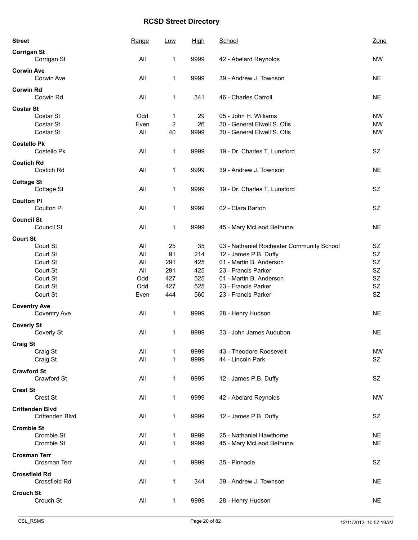| <b>Street</b>                     | Range | Low                     | <b>High</b> | School                                    | Zone      |
|-----------------------------------|-------|-------------------------|-------------|-------------------------------------------|-----------|
| <b>Corrigan St</b>                |       |                         |             |                                           |           |
| Corrigan St                       | All   | 1                       | 9999        | 42 - Abelard Reynolds                     | <b>NW</b> |
| <b>Corwin Ave</b>                 |       |                         |             |                                           |           |
| Corwin Ave                        | All   | 1                       | 9999        | 39 - Andrew J. Townson                    | <b>NE</b> |
| <b>Corwin Rd</b>                  |       |                         |             |                                           |           |
| Corwin Rd                         | All   | 1                       | 341         | 46 - Charles Carroll                      | <b>NE</b> |
| <b>Costar St</b>                  |       |                         |             |                                           |           |
| Costar St                         | Odd   | 1                       | 29          | 05 - John H. Williams                     | <b>NW</b> |
| Costar St                         | Even  | $\overline{\mathbf{c}}$ | 26          | 30 - General Elwell S. Otis               | <b>NW</b> |
| Costar St                         | All   | 40                      | 9999        | 30 - General Elwell S. Otis               | <b>NW</b> |
| <b>Costello Pk</b>                |       |                         |             |                                           |           |
| Costello Pk                       | All   | 1                       | 9999        | 19 - Dr. Charles T. Lunsford              | SZ        |
| <b>Costich Rd</b>                 |       |                         |             |                                           |           |
| Costich Rd                        | All   | 1                       | 9999        | 39 - Andrew J. Townson                    | <b>NE</b> |
| <b>Cottage St</b>                 |       |                         |             |                                           |           |
| Cottage St                        | All   | 1                       | 9999        | 19 - Dr. Charles T. Lunsford              | SZ        |
| <b>Coulton PI</b>                 |       |                         |             |                                           |           |
| Coulton PI                        | All   | 1                       | 9999        | 02 - Clara Barton                         | SZ        |
|                                   |       |                         |             |                                           |           |
| <b>Council St</b><br>Council St   | All   | 1                       | 9999        | 45 - Mary McLeod Bethune                  | <b>NE</b> |
|                                   |       |                         |             |                                           |           |
| <b>Court St</b><br>Court St       | All   |                         | 35          |                                           | SZ        |
|                                   |       | 25                      |             | 03 - Nathaniel Rochester Community School | SZ        |
| Court St                          | All   | 91                      | 214         | 12 - James P.B. Duffy                     |           |
| Court St                          | All   | 291                     | 425         | 01 - Martin B. Anderson                   | SZ        |
| Court St                          | All   | 291                     | 425         | 23 - Francis Parker                       | SZ        |
| Court St                          | Odd   | 427                     | 525         | 01 - Martin B. Anderson                   | SZ        |
| Court St                          | Odd   | 427                     | 525         | 23 - Francis Parker                       | SZ        |
| Court St                          | Even  | 444                     | 560         | 23 - Francis Parker                       | SZ        |
| <b>Coventry Ave</b>               |       |                         |             |                                           |           |
| Coventry Ave                      | All   | 1                       | 9999        | 28 - Henry Hudson                         | <b>NE</b> |
| <b>Coverly St</b>                 |       |                         |             |                                           |           |
| Coverly St                        | All   | 1                       | 9999        | 33 - John James Audubon                   | <b>NE</b> |
| <b>Craig St</b>                   |       |                         |             |                                           |           |
| Craig St                          | All   | 1                       | 9999        | 43 - Theodore Roosevelt                   | <b>NW</b> |
| Craig St                          | All   | 1                       | 9999        | 44 - Lincoln Park                         | SZ        |
|                                   |       |                         |             |                                           |           |
| <b>Crawford St</b><br>Crawford St | All   | 1                       | 9999        | 12 - James P.B. Duffy                     | SZ        |
|                                   |       |                         |             |                                           |           |
| <b>Crest St</b>                   |       |                         |             |                                           |           |
| Crest St                          | All   | 1                       | 9999        | 42 - Abelard Reynolds                     | <b>NW</b> |
| <b>Crittenden Blvd</b>            |       |                         |             |                                           |           |
| Crittenden Blvd                   | All   | $\mathbf 1$             | 9999        | 12 - James P.B. Duffy                     | SZ        |
| <b>Crombie St</b>                 |       |                         |             |                                           |           |
| Crombie St                        | All   | 1                       | 9999        | 25 - Nathaniel Hawthorne                  | <b>NE</b> |
| Crombie St                        | All   | 1                       | 9999        | 45 - Mary McLeod Bethune                  | <b>NE</b> |
| <b>Crosman Terr</b>               |       |                         |             |                                           |           |
| Crosman Terr                      | All   | 1                       | 9999        | 35 - Pinnacle                             | SZ        |
| <b>Crossfield Rd</b>              |       |                         |             |                                           |           |
| Crossfield Rd                     | All   | 1                       | 344         | 39 - Andrew J. Townson                    | <b>NE</b> |
| <b>Crouch St</b>                  |       |                         |             |                                           |           |
| Crouch St                         | All   | $\mathbf{1}$            | 9999        | 28 - Henry Hudson                         | <b>NE</b> |
|                                   |       |                         |             |                                           |           |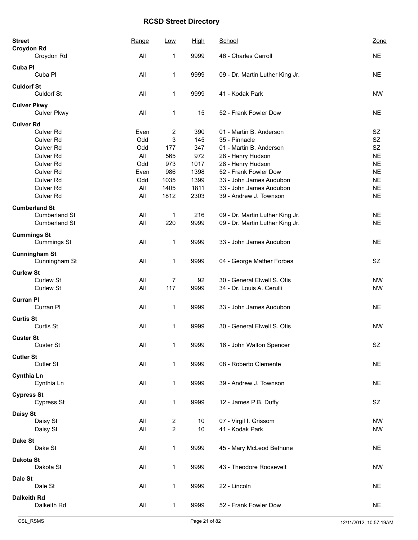| <b>Street</b><br><b>Croydon Rd</b>       | Range | Low            | <b>High</b> | School                          | Zone      |
|------------------------------------------|-------|----------------|-------------|---------------------------------|-----------|
| Croydon Rd                               | All   | 1              | 9999        | 46 - Charles Carroll            | <b>NE</b> |
| <b>Cuba PI</b>                           |       |                |             |                                 |           |
| Cuba Pl                                  | All   | $\mathbf 1$    | 9999        | 09 - Dr. Martin Luther King Jr. | <b>NE</b> |
| <b>Culdorf St</b>                        |       |                |             |                                 |           |
| <b>Culdorf St</b>                        | All   | 1              | 9999        | 41 - Kodak Park                 | <b>NW</b> |
| <b>Culver Pkwy</b><br><b>Culver Pkwy</b> | All   | 1              | 15          | 52 - Frank Fowler Dow           | <b>NE</b> |
| <b>Culver Rd</b>                         |       |                |             |                                 |           |
| <b>Culver Rd</b>                         | Even  | 2              | 390         | 01 - Martin B. Anderson         | SZ        |
| Culver Rd                                | Odd   | 3              | 145         | 35 - Pinnacle                   | SZ        |
| Culver Rd                                | Odd   | 177            | 347         | 01 - Martin B. Anderson         | SZ        |
| Culver Rd                                | All   | 565            | 972         | 28 - Henry Hudson               | <b>NE</b> |
| Culver Rd                                | Odd   | 973            | 1017        | 28 - Henry Hudson               | <b>NE</b> |
| <b>Culver Rd</b>                         | Even  | 986            | 1398        | 52 - Frank Fowler Dow           | <b>NE</b> |
| <b>Culver Rd</b>                         | Odd   | 1035           | 1399        | 33 - John James Audubon         | <b>NE</b> |
| <b>Culver Rd</b>                         | All   | 1405           | 1811        | 33 - John James Audubon         | <b>NE</b> |
| <b>Culver Rd</b>                         | All   | 1812           | 2303        | 39 - Andrew J. Townson          | <b>NE</b> |
| <b>Cumberland St</b>                     |       |                |             |                                 |           |
| Cumberland St                            | All   | 1              | 216         | 09 - Dr. Martin Luther King Jr. | <b>NE</b> |
| <b>Cumberland St</b>                     | All   | 220            | 9999        | 09 - Dr. Martin Luther King Jr. | <b>NE</b> |
|                                          |       |                |             |                                 |           |
| <b>Cummings St</b>                       |       |                |             |                                 |           |
| <b>Cummings St</b>                       | All   | 1              | 9999        | 33 - John James Audubon         | <b>NE</b> |
| <b>Cunningham St</b>                     |       |                |             |                                 |           |
| Cunningham St                            | All   | 1              | 9999        | 04 - George Mather Forbes       | <b>SZ</b> |
| <b>Curlew St</b>                         |       |                |             |                                 |           |
| Curlew St                                | All   | 7              | 92          | 30 - General Elwell S. Otis     | <b>NW</b> |
| Curlew St                                | All   | 117            | 9999        | 34 - Dr. Louis A. Cerulli       | <b>NW</b> |
|                                          |       |                |             |                                 |           |
| <b>Curran PI</b>                         |       |                |             |                                 |           |
| Curran PI                                | All   | 1              | 9999        | 33 - John James Audubon         | <b>NE</b> |
| <b>Curtis St</b>                         |       |                |             |                                 |           |
| Curtis St                                | All   | 1              | 9999        | 30 - General Elwell S. Otis     | <b>NW</b> |
|                                          |       |                |             |                                 |           |
| <b>Custer St</b>                         |       |                |             |                                 |           |
| Custer St                                | All   | 1              | 9999        | 16 - John Walton Spencer        | SZ        |
| <b>Cutler St</b>                         |       |                |             |                                 |           |
| Cutler St                                | All   | $\mathbf 1$    | 9999        | 08 - Roberto Clemente           | <b>NE</b> |
| <b>Cynthia Ln</b>                        |       |                |             |                                 |           |
| Cynthia Ln                               | All   | $\mathbf 1$    | 9999        | 39 - Andrew J. Townson          | <b>NE</b> |
|                                          |       |                |             |                                 |           |
| <b>Cypress St</b>                        |       |                |             |                                 |           |
| Cypress St                               | All   | $\mathbf 1$    | 9999        | 12 - James P.B. Duffy           | SZ        |
| Daisy St                                 |       |                |             |                                 |           |
| Daisy St                                 | All   | 2              | 10          | 07 - Virgil I. Grissom          | <b>NW</b> |
| Daisy St                                 | All   | $\overline{c}$ | 10          | 41 - Kodak Park                 | <b>NW</b> |
|                                          |       |                |             |                                 |           |
| Dake St                                  |       |                |             |                                 |           |
| Dake St                                  | All   | $\mathbf 1$    | 9999        | 45 - Mary McLeod Bethune        | <b>NE</b> |
| Dakota St                                |       |                |             |                                 |           |
| Dakota St                                | All   | $\mathbf 1$    | 9999        | 43 - Theodore Roosevelt         | <b>NW</b> |
| Dale St                                  |       |                |             |                                 |           |
| Dale St                                  | All   | 1              | 9999        | 22 - Lincoln                    | <b>NE</b> |
|                                          |       |                |             |                                 |           |
| <b>Dalkeith Rd</b>                       |       |                |             |                                 |           |
| Dalkeith Rd                              | All   | $\mathbf{1}$   | 9999        | 52 - Frank Fowler Dow           | <b>NE</b> |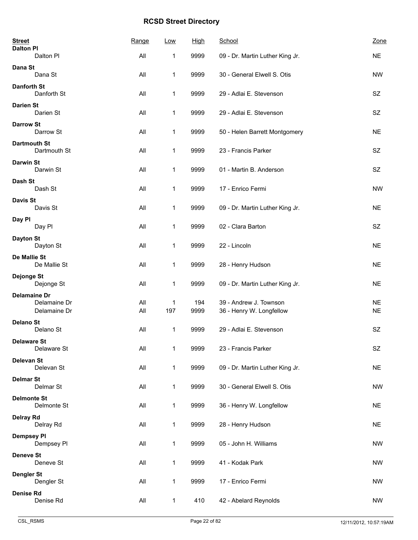| <b>Street</b><br><b>Dalton PI</b>   | Range      | Low          | <b>High</b> | School                                             | Zone                   |
|-------------------------------------|------------|--------------|-------------|----------------------------------------------------|------------------------|
| Dalton Pl                           | All        | 1            | 9999        | 09 - Dr. Martin Luther King Jr.                    | <b>NE</b>              |
| Dana St                             |            |              |             |                                                    |                        |
| Dana St                             | All        | 1            | 9999        | 30 - General Elwell S. Otis                        | <b>NW</b>              |
| Danforth St<br>Danforth St          | All        | $\mathbf{1}$ | 9999        | 29 - Adlai E. Stevenson                            | SZ                     |
| <b>Darien St</b><br>Darien St       | All        | 1            | 9999        | 29 - Adlai E. Stevenson                            | SZ                     |
| <b>Darrow St</b><br>Darrow St       | All        | 1            | 9999        | 50 - Helen Barrett Montgomery                      | <b>NE</b>              |
| <b>Dartmouth St</b><br>Dartmouth St | All        | 1            | 9999        | 23 - Francis Parker                                | SZ                     |
| <b>Darwin St</b><br>Darwin St       | All        | 1            | 9999        | 01 - Martin B. Anderson                            | SZ                     |
| Dash St<br>Dash St                  | All        | 1            | 9999        | 17 - Enrico Fermi                                  | <b>NW</b>              |
| <b>Davis St</b><br>Davis St         | All        | $\mathbf{1}$ | 9999        | 09 - Dr. Martin Luther King Jr.                    | <b>NE</b>              |
| Day PI<br>Day Pl                    | All        | 1            | 9999        | 02 - Clara Barton                                  | SZ                     |
| <b>Dayton St</b><br>Dayton St       | All        | 1            | 9999        | 22 - Lincoln                                       | <b>NE</b>              |
| De Mallie St<br>De Mallie St        | All        | $\mathbf{1}$ | 9999        | 28 - Henry Hudson                                  | <b>NE</b>              |
| Dejonge St<br>Dejonge St            | All        | 1            | 9999        | 09 - Dr. Martin Luther King Jr.                    | <b>NE</b>              |
| <b>Delamaine Dr</b>                 |            |              |             |                                                    |                        |
| Delamaine Dr<br>Delamaine Dr        | All<br>All | 1<br>197     | 194<br>9999 | 39 - Andrew J. Townson<br>36 - Henry W. Longfellow | <b>NE</b><br><b>NE</b> |
| <b>Delano St</b>                    |            |              |             |                                                    |                        |
| Delano St                           | All        | $\mathbf 1$  | 9999        | 29 - Adlai E. Stevenson                            | SZ                     |
| <b>Delaware St</b><br>Delaware St   | All        | $\mathbf{1}$ | 9999        | 23 - Francis Parker                                | SZ                     |
| <b>Delevan St</b><br>Delevan St     | All        | $\mathbf{1}$ | 9999        | 09 - Dr. Martin Luther King Jr.                    | <b>NE</b>              |
| <b>Delmar St</b><br>Delmar St       | All        | $\mathbf{1}$ | 9999        | 30 - General Elwell S. Otis                        | <b>NW</b>              |
| <b>Delmonte St</b><br>Delmonte St   | All        | 1            | 9999        | 36 - Henry W. Longfellow                           | <b>NE</b>              |
| <b>Delray Rd</b><br>Delray Rd       | All        | $\mathbf{1}$ | 9999        | 28 - Henry Hudson                                  | <b>NE</b>              |
| <b>Dempsey PI</b><br>Dempsey PI     | All        | $\mathbf{1}$ | 9999        | 05 - John H. Williams                              | <b>NW</b>              |
| <b>Deneve St</b><br>Deneve St       | All        | 1            | 9999        | 41 - Kodak Park                                    | <b>NW</b>              |
| <b>Dengler St</b><br>Dengler St     | All        | $\mathbf{1}$ | 9999        | 17 - Enrico Fermi                                  | <b>NW</b>              |
| <b>Denise Rd</b><br>Denise Rd       | All        | $\mathbf{1}$ | 410         | 42 - Abelard Reynolds                              | <b>NW</b>              |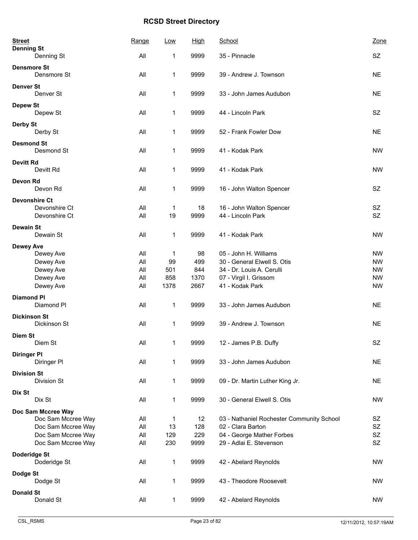| <b>Street</b><br><b>Denning St</b> |                        | Range          | Low         | <b>High</b> | School                                               | Zone                   |
|------------------------------------|------------------------|----------------|-------------|-------------|------------------------------------------------------|------------------------|
|                                    | Denning St             | All            | 1           | 9999        | 35 - Pinnacle                                        | SZ                     |
| <b>Densmore St</b>                 | Densmore St            | All            | 1           | 9999        | 39 - Andrew J. Townson                               | <b>NE</b>              |
| <b>Denver St</b>                   | Denver St              | All            | 1           | 9999        | 33 - John James Audubon                              | <b>NE</b>              |
| <b>Depew St</b>                    | Depew St               | All            | 1           | 9999        | 44 - Lincoln Park                                    | <b>SZ</b>              |
| <b>Derby St</b>                    | Derby St               | All            | 1           | 9999        | 52 - Frank Fowler Dow                                | <b>NE</b>              |
| <b>Desmond St</b>                  | Desmond St             | All            | 1           | 9999        | 41 - Kodak Park                                      | <b>NW</b>              |
| <b>Devitt Rd</b>                   | Devitt Rd              | All            | 1           | 9999        | 41 - Kodak Park                                      | <b>NW</b>              |
| <b>Devon Rd</b>                    | Devon Rd               | All            | 1           | 9999        | 16 - John Walton Spencer                             | <b>SZ</b>              |
| <b>Devonshire Ct</b>               |                        |                |             |             |                                                      |                        |
|                                    | Devonshire Ct          | All            | 1           | 18          | 16 - John Walton Spencer                             | SZ                     |
|                                    | Devonshire Ct          | All            | 19          | 9999        | 44 - Lincoln Park                                    | SZ                     |
| <b>Dewain St</b>                   | Dewain St              | All            | 1           | 9999        | 41 - Kodak Park                                      | <b>NW</b>              |
| <b>Dewey Ave</b>                   |                        |                |             |             |                                                      |                        |
|                                    | Dewey Ave<br>Dewey Ave | All<br>All     | 1<br>99     | 98<br>499   | 05 - John H. Williams<br>30 - General Elwell S. Otis | <b>NW</b><br><b>NW</b> |
|                                    | Dewey Ave              | All            | 501         | 844         | 34 - Dr. Louis A. Cerulli                            | <b>NW</b>              |
|                                    | Dewey Ave              | All            | 858         | 1370        | 07 - Virgil I. Grissom                               | <b>NW</b>              |
|                                    | Dewey Ave              | All            | 1378        | 2667        | 41 - Kodak Park                                      | <b>NW</b>              |
|                                    |                        |                |             |             |                                                      |                        |
| <b>Diamond PI</b>                  | Diamond Pl             | All            | 1           | 9999        | 33 - John James Audubon                              | <b>NE</b>              |
| <b>Dickinson St</b>                | Dickinson St           | All            | 1           | 9999        | 39 - Andrew J. Townson                               | <b>NE</b>              |
| <b>Diem St</b>                     |                        |                |             |             |                                                      |                        |
|                                    | Diem St                | $\mathsf{All}$ | $\mathbf 1$ | 9999        | 12 - James P.B. Duffy                                | SZ                     |
| <b>Diringer PI</b>                 | Diringer PI            | All            | 1           | 9999        | 33 - John James Audubon                              | <b>NE</b>              |
| <b>Division St</b>                 |                        |                |             |             |                                                      |                        |
|                                    | Division St            | All            | 1           | 9999        | 09 - Dr. Martin Luther King Jr.                      | <b>NE</b>              |
| Dix St                             | Dix St                 | All            | 1           | 9999        | 30 - General Elwell S. Otis                          | <b>NW</b>              |
|                                    | Doc Sam Mccree Way     |                |             |             |                                                      |                        |
|                                    | Doc Sam Mccree Way     | All            | 1           | 12          | 03 - Nathaniel Rochester Community School            | SZ                     |
|                                    | Doc Sam Mccree Way     | All            | 13          | 128         | 02 - Clara Barton                                    | SZ                     |
|                                    | Doc Sam Mccree Way     | All            | 129         | 229         | 04 - George Mather Forbes                            | SZ                     |
|                                    | Doc Sam Mccree Way     | All            | 230         | 9999        | 29 - Adlai E. Stevenson                              | SZ                     |
| Doderidge St                       | Doderidge St           | All            | 1           | 9999        | 42 - Abelard Reynolds                                | <b>NW</b>              |
| Dodge St                           |                        |                |             |             |                                                      |                        |
|                                    | Dodge St               | All            | 1           | 9999        | 43 - Theodore Roosevelt                              | <b>NW</b>              |
| <b>Donald St</b>                   | Donald St              | All            | 1           | 9999        | 42 - Abelard Reynolds                                | <b>NW</b>              |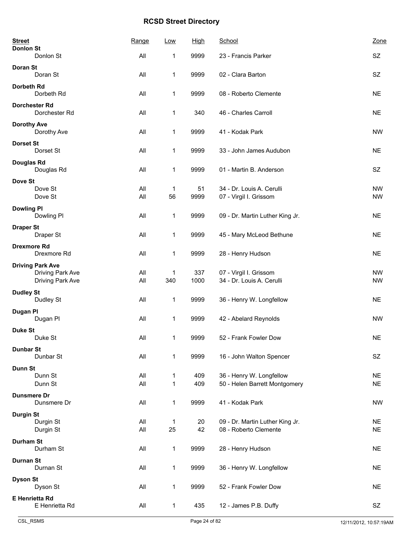| <b>Street</b>                               | Range      | Low               | <b>High</b> | School                                                    | Zone                   |
|---------------------------------------------|------------|-------------------|-------------|-----------------------------------------------------------|------------------------|
| <b>Donlon St</b><br>Donlon St               | All        | 1                 | 9999        | 23 - Francis Parker                                       | SZ                     |
| <b>Doran St</b><br>Doran St                 | All        | 1                 | 9999        | 02 - Clara Barton                                         | SZ                     |
| Dorbeth Rd                                  |            |                   |             |                                                           |                        |
| Dorbeth Rd                                  | All        | $\mathbf{1}$      | 9999        | 08 - Roberto Clemente                                     | <b>NE</b>              |
| <b>Dorchester Rd</b><br>Dorchester Rd       | All        | 1                 | 340         | 46 - Charles Carroll                                      | <b>NE</b>              |
| <b>Dorothy Ave</b><br>Dorothy Ave           | All        | 1                 | 9999        | 41 - Kodak Park                                           | <b>NW</b>              |
| <b>Dorset St</b><br>Dorset St               | All        | 1                 | 9999        | 33 - John James Audubon                                   | <b>NE</b>              |
| Douglas Rd<br>Douglas Rd                    | All        | 1                 | 9999        | 01 - Martin B. Anderson                                   | SZ                     |
| Dove St                                     |            |                   |             |                                                           |                        |
| Dove St<br>Dove St                          | All<br>All | 1<br>56           | 51<br>9999  | 34 - Dr. Louis A. Cerulli<br>07 - Virgil I. Grissom       | <b>NW</b><br><b>NW</b> |
| <b>Dowling PI</b><br>Dowling PI             | All        | 1                 | 9999        | 09 - Dr. Martin Luther King Jr.                           | <b>NE</b>              |
| <b>Draper St</b>                            |            |                   |             |                                                           |                        |
| Draper St                                   | All        | 1                 | 9999        | 45 - Mary McLeod Bethune                                  | <b>NE</b>              |
| <b>Drexmore Rd</b><br>Drexmore Rd           | All        | 1                 | 9999        | 28 - Henry Hudson                                         | <b>NE</b>              |
| <b>Driving Park Ave</b><br>Driving Park Ave | All        | 1                 | 337         | 07 - Virgil I. Grissom                                    | <b>NW</b>              |
| Driving Park Ave                            | All        | 340               | 1000        | 34 - Dr. Louis A. Cerulli                                 | <b>NW</b>              |
| <b>Dudley St</b><br>Dudley St               | All        | 1                 | 9999        | 36 - Henry W. Longfellow                                  | <b>NE</b>              |
| Dugan PI<br>Dugan Pl                        | All        | 1                 | 9999        | 42 - Abelard Reynolds                                     | <b>NW</b>              |
| <b>Duke St</b>                              |            |                   |             |                                                           |                        |
| Duke St                                     | All        | 1                 | 9999        | 52 - Frank Fowler Dow                                     | <b>NE</b>              |
| <b>Dunbar St</b><br>Dunbar St               | All        | $\mathbf{1}$      | 9999        | 16 - John Walton Spencer                                  | SZ                     |
| Dunn St                                     |            |                   |             |                                                           |                        |
| Dunn St<br>Dunn St                          | All<br>All | $\mathbf{1}$<br>1 | 409<br>409  | 36 - Henry W. Longfellow<br>50 - Helen Barrett Montgomery | <b>NE</b><br><b>NE</b> |
| <b>Dunsmere Dr</b>                          |            |                   |             |                                                           |                        |
| Dunsmere Dr                                 | All        | 1                 | 9999        | 41 - Kodak Park                                           | <b>NW</b>              |
| <b>Durgin St</b><br>Durgin St               | All        | 1                 | 20          | 09 - Dr. Martin Luther King Jr.                           | <b>NE</b>              |
| Durgin St                                   | All        | 25                | 42          | 08 - Roberto Clemente                                     | <b>NE</b>              |
| <b>Durham St</b><br>Durham St               | All        | $\mathbf{1}$      | 9999        | 28 - Henry Hudson                                         | <b>NE</b>              |
| <b>Durnan St</b><br>Durnan St               | All        | 1                 | 9999        | 36 - Henry W. Longfellow                                  | <b>NE</b>              |
| <b>Dyson St</b>                             |            |                   |             |                                                           |                        |
| Dyson St                                    | All        | 1                 | 9999        | 52 - Frank Fowler Dow                                     | <b>NE</b>              |
| <b>E Henrietta Rd</b><br>E Henrietta Rd     | All        | 1                 | 435         | 12 - James P.B. Duffy                                     | SZ                     |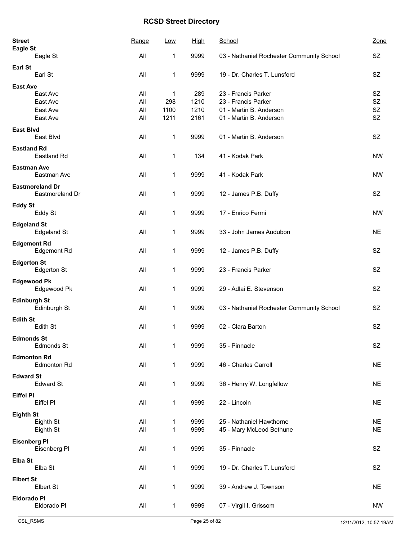| <b>Street</b><br>Eagle St                 | Range | Low          | <b>High</b> | School                                    | Zone      |
|-------------------------------------------|-------|--------------|-------------|-------------------------------------------|-----------|
| Eagle St                                  | All   | 1            | 9999        | 03 - Nathaniel Rochester Community School | SZ        |
| <b>Earl St</b><br>Earl St                 | All   | 1            | 9999        | 19 - Dr. Charles T. Lunsford              | SZ.       |
| <b>East Ave</b>                           |       |              |             |                                           |           |
| East Ave                                  | All   | 1            | 289         | 23 - Francis Parker                       | SZ        |
| East Ave                                  | All   | 298          | 1210        | 23 - Francis Parker                       | <b>SZ</b> |
| East Ave                                  | All   | 1100         | 1210        | 01 - Martin B. Anderson                   | SZ        |
| East Ave                                  | All   | 1211         | 2161        | 01 - Martin B. Anderson                   | SZ        |
| <b>East Blvd</b><br>East Blvd             | All   | 1            | 9999        | 01 - Martin B. Anderson                   | <b>SZ</b> |
| <b>Eastland Rd</b><br>Eastland Rd         | All   | 1            | 134         | 41 - Kodak Park                           | <b>NW</b> |
| <b>Eastman Ave</b>                        |       |              |             |                                           |           |
| Eastman Ave                               | All   | 1            | 9999        | 41 - Kodak Park                           | <b>NW</b> |
| <b>Eastmoreland Dr</b><br>Eastmoreland Dr | All   | 1            | 9999        | 12 - James P.B. Duffy                     | <b>SZ</b> |
| <b>Eddy St</b>                            |       |              |             |                                           |           |
| Eddy St                                   | All   | 1            | 9999        | 17 - Enrico Fermi                         | <b>NW</b> |
| <b>Edgeland St</b><br><b>Edgeland St</b>  | All   | 1            | 9999        | 33 - John James Audubon                   | <b>NE</b> |
| <b>Edgemont Rd</b><br>Edgemont Rd         | All   | 1            | 9999        | 12 - James P.B. Duffy                     | <b>SZ</b> |
| <b>Edgerton St</b><br><b>Edgerton St</b>  | All   | 1            | 9999        | 23 - Francis Parker                       | <b>SZ</b> |
| <b>Edgewood Pk</b><br>Edgewood Pk         | All   | 1            | 9999        | 29 - Adlai E. Stevenson                   | <b>SZ</b> |
| <b>Edinburgh St</b>                       |       |              |             |                                           |           |
| Edinburgh St                              | All   | 1            | 9999        | 03 - Nathaniel Rochester Community School | SZ.       |
| <b>Edith St</b><br>Edith St               | All   | 1            | 9999        | 02 - Clara Barton                         | SZ        |
|                                           |       |              |             |                                           |           |
| <b>Edmonds St</b><br>Edmonds St           | All   | 1            | 9999        | 35 - Pinnacle                             | SZ        |
| <b>Edmonton Rd</b>                        |       |              |             |                                           |           |
| <b>Edmonton Rd</b>                        | All   | 1            | 9999        | 46 - Charles Carroll                      | <b>NE</b> |
| <b>Edward St</b><br><b>Edward St</b>      | All   | 1            | 9999        | 36 - Henry W. Longfellow                  | <b>NE</b> |
| <b>Eiffel PI</b>                          |       |              |             |                                           |           |
| Eiffel PI                                 | All   | 1            | 9999        | 22 - Lincoln                              | <b>NE</b> |
| <b>Eighth St</b>                          |       |              |             |                                           |           |
| Eighth St                                 | All   | 1            | 9999        | 25 - Nathaniel Hawthorne                  | <b>NE</b> |
| Eighth St                                 | All   | $\mathbf{1}$ | 9999        | 45 - Mary McLeod Bethune                  | <b>NE</b> |
|                                           |       |              |             |                                           |           |
| <b>Eisenberg PI</b><br>Eisenberg Pl       | All   | $\mathbf{1}$ | 9999        | 35 - Pinnacle                             | SZ        |
| Elba St<br>Elba St                        | All   | 1            | 9999        | 19 - Dr. Charles T. Lunsford              | SZ        |
| <b>Elbert St</b>                          |       |              |             |                                           |           |
| Elbert St                                 | All   | 1            | 9999        | 39 - Andrew J. Townson                    | <b>NE</b> |
| <b>Eldorado PI</b>                        |       |              |             |                                           |           |
| Eldorado Pl                               | All   | $\mathbf{1}$ | 9999        | 07 - Virgil I. Grissom                    | <b>NW</b> |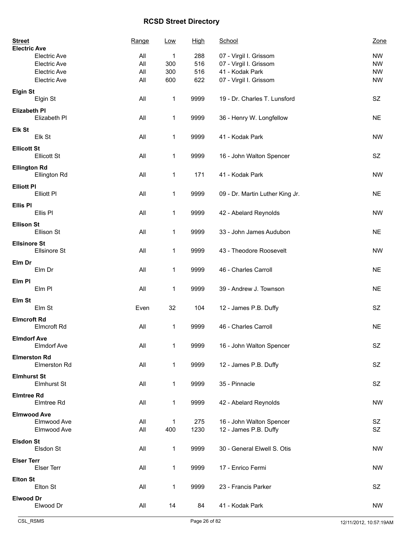| <b>Street</b><br><b>Electric Ave</b> |                     | Range | <u>Low</u>   | <b>High</b> | School                          | Zone      |
|--------------------------------------|---------------------|-------|--------------|-------------|---------------------------------|-----------|
|                                      | <b>Electric Ave</b> | All   | 1            | 288         | 07 - Virgil I. Grissom          | <b>NW</b> |
|                                      | Electric Ave        | All   | 300          | 516         | 07 - Virgil I. Grissom          | <b>NW</b> |
|                                      | Electric Ave        | All   | 300          | 516         | 41 - Kodak Park                 | <b>NW</b> |
|                                      | Electric Ave        | All   | 600          | 622         | 07 - Virgil I. Grissom          | <b>NW</b> |
|                                      |                     |       |              |             |                                 |           |
| <b>Elgin St</b>                      | Elgin St            | All   | 1            | 9999        | 19 - Dr. Charles T. Lunsford    | SZ        |
| <b>Elizabeth PI</b>                  |                     |       |              |             |                                 |           |
|                                      | Elizabeth PI        | All   | 1            | 9999        | 36 - Henry W. Longfellow        | <b>NE</b> |
| Elk St                               |                     |       |              |             |                                 |           |
|                                      | Elk St              | All   | 1            | 9999        | 41 - Kodak Park                 | <b>NW</b> |
|                                      |                     |       |              |             |                                 |           |
| <b>Ellicott St</b>                   |                     |       |              |             |                                 |           |
|                                      | <b>Ellicott St</b>  | All   | 1            | 9999        | 16 - John Walton Spencer        | SZ        |
| <b>Ellington Rd</b>                  |                     |       |              |             |                                 |           |
|                                      | Ellington Rd        | All   | 1            | 171         | 41 - Kodak Park                 | <b>NW</b> |
|                                      |                     |       |              |             |                                 |           |
| <b>Elliott PI</b>                    |                     |       |              |             |                                 |           |
|                                      | Elliott PI          | All   | 1            | 9999        | 09 - Dr. Martin Luther King Jr. | <b>NE</b> |
| <b>Ellis PI</b>                      |                     |       |              |             |                                 |           |
|                                      | Ellis Pl            | All   | 1            | 9999        | 42 - Abelard Reynolds           | <b>NW</b> |
|                                      |                     |       |              |             |                                 |           |
| <b>Ellison St</b>                    |                     |       |              |             |                                 |           |
|                                      | Ellison St          | All   | 1            | 9999        | 33 - John James Audubon         | <b>NE</b> |
| <b>Ellsinore St</b>                  |                     |       |              |             |                                 |           |
|                                      | <b>Ellsinore St</b> | All   | $\mathbf 1$  | 9999        | 43 - Theodore Roosevelt         | <b>NW</b> |
|                                      |                     |       |              |             |                                 |           |
| Elm Dr                               |                     |       |              |             |                                 |           |
|                                      | Elm Dr              | All   | 1            | 9999        | 46 - Charles Carroll            | <b>NE</b> |
| Elm PI                               |                     |       |              |             |                                 |           |
|                                      | Elm PI              | All   | 1            | 9999        | 39 - Andrew J. Townson          | <b>NE</b> |
|                                      |                     |       |              |             |                                 |           |
| Elm St                               |                     |       |              |             |                                 |           |
|                                      | Elm St              | Even  | 32           | 104         | 12 - James P.B. Duffy           | SZ        |
| <b>Elmcroft Rd</b>                   |                     |       |              |             |                                 |           |
|                                      | Elmcroft Rd         | All   | 1            | 9999        | 46 - Charles Carroll            | <b>NE</b> |
|                                      |                     |       |              |             |                                 |           |
| <b>Elmdorf Ave</b>                   |                     |       |              |             |                                 |           |
|                                      | Elmdorf Ave         | All   | 1            | 9999        | 16 - John Walton Spencer        | SZ        |
| <b>Elmerston Rd</b>                  |                     |       |              |             |                                 |           |
|                                      | Elmerston Rd        | All   | 1            | 9999        | 12 - James P.B. Duffy           | SZ        |
|                                      |                     |       |              |             |                                 |           |
| <b>Elmhurst St</b>                   |                     |       |              |             |                                 |           |
|                                      | <b>Elmhurst St</b>  | All   | 1            | 9999        | 35 - Pinnacle                   | SZ        |
| <b>Elmtree Rd</b>                    |                     |       |              |             |                                 |           |
|                                      | Elmtree Rd          | All   | 1            | 9999        | 42 - Abelard Reynolds           | <b>NW</b> |
|                                      |                     |       |              |             |                                 |           |
| <b>Elmwood Ave</b>                   |                     |       |              |             |                                 |           |
|                                      | Elmwood Ave         | All   | 1            | 275         | 16 - John Walton Spencer        | SZ        |
|                                      | Elmwood Ave         | All   | 400          | 1230        | 12 - James P.B. Duffy           | SZ        |
| <b>Elsdon St</b>                     |                     |       |              |             |                                 |           |
|                                      | Elsdon St           | All   | $\mathbf{1}$ | 9999        | 30 - General Elwell S. Otis     | <b>NW</b> |
|                                      |                     |       |              |             |                                 |           |
| <b>Elser Terr</b>                    |                     |       |              |             |                                 |           |
|                                      | Elser Terr          | All   | $\mathbf 1$  | 9999        | 17 - Enrico Fermi               | <b>NW</b> |
| <b>Elton St</b>                      |                     |       |              |             |                                 |           |
|                                      | Elton St            | All   | 1            | 9999        | 23 - Francis Parker             | SZ        |
|                                      |                     |       |              |             |                                 |           |
| <b>Elwood Dr</b>                     |                     |       |              |             |                                 |           |
|                                      | Elwood Dr           | All   | 14           | 84          | 41 - Kodak Park                 | <b>NW</b> |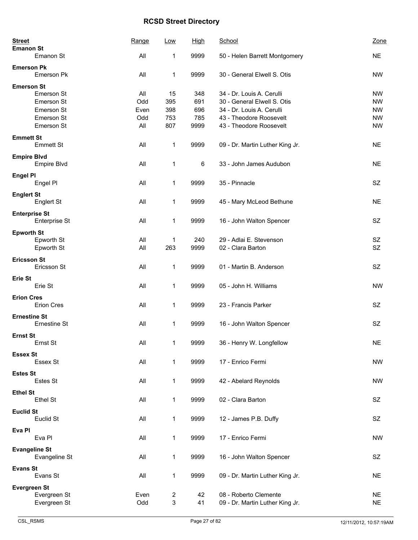| <b>Street</b><br><b>Emanon St</b> |                      | Range | <b>Low</b>                | <u>High</u> | School                          | Zone      |
|-----------------------------------|----------------------|-------|---------------------------|-------------|---------------------------------|-----------|
|                                   | Emanon St            | All   | 1                         | 9999        | 50 - Helen Barrett Montgomery   | <b>NE</b> |
| <b>Emerson Pk</b>                 | Emerson Pk           | All   | 1                         | 9999        | 30 - General Elwell S. Otis     | <b>NW</b> |
| <b>Emerson St</b>                 |                      |       |                           |             |                                 |           |
|                                   | Emerson St           | All   | 15                        | 348         | 34 - Dr. Louis A. Cerulli       | <b>NW</b> |
|                                   | Emerson St           | Odd   | 395                       | 691         | 30 - General Elwell S. Otis     | <b>NW</b> |
|                                   | Emerson St           | Even  | 398                       | 696         | 34 - Dr. Louis A. Cerulli       | <b>NW</b> |
|                                   | Emerson St           | Odd   | 753                       | 785         | 43 - Theodore Roosevelt         | <b>NW</b> |
|                                   | Emerson St           | All   | 807                       | 9999        | 43 - Theodore Roosevelt         | <b>NW</b> |
| <b>Emmett St</b>                  | <b>Emmett St</b>     | All   | 1                         | 9999        | 09 - Dr. Martin Luther King Jr. | <b>NE</b> |
| <b>Empire Blvd</b>                |                      |       |                           |             |                                 |           |
|                                   | Empire Blvd          | All   | 1                         | 6           | 33 - John James Audubon         | <b>NE</b> |
|                                   |                      |       |                           |             |                                 |           |
| <b>Engel PI</b>                   | Engel PI             | All   | 1                         | 9999        | 35 - Pinnacle                   | SZ        |
|                                   |                      |       |                           |             |                                 |           |
| <b>Englert St</b>                 |                      |       |                           |             |                                 |           |
|                                   | Englert St           | All   | 1                         | 9999        | 45 - Mary McLeod Bethune        | <b>NE</b> |
| <b>Enterprise St</b>              |                      |       |                           |             |                                 |           |
|                                   | Enterprise St        | All   | 1                         | 9999        | 16 - John Walton Spencer        | SZ        |
|                                   |                      |       |                           |             |                                 |           |
| <b>Epworth St</b>                 |                      |       |                           |             |                                 |           |
|                                   | Epworth St           | All   | 1                         | 240         | 29 - Adlai E. Stevenson         | SZ        |
|                                   | Epworth St           | All   | 263                       | 9999        | 02 - Clara Barton               | <b>SZ</b> |
| <b>Ericsson St</b>                |                      |       |                           |             |                                 |           |
|                                   | Ericsson St          | All   | 1                         | 9999        | 01 - Martin B. Anderson         | SZ        |
| Erie St                           |                      |       |                           |             |                                 |           |
|                                   | Erie St              | All   | 1                         | 9999        | 05 - John H. Williams           | <b>NW</b> |
|                                   |                      |       |                           |             |                                 |           |
| <b>Erion Cres</b>                 |                      |       |                           |             |                                 |           |
|                                   | Erion Cres           | All   | 1                         | 9999        | 23 - Francis Parker             | SZ        |
| <b>Ernestine St</b>               |                      |       |                           |             |                                 |           |
|                                   | Ernestine St         | All   | $\mathbf 1$               | 9999        | 16 - John Walton Spencer        | <b>SZ</b> |
|                                   |                      |       |                           |             |                                 |           |
| <b>Ernst St</b>                   |                      |       |                           |             |                                 |           |
|                                   | Ernst St             | All   | 1                         | 9999        | 36 - Henry W. Longfellow        | <b>NE</b> |
| <b>Essex St</b>                   |                      |       |                           |             |                                 |           |
|                                   | Essex St             | All   | 1                         | 9999        | 17 - Enrico Fermi               | <b>NW</b> |
| <b>Estes St</b>                   |                      |       |                           |             |                                 |           |
|                                   | Estes St             | All   | 1                         | 9999        | 42 - Abelard Reynolds           | <b>NW</b> |
|                                   |                      |       |                           |             |                                 |           |
| <b>Ethel St</b>                   |                      |       |                           |             |                                 |           |
|                                   | Ethel St             | All   | 1                         | 9999        | 02 - Clara Barton               | SZ        |
| <b>Euclid St</b>                  |                      |       |                           |             |                                 |           |
|                                   | Euclid St            | All   | $\mathbf 1$               | 9999        | 12 - James P.B. Duffy           | SZ        |
|                                   |                      |       |                           |             |                                 |           |
| Eva Pl                            | Eva Pl               | All   | 1                         | 9999        | 17 - Enrico Fermi               | <b>NW</b> |
|                                   |                      |       |                           |             |                                 |           |
|                                   | <b>Evangeline St</b> |       |                           |             |                                 |           |
|                                   | Evangeline St        | All   | 1                         | 9999        | 16 - John Walton Spencer        | SZ        |
| <b>Evans St</b>                   |                      |       |                           |             |                                 |           |
|                                   | Evans St             | All   | 1                         | 9999        | 09 - Dr. Martin Luther King Jr. | <b>NE</b> |
|                                   |                      |       |                           |             |                                 |           |
| <b>Evergreen St</b>               |                      |       |                           |             |                                 |           |
|                                   | Evergreen St         | Even  | $\overline{2}$            | 42          | 08 - Roberto Clemente           | <b>NE</b> |
|                                   | Evergreen St         | Odd   | $\ensuremath{\mathsf{3}}$ | 41          | 09 - Dr. Martin Luther King Jr. | <b>NE</b> |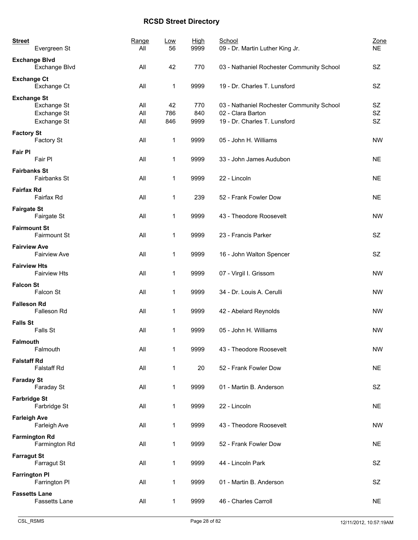| <b>Street</b>        | Evergreen St                              | Range<br>All      | Low<br>56        | <b>High</b><br>9999 | School<br>09 - Dr. Martin Luther King Jr.                                                      | Zone<br><b>NE</b>     |
|----------------------|-------------------------------------------|-------------------|------------------|---------------------|------------------------------------------------------------------------------------------------|-----------------------|
| <b>Exchange Blvd</b> | Exchange Blvd                             | All               | 42               | 770                 | 03 - Nathaniel Rochester Community School                                                      | SZ                    |
| <b>Exchange Ct</b>   | Exchange Ct                               | All               | 1                | 9999                | 19 - Dr. Charles T. Lunsford                                                                   | SZ                    |
| <b>Exchange St</b>   | Exchange St<br>Exchange St<br>Exchange St | All<br>All<br>All | 42<br>786<br>846 | 770<br>840<br>9999  | 03 - Nathaniel Rochester Community School<br>02 - Clara Barton<br>19 - Dr. Charles T. Lunsford | SZ<br><b>SZ</b><br>SZ |
| <b>Factory St</b>    | Factory St                                | All               | 1                | 9999                | 05 - John H. Williams                                                                          | <b>NW</b>             |
| <b>Fair PI</b>       | Fair PI                                   | All               | 1                | 9999                | 33 - John James Audubon                                                                        | <b>NE</b>             |
| <b>Fairbanks St</b>  | Fairbanks St                              | All               | 1                | 9999                | 22 - Lincoln                                                                                   | <b>NE</b>             |
| <b>Fairfax Rd</b>    | Fairfax Rd                                | All               | 1                | 239                 | 52 - Frank Fowler Dow                                                                          | <b>NE</b>             |
| <b>Fairgate St</b>   | Fairgate St                               | All               | 1                | 9999                | 43 - Theodore Roosevelt                                                                        | <b>NW</b>             |
| <b>Fairmount St</b>  | Fairmount St                              | All               | 1                | 9999                | 23 - Francis Parker                                                                            | <b>SZ</b>             |
| <b>Fairview Ave</b>  | <b>Fairview Ave</b>                       | All               | 1                | 9999                | 16 - John Walton Spencer                                                                       | SZ                    |
| <b>Fairview Hts</b>  | <b>Fairview Hts</b>                       | All               | 1                | 9999                | 07 - Virgil I. Grissom                                                                         | <b>NW</b>             |
| <b>Falcon St</b>     | Falcon St                                 | All               | 1                | 9999                | 34 - Dr. Louis A. Cerulli                                                                      | <b>NW</b>             |
| <b>Falleson Rd</b>   | Falleson Rd                               | All               | 1                | 9999                | 42 - Abelard Reynolds                                                                          | <b>NW</b>             |
| <b>Falls St</b>      | Falls St                                  | All               | 1                | 9999                | 05 - John H. Williams                                                                          | <b>NW</b>             |
| Falmouth             | Falmouth                                  | All               | 1                | 9999                | 43 - Theodore Roosevelt                                                                        | <b>NW</b>             |
| <b>Falstaff Rd</b>   | Falstaff Rd                               | All               | 1                | 20                  | 52 - Frank Fowler Dow                                                                          | <b>NE</b>             |
| <b>Faraday St</b>    | Faraday St                                | All               | 1                | 9999                | 01 - Martin B. Anderson                                                                        | SZ                    |
| <b>Farbridge St</b>  | Farbridge St                              | All               | 1                | 9999                | 22 - Lincoln                                                                                   | <b>NE</b>             |
| <b>Farleigh Ave</b>  | Farleigh Ave                              | All               | 1                | 9999                | 43 - Theodore Roosevelt                                                                        | <b>NW</b>             |
| <b>Farmington Rd</b> | Farmington Rd                             | All               | $\mathbf 1$      | 9999                | 52 - Frank Fowler Dow                                                                          | <b>NE</b>             |
| <b>Farragut St</b>   | Farragut St                               | All               | 1                | 9999                | 44 - Lincoln Park                                                                              | SZ                    |
| <b>Farrington PI</b> | Farrington PI                             | All               | 1                | 9999                | 01 - Martin B. Anderson                                                                        | SZ                    |
| <b>Fassetts Lane</b> | Fassetts Lane                             | All               | $\mathbf 1$      | 9999                | 46 - Charles Carroll                                                                           | <b>NE</b>             |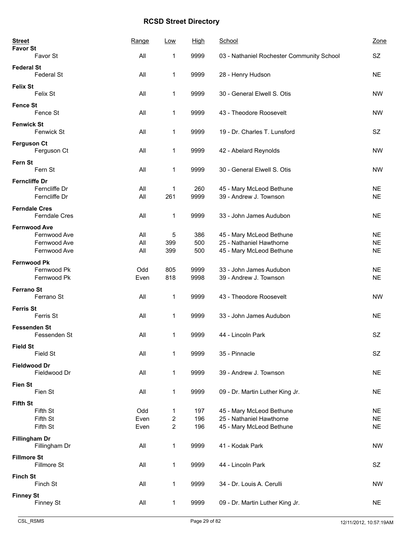| <b>Street</b>                                                       | Range               | Low                   | <b>High</b>       | School                                                                           | Zone                                |
|---------------------------------------------------------------------|---------------------|-----------------------|-------------------|----------------------------------------------------------------------------------|-------------------------------------|
| <b>Favor St</b><br>Favor St                                         | All                 | 1                     | 9999              | 03 - Nathaniel Rochester Community School                                        | <b>SZ</b>                           |
| <b>Federal St</b><br><b>Federal St</b>                              | All                 | 1                     | 9999              | 28 - Henry Hudson                                                                | <b>NE</b>                           |
| <b>Felix St</b><br>Felix St                                         | All                 | 1                     | 9999              | 30 - General Elwell S. Otis                                                      | <b>NW</b>                           |
| <b>Fence St</b><br>Fence St                                         | All                 | 1                     | 9999              | 43 - Theodore Roosevelt                                                          | <b>NW</b>                           |
| <b>Fenwick St</b><br>Fenwick St                                     | All                 | 1                     | 9999              | 19 - Dr. Charles T. Lunsford                                                     | SZ                                  |
| <b>Ferguson Ct</b><br>Ferguson Ct                                   | All                 | $\mathbf 1$           | 9999              | 42 - Abelard Reynolds                                                            | <b>NW</b>                           |
| Fern St<br>Fern St                                                  | All                 | 1                     | 9999              | 30 - General Elwell S. Otis                                                      | <b>NW</b>                           |
| <b>Ferncliffe Dr</b><br>Ferncliffe Dr<br>Ferncliffe Dr              | All<br>All          | 1<br>261              | 260<br>9999       | 45 - Mary McLeod Bethune<br>39 - Andrew J. Townson                               | <b>NE</b><br><b>NE</b>              |
| <b>Ferndale Cres</b><br>Ferndale Cres                               | All                 | $\mathbf 1$           | 9999              | 33 - John James Audubon                                                          | <b>NE</b>                           |
| <b>Fernwood Ave</b><br>Fernwood Ave<br>Fernwood Ave<br>Fernwood Ave | All<br>All<br>All   | 5<br>399<br>399       | 386<br>500<br>500 | 45 - Mary McLeod Bethune<br>25 - Nathaniel Hawthorne<br>45 - Mary McLeod Bethune | <b>NE</b><br><b>NE</b><br><b>NE</b> |
| <b>Fernwood Pk</b><br>Fernwood Pk<br>Fernwood Pk                    | Odd<br>Even         | 805<br>818            | 9999<br>9998      | 33 - John James Audubon<br>39 - Andrew J. Townson                                | <b>NE</b><br><b>NE</b>              |
| <b>Ferrano St</b><br>Ferrano St                                     | All                 | 1                     | 9999              | 43 - Theodore Roosevelt                                                          | <b>NW</b>                           |
| <b>Ferris St</b><br>Ferris St                                       | All                 | 1                     | 9999              | 33 - John James Audubon                                                          | <b>NE</b>                           |
| <b>Fessenden St</b><br>Fessenden St                                 | All                 | 1                     | 9999              | 44 - Lincoln Park                                                                | <b>SZ</b>                           |
| <b>Field St</b><br>Field St                                         | All                 | 1                     | 9999              | 35 - Pinnacle                                                                    | SZ                                  |
| <b>Fieldwood Dr</b><br>Fieldwood Dr                                 | All                 | 1                     | 9999              | 39 - Andrew J. Townson                                                           | <b>NE</b>                           |
| <b>Fien St</b><br>Fien St                                           | All                 | $\mathbf{1}$          | 9999              | 09 - Dr. Martin Luther King Jr.                                                  | <b>NE</b>                           |
| <b>Fifth St</b><br>Fifth St<br>Fifth St<br>Fifth St                 | Odd<br>Even<br>Even | $\mathbf 1$<br>2<br>2 | 197<br>196<br>196 | 45 - Mary McLeod Bethune<br>25 - Nathaniel Hawthorne<br>45 - Mary McLeod Bethune | <b>NE</b><br><b>NE</b><br>$NE$      |
| <b>Fillingham Dr</b><br>Fillingham Dr                               | All                 | $\mathbf{1}$          | 9999              | 41 - Kodak Park                                                                  | <b>NW</b>                           |
| <b>Fillmore St</b><br>Fillmore St                                   | All                 | 1                     | 9999              | 44 - Lincoln Park                                                                | SZ                                  |
| <b>Finch St</b><br>Finch St                                         | All                 | 1                     | 9999              | 34 - Dr. Louis A. Cerulli                                                        | <b>NW</b>                           |
| <b>Finney St</b><br>Finney St                                       | All                 | $\mathbf{1}$          | 9999              | 09 - Dr. Martin Luther King Jr.                                                  | <b>NE</b>                           |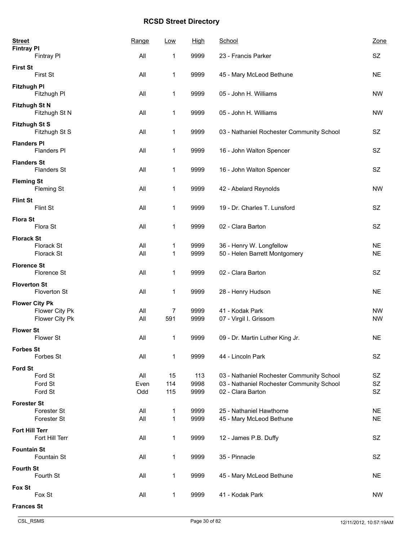| <b>Street</b><br><b>Fintray PI</b>         | Range       | Low       | <u>High</u>  | School                                                                                 | Zone                   |
|--------------------------------------------|-------------|-----------|--------------|----------------------------------------------------------------------------------------|------------------------|
| Fintray Pl                                 | All         | 1         | 9999         | 23 - Francis Parker                                                                    | SZ                     |
| <b>First St</b><br>First St                | All         | 1         | 9999         | 45 - Mary McLeod Bethune                                                               | <b>NE</b>              |
| <b>Fitzhugh PI</b><br>Fitzhugh Pl          | All         | 1         | 9999         | 05 - John H. Williams                                                                  | <b>NW</b>              |
| <b>Fitzhugh St N</b><br>Fitzhugh St N      | All         | 1         | 9999         | 05 - John H. Williams                                                                  | <b>NW</b>              |
| <b>Fitzhugh St S</b><br>Fitzhugh St S      | All         | 1         | 9999         | 03 - Nathaniel Rochester Community School                                              | SZ                     |
| <b>Flanders PI</b><br><b>Flanders PI</b>   | All         | 1         | 9999         | 16 - John Walton Spencer                                                               | SZ                     |
| <b>Flanders St</b><br><b>Flanders St</b>   | All         | 1         | 9999         | 16 - John Walton Spencer                                                               | SZ                     |
| <b>Fleming St</b><br>Fleming St            | All         | 1         | 9999         | 42 - Abelard Reynolds                                                                  | <b>NW</b>              |
| <b>Flint St</b><br>Flint St                | All         | 1         | 9999         | 19 - Dr. Charles T. Lunsford                                                           | SZ                     |
| <b>Flora St</b><br>Flora St                | All         | 1         | 9999         | 02 - Clara Barton                                                                      | SZ                     |
| <b>Florack St</b>                          |             |           |              |                                                                                        |                        |
| Florack St<br>Florack St                   | All<br>All  | 1<br>1    | 9999<br>9999 | 36 - Henry W. Longfellow<br>50 - Helen Barrett Montgomery                              | <b>NE</b><br><b>NE</b> |
|                                            |             |           |              |                                                                                        |                        |
| <b>Florence St</b><br>Florence St          | All         | 1         | 9999         | 02 - Clara Barton                                                                      | <b>SZ</b>              |
| <b>Floverton St</b><br><b>Floverton St</b> | All         | 1         | 9999         | 28 - Henry Hudson                                                                      | <b>NE</b>              |
| <b>Flower City Pk</b>                      |             |           |              |                                                                                        | <b>NW</b>              |
| Flower City Pk<br>Flower City Pk           | All<br>All  | 7<br>591  | 9999<br>9999 | 41 - Kodak Park<br>07 - Virgil I. Grissom                                              | <b>NW</b>              |
| <b>Flower St</b><br><b>Flower St</b>       | All         | 1         | 9999         | 09 - Dr. Martin Luther King Jr.                                                        | <b>NE</b>              |
| <b>Forbes St</b>                           |             |           |              |                                                                                        |                        |
| Forbes St                                  | All         | 1         | 9999         | 44 - Lincoln Park                                                                      | SZ                     |
| <b>Ford St</b>                             |             |           |              |                                                                                        |                        |
| Ford St<br>Ford St                         | All<br>Even | 15<br>114 | 113<br>9998  | 03 - Nathaniel Rochester Community School<br>03 - Nathaniel Rochester Community School | SZ<br>SZ               |
| Ford St                                    | Odd         | 115       | 9999         | 02 - Clara Barton                                                                      | <b>SZ</b>              |
| <b>Forester St</b>                         |             |           |              |                                                                                        |                        |
| Forester St                                | All         | 1         | 9999         | 25 - Nathaniel Hawthorne                                                               | <b>NE</b>              |
| Forester St                                | All         | 1         | 9999         | 45 - Mary McLeod Bethune                                                               | <b>NE</b>              |
| <b>Fort Hill Terr</b><br>Fort Hill Terr    | All         | 1         | 9999         | 12 - James P.B. Duffy                                                                  | SZ                     |
| <b>Fountain St</b><br>Fountain St          | All         | 1         | 9999         | 35 - Pinnacle                                                                          | SZ                     |
| <b>Fourth St</b><br>Fourth St              | All         | 1         | 9999         | 45 - Mary McLeod Bethune                                                               | <b>NE</b>              |
| Fox St<br>Fox St                           | All         | 1         | 9999         | 41 - Kodak Park                                                                        | <b>NW</b>              |
| <b>Frances St</b>                          |             |           |              |                                                                                        |                        |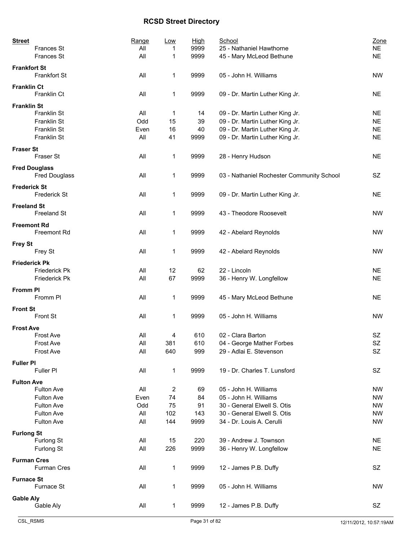| <b>Street</b>                       | Range | Low | High | School                                    | Zone      |
|-------------------------------------|-------|-----|------|-------------------------------------------|-----------|
| <b>Frances St</b>                   | All   |     | 9999 | 25 - Nathaniel Hawthorne                  | <b>NE</b> |
| Frances St                          | All   | 1   | 9999 | 45 - Mary McLeod Bethune                  | <b>NE</b> |
| <b>Frankfort St</b><br>Frankfort St | All   | 1   | 9999 | 05 - John H. Williams                     | <b>NW</b> |
| <b>Franklin Ct</b><br>Franklin Ct   | All   | 1   | 9999 | 09 - Dr. Martin Luther King Jr.           | <b>NE</b> |
| <b>Franklin St</b>                  |       |     |      |                                           |           |
| Franklin St                         | All   | 1   | 14   | 09 - Dr. Martin Luther King Jr.           | <b>NE</b> |
| Franklin St                         | Odd   | 15  | 39   | 09 - Dr. Martin Luther King Jr.           | <b>NE</b> |
| Franklin St                         | Even  | 16  | 40   | 09 - Dr. Martin Luther King Jr.           | <b>NE</b> |
| Franklin St                         | All   | 41  | 9999 | 09 - Dr. Martin Luther King Jr.           | <b>NE</b> |
| <b>Fraser St</b>                    |       |     |      |                                           |           |
| Fraser St                           | All   | 1   | 9999 | 28 - Henry Hudson                         | <b>NE</b> |
| <b>Fred Douglass</b>                |       |     |      |                                           |           |
| <b>Fred Douglass</b>                | All   | 1   | 9999 | 03 - Nathaniel Rochester Community School | SZ        |
| <b>Frederick St</b><br>Frederick St | All   | 1   | 9999 | 09 - Dr. Martin Luther King Jr.           | <b>NE</b> |
| <b>Freeland St</b>                  |       |     |      |                                           |           |
| <b>Freeland St</b>                  | All   | 1   | 9999 | 43 - Theodore Roosevelt                   | <b>NW</b> |
| <b>Freemont Rd</b>                  |       |     |      |                                           |           |
| Freemont Rd                         | All   | 1   | 9999 | 42 - Abelard Reynolds                     | <b>NW</b> |
| <b>Frey St</b>                      |       |     |      |                                           |           |
| Frey St                             | All   | 1   | 9999 | 42 - Abelard Reynolds                     | <b>NW</b> |
| <b>Friederick Pk</b>                |       |     |      |                                           |           |
| Friederick Pk                       | All   | 12  | 62   | 22 - Lincoln                              | <b>NE</b> |
| Friederick Pk                       | All   | 67  | 9999 | 36 - Henry W. Longfellow                  | <b>NE</b> |
| <b>Fromm PI</b>                     |       |     |      |                                           |           |
| Fromm PI                            | All   | 1   | 9999 | 45 - Mary McLeod Bethune                  | <b>NE</b> |
| <b>Front St</b>                     |       |     |      |                                           |           |
| Front St                            | All   | 1   | 9999 | 05 - John H. Williams                     | <b>NW</b> |
| <b>Frost Ave</b>                    |       |     |      |                                           |           |
| <b>Frost Ave</b>                    | All   | 4   | 610  | 02 - Clara Barton                         | SZ        |
| Frost Ave                           | All   | 381 | 610  | 04 - George Mather Forbes                 | SZ        |
| Frost Ave                           | All   | 640 | 999  | 29 - Adlai E. Stevenson                   | SZ        |
| <b>Fuller PI</b>                    |       |     |      |                                           |           |
| Fuller PI                           | All   | 1   | 9999 | 19 - Dr. Charles T. Lunsford              | SZ        |
| <b>Fulton Ave</b>                   |       |     |      |                                           |           |
| Fulton Ave                          | All   | 2   | 69   | 05 - John H. Williams                     | <b>NW</b> |
| Fulton Ave                          | Even  | 74  | 84   | 05 - John H. Williams                     | <b>NW</b> |
| Fulton Ave                          | Odd   | 75  | 91   | 30 - General Elwell S. Otis               | <b>NW</b> |
| Fulton Ave                          | All   | 102 | 143  | 30 - General Elwell S. Otis               | <b>NW</b> |
| <b>Fulton Ave</b>                   | All   | 144 | 9999 | 34 - Dr. Louis A. Cerulli                 | <b>NW</b> |
| <b>Furlong St</b>                   |       |     |      |                                           |           |
| Furlong St                          | All   | 15  | 220  | 39 - Andrew J. Townson                    | <b>NE</b> |
| Furlong St                          | All   | 226 | 9999 | 36 - Henry W. Longfellow                  | <b>NE</b> |
| <b>Furman Cres</b>                  |       |     |      |                                           |           |
| <b>Furman Cres</b>                  | All   | 1   | 9999 | 12 - James P.B. Duffy                     | <b>SZ</b> |
| <b>Furnace St</b>                   |       |     |      |                                           |           |
| Furnace St                          | All   | 1   | 9999 | 05 - John H. Williams                     | <b>NW</b> |
| <b>Gable Aly</b>                    |       |     |      |                                           |           |
| Gable Aly                           | All   | 1   | 9999 | 12 - James P.B. Duffy                     | SZ        |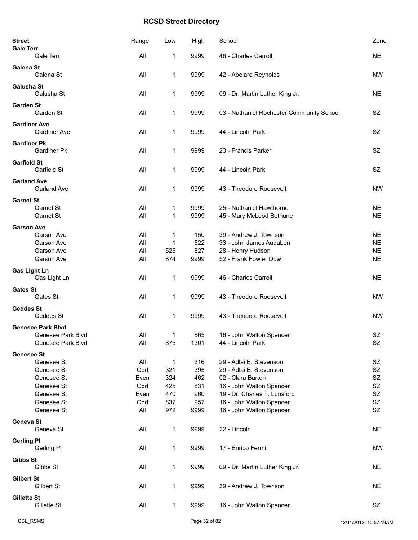| <b>Street</b><br><b>Gale Terr</b> |                          | Range          | Low          | <u>High</u> | <b>School</b>                             | Zone        |
|-----------------------------------|--------------------------|----------------|--------------|-------------|-------------------------------------------|-------------|
|                                   | Gale Terr                | All            | 1            | 9999        | 46 - Charles Carroll                      | <b>NE</b>   |
| <b>Galena St</b>                  | Galena St                | All            | 1            | 9999        | 42 - Abelard Reynolds                     | <b>NW</b>   |
| <b>Galusha St</b>                 | Galusha St               | All            | 1            | 9999        | 09 - Dr. Martin Luther King Jr.           | <b>NE</b>   |
| Garden St                         | Garden St                | All            | 1            | 9999        | 03 - Nathaniel Rochester Community School | <b>SZ</b>   |
| <b>Gardiner Ave</b>               | <b>Gardiner Ave</b>      | All            | 1            | 9999        | 44 - Lincoln Park                         | SZ          |
| <b>Gardiner Pk</b>                | <b>Gardiner Pk</b>       | All            | 1            | 9999        | 23 - Francis Parker                       | <b>SZ</b>   |
| <b>Garfield St</b>                | Garfield St              | All            | 1            | 9999        | 44 - Lincoln Park                         | <b>SZ</b>   |
| <b>Garland Ave</b>                | Garland Ave              | All            | 1            | 9999        | 43 - Theodore Roosevelt                   | <b>NW</b>   |
| <b>Garnet St</b>                  |                          |                |              |             |                                           |             |
|                                   | Garnet St                | All            | 1            | 9999        | 25 - Nathaniel Hawthorne                  | <b>NE</b>   |
|                                   | Garnet St                | All            | 1            | 9999        | 45 - Mary McLeod Bethune                  | <b>NE</b>   |
| <b>Garson Ave</b>                 | Garson Ave               | All            | 1            | 150         | 39 - Andrew J. Townson                    | <b>NE</b>   |
|                                   | Garson Ave               | All            | 1            | 522         | 33 - John James Audubon                   | <b>NE</b>   |
|                                   | Garson Ave               | All            | 525          | 827         | 28 - Henry Hudson                         | <b>NE</b>   |
|                                   | Garson Ave               | All            | 874          | 9999        | 52 - Frank Fowler Dow                     | <b>NE</b>   |
|                                   |                          |                |              |             |                                           |             |
| <b>Gas Light Ln</b>               | Gas Light Ln             | All            | 1            | 9999        | 46 - Charles Carroll                      | <b>NE</b>   |
| <b>Gates St</b>                   | Gates St                 | All            | 1            | 9999        | 43 - Theodore Roosevelt                   | <b>NW</b>   |
| <b>Geddes St</b>                  |                          |                |              |             |                                           |             |
|                                   | Geddes St                | All            | 1            | 9999        | 43 - Theodore Roosevelt                   | <b>NW</b>   |
|                                   | <b>Genesee Park Blvd</b> |                |              |             |                                           |             |
|                                   | Genesee Park Blvd        | All            | 1            | 865         | 16 - John Walton Spencer                  | <b>SZ</b>   |
|                                   | Genesee Park Blvd        | $\mathsf{All}$ | 875          | 1301        | 44 - Lincoln Park                         | $\mbox{SZ}$ |
| <b>Genesee St</b>                 |                          |                |              |             |                                           |             |
|                                   | Genesee St               | All            | $\mathbf 1$  | 316         | 29 - Adlai E. Stevenson                   | SZ          |
|                                   | Genesee St               | Odd            | 321          | 395         | 29 - Adlai E. Stevenson                   | <b>SZ</b>   |
|                                   | Genesee St               | Even           | 324          | 462         | 02 - Clara Barton                         | SZ          |
|                                   | Genesee St               | Odd            | 425          | 831         | 16 - John Walton Spencer                  | <b>SZ</b>   |
|                                   | Genesee St               | Even           | 470          | 960         | 19 - Dr. Charles T. Lunsford              | <b>SZ</b>   |
|                                   | Genesee St               | Odd            | 837          | 957         | 16 - John Walton Spencer                  | SZ          |
|                                   | Genesee St               | All            | 972          | 9999        | 16 - John Walton Spencer                  | SZ          |
| Geneva St                         |                          |                |              |             |                                           |             |
|                                   | Geneva St                | All            | 1            | 9999        | 22 - Lincoln                              | <b>NE</b>   |
| <b>Gerling PI</b>                 | Gerling Pl               | All            | 1            | 9999        | 17 - Enrico Fermi                         | <b>NW</b>   |
| Gibbs St                          | Gibbs St                 | All            | 1            | 9999        | 09 - Dr. Martin Luther King Jr.           | <b>NE</b>   |
| <b>Gilbert St</b>                 |                          |                |              |             |                                           |             |
|                                   | Gilbert St               | All            | 1            | 9999        | 39 - Andrew J. Townson                    | <b>NE</b>   |
| <b>Gillette St</b>                | Gillette St              | All            | $\mathbf{1}$ | 9999        | 16 - John Walton Spencer                  | SZ          |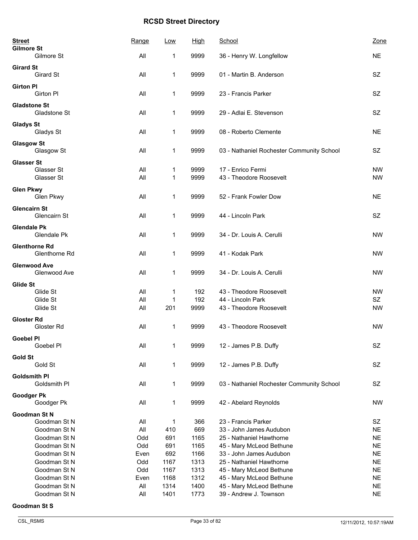| <b>Street</b><br><b>Gilmore St</b> |                                       | Range | Low  | <b>High</b> | School                                    | Zone      |
|------------------------------------|---------------------------------------|-------|------|-------------|-------------------------------------------|-----------|
|                                    | Gilmore St                            | All   | 1    | 9999        | 36 - Henry W. Longfellow                  | <b>NE</b> |
| <b>Girard St</b>                   |                                       |       |      |             |                                           |           |
|                                    | Girard St                             | All   | 1    | 9999        | 01 - Martin B. Anderson                   | SZ        |
| <b>Girton PI</b>                   | <b>Girton PI</b>                      | All   | 1    | 9999        | 23 - Francis Parker                       | SZ        |
| <b>Gladstone St</b>                | Gladstone St                          | All   | 1    | 9999        | 29 - Adlai E. Stevenson                   | <b>SZ</b> |
| <b>Gladys St</b>                   | Gladys St                             | All   | 1    | 9999        | 08 - Roberto Clemente                     | <b>NE</b> |
| <b>Glasgow St</b>                  | Glasgow St                            | All   | 1    | 9999        | 03 - Nathaniel Rochester Community School | <b>SZ</b> |
| <b>Glasser St</b>                  |                                       |       |      |             |                                           |           |
|                                    | Glasser St                            | All   | 1    | 9999        | 17 - Enrico Fermi                         | <b>NW</b> |
|                                    | Glasser St                            | All   | 1    | 9999        | 43 - Theodore Roosevelt                   | <b>NW</b> |
| <b>Glen Pkwy</b>                   | Glen Pkwy                             | All   | 1    | 9999        | 52 - Frank Fowler Dow                     | <b>NE</b> |
| <b>Glencairn St</b>                | Glencairn St                          | All   | 1    | 9999        | 44 - Lincoln Park                         | SZ        |
| <b>Glendale Pk</b>                 | Glendale Pk                           | All   | 1    | 9999        | 34 - Dr. Louis A. Cerulli                 | <b>NW</b> |
|                                    | <b>Glenthorne Rd</b><br>Glenthorne Rd | All   | 1    | 9999        | 41 - Kodak Park                           | <b>NW</b> |
|                                    | <b>Glenwood Ave</b><br>Glenwood Ave   | All   | 1    | 9999        | 34 - Dr. Louis A. Cerulli                 | <b>NW</b> |
| Glide St                           |                                       |       |      |             |                                           |           |
|                                    | Glide St                              | All   | 1    | 192         | 43 - Theodore Roosevelt                   | <b>NW</b> |
|                                    | Glide St                              | All   | 1    | 192         | 44 - Lincoln Park                         | SZ        |
|                                    | Glide St                              | All   | 201  | 9999        | 43 - Theodore Roosevelt                   | <b>NW</b> |
| <b>Gloster Rd</b>                  | Gloster Rd                            | All   | 1    | 9999        | 43 - Theodore Roosevelt                   | <b>NW</b> |
| <b>Goebel PI</b>                   | Goebel Pl                             | All   | 1    | 9999        | 12 - James P.B. Duffy                     | SZ        |
| <b>Gold St</b>                     | Gold St                               | All   | 1    | 9999        | 12 - James P.B. Duffy                     | SZ        |
| <b>Goldsmith PI</b>                | Goldsmith PI                          | All   | 1    | 9999        | 03 - Nathaniel Rochester Community School | SZ        |
| Goodger Pk                         |                                       |       |      |             |                                           |           |
|                                    | Goodger Pk                            | All   | 1    | 9999        | 42 - Abelard Reynolds                     | <b>NW</b> |
|                                    | <b>Goodman St N</b>                   |       |      |             |                                           |           |
|                                    | Goodman St N                          | All   | 1    | 366         | 23 - Francis Parker                       | SZ        |
|                                    | Goodman St N                          | All   | 410  | 669         | 33 - John James Audubon                   | <b>NE</b> |
|                                    | Goodman St N                          | Odd   | 691  | 1165        | 25 - Nathaniel Hawthorne                  | <b>NE</b> |
|                                    | Goodman St N                          | Odd   | 691  | 1165        | 45 - Mary McLeod Bethune                  | <b>NE</b> |
|                                    | Goodman St N                          | Even  | 692  | 1166        | 33 - John James Audubon                   | <b>NE</b> |
|                                    | Goodman St N                          | Odd   | 1167 | 1313        | 25 - Nathaniel Hawthorne                  | <b>NE</b> |
|                                    | Goodman St N                          | Odd   | 1167 | 1313        | 45 - Mary McLeod Bethune                  | <b>NE</b> |
|                                    | Goodman St N                          | Even  | 1168 | 1312        | 45 - Mary McLeod Bethune                  | <b>NE</b> |
|                                    | Goodman St N                          | All   | 1314 | 1400        | 45 - Mary McLeod Bethune                  | <b>NE</b> |
|                                    | Goodman St N                          | All   | 1401 | 1773        | 39 - Andrew J. Townson                    | <b>NE</b> |

#### **Goodman St S**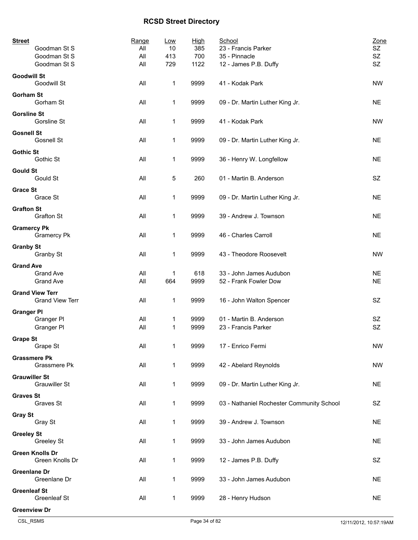| <b>Street</b>                                            | Range      | <u>Low</u> | <b>High</b> | School                                           | Zone                   |
|----------------------------------------------------------|------------|------------|-------------|--------------------------------------------------|------------------------|
| Goodman St S                                             | All        | 10         | 385         | 23 - Francis Parker                              | SZ                     |
| Goodman St S                                             | All        | 413        | 700         | 35 - Pinnacle                                    | SZ                     |
| Goodman St S                                             | All        | 729        | 1122        | 12 - James P.B. Duffy                            | SZ                     |
| <b>Goodwill St</b><br>Goodwill St                        | All        | 1          | 9999        | 41 - Kodak Park                                  | <b>NW</b>              |
| <b>Gorham St</b><br>Gorham St                            | All        | 1          | 9999        | 09 - Dr. Martin Luther King Jr.                  | <b>NE</b>              |
| <b>Gorsline St</b><br>Gorsline St                        | All        | 1          | 9999        | 41 - Kodak Park                                  | <b>NW</b>              |
| <b>Gosnell St</b><br><b>Gosnell St</b>                   | All        | 1          | 9999        | 09 - Dr. Martin Luther King Jr.                  | <b>NE</b>              |
| <b>Gothic St</b><br>Gothic St                            | All        | 1          | 9999        | 36 - Henry W. Longfellow                         | <b>NE</b>              |
| <b>Gould St</b><br>Gould St                              | All        | 5          | 260         | 01 - Martin B. Anderson                          | SZ                     |
| <b>Grace St</b><br>Grace St                              | All        | 1          | 9999        | 09 - Dr. Martin Luther King Jr.                  | <b>NE</b>              |
| <b>Grafton St</b><br><b>Grafton St</b>                   | All        | 1          | 9999        | 39 - Andrew J. Townson                           | <b>NE</b>              |
| <b>Gramercy Pk</b><br><b>Gramercy Pk</b>                 | All        | 1          | 9999        | 46 - Charles Carroll                             | <b>NE</b>              |
| <b>Granby St</b><br>Granby St                            | All        | 1          | 9999        | 43 - Theodore Roosevelt                          | <b>NW</b>              |
| <b>Grand Ave</b><br><b>Grand Ave</b><br><b>Grand Ave</b> | All<br>All | 1<br>664   | 618<br>9999 | 33 - John James Audubon<br>52 - Frank Fowler Dow | <b>NE</b><br><b>NE</b> |
|                                                          |            |            |             |                                                  |                        |
| <b>Grand View Terr</b><br><b>Grand View Terr</b>         | All        | 1          | 9999        | 16 - John Walton Spencer                         | <b>SZ</b>              |
| <b>Granger PI</b>                                        |            |            |             |                                                  |                        |
| Granger PI                                               | All        | 1          | 9999        | 01 - Martin B. Anderson                          | <b>SZ</b>              |
| Granger PI                                               | All        | 1          | 9999        | 23 - Francis Parker                              | SZ                     |
| <b>Grape St</b><br>Grape St                              | All        | 1          | 9999        | 17 - Enrico Fermi                                | <b>NW</b>              |
| <b>Grassmere Pk</b><br>Grassmere Pk                      | All        | 1          | 9999        | 42 - Abelard Reynolds                            | <b>NW</b>              |
| <b>Grauwiller St</b><br><b>Grauwiller St</b>             | All        | 1          | 9999        | 09 - Dr. Martin Luther King Jr.                  | <b>NE</b>              |
| <b>Graves St</b><br>Graves St                            | All        | 1          | 9999        | 03 - Nathaniel Rochester Community School        | SZ                     |
| <b>Gray St</b><br>Gray St                                | All        | 1          | 9999        | 39 - Andrew J. Townson                           | <b>NE</b>              |
| <b>Greeley St</b><br>Greeley St                          | All        | 1          | 9999        | 33 - John James Audubon                          | <b>NE</b>              |
| <b>Green Knolls Dr</b><br>Green Knolls Dr                | All        | 1          | 9999        | 12 - James P.B. Duffy                            | SZ                     |
| <b>Greenlane Dr</b><br>Greenlane Dr                      | All        | 1          | 9999        | 33 - John James Audubon                          | <b>NE</b>              |
| <b>Greenleaf St</b><br>Greenleaf St                      | All        | 1          | 9999        | 28 - Henry Hudson                                | <b>NE</b>              |
| <b>Greenview Dr</b>                                      |            |            |             |                                                  |                        |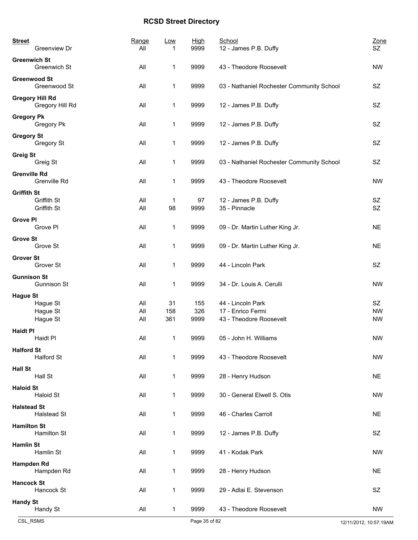| <b>Street</b><br>Greenview Dr                    | Range<br>All | Low<br>1 | <b>High</b><br>9999 | School<br>12 - James P.B. Duffy              | Zone<br>SZ |
|--------------------------------------------------|--------------|----------|---------------------|----------------------------------------------|------------|
| <b>Greenwich St</b><br><b>Greenwich St</b>       | All          | 1        | 9999                | 43 - Theodore Roosevelt                      | <b>NW</b>  |
| <b>Greenwood St</b><br>Greenwood St              | All          | 1        | 9999                | 03 - Nathaniel Rochester Community School    | SZ         |
| <b>Gregory Hill Rd</b><br>Gregory Hill Rd        | All          | 1        | 9999                | 12 - James P.B. Duffy                        | SZ         |
| <b>Gregory Pk</b><br>Gregory Pk                  | All          | 1        | 9999                | 12 - James P.B. Duffy                        | SZ         |
| <b>Gregory St</b><br>Gregory St                  | All          | 1        | 9999                | 12 - James P.B. Duffy                        | SZ         |
| <b>Greig St</b><br>Greig St                      | All          | 1        | 9999                | 03 - Nathaniel Rochester Community School    | SZ         |
| <b>Grenville Rd</b><br>Grenville Rd              | All          | 1        | 9999                | 43 - Theodore Roosevelt                      | <b>NW</b>  |
| <b>Griffith St</b><br>Griffith St<br>Griffith St | All<br>All   | 1<br>98  | 97<br>9999          | 12 - James P.B. Duffy<br>35 - Pinnacle       | SZ<br>SZ   |
| <b>Grove PI</b><br>Grove PI                      | All          | 1        | 9999                | 09 - Dr. Martin Luther King Jr.              | <b>NE</b>  |
| <b>Grove St</b><br>Grove St                      | All          | 1        | 9999                | 09 - Dr. Martin Luther King Jr.              | <b>NE</b>  |
| <b>Grover St</b><br>Grover St                    | All          | 1        | 9999                | 44 - Lincoln Park                            | SZ         |
| <b>Gunnison St</b><br>Gunnison St                | All          | 1        | 9999                | 34 - Dr. Louis A. Cerulli                    | <b>NW</b>  |
| <b>Hague St</b>                                  |              |          |                     |                                              |            |
| Hague St                                         | All          | 31       | 155                 | 44 - Lincoln Park                            | <b>SZ</b>  |
| Hague St                                         | All          | 158      | 326                 | 17 - Enrico Fermi<br>43 - Theodore Roosevelt | <b>NW</b>  |
| Hague St                                         | All          | 361      | 9999                |                                              | <b>NW</b>  |
| <b>Haidt PI</b><br>Haidt Pl                      | All          | 1        | 9999                | 05 - John H. Williams                        | <b>NW</b>  |
| <b>Halford St</b><br>Halford St                  | All          | 1        | 9999                | 43 - Theodore Roosevelt                      | <b>NW</b>  |
| <b>Hall St</b><br>Hall St                        | All          | 1        | 9999                | 28 - Henry Hudson                            | <b>NE</b>  |
| <b>Haloid St</b><br><b>Haloid St</b>             | All          | 1        | 9999                | 30 - General Elwell S. Otis                  | <b>NW</b>  |
| <b>Halstead St</b><br><b>Halstead St</b>         | All          | 1        | 9999                | 46 - Charles Carroll                         | <b>NE</b>  |
| <b>Hamilton St</b><br>Hamilton St                | All          | 1        | 9999                | 12 - James P.B. Duffy                        | SZ         |
| <b>Hamlin St</b><br>Hamlin St                    | All          | 1        | 9999                | 41 - Kodak Park                              | <b>NW</b>  |
| Hampden Rd<br>Hampden Rd                         | All          | 1        | 9999                | 28 - Henry Hudson                            | <b>NE</b>  |
| <b>Hancock St</b><br>Hancock St                  | All          | 1        | 9999                | 29 - Adlai E. Stevenson                      | SZ         |
| <b>Handy St</b><br>Handy St                      | All          | 1        | 9999                | 43 - Theodore Roosevelt                      | <b>NW</b>  |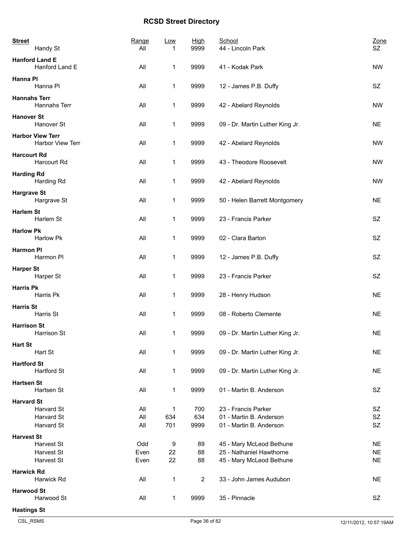| <b>Street</b>      | Handy St                                    | Range<br>All        | <b>Low</b><br>1 | High<br>9999       | School<br>44 - Lincoln Park                                                      | Zone<br>SZ                          |
|--------------------|---------------------------------------------|---------------------|-----------------|--------------------|----------------------------------------------------------------------------------|-------------------------------------|
|                    | <b>Hanford Land E</b><br>Hanford Land E     | All                 | 1               | 9999               | 41 - Kodak Park                                                                  | <b>NW</b>                           |
| Hanna PI           | Hanna PI                                    | All                 | 1               | 9999               | 12 - James P.B. Duffy                                                            | SZ                                  |
|                    | <b>Hannahs Terr</b><br>Hannahs Terr         | All                 | 1               | 9999               | 42 - Abelard Reynolds                                                            | <b>NW</b>                           |
| <b>Hanover St</b>  | Hanover St                                  | All                 | 1               | 9999               | 09 - Dr. Martin Luther King Jr.                                                  | <b>NE</b>                           |
|                    | <b>Harbor View Terr</b><br>Harbor View Terr | All                 | 1               | 9999               | 42 - Abelard Reynolds                                                            | <b>NW</b>                           |
| <b>Harcourt Rd</b> | Harcourt Rd                                 | All                 | 1               | 9999               | 43 - Theodore Roosevelt                                                          | <b>NW</b>                           |
| <b>Harding Rd</b>  | Harding Rd                                  | All                 | 1               | 9999               | 42 - Abelard Reynolds                                                            | <b>NW</b>                           |
| <b>Hargrave St</b> | Hargrave St                                 | All                 | 1               | 9999               | 50 - Helen Barrett Montgomery                                                    | <b>NE</b>                           |
| <b>Harlem St</b>   | Harlem St                                   | All                 | 1               | 9999               | 23 - Francis Parker                                                              | <b>SZ</b>                           |
| <b>Harlow Pk</b>   | Harlow Pk                                   | All                 | 1               | 9999               | 02 - Clara Barton                                                                | SZ                                  |
| <b>Harmon PI</b>   | Harmon PI                                   | All                 | 1               | 9999               | 12 - James P.B. Duffy                                                            | SZ                                  |
| <b>Harper St</b>   | Harper St                                   | All                 | 1               | 9999               | 23 - Francis Parker                                                              | <b>SZ</b>                           |
| <b>Harris Pk</b>   | Harris Pk                                   | All                 | 1               | 9999               | 28 - Henry Hudson                                                                | <b>NE</b>                           |
| <b>Harris St</b>   | Harris St                                   | All                 | 1               | 9999               | 08 - Roberto Clemente                                                            | <b>NE</b>                           |
| <b>Harrison St</b> | Harrison St                                 | All                 | 1               | 9999               | 09 - Dr. Martin Luther King Jr.                                                  | <b>NE</b>                           |
| <b>Hart St</b>     | Hart St                                     | All                 | 1               | 9999               | 09 - Dr. Martin Luther King Jr.                                                  | <b>NE</b>                           |
| <b>Hartford St</b> | <b>Hartford St</b>                          | All                 | 1               | 9999               | 09 - Dr. Martin Luther King Jr.                                                  | <b>NE</b>                           |
| <b>Hartsen St</b>  | Hartsen St                                  | All                 | 1               | 9999               | 01 - Martin B. Anderson                                                          | SZ                                  |
| <b>Harvard St</b>  | Harvard St<br>Harvard St<br>Harvard St      | All<br>All<br>All   | 1<br>634<br>701 | 700<br>634<br>9999 | 23 - Francis Parker<br>01 - Martin B. Anderson<br>01 - Martin B. Anderson        | SZ<br>SZ<br>SZ                      |
| <b>Harvest St</b>  | Harvest St<br>Harvest St<br>Harvest St      | Odd<br>Even<br>Even | 9<br>22<br>22   | 89<br>88<br>88     | 45 - Mary McLeod Bethune<br>25 - Nathaniel Hawthorne<br>45 - Mary McLeod Bethune | <b>NE</b><br><b>NE</b><br><b>NE</b> |
| <b>Harwick Rd</b>  | Harwick Rd                                  | All                 | 1               | $\overline{2}$     | 33 - John James Audubon                                                          | <b>NE</b>                           |
| <b>Harwood St</b>  | Harwood St                                  | All                 | 1               | 9999               | 35 - Pinnacle                                                                    | SZ                                  |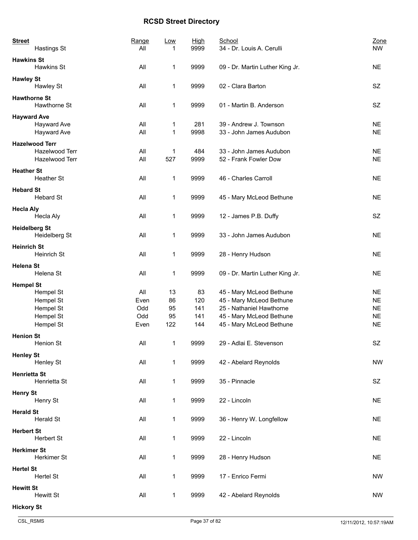| <b>Street</b><br>Hastings St           | Range<br>All | <u>Low</u><br>1 | <b>High</b><br>9999 | School<br>34 - Dr. Louis A. Cerulli               | Zone<br><b>NW</b>      |
|----------------------------------------|--------------|-----------------|---------------------|---------------------------------------------------|------------------------|
| <b>Hawkins St</b><br>Hawkins St        | All          | $\mathbf 1$     | 9999                | 09 - Dr. Martin Luther King Jr.                   | <b>NE</b>              |
| <b>Hawley St</b><br>Hawley St          | All          | 1               | 9999                | 02 - Clara Barton                                 | SZ                     |
| <b>Hawthorne St</b><br>Hawthorne St    | All          | 1               | 9999                | 01 - Martin B. Anderson                           | SZ                     |
| <b>Hayward Ave</b><br>Hayward Ave      | All          | 1               | 281                 | 39 - Andrew J. Townson<br>33 - John James Audubon | <b>NE</b><br><b>NE</b> |
| Hayward Ave<br><b>Hazelwood Terr</b>   | All          | $\mathbf 1$     | 9998                |                                                   |                        |
| Hazelwood Terr<br>Hazelwood Terr       | All<br>All   | 1<br>527        | 484<br>9999         | 33 - John James Audubon<br>52 - Frank Fowler Dow  | <b>NE</b><br><b>NE</b> |
| <b>Heather St</b><br>Heather St        | All          | 1               | 9999                | 46 - Charles Carroll                              | <b>NE</b>              |
| <b>Hebard St</b><br><b>Hebard St</b>   | All          | 1               | 9999                | 45 - Mary McLeod Bethune                          | <b>NE</b>              |
| <b>Hecla Aly</b>                       |              |                 |                     |                                                   |                        |
| Hecla Aly<br><b>Heidelberg St</b>      | All          | 1               | 9999                | 12 - James P.B. Duffy                             | SZ                     |
| Heidelberg St                          | All          | 1               | 9999                | 33 - John James Audubon                           | <b>NE</b>              |
| <b>Heinrich St</b><br>Heinrich St      | All          | 1               | 9999                | 28 - Henry Hudson                                 | <b>NE</b>              |
| <b>Helena St</b><br>Helena St          | All          | 1               | 9999                | 09 - Dr. Martin Luther King Jr.                   | <b>NE</b>              |
| <b>Hempel St</b><br>Hempel St          | All          | 13              | 83                  | 45 - Mary McLeod Bethune                          | <b>NE</b>              |
| Hempel St                              | Even         | 86              | 120                 | 45 - Mary McLeod Bethune                          | <b>NE</b>              |
| Hempel St                              | Odd          | 95              | 141                 | 25 - Nathaniel Hawthorne                          | <b>NE</b>              |
| Hempel St                              | Odd          | 95              | 141                 | 45 - Mary McLeod Bethune                          | <b>NE</b>              |
| Hempel St                              | Even         | 122             | 144                 | 45 - Mary McLeod Bethune                          | <b>NE</b>              |
| <b>Henion St</b><br>Henion St          | All          | $\mathbf 1$     | 9999                | 29 - Adlai E. Stevenson                           | SZ                     |
| <b>Henley St</b><br>Henley St          | All          | $\mathbf 1$     | 9999                | 42 - Abelard Reynolds                             | <b>NW</b>              |
| <b>Henrietta St</b><br>Henrietta St    | All          | $\mathbf 1$     | 9999                | 35 - Pinnacle                                     | SZ                     |
| <b>Henry St</b><br>Henry St            | All          | $\mathbf 1$     | 9999                | 22 - Lincoln                                      | <b>NE</b>              |
| <b>Herald St</b>                       |              |                 |                     |                                                   |                        |
| <b>Herald St</b>                       | All          | $\mathbf 1$     | 9999                | 36 - Henry W. Longfellow                          | <b>NE</b>              |
| <b>Herbert St</b><br><b>Herbert St</b> | All          | $\mathbf 1$     | 9999                | 22 - Lincoln                                      | <b>NE</b>              |
| <b>Herkimer St</b><br>Herkimer St      | All          | $\mathbf 1$     | 9999                | 28 - Henry Hudson                                 | <b>NE</b>              |
| <b>Hertel St</b><br>Hertel St          | All          | $\mathbf 1$     | 9999                | 17 - Enrico Fermi                                 | <b>NW</b>              |
| <b>Hewitt St</b><br><b>Hewitt St</b>   | All          | 1               | 9999                | 42 - Abelard Reynolds                             | <b>NW</b>              |
| <b>Hickory St</b>                      |              |                 |                     |                                                   |                        |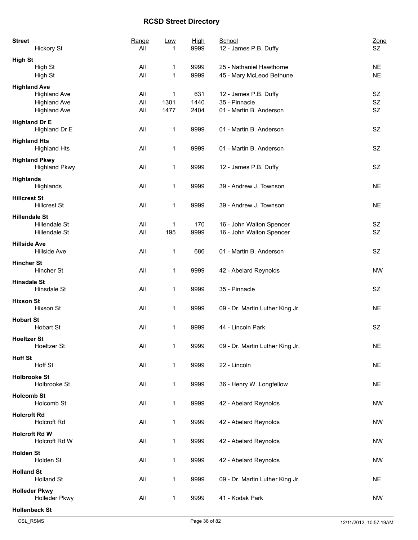| <b>Street</b><br><b>Hickory St</b>         | Range<br>All | <b>Low</b><br>1 | <b>High</b><br>9999 | School<br>12 - James P.B. Duffy                      | Zone<br><b>SZ</b>      |
|--------------------------------------------|--------------|-----------------|---------------------|------------------------------------------------------|------------------------|
| <b>High St</b>                             |              |                 |                     |                                                      |                        |
| High St<br>High St                         | All<br>All   | 1<br>1          | 9999<br>9999        | 25 - Nathaniel Hawthorne<br>45 - Mary McLeod Bethune | <b>NE</b><br><b>NE</b> |
|                                            |              |                 |                     |                                                      |                        |
| <b>Highland Ave</b><br><b>Highland Ave</b> | All          | 1               | 631                 | 12 - James P.B. Duffy                                | SZ                     |
| <b>Highland Ave</b>                        | All          | 1301            | 1440                | 35 - Pinnacle                                        | SZ                     |
| <b>Highland Ave</b>                        | All          | 1477            | 2404                | 01 - Martin B. Anderson                              | SZ                     |
|                                            |              |                 |                     |                                                      |                        |
| <b>Highland Dr E</b><br>Highland Dr E      | All          | 1               | 9999                | 01 - Martin B. Anderson                              | <b>SZ</b>              |
| <b>Highland Hts</b>                        |              |                 |                     |                                                      |                        |
| <b>Highland Hts</b>                        | All          | 1               | 9999                | 01 - Martin B. Anderson                              | SZ                     |
| <b>Highland Pkwy</b>                       |              |                 |                     |                                                      |                        |
| <b>Highland Pkwy</b>                       | All          | 1               | 9999                | 12 - James P.B. Duffy                                | SZ                     |
| <b>Highlands</b>                           |              |                 |                     |                                                      |                        |
| Highlands                                  | All          | 1               | 9999                | 39 - Andrew J. Townson                               | <b>NE</b>              |
| <b>Hillcrest St</b>                        |              |                 |                     |                                                      |                        |
| <b>Hillcrest St</b>                        | All          | 1               | 9999                | 39 - Andrew J. Townson                               | <b>NE</b>              |
|                                            |              |                 |                     |                                                      |                        |
| <b>Hillendale St</b>                       |              |                 |                     |                                                      |                        |
| Hillendale St                              | All<br>All   | 1               | 170                 | 16 - John Walton Spencer                             | SZ<br><b>SZ</b>        |
| Hillendale St                              |              | 195             | 9999                | 16 - John Walton Spencer                             |                        |
| <b>Hillside Ave</b><br>Hillside Ave        | All          | 1               | 686                 | 01 - Martin B. Anderson                              | <b>SZ</b>              |
| <b>Hincher St</b>                          |              |                 |                     |                                                      |                        |
| Hincher St                                 | All          | 1               | 9999                | 42 - Abelard Reynolds                                | <b>NW</b>              |
|                                            |              |                 |                     |                                                      |                        |
| <b>Hinsdale St</b><br>Hinsdale St          | All          |                 | 9999                | 35 - Pinnacle                                        | SZ                     |
|                                            |              | 1               |                     |                                                      |                        |
| <b>Hixson St</b>                           |              |                 |                     |                                                      |                        |
| Hixson St                                  | All          | 1               | 9999                | 09 - Dr. Martin Luther King Jr.                      | <b>NE</b>              |
| <b>Hobart St</b>                           |              |                 |                     |                                                      |                        |
| <b>Hobart St</b>                           | All          | 1               | 9999                | 44 - Lincoln Park                                    | SZ                     |
| <b>Hoeltzer St</b>                         |              |                 |                     |                                                      |                        |
| <b>Hoeltzer St</b>                         | All          | 1               | 9999                | 09 - Dr. Martin Luther King Jr.                      | <b>NE</b>              |
| <b>Hoff St</b>                             |              |                 |                     |                                                      |                        |
| Hoff St                                    | All          | 1               | 9999                | 22 - Lincoln                                         | <b>NE</b>              |
|                                            |              |                 |                     |                                                      |                        |
| <b>Holbrooke St</b><br>Holbrooke St        | All          |                 | 9999                |                                                      | <b>NE</b>              |
|                                            |              | 1               |                     | 36 - Henry W. Longfellow                             |                        |
| <b>Holcomb St</b>                          |              |                 |                     |                                                      |                        |
| Holcomb St                                 | All          | 1               | 9999                | 42 - Abelard Reynolds                                | NW                     |
| <b>Holcroft Rd</b>                         |              |                 |                     |                                                      |                        |
| Holcroft Rd                                | All          | 1               | 9999                | 42 - Abelard Reynolds                                | <b>NW</b>              |
| <b>Holcroft Rd W</b>                       |              |                 |                     |                                                      |                        |
| Holcroft Rd W                              | All          | 1               | 9999                | 42 - Abelard Reynolds                                | NW                     |
|                                            |              |                 |                     |                                                      |                        |
| <b>Holden St</b><br>Holden St              | All          | 1               | 9999                | 42 - Abelard Reynolds                                | NW                     |
|                                            |              |                 |                     |                                                      |                        |
| <b>Holland St</b>                          |              |                 |                     |                                                      |                        |
| <b>Holland St</b>                          | All          | 1               | 9999                | 09 - Dr. Martin Luther King Jr.                      | <b>NE</b>              |
| <b>Holleder Pkwy</b>                       |              |                 |                     |                                                      |                        |
| Holleder Pkwy                              | All          | 1               | 9999                | 41 - Kodak Park                                      | <b>NW</b>              |
| <b>Hollenbeck St</b>                       |              |                 |                     |                                                      |                        |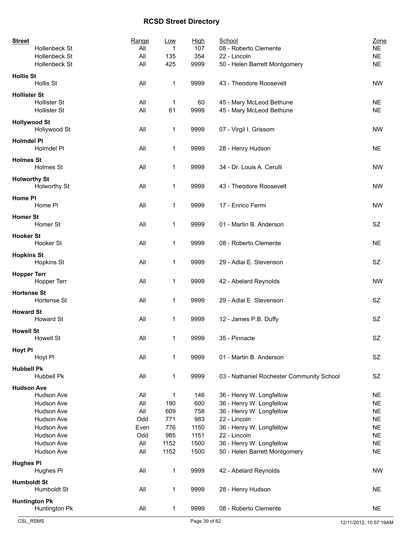| <b>Street</b>                   | Range | <u>Low</u> | <b>High</b> | School                                    | Zone      |
|---------------------------------|-------|------------|-------------|-------------------------------------------|-----------|
| Hollenbeck St                   | All   | 1          | 107         | 08 - Roberto Clemente                     | <b>NE</b> |
| Hollenbeck St                   | All   | 135        | 354         | 22 - Lincoln                              | <b>NE</b> |
| Hollenbeck St                   | All   | 425        | 9999        | 50 - Helen Barrett Montgomery             | <b>NE</b> |
| <b>Hollis St</b>                |       |            |             |                                           |           |
| Hollis St                       | All   | 1          | 9999        | 43 - Theodore Roosevelt                   | <b>NW</b> |
| <b>Hollister St</b>             |       |            |             |                                           |           |
| <b>Hollister St</b>             | All   | 1          | 60          | 45 - Mary McLeod Bethune                  | <b>NE</b> |
| <b>Hollister St</b>             | All   | 61         | 9999        | 45 - Mary McLeod Bethune                  | <b>NE</b> |
| <b>Hollywood St</b>             |       |            |             |                                           |           |
| Hollywood St                    | All   | 1          | 9999        | 07 - Virgil I. Grissom                    | <b>NW</b> |
|                                 |       |            |             |                                           |           |
| <b>Holmdel PI</b>               |       |            |             |                                           |           |
| Holmdel PI                      | All   | 1          | 9999        | 28 - Henry Hudson                         | <b>NE</b> |
| <b>Holmes St</b>                |       |            |             |                                           |           |
| Holmes St                       | All   | 1          | 9999        | 34 - Dr. Louis A. Cerulli                 | <b>NW</b> |
| <b>Holworthy St</b>             |       |            |             |                                           |           |
| Holworthy St                    | All   | 1          | 9999        | 43 - Theodore Roosevelt                   | <b>NW</b> |
|                                 |       |            |             |                                           |           |
| Home PI                         |       |            |             |                                           |           |
| Home PI                         | All   | 1          | 9999        | 17 - Enrico Fermi                         | <b>NW</b> |
| <b>Homer St</b>                 |       |            |             |                                           |           |
| Homer St                        | All   | 1          | 9999        | 01 - Martin B. Anderson                   | SZ.       |
| <b>Hooker St</b>                |       |            |             |                                           |           |
| Hooker St                       | All   | 1          | 9999        | 08 - Roberto Clemente                     | <b>NE</b> |
|                                 |       |            |             |                                           |           |
| <b>Hopkins St</b>               |       |            |             |                                           |           |
| <b>Hopkins St</b>               | All   | 1          | 9999        | 29 - Adlai E. Stevenson                   | SZ.       |
| <b>Hopper Terr</b>              |       |            |             |                                           |           |
| Hopper Terr                     | All   | 1          | 9999        | 42 - Abelard Reynolds                     | <b>NW</b> |
| <b>Hortense St</b>              |       |            |             |                                           |           |
| Hortense St                     | All   | 1          | 9999        | 29 - Adlai E. Stevenson                   | SZ        |
|                                 |       |            |             |                                           |           |
| <b>Howard St</b>                |       |            |             |                                           |           |
| <b>Howard St</b>                | All   | 1          | 9999        | 12 - James P.B. Duffy                     | <b>SZ</b> |
| <b>Howell St</b>                |       |            |             |                                           |           |
| <b>Howell St</b>                | All   | 1          | 9999        | 35 - Pinnacle                             | SZ        |
| <b>Hoyt PI</b>                  |       |            |             |                                           |           |
| Hoyt PI                         | All   | 1          | 9999        | 01 - Martin B. Anderson                   | SZ        |
|                                 |       |            |             |                                           |           |
| <b>Hubbell Pk</b><br>Hubbell Pk | All   |            | 9999        |                                           | SZ        |
|                                 |       | 1          |             | 03 - Nathaniel Rochester Community School |           |
| <b>Hudson Ave</b>               |       |            |             |                                           |           |
| Hudson Ave                      | All   | 1          | 146         | 36 - Henry W. Longfellow                  | <b>NE</b> |
| Hudson Ave                      | All   | 190        | 600         | 36 - Henry W. Longfellow                  | <b>NE</b> |
| Hudson Ave                      | All   | 609        | 758         | 36 - Henry W. Longfellow                  | <b>NE</b> |
| Hudson Ave                      | Odd   | 771        | 983         | 22 - Lincoln                              | <b>NE</b> |
| Hudson Ave                      | Even  | 776        | 1150        | 36 - Henry W. Longfellow                  | <b>NE</b> |
| Hudson Ave                      | Odd   | 985        | 1151        | 22 - Lincoln                              | <b>NE</b> |
| Hudson Ave                      | All   | 1152       | 1500        | 36 - Henry W. Longfellow                  | <b>NE</b> |
| Hudson Ave                      | All   | 1152       | 1500        | 50 - Helen Barrett Montgomery             | <b>NE</b> |
| <b>Hughes PI</b>                |       |            |             |                                           |           |
| Hughes PI                       | All   | 1          | 9999        | 42 - Abelard Reynolds                     | <b>NW</b> |
|                                 |       |            |             |                                           |           |
| <b>Humboldt St</b>              |       |            |             |                                           |           |
| Humboldt St                     | All   | 1          | 9999        | 28 - Henry Hudson                         | <b>NE</b> |
| <b>Huntington Pk</b>            |       |            |             |                                           |           |
| Huntington Pk                   | All   | 1          | 9999        | 08 - Roberto Clemente                     | <b>NE</b> |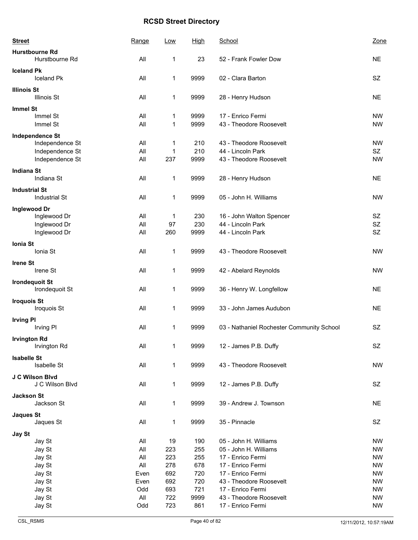| <b>Street</b>        |                                         | Range      | Low          | <b>High</b>  | School                                       | Zone                   |
|----------------------|-----------------------------------------|------------|--------------|--------------|----------------------------------------------|------------------------|
|                      | <b>Hurstbourne Rd</b><br>Hurstbourne Rd | All        | 1            | 23           | 52 - Frank Fowler Dow                        | <b>NE</b>              |
| <b>Iceland Pk</b>    | <b>Iceland Pk</b>                       | All        | 1            | 9999         | 02 - Clara Barton                            | <b>SZ</b>              |
| <b>Illinois St</b>   | <b>Illinois St</b>                      | All        | 1            | 9999         | 28 - Henry Hudson                            | <b>NE</b>              |
| <b>Immel St</b>      |                                         |            |              |              |                                              |                        |
|                      | Immel St<br>Immel St                    | All<br>All | 1<br>1       | 9999<br>9999 | 17 - Enrico Fermi<br>43 - Theodore Roosevelt | <b>NW</b><br><b>NW</b> |
|                      | <b>Independence St</b>                  |            |              |              |                                              |                        |
|                      | Independence St                         | All        | 1            | 210          | 43 - Theodore Roosevelt                      | <b>NW</b>              |
|                      | Independence St                         | All        | 1            | 210          | 44 - Lincoln Park                            | SZ                     |
|                      | Independence St                         | All        | 237          | 9999         | 43 - Theodore Roosevelt                      | <b>NW</b>              |
| <b>Indiana St</b>    |                                         |            |              |              |                                              |                        |
|                      | Indiana St                              | All        | 1            | 9999         | 28 - Henry Hudson                            | <b>NE</b>              |
| <b>Industrial St</b> |                                         |            |              |              |                                              |                        |
|                      | <b>Industrial St</b>                    | All        | $\mathbf 1$  | 9999         | 05 - John H. Williams                        | <b>NW</b>              |
| Inglewood Dr         |                                         |            |              |              |                                              |                        |
|                      | Inglewood Dr                            | All        | 1            | 230          | 16 - John Walton Spencer                     | <b>SZ</b>              |
|                      | Inglewood Dr                            | All        | 97           | 230          | 44 - Lincoln Park                            | SZ                     |
|                      | Inglewood Dr                            | All        | 260          | 9999         | 44 - Lincoln Park                            | SZ                     |
|                      |                                         |            |              |              |                                              |                        |
| Ionia St             | Ionia St                                | All        | 1            | 9999         | 43 - Theodore Roosevelt                      | <b>NW</b>              |
| <b>Irene St</b>      |                                         |            |              |              |                                              |                        |
|                      | Irene St                                | All        | 1            | 9999         | 42 - Abelard Reynolds                        | <b>NW</b>              |
|                      | <b>Irondequoit St</b><br>Irondequoit St | All        | $\mathbf 1$  | 9999         | 36 - Henry W. Longfellow                     | <b>NE</b>              |
| <b>Iroquois St</b>   |                                         |            |              |              |                                              |                        |
|                      | Iroquois St                             | All        | 1            | 9999         | 33 - John James Audubon                      | <b>NE</b>              |
| <b>Irving PI</b>     |                                         |            |              |              |                                              |                        |
|                      | Irving PI                               | All        | 1            | 9999         | 03 - Nathaniel Rochester Community School    | SZ                     |
|                      |                                         |            |              |              |                                              |                        |
| <b>Irvington Rd</b>  | Irvington Rd                            | All        | 1            | 9999         | 12 - James P.B. Duffy                        | SZ                     |
|                      |                                         |            |              |              |                                              |                        |
| <b>Isabelle St</b>   |                                         |            |              |              |                                              |                        |
|                      | Isabelle St                             | All        | $\mathbf 1$  | 9999         | 43 - Theodore Roosevelt                      | <b>NW</b>              |
|                      | J C Wilson Blvd                         |            |              |              |                                              |                        |
|                      | J C Wilson Blvd                         | All        | $\mathbf{1}$ | 9999         | 12 - James P.B. Duffy                        | SZ                     |
| <b>Jackson St</b>    |                                         |            |              |              |                                              |                        |
|                      | Jackson St                              | All        | $\mathbf 1$  | 9999         | 39 - Andrew J. Townson                       | <b>NE</b>              |
|                      |                                         |            |              |              |                                              |                        |
| <b>Jaques St</b>     | Jaques St                               | All        | $\mathbf 1$  | 9999         | 35 - Pinnacle                                | SZ                     |
|                      |                                         |            |              |              |                                              |                        |
| Jay St               |                                         |            |              |              |                                              |                        |
|                      | Jay St                                  | All        | 19           | 190          | 05 - John H. Williams                        | <b>NW</b>              |
|                      | Jay St                                  | All        | 223          | 255          | 05 - John H. Williams                        | <b>NW</b>              |
|                      | Jay St                                  | All        | 223          | 255          | 17 - Enrico Fermi                            | <b>NW</b>              |
|                      | Jay St                                  | All        | 278          | 678          | 17 - Enrico Fermi                            | <b>NW</b>              |
|                      | Jay St                                  | Even       | 692          | 720          | 17 - Enrico Fermi                            | <b>NW</b>              |
|                      | Jay St                                  | Even       | 692          | 720          | 43 - Theodore Roosevelt                      | <b>NW</b>              |
|                      | Jay St                                  | Odd        | 693          | 721          | 17 - Enrico Fermi                            | <b>NW</b>              |
|                      | Jay St                                  | All        | 722          | 9999         | 43 - Theodore Roosevelt                      | <b>NW</b>              |
|                      | Jay St                                  | Odd        | 723          | 861          | 17 - Enrico Fermi                            | <b>NW</b>              |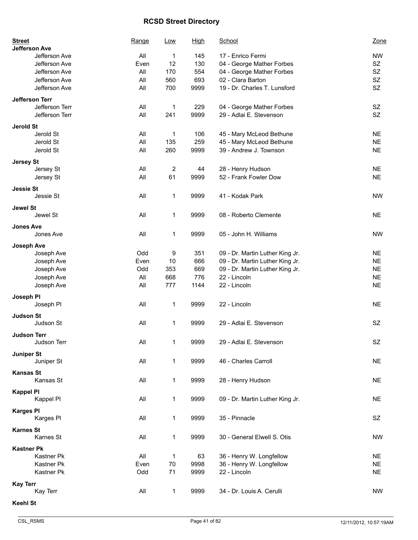| <b>Street</b><br><b>Jefferson Ave</b> | Range | Low         | <b>High</b> | School                          | Zone      |
|---------------------------------------|-------|-------------|-------------|---------------------------------|-----------|
| Jefferson Ave                         | All   | 1           | 145         | 17 - Enrico Fermi               | <b>NW</b> |
| Jefferson Ave                         | Even  | 12          | 130         | 04 - George Mather Forbes       | SZ        |
| Jefferson Ave                         | All   | 170         | 554         | 04 - George Mather Forbes       | SZ        |
| Jefferson Ave                         | All   | 560         | 693         | 02 - Clara Barton               | SZ        |
| Jefferson Ave                         | All   | 700         | 9999        | 19 - Dr. Charles T. Lunsford    | <b>SZ</b> |
|                                       |       |             |             |                                 |           |
| <b>Jefferson Terr</b>                 |       |             |             |                                 |           |
| Jefferson Terr                        | All   | 1           | 229         | 04 - George Mather Forbes       | SZ        |
| Jefferson Terr                        | All   | 241         | 9999        | 29 - Adlai E. Stevenson         | <b>SZ</b> |
| <b>Jerold St</b>                      |       |             |             |                                 |           |
| Jerold St                             | All   | 1           | 106         | 45 - Mary McLeod Bethune        | <b>NE</b> |
| Jerold St                             | All   | 135         | 259         | 45 - Mary McLeod Bethune        | <b>NE</b> |
| Jerold St                             | All   | 260         | 9999        | 39 - Andrew J. Townson          | <b>NE</b> |
|                                       |       |             |             |                                 |           |
| <b>Jersey St</b>                      | All   |             | 44          | 28 - Henry Hudson               | <b>NE</b> |
| Jersey St                             | All   | 2           |             | 52 - Frank Fowler Dow           | <b>NE</b> |
| Jersey St                             |       | 61          | 9999        |                                 |           |
| <b>Jessie St</b>                      |       |             |             |                                 |           |
| Jessie St                             | All   | 1           | 9999        | 41 - Kodak Park                 | <b>NW</b> |
| <b>Jewel St</b>                       |       |             |             |                                 |           |
| Jewel St                              | All   | 1           | 9999        | 08 - Roberto Clemente           | <b>NE</b> |
|                                       |       |             |             |                                 |           |
| <b>Jones Ave</b>                      |       |             |             |                                 |           |
| Jones Ave                             | All   | 1           | 9999        | 05 - John H. Williams           | <b>NW</b> |
| <b>Joseph Ave</b>                     |       |             |             |                                 |           |
| Joseph Ave                            | Odd   | 9           | 351         | 09 - Dr. Martin Luther King Jr. | <b>NE</b> |
| Joseph Ave                            | Even  | 10          | 666         | 09 - Dr. Martin Luther King Jr. | <b>NE</b> |
| Joseph Ave                            | Odd   | 353         | 669         | 09 - Dr. Martin Luther King Jr. | <b>NE</b> |
| Joseph Ave                            | All   | 668         | 776         | 22 - Lincoln                    | <b>NE</b> |
| Joseph Ave                            | All   | 777         | 1144        | 22 - Lincoln                    | <b>NE</b> |
|                                       |       |             |             |                                 |           |
| Joseph PI                             |       |             |             |                                 |           |
| Joseph Pl                             | All   | 1           | 9999        | 22 - Lincoln                    | <b>NE</b> |
| <b>Judson St</b>                      |       |             |             |                                 |           |
| Judson St                             | All   | 1           | 9999        | 29 - Adlai E. Stevenson         | SZ        |
|                                       |       |             |             |                                 |           |
| <b>Judson Terr</b><br>Judson Terr     |       | 1           |             | 29 - Adlai E. Stevenson         |           |
|                                       | All   |             | 9999        |                                 | SZ        |
| <b>Juniper St</b>                     |       |             |             |                                 |           |
| Juniper St                            | All   | 1           | 9999        | 46 - Charles Carroll            | <b>NE</b> |
| <b>Kansas St</b>                      |       |             |             |                                 |           |
| Kansas St                             | All   | 1           | 9999        | 28 - Henry Hudson               | <b>NE</b> |
|                                       |       |             |             |                                 |           |
| <b>Kappel PI</b>                      |       |             |             |                                 |           |
| Kappel Pl                             | All   | 1           | 9999        | 09 - Dr. Martin Luther King Jr. | <b>NE</b> |
| <b>Karges PI</b>                      |       |             |             |                                 |           |
| Karges Pl                             | All   | 1           | 9999        | 35 - Pinnacle                   | SZ        |
| <b>Karnes St</b>                      |       |             |             |                                 |           |
| Karnes St                             | All   | 1           | 9999        | 30 - General Elwell S. Otis     | <b>NW</b> |
|                                       |       |             |             |                                 |           |
| <b>Kastner Pk</b>                     |       |             |             |                                 |           |
| Kastner Pk                            | All   | 1           | 63          | 36 - Henry W. Longfellow        | <b>NE</b> |
| Kastner Pk                            | Even  | 70          | 9998        | 36 - Henry W. Longfellow        | <b>NE</b> |
| Kastner Pk                            | Odd   | 71          | 9999        | 22 - Lincoln                    | <b>NE</b> |
| <b>Kay Terr</b>                       |       |             |             |                                 |           |
| Kay Terr                              | All   | $\mathbf 1$ | 9999        | 34 - Dr. Louis A. Cerulli       | <b>NW</b> |
|                                       |       |             |             |                                 |           |
| <b>Keehl St</b>                       |       |             |             |                                 |           |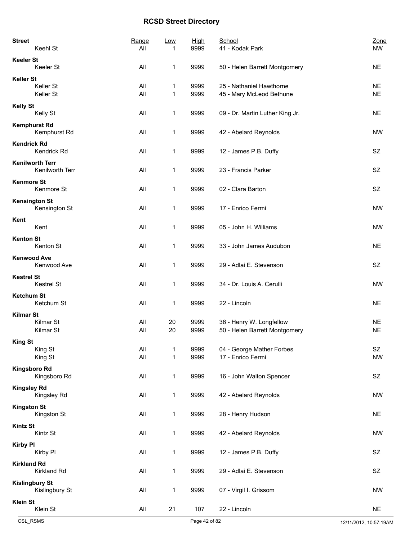| <b>Street</b><br>Keehl St                  | Range<br>All | Low<br>1                     | <b>High</b><br>9999 | School<br>41 - Kodak Park                                 | Zone<br><b>NW</b>      |
|--------------------------------------------|--------------|------------------------------|---------------------|-----------------------------------------------------------|------------------------|
| <b>Keeler St</b><br>Keeler St              | All          | 1                            | 9999                | 50 - Helen Barrett Montgomery                             | <b>NE</b>              |
| <b>Keller St</b><br>Keller St<br>Keller St | All<br>All   | 1<br>1                       | 9999<br>9999        | 25 - Nathaniel Hawthorne<br>45 - Mary McLeod Bethune      | <b>NE</b><br><b>NE</b> |
| <b>Kelly St</b>                            |              |                              |                     |                                                           |                        |
| Kelly St<br><b>Kemphurst Rd</b>            | All          | 1                            | 9999                | 09 - Dr. Martin Luther King Jr.                           | <b>NE</b>              |
| Kemphurst Rd                               | All          | 1                            | 9999                | 42 - Abelard Reynolds                                     | <b>NW</b>              |
| <b>Kendrick Rd</b><br>Kendrick Rd          | All          | 1                            | 9999                | 12 - James P.B. Duffy                                     | SZ                     |
| <b>Kenilworth Terr</b><br>Kenilworth Terr  | All          | $\mathbf 1$                  | 9999                | 23 - Francis Parker                                       | <b>SZ</b>              |
| <b>Kenmore St</b><br>Kenmore St            | All          | 1                            | 9999                | 02 - Clara Barton                                         | SZ                     |
| <b>Kensington St</b><br>Kensington St      | All          | 1                            | 9999                | 17 - Enrico Fermi                                         | <b>NW</b>              |
| Kent<br>Kent                               | All          | 1                            | 9999                | 05 - John H. Williams                                     | <b>NW</b>              |
| <b>Kenton St</b><br>Kenton St              | All          | 1                            | 9999                | 33 - John James Audubon                                   | <b>NE</b>              |
| <b>Kenwood Ave</b><br>Kenwood Ave          | All          | 1                            | 9999                | 29 - Adlai E. Stevenson                                   | SZ                     |
| <b>Kestrel St</b><br>Kestrel St            | All          | 1                            | 9999                | 34 - Dr. Louis A. Cerulli                                 | <b>NW</b>              |
| <b>Ketchum St</b><br>Ketchum St            | All          | 1                            | 9999                | 22 - Lincoln                                              | <b>NE</b>              |
| <b>Kilmar St</b><br>Kilmar St<br>Kilmar St | All<br>All   | 20<br>20                     | 9999<br>9999        | 36 - Henry W. Longfellow<br>50 - Helen Barrett Montgomery | <b>NE</b><br><b>NE</b> |
| <b>King St</b><br>King St<br>King St       | All<br>All   | $\mathbf{1}$<br>$\mathbf{1}$ | 9999<br>9999        | 04 - George Mather Forbes<br>17 - Enrico Fermi            | SZ<br><b>NW</b>        |
| <b>Kingsboro Rd</b><br>Kingsboro Rd        | All          | 1                            | 9999                | 16 - John Walton Spencer                                  | SZ                     |
| <b>Kingsley Rd</b><br>Kingsley Rd          | All          | $\mathbf{1}$                 | 9999                | 42 - Abelard Reynolds                                     | <b>NW</b>              |
| <b>Kingston St</b><br>Kingston St          | All          | $\mathbf{1}$                 | 9999                | 28 - Henry Hudson                                         | <b>NE</b>              |
| <b>Kintz St</b><br>Kintz St                | All          | $\mathbf{1}$                 | 9999                | 42 - Abelard Reynolds                                     | NW                     |
| <b>Kirby PI</b><br>Kirby PI                | All          | $\mathbf{1}$                 | 9999                | 12 - James P.B. Duffy                                     | SZ                     |
| <b>Kirkland Rd</b><br>Kirkland Rd          | All          | 1                            | 9999                | 29 - Adlai E. Stevenson                                   | SZ                     |
| <b>Kislingbury St</b><br>Kislingbury St    | All          | $\mathbf{1}$                 | 9999                | 07 - Virgil I. Grissom                                    | <b>NW</b>              |
| <b>Klein St</b><br>Klein St                | All          | 21                           | 107                 | 22 - Lincoln                                              | <b>NE</b>              |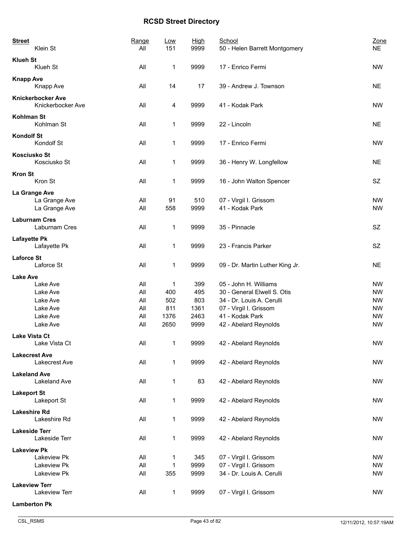| <b>Street</b><br>Klein St                     | Range<br>All | Low<br>151   | High<br>9999 | School<br>50 - Helen Barrett Montgomery   | Zone<br><b>NE</b>      |
|-----------------------------------------------|--------------|--------------|--------------|-------------------------------------------|------------------------|
| <b>Klueh St</b><br>Klueh St                   | All          | 1            | 9999         | 17 - Enrico Fermi                         | <b>NW</b>              |
| <b>Knapp Ave</b><br>Knapp Ave                 | All          | 14           | 17           | 39 - Andrew J. Townson                    | <b>NE</b>              |
| <b>Knickerbocker Ave</b><br>Knickerbocker Ave | All          | 4            | 9999         | 41 - Kodak Park                           | <b>NW</b>              |
| <b>Kohlman St</b><br>Kohlman St               | All          | 1            | 9999         | 22 - Lincoln                              | <b>NE</b>              |
| <b>Kondolf St</b><br>Kondolf St               | All          | 1            | 9999         | 17 - Enrico Fermi                         | <b>NW</b>              |
| <b>Kosciusko St</b><br>Kosciusko St           | All          | 1            | 9999         | 36 - Henry W. Longfellow                  | <b>NE</b>              |
| <b>Kron St</b><br>Kron St                     | All          | 1            | 9999         | 16 - John Walton Spencer                  | SZ                     |
| La Grange Ave                                 |              |              |              |                                           |                        |
| La Grange Ave                                 | All          | 91           | 510          | 07 - Virgil I. Grissom                    | <b>NW</b>              |
| La Grange Ave                                 | All          | 558          | 9999         | 41 - Kodak Park                           | <b>NW</b>              |
| <b>Laburnam Cres</b><br>Laburnam Cres         | All          | 1            | 9999         | 35 - Pinnacle                             | SZ.                    |
| <b>Lafayette Pk</b><br>Lafayette Pk           | All          | 1            | 9999         | 23 - Francis Parker                       | SZ                     |
| <b>Laforce St</b><br>Laforce St               | All          | 1            | 9999         | 09 - Dr. Martin Luther King Jr.           | <b>NE</b>              |
| <b>Lake Ave</b>                               |              |              |              |                                           |                        |
| Lake Ave                                      | All          | 1            | 399          | 05 - John H. Williams                     | <b>NW</b>              |
| Lake Ave                                      | All          | 400          | 495          | 30 - General Elwell S. Otis               | <b>NW</b>              |
| Lake Ave                                      | All          | 502          | 803          | 34 - Dr. Louis A. Cerulli                 | <b>NW</b>              |
| Lake Ave<br>Lake Ave                          | All<br>All   | 811<br>1376  | 1361<br>2463 | 07 - Virgil I. Grissom<br>41 - Kodak Park | <b>NW</b><br><b>NW</b> |
| Lake Ave                                      | All          | 2650         | 9999         | 42 - Abelard Reynolds                     | <b>NW</b>              |
| <b>Lake Vista Ct</b>                          |              |              |              |                                           |                        |
| Lake Vista Ct                                 | All          | 1            | 9999         | 42 - Abelard Reynolds                     | <b>NW</b>              |
| <b>Lakecrest Ave</b><br>Lakecrest Ave         | All          | 1            | 9999         | 42 - Abelard Reynolds                     | <b>NW</b>              |
| <b>Lakeland Ave</b><br><b>Lakeland Ave</b>    | All          | 1            | 83           | 42 - Abelard Reynolds                     | <b>NW</b>              |
| <b>Lakeport St</b><br>Lakeport St             | All          | 1            | 9999         | 42 - Abelard Reynolds                     | <b>NW</b>              |
| <b>Lakeshire Rd</b><br>Lakeshire Rd           | All          | $\mathbf{1}$ | 9999         | 42 - Abelard Reynolds                     | <b>NW</b>              |
| <b>Lakeside Terr</b><br>Lakeside Terr         | All          | 1            | 9999         | 42 - Abelard Reynolds                     | <b>NW</b>              |
| <b>Lakeview Pk</b>                            |              |              |              |                                           |                        |
| Lakeview Pk                                   | All          | 1            | 345          | 07 - Virgil I. Grissom                    | <b>NW</b>              |
| Lakeview Pk                                   | All          | 1            | 9999         | 07 - Virgil I. Grissom                    | <b>NW</b>              |
| Lakeview Pk                                   | All          | 355          | 9999         | 34 - Dr. Louis A. Cerulli                 | <b>NW</b>              |
| <b>Lakeview Terr</b><br>Lakeview Terr         | All          | $\mathbf 1$  | 9999         | 07 - Virgil I. Grissom                    | <b>NW</b>              |
| <b>Lamberton Pk</b>                           |              |              |              |                                           |                        |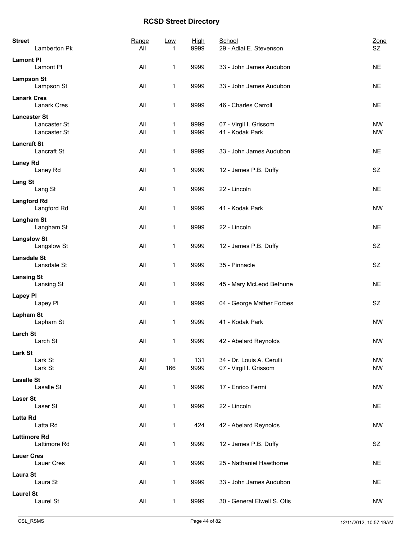| <b>Street</b><br>Lamberton Pk                       | Range<br>All | Low                 | <b>High</b><br>9999 | School<br>29 - Adlai E. Stevenson                   | Zone<br>SZ.            |
|-----------------------------------------------------|--------------|---------------------|---------------------|-----------------------------------------------------|------------------------|
| <b>Lamont PI</b><br>Lamont PI                       | All          | 1                   | 9999                | 33 - John James Audubon                             | <b>NE</b>              |
| <b>Lampson St</b><br>Lampson St                     | All          | 1                   | 9999                | 33 - John James Audubon                             | <b>NE</b>              |
| <b>Lanark Cres</b><br><b>Lanark Cres</b>            | All          | 1                   | 9999                | 46 - Charles Carroll                                | <b>NE</b>              |
| <b>Lancaster St</b><br>Lancaster St<br>Lancaster St | All<br>All   | 1<br>1              | 9999<br>9999        | 07 - Virgil I. Grissom<br>41 - Kodak Park           | <b>NW</b><br><b>NW</b> |
| <b>Lancraft St</b><br>Lancraft St                   | All          | 1                   | 9999                | 33 - John James Audubon                             | <b>NE</b>              |
| <b>Laney Rd</b><br>Laney Rd                         | All          | 1                   | 9999                | 12 - James P.B. Duffy                               | SZ                     |
| <b>Lang St</b><br>Lang St                           | All          | 1                   | 9999                | 22 - Lincoln                                        | <b>NE</b>              |
| <b>Langford Rd</b><br>Langford Rd                   | All          | $\mathbf{1}$        | 9999                | 41 - Kodak Park                                     | <b>NW</b>              |
| Langham St<br>Langham St                            | All          | 1                   | 9999                | 22 - Lincoln                                        | <b>NE</b>              |
| <b>Langslow St</b><br>Langslow St                   | All          | $\mathbf{1}$        | 9999                | 12 - James P.B. Duffy                               | SZ                     |
| <b>Lansdale St</b><br>Lansdale St                   | All          | 1                   | 9999                | 35 - Pinnacle                                       | SZ                     |
| <b>Lansing St</b><br>Lansing St                     | All          | 1                   | 9999                | 45 - Mary McLeod Bethune                            | <b>NE</b>              |
| <b>Lapey PI</b><br>Lapey PI                         | All          | 1                   | 9999                | 04 - George Mather Forbes                           | SZ                     |
| <b>Lapham St</b><br>Lapham St                       | All          | 1                   | 9999                | 41 - Kodak Park                                     | <b>NW</b>              |
| <b>Larch St</b><br>Larch St                         | All          | 1                   | 9999                | 42 - Abelard Reynolds                               | <b>NW</b>              |
| <b>Lark St</b><br>Lark St<br>Lark St                | All<br>All   | $\mathbf{1}$<br>166 | 131<br>9999         | 34 - Dr. Louis A. Cerulli<br>07 - Virgil I. Grissom | <b>NW</b><br><b>NW</b> |
| <b>Lasalle St</b><br>Lasalle St                     | All          | $\mathbf{1}$        | 9999                | 17 - Enrico Fermi                                   | <b>NW</b>              |
| <b>Laser St</b><br>Laser St                         | All          | 1                   | 9999                | 22 - Lincoln                                        | <b>NE</b>              |
| Latta Rd<br>Latta Rd                                | All          | $\mathbf{1}$        | 424                 | 42 - Abelard Reynolds                               | <b>NW</b>              |
| <b>Lattimore Rd</b><br>Lattimore Rd                 | All          | $\mathbf{1}$        | 9999                | 12 - James P.B. Duffy                               | SZ                     |
| <b>Lauer Cres</b><br>Lauer Cres                     | All          | 1                   | 9999                | 25 - Nathaniel Hawthorne                            | <b>NE</b>              |
| <b>Laura St</b><br>Laura St                         | All          | 1                   | 9999                | 33 - John James Audubon                             | <b>NE</b>              |
| <b>Laurel St</b><br>Laurel St                       | All          | $\mathbf{1}$        | 9999                | 30 - General Elwell S. Otis                         | NW                     |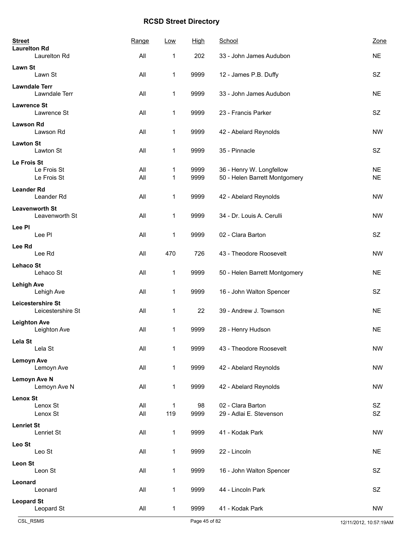| <b>Street</b><br><b>Laurelton Rd</b>    | Range      | Low                 | <b>High</b>  | School                                                    | Zone                   |
|-----------------------------------------|------------|---------------------|--------------|-----------------------------------------------------------|------------------------|
| <b>Laurelton Rd</b>                     | All        | 1                   | 202          | 33 - John James Audubon                                   | <b>NE</b>              |
| <b>Lawn St</b><br>Lawn St               | All        | 1                   | 9999         | 12 - James P.B. Duffy                                     | SZ                     |
| <b>Lawndale Terr</b><br>Lawndale Terr   | All        | $\mathbf{1}$        | 9999         | 33 - John James Audubon                                   | <b>NE</b>              |
| <b>Lawrence St</b><br>Lawrence St       | All        | 1                   | 9999         | 23 - Francis Parker                                       | SZ                     |
| <b>Lawson Rd</b><br>Lawson Rd           | All        | 1                   | 9999         | 42 - Abelard Reynolds                                     | <b>NW</b>              |
| <b>Lawton St</b><br>Lawton St           | All        | $\mathbf{1}$        | 9999         | 35 - Pinnacle                                             | SZ                     |
| Le Frois St                             |            |                     |              |                                                           |                        |
| Le Frois St<br>Le Frois St              | All<br>All | 1<br>1              | 9999<br>9999 | 36 - Henry W. Longfellow<br>50 - Helen Barrett Montgomery | <b>NE</b><br><b>NE</b> |
| <b>Leander Rd</b>                       |            |                     |              |                                                           |                        |
| Leander Rd                              | All        | $\mathbf{1}$        | 9999         | 42 - Abelard Reynolds                                     | <b>NW</b>              |
| <b>Leavenworth St</b><br>Leavenworth St | All        | 1                   | 9999         | 34 - Dr. Louis A. Cerulli                                 | <b>NW</b>              |
| Lee PI<br>Lee Pl                        | All        | 1                   | 9999         | 02 - Clara Barton                                         | <b>SZ</b>              |
| Lee Rd<br>Lee Rd                        | All        | 470                 | 726          | 43 - Theodore Roosevelt                                   | <b>NW</b>              |
| <b>Lehaco St</b><br>Lehaco St           | All        | $\mathbf{1}$        | 9999         | 50 - Helen Barrett Montgomery                             | <b>NE</b>              |
| <b>Lehigh Ave</b><br>Lehigh Ave         | All        | 1                   | 9999         | 16 - John Walton Spencer                                  | <b>SZ</b>              |
| Leicestershire St<br>Leicestershire St  | All        | 1                   | 22           | 39 - Andrew J. Townson                                    | <b>NE</b>              |
| <b>Leighton Ave</b><br>Leighton Ave     | All        | 1                   | 9999         | 28 - Henry Hudson                                         | <b>NE</b>              |
| Lela St<br>Lela St                      | All        | 1                   | 9999         | 43 - Theodore Roosevelt                                   | <b>NW</b>              |
| <b>Lemoyn Ave</b><br>Lemoyn Ave         | All        | $\mathbf{1}$        | 9999         | 42 - Abelard Reynolds                                     | <b>NW</b>              |
| Lemoyn Ave N<br>Lemoyn Ave N            | All        | 1                   | 9999         | 42 - Abelard Reynolds                                     | <b>NW</b>              |
| <b>Lenox St</b>                         |            |                     |              |                                                           |                        |
| Lenox St<br>Lenox St                    | All<br>All | $\mathbf{1}$<br>119 | 98<br>9999   | 02 - Clara Barton<br>29 - Adlai E. Stevenson              | SZ<br><b>SZ</b>        |
| <b>Lenriet St</b>                       |            |                     |              |                                                           |                        |
| Lenriet St                              | All        | $\mathbf{1}$        | 9999         | 41 - Kodak Park                                           | <b>NW</b>              |
| Leo St<br>Leo St                        | All        | $\mathbf{1}$        | 9999         | 22 - Lincoln                                              | <b>NE</b>              |
| <b>Leon St</b>                          |            |                     |              |                                                           |                        |
| Leon St                                 | All        | $\mathbf{1}$        | 9999         | 16 - John Walton Spencer                                  | SZ                     |
| Leonard<br>Leonard                      | All        | 1                   | 9999         | 44 - Lincoln Park                                         | SZ                     |
| <b>Leopard St</b><br>Leopard St         | All        | $\mathbf{1}$        | 9999         | 41 - Kodak Park                                           | <b>NW</b>              |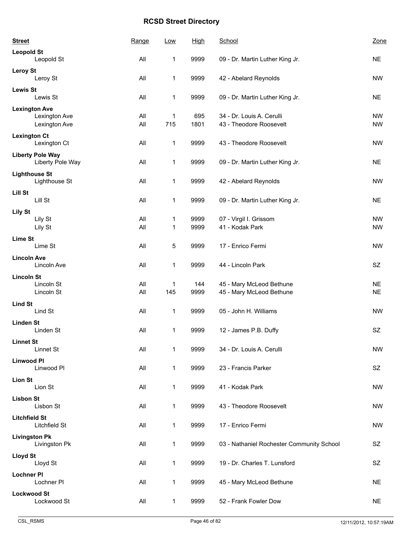| <b>Street</b>        |                                             | Range      | <b>Low</b>          | <b>High</b>  | School                                               | Zone                   |
|----------------------|---------------------------------------------|------------|---------------------|--------------|------------------------------------------------------|------------------------|
| <b>Leopold St</b>    | Leopold St                                  | All        |                     | 9999         |                                                      | <b>NE</b>              |
|                      |                                             |            | 1                   |              | 09 - Dr. Martin Luther King Jr.                      |                        |
| <b>Leroy St</b>      | Leroy St                                    | All        | 1                   | 9999         | 42 - Abelard Reynolds                                | <b>NW</b>              |
| <b>Lewis St</b>      | Lewis St                                    | All        | 1                   | 9999         | 09 - Dr. Martin Luther King Jr.                      | <b>NE</b>              |
| <b>Lexington Ave</b> |                                             |            |                     |              |                                                      |                        |
|                      | Lexington Ave<br>Lexington Ave              | All<br>All | 1<br>715            | 695<br>1801  | 34 - Dr. Louis A. Cerulli<br>43 - Theodore Roosevelt | <b>NW</b><br><b>NW</b> |
|                      |                                             |            |                     |              |                                                      |                        |
| <b>Lexington Ct</b>  | Lexington Ct                                | All        | $\mathbf 1$         | 9999         | 43 - Theodore Roosevelt                              | <b>NW</b>              |
|                      | <b>Liberty Pole Way</b><br>Liberty Pole Way | All        | 1                   | 9999         | 09 - Dr. Martin Luther King Jr.                      | <b>NE</b>              |
| <b>Lighthouse St</b> | Lighthouse St                               | All        | 1                   | 9999         | 42 - Abelard Reynolds                                | <b>NW</b>              |
| Lill St              |                                             |            |                     |              |                                                      |                        |
|                      | Lill St                                     | All        | 1                   | 9999         | 09 - Dr. Martin Luther King Jr.                      | <b>NE</b>              |
| <b>Lily St</b>       |                                             |            |                     |              |                                                      |                        |
|                      | Lily St<br>Lily St                          | All<br>All | 1<br>1              | 9999<br>9999 | 07 - Virgil I. Grissom<br>41 - Kodak Park            | <b>NW</b><br><b>NW</b> |
| <b>Lime St</b>       |                                             |            |                     |              |                                                      |                        |
|                      | Lime St                                     | All        | 5                   | 9999         | 17 - Enrico Fermi                                    | <b>NW</b>              |
| <b>Lincoln Ave</b>   |                                             |            |                     |              |                                                      |                        |
|                      | Lincoln Ave                                 | All        | 1                   | 9999         | 44 - Lincoln Park                                    | SZ                     |
| <b>Lincoln St</b>    |                                             |            |                     |              |                                                      |                        |
|                      | Lincoln St<br>Lincoln St                    | All<br>All | $\mathbf{1}$<br>145 | 144<br>9999  | 45 - Mary McLeod Bethune<br>45 - Mary McLeod Bethune | <b>NE</b><br><b>NE</b> |
|                      |                                             |            |                     |              |                                                      |                        |
| <b>Lind St</b>       | Lind St                                     | All        | $\mathbf 1$         | 9999         | 05 - John H. Williams                                | <b>NW</b>              |
| <b>Linden St</b>     |                                             |            |                     |              |                                                      |                        |
|                      | Linden St                                   | All        | 1                   | 9999         | 12 - James P.B. Duffy                                | SZ                     |
| <b>Linnet St</b>     | Linnet St                                   | All        | 1                   | 9999         | 34 - Dr. Louis A. Cerulli                            | <b>NW</b>              |
| <b>Linwood Pl</b>    |                                             |            |                     |              |                                                      |                        |
|                      | Linwood PI                                  | All        | $\mathbf{1}$        | 9999         | 23 - Francis Parker                                  | <b>SZ</b>              |
| <b>Lion St</b>       |                                             |            |                     |              |                                                      |                        |
|                      | Lion St                                     | All        | 1                   | 9999         | 41 - Kodak Park                                      | <b>NW</b>              |
| <b>Lisbon St</b>     | Lisbon St                                   | All        | 1                   | 9999         | 43 - Theodore Roosevelt                              | <b>NW</b>              |
| <b>Litchfield St</b> | Litchfield St                               | All        | 1                   | 9999         | 17 - Enrico Fermi                                    | <b>NW</b>              |
| <b>Livingston Pk</b> | Livingston Pk                               | All        | 1                   | 9999         | 03 - Nathaniel Rochester Community School            | SZ                     |
| Lloyd St             | Lloyd St                                    | All        | $\mathbf{1}$        | 9999         | 19 - Dr. Charles T. Lunsford                         | SZ                     |
| <b>Lochner PI</b>    |                                             |            |                     |              |                                                      |                        |
|                      | Lochner PI                                  | All        | 1                   | 9999         | 45 - Mary McLeod Bethune                             | <b>NE</b>              |
| <b>Lockwood St</b>   | Lockwood St                                 | All        | 1                   | 9999         | 52 - Frank Fowler Dow                                | <b>NE</b>              |
|                      |                                             |            |                     |              |                                                      |                        |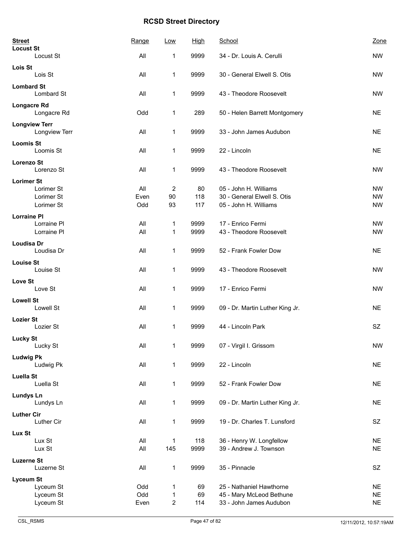| <b>Street</b><br><b>Locust St</b> |                                       | Range | Low                     | <b>High</b> | School                          | Zone      |
|-----------------------------------|---------------------------------------|-------|-------------------------|-------------|---------------------------------|-----------|
|                                   | Locust St                             | All   | 1                       | 9999        | 34 - Dr. Louis A. Cerulli       | <b>NW</b> |
| Lois St                           | Lois St                               | All   | 1                       | 9999        | 30 - General Elwell S. Otis     | <b>NW</b> |
| <b>Lombard St</b>                 | Lombard St                            | All   | 1                       | 9999        | 43 - Theodore Roosevelt         | <b>NW</b> |
| Longacre Rd                       | Longacre Rd                           | Odd   | 1                       | 289         | 50 - Helen Barrett Montgomery   | <b>NE</b> |
|                                   | <b>Longview Terr</b><br>Longview Terr | All   | 1                       | 9999        | 33 - John James Audubon         | <b>NE</b> |
| <b>Loomis St</b>                  | Loomis St                             | All   | 1                       | 9999        | 22 - Lincoln                    | <b>NE</b> |
| <b>Lorenzo St</b>                 | Lorenzo St                            | All   | 1                       | 9999        | 43 - Theodore Roosevelt         | <b>NW</b> |
| <b>Lorimer St</b>                 |                                       |       |                         |             |                                 |           |
|                                   | Lorimer St                            | All   | 2                       | 80          | 05 - John H. Williams           | <b>NW</b> |
|                                   | Lorimer St                            | Even  | 90                      | 118         | 30 - General Elwell S. Otis     | <b>NW</b> |
|                                   | Lorimer St                            | Odd   | 93                      | 117         | 05 - John H. Williams           | <b>NW</b> |
| <b>Lorraine PI</b>                |                                       |       |                         |             |                                 |           |
|                                   | Lorraine PI                           | All   | 1                       | 9999        | 17 - Enrico Fermi               | <b>NW</b> |
|                                   | Lorraine PI                           | All   | 1                       | 9999        | 43 - Theodore Roosevelt         | <b>NW</b> |
| <b>Loudisa Dr</b>                 |                                       |       |                         |             |                                 |           |
|                                   | Loudisa Dr                            | All   | 1                       | 9999        | 52 - Frank Fowler Dow           | <b>NE</b> |
|                                   |                                       |       |                         |             |                                 |           |
| <b>Louise St</b>                  | Louise St                             |       |                         |             | 43 - Theodore Roosevelt         | <b>NW</b> |
|                                   |                                       | All   | $\mathbf{1}$            | 9999        |                                 |           |
| Love St                           |                                       |       |                         |             |                                 |           |
|                                   | Love St                               | All   | $\mathbf{1}$            | 9999        | 17 - Enrico Fermi               | <b>NW</b> |
| <b>Lowell St</b>                  |                                       |       |                         |             |                                 |           |
|                                   | Lowell St                             | All   | $\mathbf{1}$            | 9999        | 09 - Dr. Martin Luther King Jr. | <b>NE</b> |
| <b>Lozier St</b>                  |                                       |       |                         |             |                                 |           |
|                                   | Lozier St                             | All   | 1                       | 9999        | 44 - Lincoln Park               | SZ        |
|                                   |                                       |       |                         |             |                                 |           |
| <b>Lucky St</b>                   |                                       |       |                         |             |                                 |           |
|                                   | Lucky St                              | All   | 1                       | 9999        | 07 - Virgil I. Grissom          | <b>NW</b> |
| <b>Ludwig Pk</b>                  |                                       |       |                         |             |                                 |           |
|                                   | Ludwig Pk                             | All   | 1                       | 9999        | 22 - Lincoln                    | <b>NE</b> |
| <b>Luella St</b>                  |                                       |       |                         |             |                                 |           |
|                                   | Luella St                             | All   | 1                       | 9999        | 52 - Frank Fowler Dow           | <b>NE</b> |
|                                   |                                       |       |                         |             |                                 |           |
| <b>Lundys Ln</b>                  |                                       | All   | $\mathbf{1}$            | 9999        | 09 - Dr. Martin Luther King Jr. | <b>NE</b> |
|                                   | Lundys Ln                             |       |                         |             |                                 |           |
| <b>Luther Cir</b>                 |                                       |       |                         |             |                                 |           |
|                                   | Luther Cir                            | All   | 1                       | 9999        | 19 - Dr. Charles T. Lunsford    | SZ        |
| Lux St                            |                                       |       |                         |             |                                 |           |
|                                   | Lux St                                | All   | $\mathbf{1}$            | 118         | 36 - Henry W. Longfellow        | <b>NE</b> |
|                                   | Lux St                                | All   | 145                     | 9999        | 39 - Andrew J. Townson          | <b>NE</b> |
| <b>Luzerne St</b>                 |                                       |       |                         |             |                                 |           |
|                                   | Luzerne St                            | All   | $\mathbf 1$             | 9999        | 35 - Pinnacle                   | SZ        |
|                                   |                                       |       |                         |             |                                 |           |
| <b>Lyceum St</b>                  |                                       |       |                         |             |                                 |           |
|                                   | Lyceum St                             | Odd   | 1                       | 69          | 25 - Nathaniel Hawthorne        | <b>NE</b> |
|                                   | Lyceum St                             | Odd   | 1                       | 69          | 45 - Mary McLeod Bethune        | <b>NE</b> |
|                                   | Lyceum St                             | Even  | $\overline{\mathbf{c}}$ | 114         | 33 - John James Audubon         | <b>NE</b> |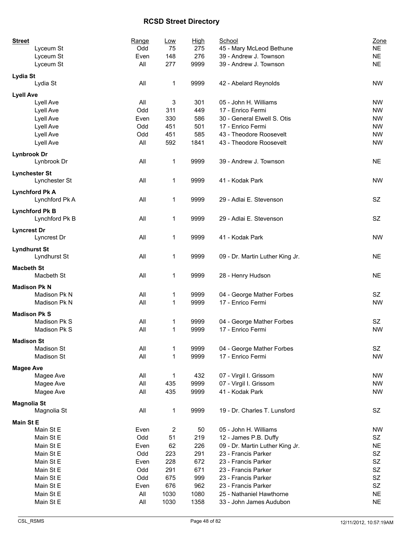| <b>Street</b>                       | Range | <u>Low</u>              | <b>High</b> | School                                    | Zone      |
|-------------------------------------|-------|-------------------------|-------------|-------------------------------------------|-----------|
| Lyceum St                           | Odd   | 75                      | 275         | 45 - Mary McLeod Bethune                  | <b>NE</b> |
| Lyceum St                           | Even  | 148                     | 276         | 39 - Andrew J. Townson                    | <b>NE</b> |
| Lyceum St                           | All   | 277                     | 9999        | 39 - Andrew J. Townson                    | <b>NE</b> |
| Lydia St                            |       |                         |             |                                           |           |
| Lydia St                            | All   | 1                       | 9999        | 42 - Abelard Reynolds                     | <b>NW</b> |
| <b>Lyell Ave</b>                    |       |                         |             |                                           |           |
| Lyell Ave                           | All   | 3                       | 301         | 05 - John H. Williams                     | <b>NW</b> |
| Lyell Ave                           | Odd   | 311                     | 449         | 17 - Enrico Fermi                         | <b>NW</b> |
| Lyell Ave                           | Even  | 330                     | 586         | 30 - General Elwell S. Otis               | <b>NW</b> |
| Lyell Ave                           | Odd   | 451                     | 501         | 17 - Enrico Fermi                         | <b>NW</b> |
| Lyell Ave                           | Odd   | 451                     | 585         | 43 - Theodore Roosevelt                   | <b>NW</b> |
| Lyell Ave                           | All   | 592                     | 1841        | 43 - Theodore Roosevelt                   | <b>NW</b> |
| <b>Lynbrook Dr</b>                  |       |                         |             |                                           |           |
| Lynbrook Dr                         | All   | 1                       | 9999        | 39 - Andrew J. Townson                    | <b>NE</b> |
| <b>Lynchester St</b>                |       |                         |             |                                           |           |
| Lynchester St                       | All   | 1                       | 9999        | 41 - Kodak Park                           | <b>NW</b> |
| <b>Lynchford Pk A</b>               |       |                         |             |                                           |           |
| Lynchford Pk A                      | All   | 1                       | 9999        | 29 - Adlai E. Stevenson                   | <b>SZ</b> |
| <b>Lynchford Pk B</b>               |       |                         |             |                                           |           |
| Lynchford Pk B                      | All   | 1                       | 9999        | 29 - Adlai E. Stevenson                   | SZ        |
| <b>Lyncrest Dr</b>                  |       |                         |             |                                           |           |
| Lyncrest Dr                         | All   | 1                       | 9999        | 41 - Kodak Park                           | <b>NW</b> |
|                                     |       |                         |             |                                           |           |
| <b>Lyndhurst St</b><br>Lyndhurst St | All   | 1                       | 9999        | 09 - Dr. Martin Luther King Jr.           | NE.       |
|                                     |       |                         |             |                                           |           |
| <b>Macbeth St</b>                   |       |                         |             |                                           |           |
| Macbeth St                          | All   | 1                       | 9999        | 28 - Henry Hudson                         | <b>NE</b> |
| <b>Madison Pk N</b>                 |       |                         |             |                                           |           |
| Madison Pk N                        | All   | 1                       | 9999        | 04 - George Mather Forbes                 | SZ        |
| Madison Pk N                        | All   | 1                       | 9999        | 17 - Enrico Fermi                         | <b>NW</b> |
| <b>Madison Pk S</b>                 |       |                         |             |                                           |           |
| Madison Pk S                        | All   | 1                       | 9999        | 04 - George Mather Forbes                 | SZ        |
| Madison Pk S                        | All   | 1                       | 9999        | 17 - Enrico Fermi                         | <b>NW</b> |
| <b>Madison St</b>                   |       |                         |             |                                           |           |
| <b>Madison St</b>                   | All   | 1                       | 9999        | 04 - George Mather Forbes                 | SZ        |
| Madison St                          | All   | 1                       | 9999        | 17 - Enrico Fermi                         | <b>NW</b> |
|                                     |       |                         |             |                                           |           |
| <b>Magee Ave</b>                    | All   |                         |             |                                           |           |
| Magee Ave                           |       | 1                       | 432         | 07 - Virgil I. Grissom                    | NW        |
| Magee Ave                           | All   | 435                     | 9999        | 07 - Virgil I. Grissom<br>41 - Kodak Park | <b>NW</b> |
| Magee Ave                           | All   | 435                     | 9999        |                                           | <b>NW</b> |
| <b>Magnolia St</b>                  |       |                         |             |                                           |           |
| Magnolia St                         | All   | 1                       | 9999        | 19 - Dr. Charles T. Lunsford              | SZ        |
| <b>Main St E</b>                    |       |                         |             |                                           |           |
| Main St E                           | Even  | $\overline{\mathbf{c}}$ | 50          | 05 - John H. Williams                     | NW        |
| Main St E                           | Odd   | 51                      | 219         | 12 - James P.B. Duffy                     | SZ        |
| Main St E                           | Even  | 62                      | 226         | 09 - Dr. Martin Luther King Jr.           | <b>NE</b> |
| Main St E                           | Odd   | 223                     | 291         | 23 - Francis Parker                       | <b>SZ</b> |
| Main St E                           | Even  | 228                     | 672         | 23 - Francis Parker                       | <b>SZ</b> |
| Main St E                           | Odd   | 291                     | 671         | 23 - Francis Parker                       | <b>SZ</b> |
| Main St E                           | Odd   | 675                     | 999         | 23 - Francis Parker                       | <b>SZ</b> |
| Main St E                           | Even  | 676                     | 962         | 23 - Francis Parker                       | SZ        |
| Main St E                           | All   | 1030                    | 1080        | 25 - Nathaniel Hawthorne                  | <b>NE</b> |
| Main St E                           | All   | 1030                    | 1358        | 33 - John James Audubon                   | <b>NE</b> |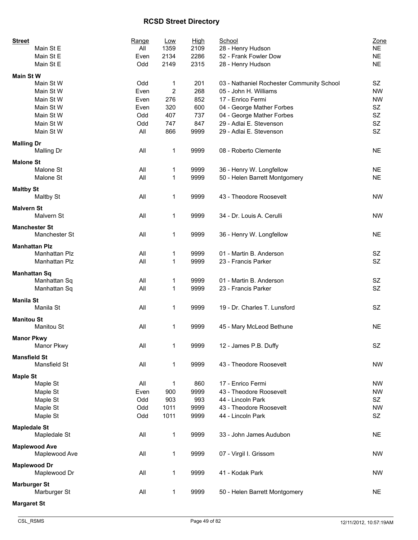| <b>Street</b><br>Main St E          | Range<br>All | Low<br>1359         | <u>High</u><br>2109 | School<br>28 - Henry Hudson                                        | Zone<br><b>NE</b> |
|-------------------------------------|--------------|---------------------|---------------------|--------------------------------------------------------------------|-------------------|
| Main St E                           | Even         | 2134                | 2286                | 52 - Frank Fowler Dow                                              | <b>NE</b>         |
| Main St E                           | Odd          | 2149                | 2315                | 28 - Henry Hudson                                                  | <b>NE</b>         |
|                                     |              |                     |                     |                                                                    |                   |
| <b>Main St W</b><br>Main St W       | Odd          |                     | 201                 |                                                                    | SZ                |
| Main St W                           | Even         | 1<br>$\overline{c}$ | 268                 | 03 - Nathaniel Rochester Community School<br>05 - John H. Williams | <b>NW</b>         |
| Main St W                           | Even         | 276                 | 852                 | 17 - Enrico Fermi                                                  | <b>NW</b>         |
| Main St W                           | Even         | 320                 | 600                 |                                                                    | <b>SZ</b>         |
|                                     |              |                     |                     | 04 - George Mather Forbes                                          | SZ                |
| Main St W                           | Odd          | 407                 | 737                 | 04 - George Mather Forbes                                          |                   |
| Main St W                           | Odd          | 747                 | 847                 | 29 - Adlai E. Stevenson                                            | SZ<br>SZ          |
| Main St W                           | All          | 866                 | 9999                | 29 - Adlai E. Stevenson                                            |                   |
| <b>Malling Dr</b>                   |              |                     |                     |                                                                    |                   |
| <b>Malling Dr</b>                   | All          | 1                   | 9999                | 08 - Roberto Clemente                                              | <b>NE</b>         |
| <b>Malone St</b>                    |              |                     |                     |                                                                    |                   |
| Malone St                           | All          | 1                   | 9999                | 36 - Henry W. Longfellow                                           | <b>NE</b>         |
| Malone St                           | All          | 1                   | 9999                | 50 - Helen Barrett Montgomery                                      | <b>NE</b>         |
|                                     |              |                     |                     |                                                                    |                   |
| <b>Maltby St</b>                    |              |                     |                     |                                                                    |                   |
| Maltby St                           | All          | 1                   | 9999                | 43 - Theodore Roosevelt                                            | <b>NW</b>         |
| <b>Malvern St</b>                   |              |                     |                     |                                                                    |                   |
| Malvern St                          | All          | 1                   | 9999                | 34 - Dr. Louis A. Cerulli                                          | <b>NW</b>         |
| <b>Manchester St</b>                |              |                     |                     |                                                                    |                   |
| Manchester St                       | All          | 1                   | 9999                | 36 - Henry W. Longfellow                                           | <b>NE</b>         |
|                                     |              |                     |                     |                                                                    |                   |
| <b>Manhattan Plz</b>                |              |                     |                     |                                                                    |                   |
| Manhattan Plz                       | All          | 1                   | 9999                | 01 - Martin B. Anderson                                            | SZ                |
| Manhattan Plz                       | All          | 1                   | 9999                | 23 - Francis Parker                                                | <b>SZ</b>         |
| <b>Manhattan Sq</b>                 |              |                     |                     |                                                                    |                   |
| Manhattan Sq                        | All          | 1                   | 9999                | 01 - Martin B. Anderson                                            | SZ                |
| Manhattan Sq                        | All          | 1                   | 9999                | 23 - Francis Parker                                                | SZ                |
|                                     |              |                     |                     |                                                                    |                   |
| <b>Manila St</b>                    |              |                     |                     |                                                                    |                   |
| Manila St                           | All          | 1                   | 9999                | 19 - Dr. Charles T. Lunsford                                       | SZ                |
| <b>Manitou St</b>                   |              |                     |                     |                                                                    |                   |
| Manitou St                          | All          | 1                   | 9999                | 45 - Mary McLeod Bethune                                           | <b>NE</b>         |
|                                     |              |                     |                     |                                                                    |                   |
| <b>Manor Pkwy</b><br>Manor Pkwy     | All          | 1                   | 9999                | 12 - James P.B. Duffy                                              | SZ                |
|                                     |              |                     |                     |                                                                    |                   |
| <b>Mansfield St</b>                 |              |                     |                     |                                                                    |                   |
| Mansfield St                        | All          | 1                   | 9999                | 43 - Theodore Roosevelt                                            | <b>NW</b>         |
| <b>Maple St</b>                     |              |                     |                     |                                                                    |                   |
| Maple St                            | All          | 1                   | 860                 | 17 - Enrico Fermi                                                  | <b>NW</b>         |
| Maple St                            | Even         | 900                 | 9999                | 43 - Theodore Roosevelt                                            | <b>NW</b>         |
| Maple St                            | Odd          | 903                 | 993                 | 44 - Lincoln Park                                                  | SZ                |
| Maple St                            | Odd          | 1011                | 9999                | 43 - Theodore Roosevelt                                            | <b>NW</b>         |
| Maple St                            | Odd          | 1011                | 9999                | 44 - Lincoln Park                                                  | SZ                |
|                                     |              |                     |                     |                                                                    |                   |
| <b>Mapledale St</b>                 |              |                     |                     |                                                                    |                   |
| Mapledale St                        | All          | 1                   | 9999                | 33 - John James Audubon                                            | <b>NE</b>         |
| <b>Maplewood Ave</b>                |              |                     |                     |                                                                    |                   |
| Maplewood Ave                       | All          | 1                   | 9999                | 07 - Virgil I. Grissom                                             | <b>NW</b>         |
|                                     |              |                     |                     |                                                                    |                   |
| <b>Maplewood Dr</b><br>Maplewood Dr | All          | 1                   | 9999                | 41 - Kodak Park                                                    | <b>NW</b>         |
|                                     |              |                     |                     |                                                                    |                   |
| <b>Marburger St</b>                 |              |                     |                     |                                                                    |                   |
| Marburger St                        | All          | 1                   | 9999                | 50 - Helen Barrett Montgomery                                      | <b>NE</b>         |
| <b>Margaret St</b>                  |              |                     |                     |                                                                    |                   |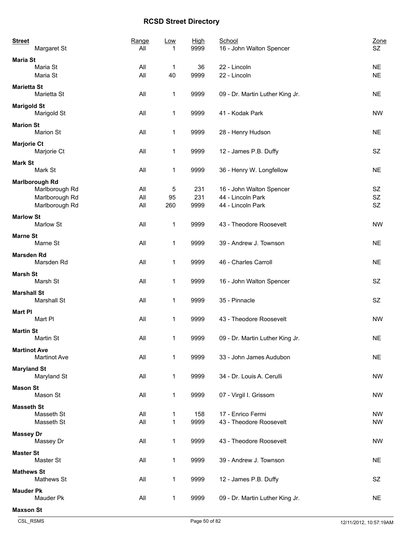| <b>Street</b><br>Margaret St               |                | Range<br>All | <u>Low</u>   | <b>High</b><br>9999 | School<br>16 - John Walton Spencer | Zone<br>SZ. |
|--------------------------------------------|----------------|--------------|--------------|---------------------|------------------------------------|-------------|
| <b>Maria St</b><br>Maria St                |                | All          | 1            | 36                  | 22 - Lincoln                       | <b>NE</b>   |
| Maria St                                   |                | All          | 40           | 9999                | 22 - Lincoln                       | <b>NE</b>   |
| <b>Marietta St</b><br>Marietta St          |                | All          | 1            | 9999                | 09 - Dr. Martin Luther King Jr.    | <b>NE</b>   |
| <b>Marigold St</b><br>Marigold St          |                | All          | 1            | 9999                | 41 - Kodak Park                    | <b>NW</b>   |
| <b>Marion St</b><br><b>Marion St</b>       |                | All          | 1            | 9999                | 28 - Henry Hudson                  | <b>NE</b>   |
| <b>Marjorie Ct</b><br>Marjorie Ct          |                | All          | 1            | 9999                | 12 - James P.B. Duffy              | SZ          |
| <b>Mark St</b><br>Mark St                  |                | All          | 1            | 9999                | 36 - Henry W. Longfellow           | <b>NE</b>   |
| <b>Marlborough Rd</b>                      |                |              |              |                     |                                    |             |
|                                            | Marlborough Rd | All          | 5            | 231                 | 16 - John Walton Spencer           | SZ          |
|                                            | Marlborough Rd | All          | 95           | 231                 | 44 - Lincoln Park                  | SZ          |
|                                            | Marlborough Rd | All          | 260          | 9999                | 44 - Lincoln Park                  | <b>SZ</b>   |
| <b>Marlow St</b><br>Marlow St              |                | All          | 1            | 9999                | 43 - Theodore Roosevelt            | <b>NW</b>   |
| <b>Marne St</b><br>Marne St                |                | All          | 1            | 9999                | 39 - Andrew J. Townson             | <b>NE</b>   |
| <b>Marsden Rd</b><br>Marsden Rd            |                | All          | 1            | 9999                | 46 - Charles Carroll               | <b>NE</b>   |
| <b>Marsh St</b><br>Marsh St                |                | All          | 1            | 9999                | 16 - John Walton Spencer           | SZ          |
| <b>Marshall St</b><br><b>Marshall St</b>   |                | All          | 1            | 9999                | 35 - Pinnacle                      | SZ          |
| <b>Mart PI</b><br>Mart PI                  |                | All          | 1            | 9999                | 43 - Theodore Roosevelt            | <b>NW</b>   |
| <b>Martin St</b><br>Martin St              |                | All          | 1            | 9999                | 09 - Dr. Martin Luther King Jr.    | <b>NE</b>   |
| <b>Martinot Ave</b><br><b>Martinot Ave</b> |                | All          | 1            | 9999                | 33 - John James Audubon            | <b>NE</b>   |
| <b>Maryland St</b><br>Maryland St          |                | All          | $\mathbf{1}$ | 9999                | 34 - Dr. Louis A. Cerulli          | <b>NW</b>   |
| <b>Mason St</b><br>Mason St                |                | All          | 1            | 9999                | 07 - Virgil I. Grissom             | <b>NW</b>   |
| <b>Masseth St</b><br>Masseth St            |                | All          | 1            | 158                 | 17 - Enrico Fermi                  | <b>NW</b>   |
| Masseth St                                 |                | All          | $\mathbf{1}$ | 9999                | 43 - Theodore Roosevelt            | <b>NW</b>   |
| <b>Massey Dr</b><br>Massey Dr              |                | All          | 1            | 9999                | 43 - Theodore Roosevelt            | <b>NW</b>   |
| <b>Master St</b><br>Master St              |                | All          | 1            | 9999                | 39 - Andrew J. Townson             | <b>NE</b>   |
| <b>Mathews St</b><br>Mathews St            |                | All          | 1            | 9999                | 12 - James P.B. Duffy              | SZ          |
| <b>Mauder Pk</b><br>Mauder Pk              |                | All          | 1            | 9999                | 09 - Dr. Martin Luther King Jr.    | <b>NE</b>   |
| <b>Maxson St</b>                           |                |              |              |                     |                                    |             |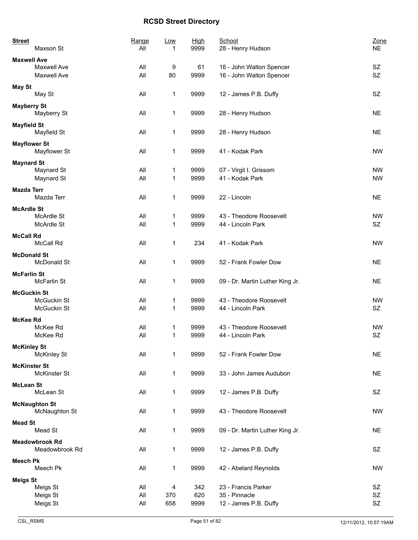| <b>Street</b>       | Maxson St                                | Range<br>All      | <b>Low</b><br>1 | High<br>9999       | School<br>28 - Henry Hudson                                   | Zone<br><b>NE</b>      |
|---------------------|------------------------------------------|-------------------|-----------------|--------------------|---------------------------------------------------------------|------------------------|
| <b>Maxwell Ave</b>  | Maxwell Ave<br>Maxwell Ave               | All<br>All        | 9<br>80         | 61<br>9999         | 16 - John Walton Spencer<br>16 - John Walton Spencer          | SZ<br><b>SZ</b>        |
| <b>May St</b>       | May St                                   | All               | 1               | 9999               | 12 - James P.B. Duffy                                         | SZ                     |
| <b>Mayberry St</b>  | Mayberry St                              | All               | 1               | 9999               | 28 - Henry Hudson                                             | <b>NE</b>              |
| <b>Mayfield St</b>  | Mayfield St                              | All               | 1               | 9999               | 28 - Henry Hudson                                             | <b>NE</b>              |
| <b>Mayflower St</b> | Mayflower St                             | All               | 1               | 9999               | 41 - Kodak Park                                               | <b>NW</b>              |
| <b>Maynard St</b>   | Maynard St<br>Maynard St                 | All<br>All        | 1<br>1          | 9999<br>9999       | 07 - Virgil I. Grissom<br>41 - Kodak Park                     | <b>NW</b><br><b>NW</b> |
| <b>Mazda Terr</b>   | Mazda Terr                               | All               | 1               | 9999               | 22 - Lincoln                                                  | <b>NE</b>              |
| <b>McArdle St</b>   | McArdle St<br><b>McArdle St</b>          | All<br>All        | 1<br>1          | 9999<br>9999       | 43 - Theodore Roosevelt<br>44 - Lincoln Park                  | <b>NW</b><br>SZ        |
| <b>McCall Rd</b>    | McCall Rd                                | All               | 1               | 234                | 41 - Kodak Park                                               | <b>NW</b>              |
| <b>McDonald St</b>  | <b>McDonald St</b>                       | All               | 1               | 9999               | 52 - Frank Fowler Dow                                         | <b>NE</b>              |
| <b>McFarlin St</b>  | McFarlin St                              | All               | 1               | 9999               | 09 - Dr. Martin Luther King Jr.                               | <b>NE</b>              |
| <b>McGuckin St</b>  | <b>McGuckin St</b><br><b>McGuckin St</b> | All<br>All        | 1<br>1          | 9999<br>9999       | 43 - Theodore Roosevelt<br>44 - Lincoln Park                  | <b>NW</b><br>SZ        |
| McKee Rd            | McKee Rd<br>McKee Rd                     | All<br>All        | 1<br>1          | 9999<br>9999       | 43 - Theodore Roosevelt<br>44 - Lincoln Park                  | <b>NW</b><br>SZ        |
| <b>McKinley St</b>  | <b>McKinley St</b>                       | All               | 1               | 9999               | 52 - Frank Fowler Dow                                         | <b>NE</b>              |
| <b>McKinster St</b> | <b>McKinster St</b>                      | All               | 1               | 9999               | 33 - John James Audubon                                       | <b>NE</b>              |
| <b>McLean St</b>    | McLean St                                | All               | 1               | 9999               | 12 - James P.B. Duffy                                         | SZ                     |
|                     | <b>McNaughton St</b><br>McNaughton St    | All               | 1               | 9999               | 43 - Theodore Roosevelt                                       | <b>NW</b>              |
| <b>Mead St</b>      | Mead St                                  | All               | 1               | 9999               | 09 - Dr. Martin Luther King Jr.                               | <b>NE</b>              |
|                     | <b>Meadowbrook Rd</b><br>Meadowbrook Rd  | All               | 1               | 9999               | 12 - James P.B. Duffy                                         | SZ                     |
| <b>Meech Pk</b>     | Meech Pk                                 | All               | 1               | 9999               | 42 - Abelard Reynolds                                         | <b>NW</b>              |
| <b>Meigs St</b>     | Meigs St<br>Meigs St<br>Meigs St         | All<br>All<br>All | 4<br>370<br>658 | 342<br>620<br>9999 | 23 - Francis Parker<br>35 - Pinnacle<br>12 - James P.B. Duffy | SZ<br>SZ<br>SZ         |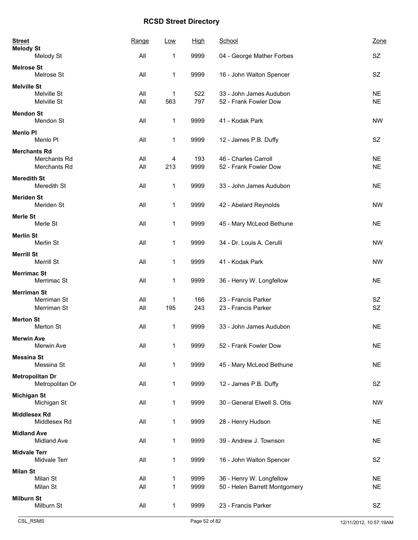| <b>Street</b><br><b>Melody St</b> |                                           | Range      | Low          | <b>High</b>  | School                                                    | Zone                   |
|-----------------------------------|-------------------------------------------|------------|--------------|--------------|-----------------------------------------------------------|------------------------|
|                                   | Melody St                                 | All        | 1            | 9999         | 04 - George Mather Forbes                                 | <b>SZ</b>              |
| <b>Melrose St</b>                 | Melrose St                                | All        | 1            | 9999         | 16 - John Walton Spencer                                  | SZ                     |
| <b>Melville St</b>                | Melville St<br>Melville St                | All<br>All | 1<br>563     | 522<br>797   | 33 - John James Audubon<br>52 - Frank Fowler Dow          | <b>NE</b><br><b>NE</b> |
| <b>Mendon St</b>                  | Mendon St                                 | All        | 1            | 9999         | 41 - Kodak Park                                           | <b>NW</b>              |
| <b>Menlo PI</b>                   | Menlo PI                                  | All        | 1            | 9999         | 12 - James P.B. Duffy                                     | SZ                     |
|                                   | <b>Merchants Rd</b><br>Merchants Rd       | All        | 4            | 193          | 46 - Charles Carroll                                      | <b>NE</b>              |
|                                   | Merchants Rd                              | All        | 213          | 9999         | 52 - Frank Fowler Dow                                     | <b>NE</b>              |
| <b>Meredith St</b>                | Meredith St                               | All        | 1            | 9999         | 33 - John James Audubon                                   | <b>NE</b>              |
| <b>Meriden St</b>                 | Meriden St                                | All        | 1            | 9999         | 42 - Abelard Reynolds                                     | <b>NW</b>              |
| <b>Merle St</b>                   | Merle St                                  | All        | 1            | 9999         | 45 - Mary McLeod Bethune                                  | <b>NE</b>              |
| <b>Merlin St</b>                  | Merlin St                                 | All        | 1            | 9999         | 34 - Dr. Louis A. Cerulli                                 | <b>NW</b>              |
| <b>Merrill St</b>                 | Merrill St                                | All        | 1            | 9999         | 41 - Kodak Park                                           | <b>NW</b>              |
| <b>Merrimac St</b>                | Merrimac St                               | All        | 1            | 9999         | 36 - Henry W. Longfellow                                  | <b>NE</b>              |
| <b>Merriman St</b>                | Merriman St<br>Merriman St                | All<br>All | 1<br>195     | 166<br>243   | 23 - Francis Parker<br>23 - Francis Parker                | SZ<br>SZ               |
| <b>Merton St</b>                  | Merton St                                 | All        | 1            | 9999         | 33 - John James Audubon                                   | <b>NE</b>              |
| <b>Merwin Ave</b>                 | Merwin Ave                                | All        | 1            | 9999         | 52 - Frank Fowler Dow                                     | <b>NE</b>              |
| <b>Messina St</b>                 | Messina St                                | All        | 1            | 9999         | 45 - Mary McLeod Bethune                                  | <b>NE</b>              |
|                                   | <b>Metropolitan Dr</b><br>Metropolitan Dr | All        | 1            | 9999         | 12 - James P.B. Duffy                                     | SZ                     |
| <b>Michigan St</b>                | Michigan St                               | All        | 1            | 9999         | 30 - General Elwell S. Otis                               | <b>NW</b>              |
|                                   | <b>Middlesex Rd</b><br>Middlesex Rd       | All        | 1            | 9999         | 28 - Henry Hudson                                         | <b>NE</b>              |
| <b>Midland Ave</b>                | <b>Midland Ave</b>                        | All        | 1            | 9999         | 39 - Andrew J. Townson                                    | <b>NE</b>              |
| <b>Midvale Terr</b>               | Midvale Terr                              | All        | 1            | 9999         | 16 - John Walton Spencer                                  | <b>SZ</b>              |
| <b>Milan St</b>                   | Milan St<br>Milan St                      | All<br>All | 1<br>1       | 9999<br>9999 | 36 - Henry W. Longfellow<br>50 - Helen Barrett Montgomery | <b>NE</b><br><b>NE</b> |
| <b>Milburn St</b>                 | Milburn St                                | All        | $\mathbf{1}$ | 9999         | 23 - Francis Parker                                       | SZ                     |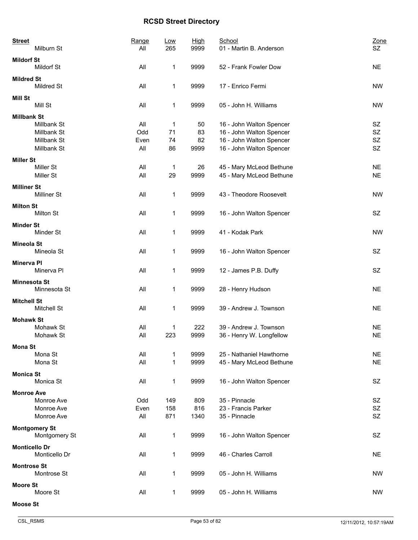| <b>Street</b><br>Milburn St                                                    | Range<br>All              | <u>Low</u><br>265   | <b>High</b><br>9999    | School<br>01 - Martin B. Anderson                                                                            | Zone<br>SZ                         |
|--------------------------------------------------------------------------------|---------------------------|---------------------|------------------------|--------------------------------------------------------------------------------------------------------------|------------------------------------|
| <b>Mildorf St</b><br><b>Mildorf St</b>                                         | All                       | 1                   | 9999                   | 52 - Frank Fowler Dow                                                                                        | <b>NE</b>                          |
| <b>Mildred St</b><br>Mildred St                                                | All                       | 1                   | 9999                   | 17 - Enrico Fermi                                                                                            | <b>NW</b>                          |
| <b>Mill St</b><br>Mill St                                                      | All                       | 1                   | 9999                   | 05 - John H. Williams                                                                                        | <b>NW</b>                          |
| <b>Millbank St</b><br>Millbank St<br>Millbank St<br>Millbank St<br>Millbank St | All<br>Odd<br>Even<br>All | 1<br>71<br>74<br>86 | 50<br>83<br>82<br>9999 | 16 - John Walton Spencer<br>16 - John Walton Spencer<br>16 - John Walton Spencer<br>16 - John Walton Spencer | SZ<br>SZ<br><b>SZ</b><br><b>SZ</b> |
| <b>Miller St</b><br>Miller St<br>Miller St                                     | All<br>All                | 1<br>29             | 26<br>9999             | 45 - Mary McLeod Bethune<br>45 - Mary McLeod Bethune                                                         | <b>NE</b><br><b>NE</b>             |
| <b>Milliner St</b><br><b>Milliner St</b>                                       | All                       | 1                   | 9999                   | 43 - Theodore Roosevelt                                                                                      | <b>NW</b>                          |
| <b>Milton St</b><br>Milton St                                                  | All                       | 1                   | 9999                   | 16 - John Walton Spencer                                                                                     | SZ                                 |
| <b>Minder St</b><br>Minder St                                                  | All                       | 1                   | 9999                   | 41 - Kodak Park                                                                                              | <b>NW</b>                          |
| <b>Mineola St</b><br>Mineola St                                                | All                       | 1                   | 9999                   | 16 - John Walton Spencer                                                                                     | <b>SZ</b>                          |
| <b>Minerva PI</b><br>Minerva Pl                                                | All                       | 1                   | 9999                   | 12 - James P.B. Duffy                                                                                        | SZ                                 |
| <b>Minnesota St</b><br>Minnesota St                                            | All                       | 1                   | 9999                   | 28 - Henry Hudson                                                                                            | <b>NE</b>                          |
| <b>Mitchell St</b><br>Mitchell St                                              | All                       | 1                   | 9999                   | 39 - Andrew J. Townson                                                                                       | <b>NE</b>                          |
| <b>Mohawk St</b><br>Mohawk St<br>Mohawk St                                     | All<br>All                | 1<br>223            | 222<br>9999            | 39 - Andrew J. Townson<br>36 - Henry W. Longfellow                                                           | <b>NE</b><br><b>NE</b>             |
| <b>Mona St</b><br>Mona St<br>Mona St                                           | All<br>All                | 1<br>1              | 9999<br>9999           | 25 - Nathaniel Hawthorne<br>45 - Mary McLeod Bethune                                                         | <b>NE</b><br><b>NE</b>             |
| <b>Monica St</b><br>Monica St                                                  | All                       | 1                   | 9999                   | 16 - John Walton Spencer                                                                                     | SZ                                 |
| <b>Monroe Ave</b><br>Monroe Ave<br>Monroe Ave<br>Monroe Ave                    | Odd<br>Even<br>All        | 149<br>158<br>871   | 809<br>816<br>1340     | 35 - Pinnacle<br>23 - Francis Parker<br>35 - Pinnacle                                                        | SZ<br><b>SZ</b><br><b>SZ</b>       |
| <b>Montgomery St</b><br>Montgomery St                                          | All                       | 1                   | 9999                   | 16 - John Walton Spencer                                                                                     | <b>SZ</b>                          |
| <b>Monticello Dr</b><br>Monticello Dr                                          | All                       | 1                   | 9999                   | 46 - Charles Carroll                                                                                         | <b>NE</b>                          |
| <b>Montrose St</b><br>Montrose St                                              | All                       | 1                   | 9999                   | 05 - John H. Williams                                                                                        | <b>NW</b>                          |
| <b>Moore St</b><br>Moore St                                                    | All                       | 1                   | 9999                   | 05 - John H. Williams                                                                                        | <b>NW</b>                          |
| <b>Moose St</b>                                                                |                           |                     |                        |                                                                                                              |                                    |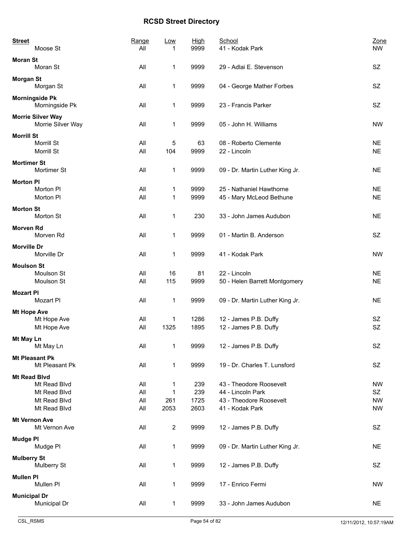| <b>Street</b>                                 | Range | Low                     | High | School                          | Zone      |
|-----------------------------------------------|-------|-------------------------|------|---------------------------------|-----------|
| Moose St                                      | All   | 1                       | 9999 | 41 - Kodak Park                 | <b>NW</b> |
| <b>Moran St</b><br>Moran St                   | All   | 1                       | 9999 | 29 - Adlai E. Stevenson         | SZ        |
| <b>Morgan St</b><br>Morgan St                 | All   | 1                       | 9999 | 04 - George Mather Forbes       | <b>SZ</b> |
| <b>Morningside Pk</b><br>Morningside Pk       | All   | 1                       | 9999 | 23 - Francis Parker             | SZ        |
| <b>Morrie Silver Way</b><br>Morrie Silver Way | All   | 1                       | 9999 | 05 - John H. Williams           | <b>NW</b> |
| <b>Morrill St</b>                             |       |                         |      |                                 |           |
| Morrill St                                    | All   | 5                       | 63   | 08 - Roberto Clemente           | <b>NE</b> |
| Morrill St                                    | All   | 104                     | 9999 | 22 - Lincoln                    | <b>NE</b> |
| <b>Mortimer St</b><br>Mortimer St             | All   | 1                       | 9999 | 09 - Dr. Martin Luther King Jr. | <b>NE</b> |
| <b>Morton PI</b>                              |       |                         |      |                                 |           |
| Morton PI                                     | All   | 1                       | 9999 | 25 - Nathaniel Hawthorne        | <b>NE</b> |
| Morton PI                                     | All   | 1                       | 9999 | 45 - Mary McLeod Bethune        | <b>NE</b> |
| <b>Morton St</b>                              |       |                         |      |                                 |           |
| Morton St                                     | All   | 1                       | 230  | 33 - John James Audubon         | <b>NE</b> |
| <b>Morven Rd</b>                              |       |                         |      |                                 |           |
| Morven Rd                                     | All   | 1                       | 9999 | 01 - Martin B. Anderson         | SZ.       |
| <b>Morville Dr</b>                            |       |                         |      |                                 |           |
| Morville Dr                                   | All   | 1                       | 9999 | 41 - Kodak Park                 | <b>NW</b> |
| <b>Moulson St</b>                             |       |                         |      |                                 |           |
| Moulson St                                    | All   | 16                      | 81   | 22 - Lincoln                    | <b>NE</b> |
| Moulson St                                    | All   | 115                     | 9999 | 50 - Helen Barrett Montgomery   | <b>NE</b> |
| <b>Mozart PI</b>                              |       |                         |      |                                 |           |
| Mozart PI                                     | All   | 1                       | 9999 | 09 - Dr. Martin Luther King Jr. | <b>NE</b> |
| <b>Mt Hope Ave</b>                            |       |                         |      |                                 |           |
| Mt Hope Ave                                   | All   | 1                       | 1286 | 12 - James P.B. Duffy           | SZ        |
| Mt Hope Ave                                   | All   | 1325                    | 1895 | 12 - James P.B. Duffy           | SZ        |
| Mt May Ln                                     |       |                         |      |                                 |           |
| Mt May Ln                                     | All   | 1                       | 9999 | 12 - James P.B. Duffy           | SZ        |
| <b>Mt Pleasant Pk</b>                         |       |                         |      |                                 |           |
| Mt Pleasant Pk                                | All   | 1                       | 9999 | 19 - Dr. Charles T. Lunsford    | SZ        |
|                                               |       |                         |      |                                 |           |
| <b>Mt Read Blvd</b><br>Mt Read Blvd           | All   | 1                       | 239  | 43 - Theodore Roosevelt         | NW        |
| Mt Read Blvd                                  | All   | 1                       | 239  | 44 - Lincoln Park               | SZ        |
| Mt Read Blvd                                  | All   | 261                     | 1725 | 43 - Theodore Roosevelt         | <b>NW</b> |
| Mt Read Blvd                                  | All   | 2053                    | 2603 | 41 - Kodak Park                 | <b>NW</b> |
| <b>Mt Vernon Ave</b>                          |       |                         |      |                                 |           |
| Mt Vernon Ave                                 | All   | $\overline{\mathbf{c}}$ | 9999 | 12 - James P.B. Duffy           | SZ        |
|                                               |       |                         |      |                                 |           |
| <b>Mudge PI</b><br>Mudge PI                   | All   | 1                       | 9999 | 09 - Dr. Martin Luther King Jr. | <b>NE</b> |
|                                               |       |                         |      |                                 |           |
| <b>Mulberry St</b><br>Mulberry St             | All   | 1                       | 9999 | 12 - James P.B. Duffy           | SZ        |
|                                               |       |                         |      |                                 |           |
| <b>Mullen PI</b><br>Mullen Pl                 | All   | 1                       | 9999 | 17 - Enrico Fermi               | <b>NW</b> |
|                                               |       |                         |      |                                 |           |
| <b>Municipal Dr</b>                           |       |                         |      |                                 |           |
| Municipal Dr                                  | All   | 1                       | 9999 | 33 - John James Audubon         | <b>NE</b> |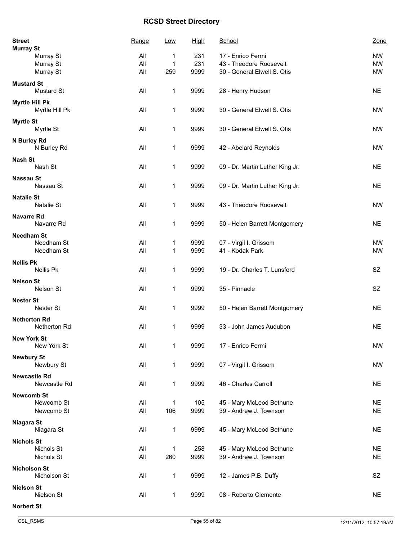| <b>Street</b><br><b>Murray St</b>      | Range | Low          | <u>High</u> | School                          | Zone      |
|----------------------------------------|-------|--------------|-------------|---------------------------------|-----------|
| Murray St                              | All   | 1            | 231         | 17 - Enrico Fermi               | <b>NW</b> |
| Murray St                              | All   | $\mathbf{1}$ | 231         | 43 - Theodore Roosevelt         | <b>NW</b> |
| Murray St                              | All   | 259          | 9999        | 30 - General Elwell S. Otis     | <b>NW</b> |
| <b>Mustard St</b><br><b>Mustard St</b> | All   | 1            | 9999        | 28 - Henry Hudson               | <b>NE</b> |
| Myrtle Hill Pk<br>Myrtle Hill Pk       | All   | 1            | 9999        | 30 - General Elwell S. Otis     | <b>NW</b> |
| <b>Myrtle St</b><br>Myrtle St          | All   | 1            | 9999        | 30 - General Elwell S. Otis     | <b>NW</b> |
| N Burley Rd<br>N Burley Rd             | All   | 1            | 9999        | 42 - Abelard Reynolds           | <b>NW</b> |
| <b>Nash St</b><br>Nash St              | All   | 1            | 9999        | 09 - Dr. Martin Luther King Jr. | <b>NE</b> |
| <b>Nassau St</b><br>Nassau St          | All   | 1            | 9999        | 09 - Dr. Martin Luther King Jr. | <b>NE</b> |
| <b>Natalie St</b><br>Natalie St        | All   | 1            | 9999        | 43 - Theodore Roosevelt         | <b>NW</b> |
| <b>Navarre Rd</b><br>Navarre Rd        | All   | 1            | 9999        | 50 - Helen Barrett Montgomery   | <b>NE</b> |
| <b>Needham St</b>                      |       |              |             |                                 |           |
| Needham St                             | All   | 1            | 9999        | 07 - Virgil I. Grissom          | <b>NW</b> |
| Needham St                             | All   | 1            | 9999        | 41 - Kodak Park                 | <b>NW</b> |
| <b>Nellis Pk</b><br>Nellis Pk          | All   | 1            | 9999        | 19 - Dr. Charles T. Lunsford    | <b>SZ</b> |
| <b>Nelson St</b><br>Nelson St          | All   | 1            | 9999        | 35 - Pinnacle                   | SZ        |
| <b>Nester St</b><br>Nester St          | All   | 1            | 9999        | 50 - Helen Barrett Montgomery   | <b>NE</b> |
| <b>Netherton Rd</b><br>Netherton Rd    | All   | 1            | 9999        | 33 - John James Audubon         | <b>NE</b> |
| <b>New York St</b><br>New York St      | All   | 1            | 9999        | 17 - Enrico Fermi               | <b>NW</b> |
| <b>Newbury St</b><br>Newbury St        | All   | 1            | 9999        | 07 - Virgil I. Grissom          | <b>NW</b> |
| <b>Newcastle Rd</b><br>Newcastle Rd    | All   | 1            | 9999        | 46 - Charles Carroll            | <b>NE</b> |
| <b>Newcomb St</b>                      |       |              |             |                                 |           |
| Newcomb St                             | All   | 1            | 105         | 45 - Mary McLeod Bethune        | <b>NE</b> |
| Newcomb St                             | All   | 106          | 9999        | 39 - Andrew J. Townson          | <b>NE</b> |
| Niagara St<br>Niagara St               | All   | 1            | 9999        | 45 - Mary McLeod Bethune        | <b>NE</b> |
| <b>Nichols St</b>                      |       |              |             |                                 |           |
| Nichols St                             | All   | 1            | 258         | 45 - Mary McLeod Bethune        | <b>NE</b> |
| Nichols St                             | All   | 260          | 9999        | 39 - Andrew J. Townson          | <b>NE</b> |
| <b>Nicholson St</b><br>Nicholson St    | All   | $\mathbf{1}$ | 9999        | 12 - James P.B. Duffy           | SZ        |
| <b>Nielson St</b><br>Nielson St        | All   | 1            | 9999        | 08 - Roberto Clemente           | <b>NE</b> |
| <b>Norbert St</b>                      |       |              |             |                                 |           |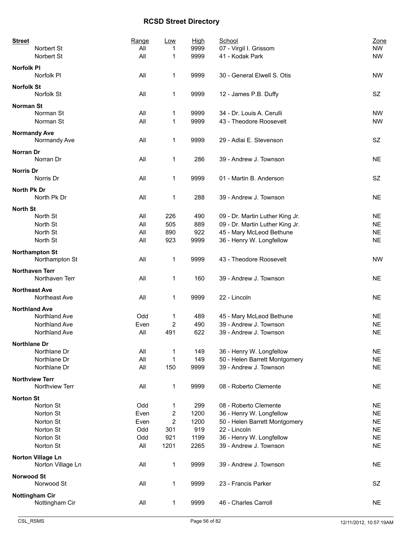| <b>Street</b>               | Range | Low  | High | School                          | Zone      |
|-----------------------------|-------|------|------|---------------------------------|-----------|
| Norbert St                  | All   | 1    | 9999 | 07 - Virgil I. Grissom          | <b>NW</b> |
| Norbert St                  | All   | 1    | 9999 | 41 - Kodak Park                 | <b>NW</b> |
| <b>Norfolk PI</b>           |       |      |      |                                 |           |
| Norfolk PI                  | All   | 1    | 9999 | 30 - General Elwell S. Otis     | <b>NW</b> |
|                             |       |      |      |                                 |           |
| <b>Norfolk St</b>           |       |      |      |                                 |           |
| Norfolk St                  | All   | 1    | 9999 | 12 - James P.B. Duffy           | SZ        |
| <b>Norman St</b>            |       |      |      |                                 |           |
| Norman St                   | All   | 1    | 9999 | 34 - Dr. Louis A. Cerulli       | <b>NW</b> |
| Norman St                   | All   | 1    | 9999 | 43 - Theodore Roosevelt         | <b>NW</b> |
|                             |       |      |      |                                 |           |
| <b>Normandy Ave</b>         |       |      |      |                                 |           |
| Normandy Ave                | All   | 1    | 9999 | 29 - Adlai E. Stevenson         | SZ        |
| Norran Dr                   |       |      |      |                                 |           |
| Norran Dr                   | All   | 1    | 286  | 39 - Andrew J. Townson          | NE.       |
|                             |       |      |      |                                 |           |
| Norris Dr                   |       |      |      |                                 |           |
| Norris Dr                   | All   | 1    | 9999 | 01 - Martin B. Anderson         | <b>SZ</b> |
| North Pk Dr                 |       |      |      |                                 |           |
| North Pk Dr                 | All   | 1    | 288  | 39 - Andrew J. Townson          | <b>NE</b> |
|                             |       |      |      |                                 |           |
| <b>North St</b><br>North St |       |      |      |                                 |           |
|                             | All   | 226  | 490  | 09 - Dr. Martin Luther King Jr. | <b>NE</b> |
| North St                    | All   | 505  | 889  | 09 - Dr. Martin Luther King Jr. | <b>NE</b> |
| North St                    | All   | 890  | 922  | 45 - Mary McLeod Bethune        | <b>NE</b> |
| North St                    | All   | 923  | 9999 | 36 - Henry W. Longfellow        | <b>NE</b> |
| <b>Northampton St</b>       |       |      |      |                                 |           |
| Northampton St              | All   | 1    | 9999 | 43 - Theodore Roosevelt         | <b>NW</b> |
|                             |       |      |      |                                 |           |
| <b>Northaven Terr</b>       |       |      |      |                                 |           |
| Northaven Terr              | All   | 1    | 160  | 39 - Andrew J. Townson          | <b>NE</b> |
| <b>Northeast Ave</b>        |       |      |      |                                 |           |
| Northeast Ave               | All   | 1    | 9999 | 22 - Lincoln                    | <b>NE</b> |
|                             |       |      |      |                                 |           |
| <b>Northland Ave</b>        |       |      |      |                                 |           |
| Northland Ave               | Odd   | 1    | 489  | 45 - Mary McLeod Bethune        | <b>NE</b> |
| Northland Ave               | Even  | 2    | 490  | 39 - Andrew J. Townson          | <b>NE</b> |
| Northland Ave               | All   | 491  | 622  | 39 - Andrew J. Townson          | <b>NE</b> |
| Northlane Dr                |       |      |      |                                 |           |
| Northlane Dr                | All   | 1    | 149  | 36 - Henry W. Longfellow        | <b>NE</b> |
| Northlane Dr                | All   | 1    | 149  | 50 - Helen Barrett Montgomery   | <b>NE</b> |
| Northlane Dr                | All   | 150  | 9999 | 39 - Andrew J. Townson          | <b>NE</b> |
|                             |       |      |      |                                 |           |
| <b>Northview Terr</b>       |       |      |      |                                 |           |
| Northview Terr              | All   | 1    | 9999 | 08 - Roberto Clemente           | <b>NE</b> |
| <b>Norton St</b>            |       |      |      |                                 |           |
| Norton St                   | Odd   | 1    | 299  | 08 - Roberto Clemente           | <b>NE</b> |
| Norton St                   | Even  | 2    | 1200 | 36 - Henry W. Longfellow        | <b>NE</b> |
| Norton St                   | Even  | 2    | 1200 | 50 - Helen Barrett Montgomery   | <b>NE</b> |
|                             |       |      |      |                                 |           |
| Norton St                   | Odd   | 301  | 919  | 22 - Lincoln                    | <b>NE</b> |
| Norton St                   | Odd   | 921  | 1199 | 36 - Henry W. Longfellow        | <b>NE</b> |
| Norton St                   | All   | 1201 | 2265 | 39 - Andrew J. Townson          | <b>NE</b> |
| <b>Norton Village Ln</b>    |       |      |      |                                 |           |
| Norton Village Ln           | All   | 1    | 9999 | 39 - Andrew J. Townson          | <b>NE</b> |
|                             |       |      |      |                                 |           |
| <b>Norwood St</b>           |       |      |      |                                 |           |
| Norwood St                  | All   | 1    | 9999 | 23 - Francis Parker             | SZ        |
| <b>Nottingham Cir</b>       |       |      |      |                                 |           |
| Nottingham Cir              | All   | 1    | 9999 | 46 - Charles Carroll            | <b>NE</b> |
|                             |       |      |      |                                 |           |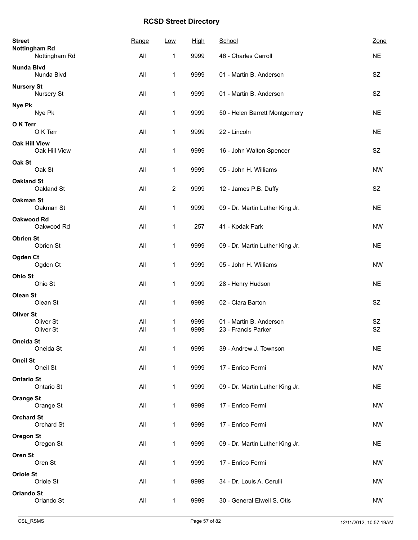| <b>Street</b><br><b>Nottingham Rd</b> | Range      | <b>Low</b>              | <b>High</b>  | School                                         | Zone                   |
|---------------------------------------|------------|-------------------------|--------------|------------------------------------------------|------------------------|
| Nottingham Rd                         | All        | 1                       | 9999         | 46 - Charles Carroll                           | <b>NE</b>              |
| Nunda Blvd<br>Nunda Blvd              | All        | 1                       | 9999         | 01 - Martin B. Anderson                        | SZ                     |
| <b>Nursery St</b><br>Nursery St       | All        | 1                       | 9999         | 01 - Martin B. Anderson                        | <b>SZ</b>              |
| Nye Pk<br>Nye Pk                      | All        | 1                       | 9999         | 50 - Helen Barrett Montgomery                  | <b>NE</b>              |
| O K Terr<br>O K Terr                  | All        | 1                       | 9999         | 22 - Lincoln                                   | <b>NE</b>              |
| <b>Oak Hill View</b><br>Oak Hill View | All        | 1                       | 9999         | 16 - John Walton Spencer                       | <b>SZ</b>              |
| Oak St<br>Oak St                      | All        | 1                       | 9999         | 05 - John H. Williams                          | <b>NW</b>              |
| <b>Oakland St</b><br>Oakland St       | All        | $\overline{\mathbf{c}}$ | 9999         | 12 - James P.B. Duffy                          | SZ                     |
| <b>Oakman St</b><br>Oakman St         | All        | 1                       | 9999         | 09 - Dr. Martin Luther King Jr.                | <b>NE</b>              |
| <b>Oakwood Rd</b><br>Oakwood Rd       | All        | 1                       | 257          | 41 - Kodak Park                                | <b>NW</b>              |
| <b>Obrien St</b><br>Obrien St         | All        | 1                       | 9999         | 09 - Dr. Martin Luther King Jr.                | <b>NE</b>              |
| Ogden Ct<br>Ogden Ct                  | All        | 1                       | 9999         | 05 - John H. Williams                          | <b>NW</b>              |
| Ohio St<br>Ohio St                    | All        | 1                       | 9999         | 28 - Henry Hudson                              | <b>NE</b>              |
| Olean St<br>Olean St                  | All        | 1                       | 9999         | 02 - Clara Barton                              | <b>SZ</b>              |
| <b>Oliver St</b>                      |            |                         |              |                                                |                        |
| Oliver St<br>Oliver St                | All<br>All | 1<br>1                  | 9999<br>9999 | 01 - Martin B. Anderson<br>23 - Francis Parker | <b>SZ</b><br><b>SZ</b> |
| Oneida St<br>Oneida St                | All        | $\mathbf{1}$            | 9999         | 39 - Andrew J. Townson                         | <b>NE</b>              |
| <b>Oneil St</b><br>Oneil St           | All        | $\mathbf{1}$            | 9999         | 17 - Enrico Fermi                              | <b>NW</b>              |
| <b>Ontario St</b><br>Ontario St       | All        | 1                       | 9999         | 09 - Dr. Martin Luther King Jr.                | <b>NE</b>              |
| <b>Orange St</b><br>Orange St         | All        | 1                       | 9999         | 17 - Enrico Fermi                              | <b>NW</b>              |
| <b>Orchard St</b><br>Orchard St       | All        | 1                       | 9999         | 17 - Enrico Fermi                              | <b>NW</b>              |
| <b>Oregon St</b><br>Oregon St         | All        | 1                       | 9999         | 09 - Dr. Martin Luther King Jr.                | <b>NE</b>              |
| Oren St<br>Oren St                    | All        | 1                       | 9999         | 17 - Enrico Fermi                              | <b>NW</b>              |
| <b>Oriole St</b><br>Oriole St         | All        | 1                       | 9999         | 34 - Dr. Louis A. Cerulli                      | NW                     |
| <b>Orlando St</b><br>Orlando St       | All        | 1                       | 9999         | 30 - General Elwell S. Otis                    | <b>NW</b>              |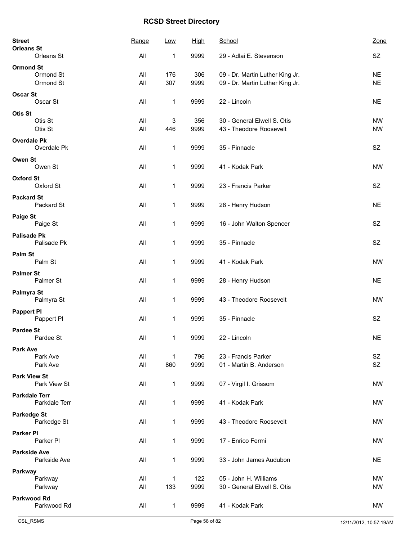| <b>Street</b><br><b>Orleans St</b>  | Range      | Low                 | <u>High</u> | School                                                             | Zone                   |
|-------------------------------------|------------|---------------------|-------------|--------------------------------------------------------------------|------------------------|
| Orleans St                          | All        | 1                   | 9999        | 29 - Adlai E. Stevenson                                            | SZ                     |
| <b>Ormond St</b>                    |            |                     |             |                                                                    |                        |
| Ormond St<br>Ormond St              | All<br>All | 176<br>307          | 306<br>9999 | 09 - Dr. Martin Luther King Jr.<br>09 - Dr. Martin Luther King Jr. | <b>NE</b><br><b>NE</b> |
| <b>Oscar St</b>                     |            |                     |             |                                                                    |                        |
| Oscar St                            | All        | 1                   | 9999        | 22 - Lincoln                                                       | <b>NE</b>              |
| Otis St                             |            |                     |             |                                                                    |                        |
| Otis St                             | All        | 3                   | 356         | 30 - General Elwell S. Otis                                        | <b>NW</b>              |
| Otis St                             | All        | 446                 | 9999        | 43 - Theodore Roosevelt                                            | <b>NW</b>              |
| <b>Overdale Pk</b><br>Overdale Pk   | All        | 1                   | 9999        | 35 - Pinnacle                                                      | SZ                     |
|                                     |            |                     |             |                                                                    |                        |
| <b>Owen St</b><br>Owen St           | All        | 1                   | 9999        | 41 - Kodak Park                                                    | <b>NW</b>              |
| <b>Oxford St</b>                    |            |                     |             |                                                                    |                        |
| Oxford St                           | All        | 1                   | 9999        | 23 - Francis Parker                                                | SZ                     |
| <b>Packard St</b>                   |            |                     |             |                                                                    |                        |
| Packard St                          | All        | 1                   | 9999        | 28 - Henry Hudson                                                  | <b>NE</b>              |
| <b>Paige St</b>                     |            |                     |             |                                                                    |                        |
| Paige St                            | All        | 1                   | 9999        | 16 - John Walton Spencer                                           | SZ                     |
| <b>Palisade Pk</b>                  |            |                     |             |                                                                    |                        |
| Palisade Pk                         | All        | 1                   | 9999        | 35 - Pinnacle                                                      | SZ                     |
| Palm St<br>Palm St                  | All        | 1                   | 9999        | 41 - Kodak Park                                                    | <b>NW</b>              |
|                                     |            |                     |             |                                                                    |                        |
| <b>Palmer St</b><br>Palmer St       | All        | 1                   | 9999        | 28 - Henry Hudson                                                  | <b>NE</b>              |
| Palmyra St                          |            |                     |             |                                                                    |                        |
| Palmyra St                          | All        | 1                   | 9999        | 43 - Theodore Roosevelt                                            | <b>NW</b>              |
| <b>Pappert PI</b>                   |            |                     |             |                                                                    |                        |
| Pappert PI                          | All        | 1                   | 9999        | 35 - Pinnacle                                                      | SZ                     |
| <b>Pardee St</b>                    |            |                     |             |                                                                    |                        |
| Pardee St                           | All        | 1                   | 9999        | 22 - Lincoln                                                       | <b>NE</b>              |
| <b>Park Ave</b>                     |            |                     |             | 23 - Francis Parker                                                |                        |
| Park Ave<br>Park Ave                | All<br>All | $\mathbf{1}$<br>860 | 796<br>9999 | 01 - Martin B. Anderson                                            | SZ<br>SZ               |
| <b>Park View St</b>                 |            |                     |             |                                                                    |                        |
| Park View St                        | All        | 1                   | 9999        | 07 - Virgil I. Grissom                                             | <b>NW</b>              |
| <b>Parkdale Terr</b>                |            |                     |             |                                                                    |                        |
| Parkdale Terr                       | All        | 1                   | 9999        | 41 - Kodak Park                                                    | <b>NW</b>              |
| <b>Parkedge St</b>                  |            |                     |             |                                                                    |                        |
| Parkedge St                         | All        | 1                   | 9999        | 43 - Theodore Roosevelt                                            | <b>NW</b>              |
| <b>Parker PI</b>                    |            |                     |             |                                                                    |                        |
| Parker <sub>PI</sub>                | All        | 1                   | 9999        | 17 - Enrico Fermi                                                  | <b>NW</b>              |
| <b>Parkside Ave</b><br>Parkside Ave | All        | $\mathbf{1}$        | 9999        | 33 - John James Audubon                                            | <b>NE</b>              |
|                                     |            |                     |             |                                                                    |                        |
| Parkway<br>Parkway                  | All        | 1                   | 122         | 05 - John H. Williams                                              | <b>NW</b>              |
| Parkway                             | All        | 133                 | 9999        | 30 - General Elwell S. Otis                                        | <b>NW</b>              |
| <b>Parkwood Rd</b>                  |            |                     |             |                                                                    |                        |
| Parkwood Rd                         | All        | $\mathbf{1}$        | 9999        | 41 - Kodak Park                                                    | <b>NW</b>              |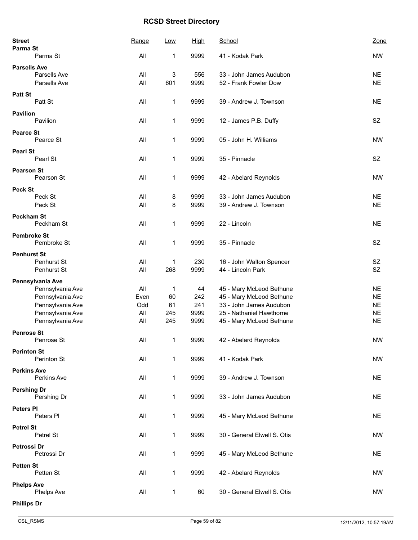| <b>Street</b><br>Parma St |                  | Range | Low          | <u>High</u> | School                      | Zone      |
|---------------------------|------------------|-------|--------------|-------------|-----------------------------|-----------|
|                           | Parma St         | All   | 1            | 9999        | 41 - Kodak Park             | <b>NW</b> |
| <b>Parsells Ave</b>       |                  |       |              |             |                             |           |
|                           | Parsells Ave     | All   | 3            | 556         | 33 - John James Audubon     | <b>NE</b> |
|                           | Parsells Ave     | All   | 601          | 9999        | 52 - Frank Fowler Dow       | <b>NE</b> |
| <b>Patt St</b>            |                  |       |              |             |                             |           |
|                           | Patt St          | All   | 1            | 9999        | 39 - Andrew J. Townson      | <b>NE</b> |
|                           |                  |       |              |             |                             |           |
| <b>Pavilion</b>           |                  |       |              |             |                             |           |
|                           | Pavilion         | All   | 1            | 9999        | 12 - James P.B. Duffy       | <b>SZ</b> |
| <b>Pearce St</b>          |                  |       |              |             |                             |           |
|                           | Pearce St        | All   | $\mathbf{1}$ | 9999        | 05 - John H. Williams       | <b>NW</b> |
| <b>Pearl St</b>           |                  |       |              |             |                             |           |
|                           | Pearl St         | All   | 1            | 9999        | 35 - Pinnacle               | SZ        |
|                           |                  |       |              |             |                             |           |
| <b>Pearson St</b>         |                  |       |              |             |                             |           |
|                           | Pearson St       | All   | 1            | 9999        | 42 - Abelard Reynolds       | <b>NW</b> |
| Peck St                   |                  |       |              |             |                             |           |
|                           | Peck St          | All   | 8            | 9999        | 33 - John James Audubon     | <b>NE</b> |
|                           | Peck St          | All   | 8            | 9999        | 39 - Andrew J. Townson      | <b>NE</b> |
|                           |                  |       |              |             |                             |           |
| <b>Peckham St</b>         | Peckham St       | All   | 1            | 9999        | 22 - Lincoln                | <b>NE</b> |
|                           |                  |       |              |             |                             |           |
| <b>Pembroke St</b>        |                  |       |              |             |                             |           |
|                           | Pembroke St      | All   | 1            | 9999        | 35 - Pinnacle               | SZ        |
| <b>Penhurst St</b>        |                  |       |              |             |                             |           |
|                           | Penhurst St      | All   | 1            | 230         | 16 - John Walton Spencer    | SZ        |
|                           | Penhurst St      | All   | 268          | 9999        | 44 - Lincoln Park           | SZ        |
|                           |                  |       |              |             |                             |           |
|                           | Pennsylvania Ave |       |              |             |                             |           |
|                           | Pennsylvania Ave | All   | 1            | 44          | 45 - Mary McLeod Bethune    | <b>NE</b> |
|                           | Pennsylvania Ave | Even  | 60           | 242         | 45 - Mary McLeod Bethune    | <b>NE</b> |
|                           | Pennsylvania Ave | Odd   | 61           | 241         | 33 - John James Audubon     | <b>NE</b> |
|                           | Pennsylvania Ave | All   | 245          | 9999        | 25 - Nathaniel Hawthorne    | <b>NE</b> |
|                           | Pennsylvania Ave | All   | 245          | 9999        | 45 - Mary McLeod Bethune    | <b>NE</b> |
| <b>Penrose St</b>         |                  |       |              |             |                             |           |
|                           | Penrose St       | All   | $\mathbf 1$  | 9999        | 42 - Abelard Reynolds       | <b>NW</b> |
| <b>Perinton St</b>        |                  |       |              |             |                             |           |
|                           | Perinton St      | All   | 1            | 9999        | 41 - Kodak Park             | <b>NW</b> |
|                           |                  |       |              |             |                             |           |
| <b>Perkins Ave</b>        |                  |       |              |             |                             |           |
|                           | Perkins Ave      | All   | 1            | 9999        | 39 - Andrew J. Townson      | <b>NE</b> |
| <b>Pershing Dr</b>        |                  |       |              |             |                             |           |
|                           | Pershing Dr      | All   | 1            | 9999        | 33 - John James Audubon     | <b>NE</b> |
| Peters PI                 |                  |       |              |             |                             |           |
|                           | Peters PI        | All   | 1            | 9999        | 45 - Mary McLeod Bethune    | <b>NE</b> |
|                           |                  |       |              |             |                             |           |
| <b>Petrel St</b>          |                  |       |              |             |                             |           |
|                           | Petrel St        | All   | $\mathbf 1$  | 9999        | 30 - General Elwell S. Otis | <b>NW</b> |
| Petrossi Dr               |                  |       |              |             |                             |           |
|                           | Petrossi Dr      | All   | 1            | 9999        | 45 - Mary McLeod Bethune    | <b>NE</b> |
| <b>Petten St</b>          |                  |       |              |             |                             |           |
|                           | Petten St        | All   | 1            | 9999        | 42 - Abelard Reynolds       | <b>NW</b> |
|                           |                  |       |              |             |                             |           |
| <b>Phelps Ave</b>         |                  |       |              |             |                             |           |
|                           | Phelps Ave       | All   | $\mathbf 1$  | 60          | 30 - General Elwell S. Otis | <b>NW</b> |
| <b>Phillips Dr</b>        |                  |       |              |             |                             |           |
|                           |                  |       |              |             |                             |           |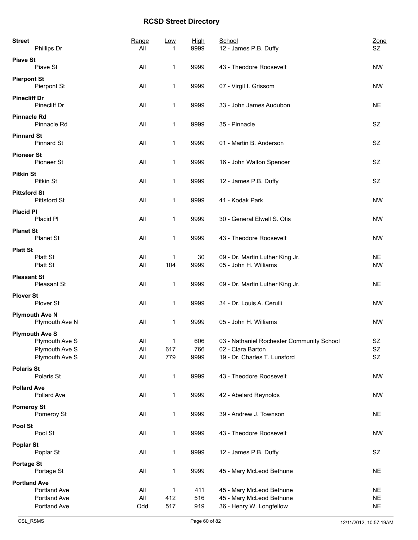| <b>Street</b>       | Phillips Dr                             | Range<br>All | Low<br>1    | <b>High</b><br>9999 | School<br>12 - James P.B. Duffy                                | Zone<br>SZ             |
|---------------------|-----------------------------------------|--------------|-------------|---------------------|----------------------------------------------------------------|------------------------|
| <b>Piave St</b>     |                                         |              |             |                     |                                                                |                        |
|                     | Piave St                                | All          | 1           | 9999                | 43 - Theodore Roosevelt                                        | <b>NW</b>              |
| <b>Pierpont St</b>  | Pierpont St                             | All          | 1           | 9999                | 07 - Virgil I. Grissom                                         | <b>NW</b>              |
| <b>Pinecliff Dr</b> | Pinecliff Dr                            | All          | 1           | 9999                | 33 - John James Audubon                                        | <b>NE</b>              |
| <b>Pinnacle Rd</b>  | Pinnacle Rd                             | All          | 1           | 9999                | 35 - Pinnacle                                                  | SZ                     |
| <b>Pinnard St</b>   | <b>Pinnard St</b>                       | All          | 1           | 9999                | 01 - Martin B. Anderson                                        | SZ                     |
| <b>Pioneer St</b>   | Pioneer St                              | All          | 1           | 9999                | 16 - John Walton Spencer                                       | <b>SZ</b>              |
| <b>Pitkin St</b>    | Pitkin St                               | All          | 1           | 9999                | 12 - James P.B. Duffy                                          | SZ                     |
| <b>Pittsford St</b> | <b>Pittsford St</b>                     | All          | 1           | 9999                | 41 - Kodak Park                                                | <b>NW</b>              |
| <b>Placid Pl</b>    | Placid Pl                               | All          | 1           | 9999                | 30 - General Elwell S. Otis                                    | <b>NW</b>              |
| <b>Planet St</b>    | Planet St                               | All          | 1           | 9999                | 43 - Theodore Roosevelt                                        | <b>NW</b>              |
| <b>Platt St</b>     |                                         |              |             |                     |                                                                |                        |
|                     | Platt St<br>Platt St                    | All<br>All   | 1<br>104    | 30<br>9999          | 09 - Dr. Martin Luther King Jr.<br>05 - John H. Williams       | <b>NE</b><br><b>NW</b> |
| <b>Pleasant St</b>  | Pleasant St                             | All          | 1           | 9999                | 09 - Dr. Martin Luther King Jr.                                | <b>NE</b>              |
| <b>Plover St</b>    | Plover St                               | All          | $\mathbf 1$ | 9999                | 34 - Dr. Louis A. Cerulli                                      | <b>NW</b>              |
|                     | <b>Plymouth Ave N</b><br>Plymouth Ave N | All          | $\mathbf 1$ | 9999                | 05 - John H. Williams                                          | <b>NW</b>              |
|                     | <b>Plymouth Ave S</b>                   |              |             |                     |                                                                |                        |
|                     | Plymouth Ave S<br>Plymouth Ave S        | All<br>All   | 617         | 606<br>766          | 03 - Nathaniel Rochester Community School<br>02 - Clara Barton | SZ<br><b>SZ</b>        |
|                     | Plymouth Ave S                          | All          | 779         | 9999                | 19 - Dr. Charles T. Lunsford                                   | SZ                     |
| <b>Polaris St</b>   |                                         |              |             |                     |                                                                |                        |
|                     | Polaris St                              | All          | 1           | 9999                | 43 - Theodore Roosevelt                                        | <b>NW</b>              |
| <b>Pollard Ave</b>  | Pollard Ave                             | All          | $\mathbf 1$ | 9999                | 42 - Abelard Reynolds                                          | <b>NW</b>              |
| <b>Pomeroy St</b>   | Pomeroy St                              | All          | $\mathbf 1$ | 9999                | 39 - Andrew J. Townson                                         | <b>NE</b>              |
| Pool St             | Pool St                                 | All          | $\mathbf 1$ | 9999                | 43 - Theodore Roosevelt                                        | NW                     |
| <b>Poplar St</b>    | Poplar St                               | All          | $\mathbf 1$ | 9999                | 12 - James P.B. Duffy                                          | SZ                     |
| <b>Portage St</b>   | Portage St                              | All          | 1           | 9999                | 45 - Mary McLeod Bethune                                       | <b>NE</b>              |
| <b>Portland Ave</b> |                                         |              |             |                     |                                                                |                        |
|                     | Portland Ave                            | All          | 1           | 411                 | 45 - Mary McLeod Bethune                                       | <b>NE</b>              |
|                     | Portland Ave                            | All          | 412         | 516                 | 45 - Mary McLeod Bethune                                       | <b>NE</b>              |
|                     | Portland Ave                            | Odd          | 517         | 919                 | 36 - Henry W. Longfellow                                       | <b>NE</b>              |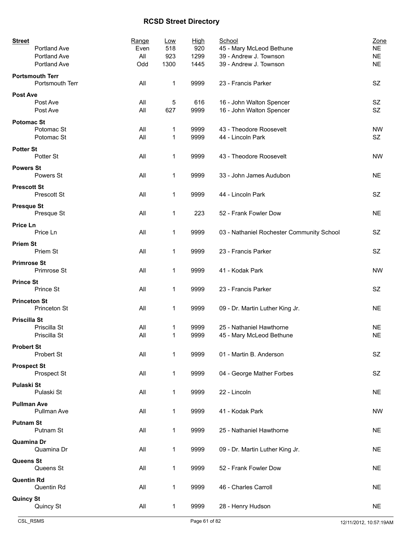| <b>Street</b><br>Portland Ave             | Range<br>Even | Low<br>518  | <b>High</b><br>920 | School<br>45 - Mary McLeod Bethune        | Zone<br><b>NE</b> |
|-------------------------------------------|---------------|-------------|--------------------|-------------------------------------------|-------------------|
| Portland Ave                              | All           | 923         | 1299               | 39 - Andrew J. Townson                    | $NE$              |
| Portland Ave                              | Odd           | 1300        | 1445               | 39 - Andrew J. Townson                    | <b>NE</b>         |
|                                           |               |             |                    |                                           |                   |
| <b>Portsmouth Terr</b><br>Portsmouth Terr | All           | 1           | 9999               | 23 - Francis Parker                       | <b>SZ</b>         |
| Post Ave                                  |               |             |                    |                                           |                   |
| Post Ave                                  | All           | 5           | 616                | 16 - John Walton Spencer                  | SZ                |
| Post Ave                                  | All           | 627         | 9999               | 16 - John Walton Spencer                  | SZ                |
|                                           |               |             |                    |                                           |                   |
| <b>Potomac St</b>                         |               |             |                    |                                           |                   |
| Potomac St                                | All           | 1           | 9999               | 43 - Theodore Roosevelt                   | <b>NW</b>         |
| Potomac St                                | All           | 1           | 9999               | 44 - Lincoln Park                         | SZ                |
| <b>Potter St</b>                          |               |             |                    |                                           |                   |
| Potter St                                 | All           | 1           | 9999               | 43 - Theodore Roosevelt                   | <b>NW</b>         |
|                                           |               |             |                    |                                           |                   |
| <b>Powers St</b>                          |               |             |                    |                                           |                   |
| Powers St                                 | All           | 1           | 9999               | 33 - John James Audubon                   | <b>NE</b>         |
| <b>Prescott St</b>                        |               |             |                    |                                           |                   |
| Prescott St                               | All           | 1           | 9999               | 44 - Lincoln Park                         | <b>SZ</b>         |
|                                           |               |             |                    |                                           |                   |
| <b>Presque St</b>                         |               |             |                    |                                           |                   |
| Presque St                                | All           | 1           | 223                | 52 - Frank Fowler Dow                     | <b>NE</b>         |
| Price Ln                                  |               |             |                    |                                           |                   |
| Price Ln                                  | All           | 1           | 9999               | 03 - Nathaniel Rochester Community School | SZ                |
|                                           |               |             |                    |                                           |                   |
| <b>Priem St</b>                           |               |             |                    |                                           |                   |
| Priem St                                  | All           | 1           | 9999               | 23 - Francis Parker                       | SZ                |
| <b>Primrose St</b>                        |               |             |                    |                                           |                   |
| Primrose St                               | All           | 1           | 9999               | 41 - Kodak Park                           | <b>NW</b>         |
|                                           |               |             |                    |                                           |                   |
| <b>Prince St</b>                          |               |             |                    |                                           |                   |
| Prince St                                 | All           | 1           | 9999               | 23 - Francis Parker                       | SZ                |
| <b>Princeton St</b>                       |               |             |                    |                                           |                   |
| Princeton St                              | All           | 1           | 9999               | 09 - Dr. Martin Luther King Jr.           | <b>NE</b>         |
|                                           |               |             |                    |                                           |                   |
| <b>Priscilla St</b>                       |               |             |                    |                                           |                   |
| Priscilla St                              | All           | 1           | 9999               | 25 - Nathaniel Hawthorne                  | <b>NE</b>         |
| Priscilla St                              | All           | 1           | 9999               | 45 - Mary McLeod Bethune                  | <b>NE</b>         |
|                                           |               |             |                    |                                           |                   |
| <b>Probert St</b>                         |               |             |                    |                                           |                   |
| Probert St                                | All           | 1           | 9999               | 01 - Martin B. Anderson                   | SZ                |
| <b>Prospect St</b>                        |               |             |                    |                                           |                   |
| Prospect St                               | All           | 1           | 9999               | 04 - George Mather Forbes                 | SZ                |
|                                           |               |             |                    |                                           |                   |
| Pulaski St                                |               |             |                    |                                           |                   |
| Pulaski St                                | All           | 1           | 9999               | 22 - Lincoln                              | <b>NE</b>         |
| <b>Pullman Ave</b>                        |               |             |                    |                                           |                   |
| Pullman Ave                               | All           | 1           | 9999               | 41 - Kodak Park                           | <b>NW</b>         |
|                                           |               |             |                    |                                           |                   |
| <b>Putnam St</b>                          |               |             |                    |                                           |                   |
| Putnam St                                 | All           | 1           | 9999               | 25 - Nathaniel Hawthorne                  | <b>NE</b>         |
| Quamina Dr                                |               |             |                    |                                           |                   |
| Quamina Dr                                | All           | 1           | 9999               | 09 - Dr. Martin Luther King Jr.           | <b>NE</b>         |
|                                           |               |             |                    |                                           |                   |
| Queens St                                 |               |             |                    |                                           |                   |
| Queens St                                 | All           | 1           | 9999               | 52 - Frank Fowler Dow                     | <b>NE</b>         |
| <b>Quentin Rd</b>                         |               |             |                    |                                           |                   |
| Quentin Rd                                | All           | 1           | 9999               | 46 - Charles Carroll                      | <b>NE</b>         |
|                                           |               |             |                    |                                           |                   |
| <b>Quincy St</b>                          |               |             |                    |                                           |                   |
| Quincy St                                 | All           | $\mathbf 1$ | 9999               | 28 - Henry Hudson                         | <b>NE</b>         |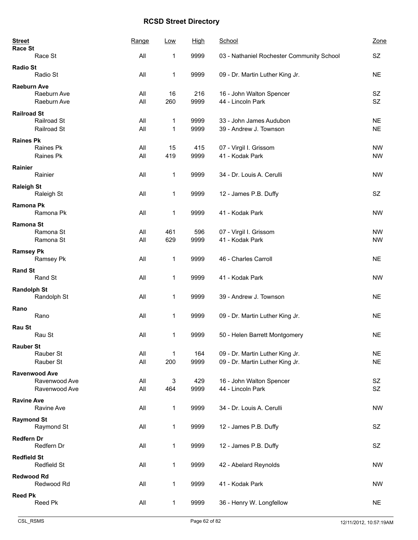| <b>Street</b><br><b>Race St</b> |                      | Range | Low          | <b>High</b> | School                                    | Zone      |
|---------------------------------|----------------------|-------|--------------|-------------|-------------------------------------------|-----------|
|                                 | Race St              | All   | 1            | 9999        | 03 - Nathaniel Rochester Community School | SZ        |
| <b>Radio St</b>                 | Radio St             | All   | 1            | 9999        | 09 - Dr. Martin Luther King Jr.           | <b>NE</b> |
| <b>Raeburn Ave</b>              | Raeburn Ave          | All   | 16           | 216         | 16 - John Walton Spencer                  | SZ        |
|                                 | Raeburn Ave          | All   | 260          | 9999        | 44 - Lincoln Park                         | SZ        |
| <b>Railroad St</b>              | Railroad St          | All   | $\mathbf 1$  | 9999        | 33 - John James Audubon                   | <b>NE</b> |
|                                 | Railroad St          | All   | 1            | 9999        | 39 - Andrew J. Townson                    | <b>NE</b> |
| <b>Raines Pk</b>                |                      |       |              |             |                                           |           |
|                                 | Raines Pk            | All   | 15           | 415         | 07 - Virgil I. Grissom                    | <b>NW</b> |
|                                 | Raines Pk            | All   | 419          | 9999        | 41 - Kodak Park                           | <b>NW</b> |
| Rainier                         | Rainier              | All   | $\mathbf{1}$ | 9999        | 34 - Dr. Louis A. Cerulli                 | <b>NW</b> |
| <b>Raleigh St</b>               | Raleigh St           | All   | 1            | 9999        | 12 - James P.B. Duffy                     | SZ        |
| Ramona Pk                       | Ramona Pk            | All   | $\mathbf 1$  | 9999        | 41 - Kodak Park                           | <b>NW</b> |
| <b>Ramona St</b>                |                      |       |              |             |                                           |           |
|                                 | Ramona St            | All   | 461          | 596         | 07 - Virgil I. Grissom                    | <b>NW</b> |
|                                 | Ramona St            | All   | 629          | 9999        | 41 - Kodak Park                           | <b>NW</b> |
| <b>Ramsey Pk</b>                | Ramsey Pk            | All   | 1            | 9999        | 46 - Charles Carroll                      | <b>NE</b> |
| <b>Rand St</b>                  |                      |       |              |             |                                           |           |
|                                 | Rand St              | All   | $\mathbf 1$  | 9999        | 41 - Kodak Park                           | <b>NW</b> |
| <b>Randolph St</b>              |                      |       |              |             |                                           |           |
|                                 | Randolph St          | All   | 1            | 9999        | 39 - Andrew J. Townson                    | <b>NE</b> |
| Rano                            |                      |       |              |             |                                           |           |
|                                 | Rano                 | All   | 1            | 9999        | 09 - Dr. Martin Luther King Jr.           | <b>NE</b> |
| Rau St                          |                      |       |              |             |                                           |           |
|                                 | Rau St               | All   | 1            | 9999        | 50 - Helen Barrett Montgomery             | <b>NE</b> |
| <b>Rauber St</b>                |                      |       |              |             |                                           |           |
|                                 | Rauber St            | All   | 1            | 164         | 09 - Dr. Martin Luther King Jr.           | <b>NE</b> |
|                                 | Rauber St            | All   | 200          | 9999        | 09 - Dr. Martin Luther King Jr.           | <b>NE</b> |
|                                 | <b>Ravenwood Ave</b> |       |              |             |                                           |           |
|                                 | Ravenwood Ave        | All   | 3            | 429         | 16 - John Walton Spencer                  | SZ        |
|                                 | Ravenwood Ave        | All   | 464          | 9999        | 44 - Lincoln Park                         | <b>SZ</b> |
| <b>Ravine Ave</b>               | Ravine Ave           | All   | $\mathbf 1$  | 9999        | 34 - Dr. Louis A. Cerulli                 | <b>NW</b> |
| <b>Raymond St</b>               |                      |       |              |             |                                           |           |
|                                 | Raymond St           | All   | 1            | 9999        | 12 - James P.B. Duffy                     | SZ.       |
| <b>Redfern Dr</b>               | Redfern Dr           | All   | 1            | 9999        | 12 - James P.B. Duffy                     | SZ        |
| <b>Redfield St</b>              |                      |       |              |             |                                           |           |
|                                 | Redfield St          | All   | 1            | 9999        | 42 - Abelard Reynolds                     | <b>NW</b> |
| <b>Redwood Rd</b>               |                      |       |              |             |                                           |           |
|                                 | Redwood Rd           | All   | 1            | 9999        | 41 - Kodak Park                           | <b>NW</b> |
| <b>Reed Pk</b>                  |                      |       |              |             |                                           |           |
|                                 | Reed Pk              | All   | $\mathbf{1}$ | 9999        | 36 - Henry W. Longfellow                  | <b>NE</b> |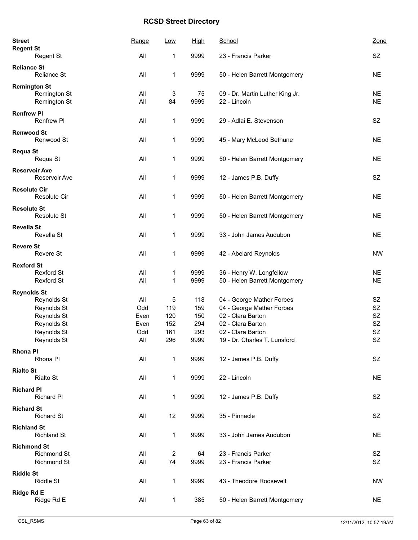| <b>Street</b><br><b>Regent St</b> |                                          | Range      | Low                           | <b>High</b>  | School                                                    | Zone                   |
|-----------------------------------|------------------------------------------|------------|-------------------------------|--------------|-----------------------------------------------------------|------------------------|
|                                   | Regent St                                | All        | 1                             | 9999         | 23 - Francis Parker                                       | SZ                     |
| <b>Reliance St</b>                | Reliance St                              | All        | 1                             | 9999         | 50 - Helen Barrett Montgomery                             | <b>NE</b>              |
| <b>Remington St</b>               | Remington St<br>Remington St             | All<br>All | 3<br>84                       | 75<br>9999   | 09 - Dr. Martin Luther King Jr.<br>22 - Lincoln           | <b>NE</b><br><b>NE</b> |
| <b>Renfrew PI</b>                 | Renfrew PI                               | All        | 1                             | 9999         | 29 - Adlai E. Stevenson                                   | <b>SZ</b>              |
| <b>Renwood St</b>                 | Renwood St                               | All        | 1                             | 9999         | 45 - Mary McLeod Bethune                                  | <b>NE</b>              |
| <b>Requa St</b>                   | Requa St                                 | All        | 1                             | 9999         | 50 - Helen Barrett Montgomery                             | <b>NE</b>              |
| <b>Reservoir Ave</b>              | Reservoir Ave                            | All        | 1                             | 9999         | 12 - James P.B. Duffy                                     | <b>SZ</b>              |
| <b>Resolute Cir</b>               | <b>Resolute Cir</b>                      | All        | 1                             | 9999         | 50 - Helen Barrett Montgomery                             | <b>NE</b>              |
| <b>Resolute St</b>                | Resolute St                              | All        | 1                             | 9999         | 50 - Helen Barrett Montgomery                             | <b>NE</b>              |
| <b>Revella St</b>                 | Revella St                               | All        | 1                             | 9999         | 33 - John James Audubon                                   | <b>NE</b>              |
| <b>Revere St</b>                  | Revere St                                | All        | 1                             | 9999         | 42 - Abelard Reynolds                                     | <b>NW</b>              |
| <b>Rexford St</b>                 |                                          |            |                               |              |                                                           |                        |
|                                   | Rexford St<br><b>Rexford St</b>          | All<br>All | 1<br>1                        | 9999<br>9999 | 36 - Henry W. Longfellow<br>50 - Helen Barrett Montgomery | <b>NE</b><br><b>NE</b> |
| <b>Reynolds St</b>                |                                          |            |                               |              |                                                           |                        |
|                                   | Reynolds St                              | All        | 5                             | 118          | 04 - George Mather Forbes                                 | SZ                     |
|                                   | Reynolds St                              | Odd        | 119                           | 159          | 04 - George Mather Forbes                                 | SZ                     |
|                                   | Reynolds St                              | Even       | 120                           | 150          | 02 - Clara Barton                                         | SZ                     |
|                                   | Reynolds St                              | Even       | 152                           | 294          | 02 - Clara Barton                                         | SZ                     |
|                                   | Reynolds St                              | Odd        | 161                           | 293          | 02 - Clara Barton                                         | <b>SZ</b>              |
|                                   | Reynolds St                              | All        | 296                           | 9999         | 19 - Dr. Charles T. Lunsford                              | SZ                     |
| <b>Rhona PI</b>                   | Rhona PI                                 | All        | $\mathbf{1}$                  | 9999         | 12 - James P.B. Duffy                                     | SZ                     |
| <b>Rialto St</b>                  | <b>Rialto St</b>                         | All        | $\mathbf{1}$                  | 9999         | 22 - Lincoln                                              | <b>NE</b>              |
| <b>Richard PI</b>                 | Richard PI                               | All        | 1                             | 9999         | 12 - James P.B. Duffy                                     | SZ                     |
| <b>Richard St</b>                 | <b>Richard St</b>                        | All        | 12                            | 9999         | 35 - Pinnacle                                             | SZ                     |
| <b>Richland St</b>                | <b>Richland St</b>                       | All        | $\mathbf{1}$                  | 9999         | 33 - John James Audubon                                   | <b>NE</b>              |
| <b>Richmond St</b>                | <b>Richmond St</b><br><b>Richmond St</b> | All<br>All | $\overline{\mathbf{c}}$<br>74 | 64<br>9999   | 23 - Francis Parker<br>23 - Francis Parker                | SZ<br>SZ               |
| <b>Riddle St</b>                  | Riddle St                                | All        | $\mathbf{1}$                  | 9999         | 43 - Theodore Roosevelt                                   | <b>NW</b>              |
| Ridge Rd E                        | Ridge Rd E                               | All        | 1                             | 385          | 50 - Helen Barrett Montgomery                             | <b>NE</b>              |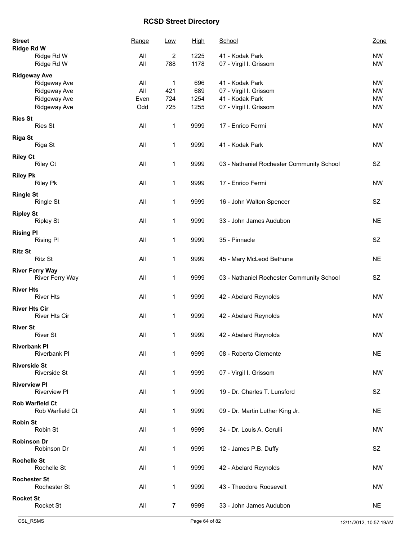| <b>Street</b><br><b>Ridge Rd W</b>   | Range | Low            | <b>High</b> | School                                    | Zone      |
|--------------------------------------|-------|----------------|-------------|-------------------------------------------|-----------|
| Ridge Rd W                           | All   | 2              | 1225        | 41 - Kodak Park                           | <b>NW</b> |
| Ridge Rd W                           | All   | 788            | 1178        | 07 - Virgil I. Grissom                    | <b>NW</b> |
| <b>Ridgeway Ave</b>                  |       |                |             |                                           |           |
| Ridgeway Ave                         | All   | $\mathbf{1}$   | 696         | 41 - Kodak Park                           | <b>NW</b> |
| Ridgeway Ave                         | All   | 421            | 689         | 07 - Virgil I. Grissom                    | <b>NW</b> |
| Ridgeway Ave                         | Even  | 724            | 1254        | 41 - Kodak Park                           | <b>NW</b> |
| Ridgeway Ave                         | Odd   | 725            | 1255        | 07 - Virgil I. Grissom                    | <b>NW</b> |
|                                      |       |                |             |                                           |           |
| <b>Ries St</b><br><b>Ries St</b>     | All   | $\mathbf 1$    | 9999        | 17 - Enrico Fermi                         | <b>NW</b> |
| <b>Riga St</b>                       |       |                |             |                                           |           |
| Riga St                              | All   | $\mathbf 1$    | 9999        | 41 - Kodak Park                           | <b>NW</b> |
|                                      |       |                |             |                                           |           |
| <b>Riley Ct</b>                      |       |                |             |                                           |           |
| Riley Ct                             | All   | 1              | 9999        | 03 - Nathaniel Rochester Community School | SZ        |
| <b>Riley Pk</b>                      |       |                |             |                                           |           |
| <b>Riley Pk</b>                      | All   | $\mathbf 1$    | 9999        | 17 - Enrico Fermi                         | <b>NW</b> |
|                                      |       |                |             |                                           |           |
| <b>Ringle St</b>                     |       |                |             |                                           |           |
| <b>Ringle St</b>                     | All   | 1              | 9999        | 16 - John Walton Spencer                  | SZ        |
|                                      |       |                |             |                                           |           |
| <b>Ripley St</b><br><b>Ripley St</b> | All   | 1              | 9999        | 33 - John James Audubon                   | <b>NE</b> |
|                                      |       |                |             |                                           |           |
| <b>Rising PI</b>                     |       |                |             |                                           |           |
| <b>Rising PI</b>                     | All   | 1              | 9999        | 35 - Pinnacle                             | SZ        |
|                                      |       |                |             |                                           |           |
| <b>Ritz St</b>                       |       |                |             |                                           |           |
| <b>Ritz St</b>                       | All   | $\mathbf 1$    | 9999        | 45 - Mary McLeod Bethune                  | <b>NE</b> |
| <b>River Ferry Way</b>               |       |                |             |                                           |           |
| <b>River Ferry Way</b>               | All   | 1              | 9999        | 03 - Nathaniel Rochester Community School | SZ        |
|                                      |       |                |             |                                           |           |
| <b>River Hts</b>                     |       |                |             |                                           |           |
| <b>River Hts</b>                     | All   | 1              | 9999        | 42 - Abelard Reynolds                     | <b>NW</b> |
| <b>River Hts Cir</b>                 |       |                |             |                                           |           |
| <b>River Hts Cir</b>                 | All   | $\mathbf{1}$   | 9999        | 42 - Abelard Reynolds                     | <b>NW</b> |
|                                      |       |                |             |                                           |           |
| <b>River St</b>                      |       |                |             |                                           |           |
| <b>River St</b>                      | All   | 1              | 9999        | 42 - Abelard Reynolds                     | <b>NW</b> |
| <b>Riverbank PI</b>                  |       |                |             |                                           |           |
| Riverbank Pl                         | All   | 1              | 9999        | 08 - Roberto Clemente                     | <b>NE</b> |
|                                      |       |                |             |                                           |           |
| <b>Riverside St</b>                  |       |                |             |                                           |           |
| <b>Riverside St</b>                  | All   | 1              | 9999        | 07 - Virgil I. Grissom                    | <b>NW</b> |
| <b>Riverview PI</b>                  |       |                |             |                                           |           |
| <b>Riverview PI</b>                  | All   | 1              | 9999        | 19 - Dr. Charles T. Lunsford              | SZ        |
|                                      |       |                |             |                                           |           |
| <b>Rob Warfield Ct</b>               |       |                |             |                                           |           |
| Rob Warfield Ct                      | All   | 1              | 9999        | 09 - Dr. Martin Luther King Jr.           | <b>NE</b> |
| <b>Robin St</b>                      |       |                |             |                                           |           |
| Robin St                             | All   | 1              | 9999        | 34 - Dr. Louis A. Cerulli                 | <b>NW</b> |
|                                      |       |                |             |                                           |           |
| <b>Robinson Dr</b>                   |       |                |             |                                           |           |
| Robinson Dr                          | All   | 1              | 9999        | 12 - James P.B. Duffy                     | SZ        |
|                                      |       |                |             |                                           |           |
| <b>Rochelle St</b>                   |       |                |             |                                           |           |
| Rochelle St                          | All   | $\mathbf{1}$   | 9999        | 42 - Abelard Reynolds                     | <b>NW</b> |
| <b>Rochester St</b>                  |       |                |             |                                           |           |
| Rochester St                         | All   | 1              | 9999        | 43 - Theodore Roosevelt                   | <b>NW</b> |
|                                      |       |                |             |                                           |           |
| <b>Rocket St</b>                     |       |                |             |                                           |           |
| Rocket St                            | All   | $\overline{7}$ | 9999        | 33 - John James Audubon                   | <b>NE</b> |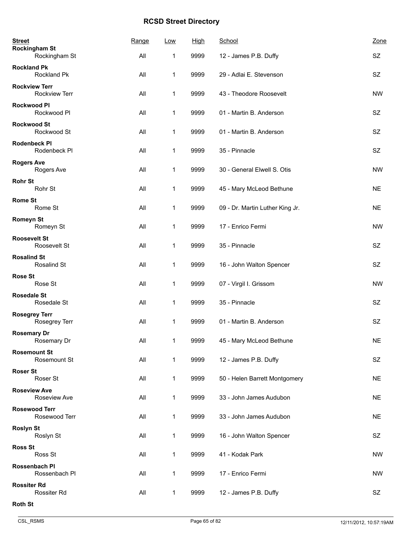| <b>Street</b><br><b>Rockingham St</b> | Range | Low          | <b>High</b> | School                          | Zone          |
|---------------------------------------|-------|--------------|-------------|---------------------------------|---------------|
| Rockingham St                         | All   | 1            | 9999        | 12 - James P.B. Duffy           | SZ            |
| <b>Rockland Pk</b><br>Rockland Pk     | All   | 1            | 9999        | 29 - Adlai E. Stevenson         | SZ.           |
| <b>Rockview Terr</b><br>Rockview Terr | All   | 1            | 9999        | 43 - Theodore Roosevelt         | <b>NW</b>     |
| <b>Rockwood PI</b><br>Rockwood Pl     | All   | 1            | 9999        | 01 - Martin B. Anderson         | SZ            |
| <b>Rockwood St</b><br>Rockwood St     | All   | 1            | 9999        | 01 - Martin B. Anderson         | SZ            |
| Rodenbeck PI<br>Rodenbeck PI          | All   | 1            | 9999        | 35 - Pinnacle                   | SZ            |
| <b>Rogers Ave</b><br>Rogers Ave       | All   | 1            | 9999        | 30 - General Elwell S. Otis     | <b>NW</b>     |
| <b>Rohr St</b><br>Rohr St             | All   | 1            | 9999        | 45 - Mary McLeod Bethune        | <b>NE</b>     |
| <b>Rome St</b><br>Rome St             | All   | 1            | 9999        | 09 - Dr. Martin Luther King Jr. | <b>NE</b>     |
| Romeyn St<br>Romeyn St                | All   | 1            | 9999        | 17 - Enrico Fermi               | <b>NW</b>     |
| <b>Roosevelt St</b><br>Roosevelt St   | All   | 1            | 9999        | 35 - Pinnacle                   | SZ            |
| <b>Rosalind St</b><br>Rosalind St     | All   | 1            | 9999        | 16 - John Walton Spencer        | SZ            |
| <b>Rose St</b><br>Rose St             | All   | 1            | 9999        | 07 - Virgil I. Grissom          | <b>NW</b>     |
| <b>Rosedale St</b><br>Rosedale St     | All   | 1            | 9999        | 35 - Pinnacle                   | SZ            |
| <b>Rosegrey Terr</b><br>Rosegrey Terr | All   | 1            | 9999        | 01 - Martin B. Anderson         | <b>SZ</b>     |
| <b>Rosemary Dr</b><br>Rosemary Dr     | All   | $\mathbf 1$  | 9999        | 45 - Mary McLeod Bethune        | $N\mathsf{E}$ |
| <b>Rosemount St</b><br>Rosemount St   | All   | $\mathbf{1}$ | 9999        | 12 - James P.B. Duffy           | SZ            |
| <b>Roser St</b><br>Roser St           | All   | 1            | 9999        | 50 - Helen Barrett Montgomery   | <b>NE</b>     |
| <b>Roseview Ave</b><br>Roseview Ave   | All   | 1            | 9999        | 33 - John James Audubon         | <b>NE</b>     |
| <b>Rosewood Terr</b><br>Rosewood Terr | All   | 1            | 9999        | 33 - John James Audubon         | <b>NE</b>     |
| <b>Roslyn St</b><br>Roslyn St         | All   | 1            | 9999        | 16 - John Walton Spencer        | SZ            |
| <b>Ross St</b><br>Ross St             | All   | 1            | 9999        | 41 - Kodak Park                 | <b>NW</b>     |
| Rossenbach PI<br>Rossenbach Pl        | All   | 1            | 9999        | 17 - Enrico Fermi               | <b>NW</b>     |
| <b>Rossiter Rd</b><br>Rossiter Rd     | All   | 1            | 9999        | 12 - James P.B. Duffy           | SZ            |
| <b>Roth St</b>                        |       |              |             |                                 |               |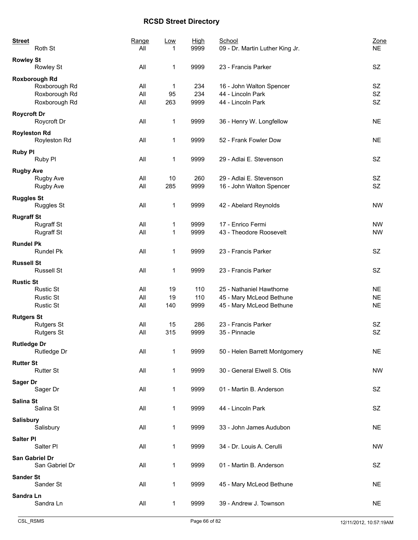| <b>Street</b>       | Roth St                                                                 | Range<br>All      | <u>Low</u>      | <b>High</b><br>9999 | School<br>09 - Dr. Martin Luther King Jr.                                        | Zone<br><b>NE</b>                   |
|---------------------|-------------------------------------------------------------------------|-------------------|-----------------|---------------------|----------------------------------------------------------------------------------|-------------------------------------|
| <b>Rowley St</b>    | Rowley St                                                               | All               | 1               | 9999                | 23 - Francis Parker                                                              | SZ                                  |
|                     | <b>Roxborough Rd</b><br>Roxborough Rd<br>Roxborough Rd<br>Roxborough Rd | All<br>All<br>All | 1<br>95<br>263  | 234<br>234<br>9999  | 16 - John Walton Spencer<br>44 - Lincoln Park<br>44 - Lincoln Park               | SZ<br>SZ<br><b>SZ</b>               |
| <b>Roycroft Dr</b>  | Roycroft Dr                                                             | All               | 1               | 9999                | 36 - Henry W. Longfellow                                                         | <b>NE</b>                           |
| <b>Royleston Rd</b> | Royleston Rd                                                            | All               | 1               | 9999                | 52 - Frank Fowler Dow                                                            | <b>NE</b>                           |
| <b>Ruby PI</b>      | Ruby PI                                                                 | All               | 1               | 9999                | 29 - Adlai E. Stevenson                                                          | SZ                                  |
| <b>Rugby Ave</b>    | Rugby Ave<br>Rugby Ave                                                  | All<br>All        | 10<br>285       | 260<br>9999         | 29 - Adlai E. Stevenson<br>16 - John Walton Spencer                              | SZ<br><b>SZ</b>                     |
| <b>Ruggles St</b>   | <b>Ruggles St</b>                                                       | All               | 1               | 9999                | 42 - Abelard Reynolds                                                            | <b>NW</b>                           |
| <b>Rugraff St</b>   | <b>Rugraff St</b><br><b>Rugraff St</b>                                  | All<br>All        | 1<br>1          | 9999<br>9999        | 17 - Enrico Fermi<br>43 - Theodore Roosevelt                                     | <b>NW</b><br><b>NW</b>              |
| <b>Rundel Pk</b>    | Rundel Pk                                                               | All               | 1               | 9999                | 23 - Francis Parker                                                              | <b>SZ</b>                           |
| <b>Russell St</b>   | <b>Russell St</b>                                                       | All               | 1               | 9999                | 23 - Francis Parker                                                              | SZ                                  |
| <b>Rustic St</b>    | <b>Rustic St</b><br><b>Rustic St</b><br><b>Rustic St</b>                | All<br>All<br>All | 19<br>19<br>140 | 110<br>110<br>9999  | 25 - Nathaniel Hawthorne<br>45 - Mary McLeod Bethune<br>45 - Mary McLeod Bethune | <b>NE</b><br><b>NE</b><br><b>NE</b> |
| <b>Rutgers St</b>   | <b>Rutgers St</b><br><b>Rutgers St</b>                                  | All<br>All        | 15<br>315       | 286<br>9999         | 23 - Francis Parker<br>35 - Pinnacle                                             | <b>SZ</b><br><b>SZ</b>              |
| <b>Rutledge Dr</b>  | Rutledge Dr                                                             | All               | 1               | 9999                | 50 - Helen Barrett Montgomery                                                    | <b>NE</b>                           |
| <b>Rutter St</b>    | <b>Rutter St</b>                                                        | All               | 1               | 9999                | 30 - General Elwell S. Otis                                                      | <b>NW</b>                           |
| <b>Sager Dr</b>     | Sager Dr                                                                | All               | $\mathbf 1$     | 9999                | 01 - Martin B. Anderson                                                          | SZ                                  |
| Salina St           | Salina St                                                               | All               | 1               | 9999                | 44 - Lincoln Park                                                                | SZ                                  |
| Salisbury           | Salisbury                                                               | All               | $\mathbf 1$     | 9999                | 33 - John James Audubon                                                          | <b>NE</b>                           |
| <b>Salter PI</b>    | Salter Pl                                                               | All               | 1               | 9999                | 34 - Dr. Louis A. Cerulli                                                        | <b>NW</b>                           |
|                     | San Gabriel Dr<br>San Gabriel Dr                                        | All               | $\mathbf 1$     | 9999                | 01 - Martin B. Anderson                                                          | SZ                                  |
| <b>Sander St</b>    | Sander St                                                               | All               | $\mathbf 1$     | 9999                | 45 - Mary McLeod Bethune                                                         | <b>NE</b>                           |
| Sandra Ln           | Sandra Ln                                                               | All               | 1               | 9999                | 39 - Andrew J. Townson                                                           | <b>NE</b>                           |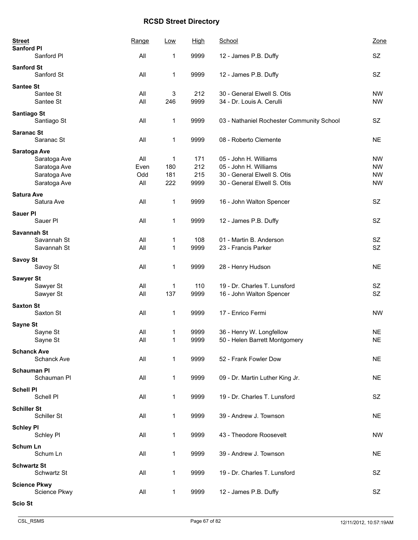| <b>Street</b><br><b>Sanford PI</b> | Range | Low         | <u>High</u> | School                                    | Zone      |
|------------------------------------|-------|-------------|-------------|-------------------------------------------|-----------|
| Sanford Pl                         | All   | 1           | 9999        | 12 - James P.B. Duffy                     | SZ        |
| <b>Sanford St</b><br>Sanford St    | All   | 1           | 9999        | 12 - James P.B. Duffy                     | SZ        |
| <b>Santee St</b>                   |       |             |             |                                           |           |
| Santee St                          | All   | 3           | 212         | 30 - General Elwell S. Otis               | <b>NW</b> |
| Santee St                          | All   | 246         | 9999        | 34 - Dr. Louis A. Cerulli                 | <b>NW</b> |
| Santiago St<br>Santiago St         | All   | 1           | 9999        | 03 - Nathaniel Rochester Community School | SZ        |
| <b>Saranac St</b><br>Saranac St    | All   | 1           | 9999        | 08 - Roberto Clemente                     | <b>NE</b> |
| Saratoga Ave                       |       |             |             |                                           |           |
| Saratoga Ave                       | All   | 1           | 171         | 05 - John H. Williams                     | <b>NW</b> |
| Saratoga Ave                       | Even  | 180         | 212         | 05 - John H. Williams                     | <b>NW</b> |
| Saratoga Ave                       | Odd   | 181         | 215         | 30 - General Elwell S. Otis               | <b>NW</b> |
| Saratoga Ave                       | All   | 222         | 9999        | 30 - General Elwell S. Otis               | <b>NW</b> |
| <b>Satura Ave</b><br>Satura Ave    | All   | 1           | 9999        | 16 - John Walton Spencer                  | SZ        |
| <b>Sauer PI</b>                    |       |             |             |                                           |           |
| Sauer Pl                           | All   | 1           | 9999        | 12 - James P.B. Duffy                     | SZ        |
| Savannah St                        |       |             |             |                                           |           |
| Savannah St                        | All   | 1           | 108         | 01 - Martin B. Anderson                   | SZ        |
| Savannah St                        | All   | 1           | 9999        | 23 - Francis Parker                       | SZ        |
| <b>Savoy St</b>                    |       |             |             |                                           |           |
| Savoy St                           | All   | 1           | 9999        | 28 - Henry Hudson                         | <b>NE</b> |
| <b>Sawyer St</b>                   |       |             |             |                                           |           |
| Sawyer St                          | All   | 1           | 110         | 19 - Dr. Charles T. Lunsford              | SZ        |
| Sawyer St                          | All   | 137         | 9999        | 16 - John Walton Spencer                  | SZ        |
| <b>Saxton St</b>                   |       |             |             |                                           |           |
| Saxton St                          | All   | 1           | 9999        | 17 - Enrico Fermi                         | <b>NW</b> |
| Sayne St                           |       |             |             |                                           |           |
| Sayne St                           | All   | 1           | 9999        | 36 - Henry W. Longfellow                  | <b>NE</b> |
| Sayne St                           | All   | 1           | 9999        | 50 - Helen Barrett Montgomery             | <b>NE</b> |
| <b>Schanck Ave</b>                 |       |             |             |                                           |           |
| Schanck Ave                        | All   | 1           | 9999        | 52 - Frank Fowler Dow                     | <b>NE</b> |
| <b>Schauman PI</b>                 |       |             |             |                                           |           |
| Schauman Pl                        | All   | 1           | 9999        | 09 - Dr. Martin Luther King Jr.           | <b>NE</b> |
|                                    |       |             |             |                                           |           |
| <b>Schell PI</b><br>Schell PI      | All   | 1           | 9999        | 19 - Dr. Charles T. Lunsford              | SZ        |
|                                    |       |             |             |                                           |           |
| <b>Schiller St</b><br>Schiller St  | All   | 1           | 9999        | 39 - Andrew J. Townson                    | <b>NE</b> |
|                                    |       |             |             |                                           |           |
| <b>Schley PI</b>                   |       |             |             |                                           |           |
| Schley Pl                          | All   | 1           | 9999        | 43 - Theodore Roosevelt                   | <b>NW</b> |
| <b>Schum Ln</b>                    |       |             |             |                                           |           |
| Schum Ln                           | All   | 1           | 9999        | 39 - Andrew J. Townson                    | NE.       |
| <b>Schwartz St</b>                 |       |             |             |                                           |           |
| Schwartz St                        | All   | $\mathbf 1$ | 9999        | 19 - Dr. Charles T. Lunsford              | SZ        |
| <b>Science Pkwy</b>                |       |             |             |                                           |           |
| Science Pkwy                       | All   | 1           | 9999        | 12 - James P.B. Duffy                     | <b>SZ</b> |
| <b>Scio St</b>                     |       |             |             |                                           |           |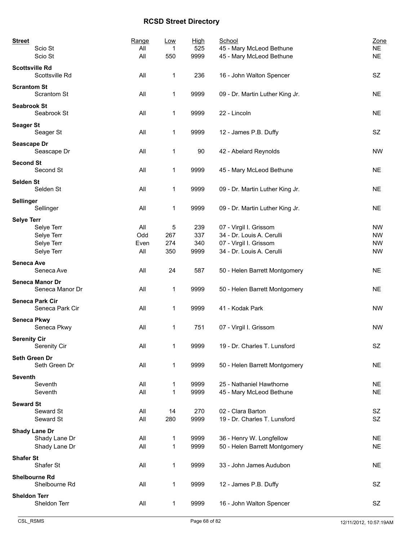| <b>Street</b><br>Scio St                | Range<br>All | Low<br>1     | <u>High</u><br>525 | School<br>45 - Mary McLeod Bethune | Zone<br><b>NE</b> |
|-----------------------------------------|--------------|--------------|--------------------|------------------------------------|-------------------|
| Scio St                                 | All          | 550          | 9999               | 45 - Mary McLeod Bethune           | <b>NE</b>         |
| <b>Scottsville Rd</b><br>Scottsville Rd | All          | 1            | 236                | 16 - John Walton Spencer           | SZ                |
| <b>Scrantom St</b><br>Scrantom St       | All          | $\mathbf 1$  | 9999               | 09 - Dr. Martin Luther King Jr.    | <b>NE</b>         |
| <b>Seabrook St</b><br>Seabrook St       | All          | 1            | 9999               | 22 - Lincoln                       | <b>NE</b>         |
| <b>Seager St</b><br>Seager St           | All          | 1            | 9999               | 12 - James P.B. Duffy              | SZ                |
| Seascape Dr<br>Seascape Dr              | All          | 1            | 90                 | 42 - Abelard Reynolds              | <b>NW</b>         |
| <b>Second St</b><br>Second St           | All          | 1            | 9999               | 45 - Mary McLeod Bethune           | <b>NE</b>         |
| <b>Selden St</b><br>Selden St           | All          | 1            | 9999               | 09 - Dr. Martin Luther King Jr.    | <b>NE</b>         |
| Sellinger<br>Sellinger                  | All          | 1            | 9999               | 09 - Dr. Martin Luther King Jr.    | <b>NE</b>         |
| <b>Selye Terr</b>                       |              |              |                    |                                    |                   |
| Selye Terr                              | All          | 5            | 239                | 07 - Virgil I. Grissom             | <b>NW</b>         |
| Selye Terr                              | Odd          | 267          | 337                | 34 - Dr. Louis A. Cerulli          | <b>NW</b>         |
| Selye Terr                              | Even         | 274          | 340                | 07 - Virgil I. Grissom             | <b>NW</b>         |
| Selye Terr                              | All          | 350          | 9999               | 34 - Dr. Louis A. Cerulli          | <b>NW</b>         |
| <b>Seneca Ave</b><br>Seneca Ave         | All          | 24           | 587                | 50 - Helen Barrett Montgomery      | <b>NE</b>         |
| Seneca Manor Dr<br>Seneca Manor Dr      | All          | $\mathbf 1$  | 9999               | 50 - Helen Barrett Montgomery      | <b>NE</b>         |
| Seneca Park Cir<br>Seneca Park Cir      | All          | 1            | 9999               | 41 - Kodak Park                    | <b>NW</b>         |
| <b>Seneca Pkwy</b><br>Seneca Pkwy       | All          | 1            | 751                | 07 - Virgil I. Grissom             | <b>NW</b>         |
| <b>Serenity Cir</b><br>Serenity Cir     | All          | 1            | 9999               | 19 - Dr. Charles T. Lunsford       | SZ                |
| Seth Green Dr<br>Seth Green Dr          | All          | 1            | 9999               | 50 - Helen Barrett Montgomery      | <b>NE</b>         |
| <b>Seventh</b>                          |              |              |                    |                                    |                   |
| Seventh                                 | All          | 1            | 9999               | 25 - Nathaniel Hawthorne           | <b>NE</b>         |
| Seventh                                 | All          | 1            | 9999               | 45 - Mary McLeod Bethune           | <b>NE</b>         |
| <b>Seward St</b>                        |              |              |                    |                                    |                   |
| Seward St                               | All          | 14           | 270                | 02 - Clara Barton                  | SZ                |
| Seward St                               | All          | 280          | 9999               | 19 - Dr. Charles T. Lunsford       | SZ                |
| <b>Shady Lane Dr</b>                    |              |              |                    |                                    |                   |
| Shady Lane Dr                           | All          | 1            | 9999               | 36 - Henry W. Longfellow           | <b>NE</b>         |
| Shady Lane Dr                           | All          | $\mathbf 1$  | 9999               | 50 - Helen Barrett Montgomery      | <b>NE</b>         |
| <b>Shafer St</b>                        |              |              |                    |                                    |                   |
| Shafer St                               | All          | 1            | 9999               | 33 - John James Audubon            | <b>NE</b>         |
| <b>Shelbourne Rd</b>                    |              |              |                    |                                    |                   |
| Shelbourne Rd                           | All          | $\mathbf 1$  | 9999               | 12 - James P.B. Duffy              | SZ                |
| <b>Sheldon Terr</b><br>Sheldon Terr     | All          | $\mathbf{1}$ | 9999               | 16 - John Walton Spencer           | SZ                |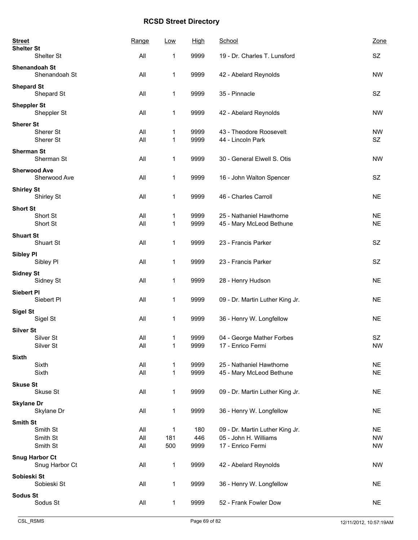| <b>Street</b><br><b>Shelter St</b> |                        | Range      | Low               | <b>High</b>  | School                                               | Zone                   |
|------------------------------------|------------------------|------------|-------------------|--------------|------------------------------------------------------|------------------------|
|                                    | Shelter St             | All        | 1                 | 9999         | 19 - Dr. Charles T. Lunsford                         | SZ                     |
| <b>Shenandoah St</b>               | Shenandoah St          | All        | 1                 | 9999         | 42 - Abelard Reynolds                                | <b>NW</b>              |
| <b>Shepard St</b>                  | Shepard St             | All        | $\mathbf 1$       | 9999         | 35 - Pinnacle                                        | SZ                     |
| <b>Sheppler St</b>                 | Sheppler St            | All        | 1                 | 9999         | 42 - Abelard Reynolds                                | <b>NW</b>              |
| <b>Sherer St</b>                   | Sherer St<br>Sherer St | All<br>All | 1<br>1            | 9999<br>9999 | 43 - Theodore Roosevelt<br>44 - Lincoln Park         | <b>NW</b><br>SZ        |
| <b>Sherman St</b>                  | Sherman St             | All        | $\mathbf 1$       | 9999         | 30 - General Elwell S. Otis                          | <b>NW</b>              |
| <b>Sherwood Ave</b>                | Sherwood Ave           | All        | 1                 | 9999         | 16 - John Walton Spencer                             | SZ                     |
| <b>Shirley St</b>                  | Shirley St             | All        | 1                 | 9999         | 46 - Charles Carroll                                 | <b>NE</b>              |
| <b>Short St</b>                    |                        |            |                   |              |                                                      |                        |
|                                    | Short St<br>Short St   | All<br>All | 1<br>1            | 9999<br>9999 | 25 - Nathaniel Hawthorne<br>45 - Mary McLeod Bethune | <b>NE</b><br><b>NE</b> |
| <b>Shuart St</b>                   | Shuart St              | All        | 1                 | 9999         | 23 - Francis Parker                                  | SZ                     |
| <b>Sibley PI</b>                   | Sibley Pl              | All        | 1                 | 9999         | 23 - Francis Parker                                  | SZ                     |
| <b>Sidney St</b>                   | Sidney St              | All        | 1                 | 9999         | 28 - Henry Hudson                                    | <b>NE</b>              |
| <b>Siebert PI</b>                  | Siebert PI             | All        | 1                 | 9999         | 09 - Dr. Martin Luther King Jr.                      | <b>NE</b>              |
| <b>Sigel St</b>                    | Sigel St               | All        | 1                 | 9999         | 36 - Henry W. Longfellow                             | <b>NE</b>              |
| <b>Silver St</b>                   | Silver St              | All        | 1                 | 9999         | 04 - George Mather Forbes                            | SZ                     |
|                                    | Silver St              | All        | 1                 | 9999         | 17 - Enrico Fermi                                    | <b>NW</b>              |
| <b>Sixth</b><br>Sixth<br>Sixth     |                        | All<br>All | 1<br>$\mathbf{1}$ | 9999<br>9999 | 25 - Nathaniel Hawthorne<br>45 - Mary McLeod Bethune | <b>NE</b><br><b>NE</b> |
| <b>Skuse St</b>                    |                        |            |                   |              |                                                      |                        |
|                                    | Skuse St               | All        | $\mathbf{1}$      | 9999         | 09 - Dr. Martin Luther King Jr.                      | <b>NE</b>              |
| <b>Skylane Dr</b>                  | Skylane Dr             | All        | 1                 | 9999         | 36 - Henry W. Longfellow                             | <b>NE</b>              |
| <b>Smith St</b>                    | Smith St               | All        | $\mathbf 1$       | 180          | 09 - Dr. Martin Luther King Jr.                      | <b>NE</b>              |
|                                    | Smith St               | All        | 181               | 446          | 05 - John H. Williams                                | <b>NW</b>              |
|                                    | Smith St               | All        | 500               | 9999         | 17 - Enrico Fermi                                    | <b>NW</b>              |
| <b>Snug Harbor Ct</b>              | Snug Harbor Ct         | All        | $\mathbf 1$       | 9999         | 42 - Abelard Reynolds                                | <b>NW</b>              |
| Sobieski St                        |                        |            |                   |              |                                                      |                        |
|                                    | Sobieski St            | All        | 1                 | 9999         | 36 - Henry W. Longfellow                             | <b>NE</b>              |
| <b>Sodus St</b>                    | Sodus St               | All        | $\mathbf{1}$      | 9999         | 52 - Frank Fowler Dow                                | <b>NE</b>              |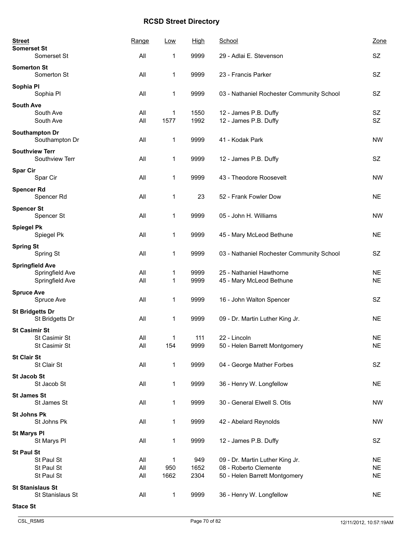| <b>Street</b><br><b>Somerset St</b>                          | Range      | Low                 | <b>High</b>  | School                                                   | Zone                   |
|--------------------------------------------------------------|------------|---------------------|--------------|----------------------------------------------------------|------------------------|
| Somerset St                                                  | All        | 1                   | 9999         | 29 - Adlai E. Stevenson                                  | <b>SZ</b>              |
| <b>Somerton St</b><br>Somerton St                            | All        | 1                   | 9999         | 23 - Francis Parker                                      | SZ                     |
| Sophia Pl<br>Sophia Pl                                       | All        | 1                   | 9999         | 03 - Nathaniel Rochester Community School                | <b>SZ</b>              |
| <b>South Ave</b><br>South Ave<br>South Ave                   | All<br>All | 1<br>1577           | 1550<br>1992 | 12 - James P.B. Duffy<br>12 - James P.B. Duffy           | SZ<br><b>SZ</b>        |
| Southampton Dr<br>Southampton Dr                             | All        | 1                   | 9999         | 41 - Kodak Park                                          | <b>NW</b>              |
| <b>Southview Terr</b><br>Southview Terr                      | All        | 1                   | 9999         | 12 - James P.B. Duffy                                    | <b>SZ</b>              |
| <b>Spar Cir</b><br>Spar Cir                                  | All        | 1                   | 9999         | 43 - Theodore Roosevelt                                  | <b>NW</b>              |
| <b>Spencer Rd</b><br>Spencer Rd                              | All        | 1                   | 23           | 52 - Frank Fowler Dow                                    | <b>NE</b>              |
| <b>Spencer St</b><br>Spencer St                              | All        | 1                   | 9999         | 05 - John H. Williams                                    | <b>NW</b>              |
| <b>Spiegel Pk</b><br>Spiegel Pk                              | All        | 1                   | 9999         | 45 - Mary McLeod Bethune                                 | <b>NE</b>              |
| <b>Spring St</b><br>Spring St                                | All        | 1                   | 9999         | 03 - Nathaniel Rochester Community School                | SZ                     |
| <b>Springfield Ave</b><br>Springfield Ave<br>Springfield Ave | All<br>All | 1<br>1              | 9999<br>9999 | 25 - Nathaniel Hawthorne<br>45 - Mary McLeod Bethune     | <b>NE</b><br><b>NE</b> |
| <b>Spruce Ave</b><br>Spruce Ave                              | All        | 1                   | 9999         | 16 - John Walton Spencer                                 | SZ                     |
| <b>St Bridgetts Dr</b><br>St Bridgetts Dr                    | All        | 1                   | 9999         | 09 - Dr. Martin Luther King Jr.                          | <b>NE</b>              |
| <b>St Casimir St</b><br>St Casimir St<br>St Casimir St       | All<br>All | 1<br>154            | 111<br>9999  | 22 - Lincoln<br>50 - Helen Barrett Montgomery            | <b>NE</b><br><b>NE</b> |
| <b>St Clair St</b><br>St Clair St                            | All        | 1                   | 9999         | 04 - George Mather Forbes                                | SZ                     |
| <b>St Jacob St</b><br>St Jacob St                            | All        | 1                   | 9999         | 36 - Henry W. Longfellow                                 | <b>NE</b>              |
| <b>St James St</b><br>St James St                            | All        | $\mathbf{1}$        | 9999         | 30 - General Elwell S. Otis                              | <b>NW</b>              |
| <b>St Johns Pk</b><br>St Johns Pk                            | All        | 1                   | 9999         | 42 - Abelard Reynolds                                    | <b>NW</b>              |
| <b>St Marys PI</b><br>St Marys Pl                            | All        | $\mathbf{1}$        | 9999         | 12 - James P.B. Duffy                                    | SZ                     |
| <b>St Paul St</b><br>St Paul St<br>St Paul St                | All<br>All | $\mathbf{1}$<br>950 | 949<br>1652  | 09 - Dr. Martin Luther King Jr.<br>08 - Roberto Clemente | <b>NE</b><br><b>NE</b> |
| St Paul St                                                   | All        | 1662                | 2304         | 50 - Helen Barrett Montgomery                            | <b>NE</b>              |
| <b>St Stanislaus St</b><br>St Stanislaus St                  | All        | 1                   | 9999         | 36 - Henry W. Longfellow                                 | <b>NE</b>              |
| <b>Stace St</b>                                              |            |                     |              |                                                          |                        |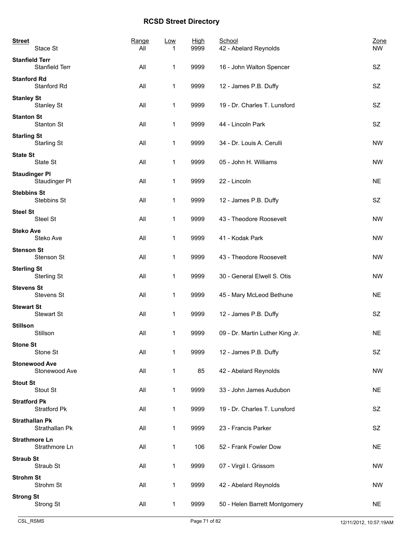| <b>Street</b><br>Stace St                | Range<br>All | <b>Low</b>   | <b>High</b><br>9999 | School<br>42 - Abelard Reynolds | Zone<br><b>NW</b> |
|------------------------------------------|--------------|--------------|---------------------|---------------------------------|-------------------|
| <b>Stanfield Terr</b><br>Stanfield Terr  | All          | $\mathbf{1}$ | 9999                | 16 - John Walton Spencer        | SZ                |
| <b>Stanford Rd</b><br>Stanford Rd        | All          | 1            | 9999                | 12 - James P.B. Duffy           | SZ                |
| <b>Stanley St</b><br>Stanley St          | All          | 1            | 9999                | 19 - Dr. Charles T. Lunsford    | SZ                |
| <b>Stanton St</b><br>Stanton St          | All          | 1            | 9999                | 44 - Lincoln Park               | SZ                |
| <b>Starling St</b><br><b>Starling St</b> | All          | 1            | 9999                | 34 - Dr. Louis A. Cerulli       | <b>NW</b>         |
| <b>State St</b><br>State St              | All          | 1            | 9999                | 05 - John H. Williams           | <b>NW</b>         |
| <b>Staudinger PI</b><br>Staudinger Pl    | All          | 1            | 9999                | 22 - Lincoln                    | <b>NE</b>         |
| <b>Stebbins St</b><br>Stebbins St        | All          | 1            | 9999                | 12 - James P.B. Duffy           | SZ                |
| <b>Steel St</b><br>Steel St              | All          | 1            | 9999                | 43 - Theodore Roosevelt         | <b>NW</b>         |
| <b>Steko Ave</b><br>Steko Ave            | All          | 1            | 9999                | 41 - Kodak Park                 | <b>NW</b>         |
| <b>Stenson St</b><br>Stenson St          | All          | 1            | 9999                | 43 - Theodore Roosevelt         | <b>NW</b>         |
| <b>Sterling St</b><br>Sterling St        | All          | 1            | 9999                | 30 - General Elwell S. Otis     | <b>NW</b>         |
| <b>Stevens St</b><br>Stevens St          | All          | 1            | 9999                | 45 - Mary McLeod Bethune        | <b>NE</b>         |
| <b>Stewart St</b><br>Stewart St          | All          | 1            | 9999                | 12 - James P.B. Duffy           | SZ                |
| <b>Stillson</b><br>Stillson              | All          | 1            | 9999                | 09 - Dr. Martin Luther King Jr. | <b>NE</b>         |
| <b>Stone St</b><br>Stone St              | All          | 1            | 9999                | 12 - James P.B. Duffy           | SZ                |
| <b>Stonewood Ave</b><br>Stonewood Ave    | All          | $\mathbf{1}$ | 85                  | 42 - Abelard Reynolds           | <b>NW</b>         |
| <b>Stout St</b><br>Stout St              | All          | 1            | 9999                | 33 - John James Audubon         | <b>NE</b>         |
| <b>Stratford Pk</b><br>Stratford Pk      | All          | 1            | 9999                | 19 - Dr. Charles T. Lunsford    | SZ                |
| <b>Strathallan Pk</b><br>Strathallan Pk  | All          | 1            | 9999                | 23 - Francis Parker             | SZ                |
| <b>Strathmore Ln</b><br>Strathmore Ln    | All          | 1            | 106                 | 52 - Frank Fowler Dow           | <b>NE</b>         |
| <b>Straub St</b><br>Straub St            | All          | 1            | 9999                | 07 - Virgil I. Grissom          | <b>NW</b>         |
| <b>Strohm St</b><br>Strohm St            | All          | 1            | 9999                | 42 - Abelard Reynolds           | <b>NW</b>         |
| <b>Strong St</b><br>Strong St            | All          | $\mathbf{1}$ | 9999                | 50 - Helen Barrett Montgomery   | <b>NE</b>         |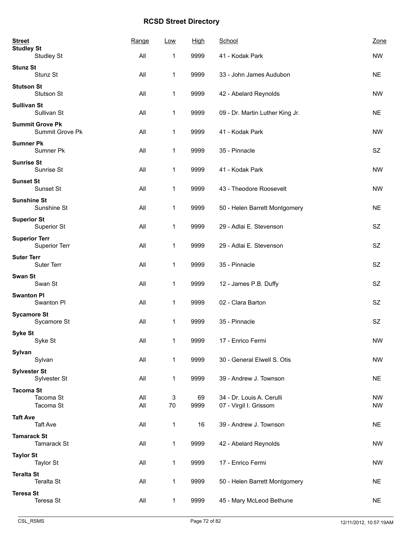| <b>Street</b><br><b>Studley St</b> |                                           | Range      | Low          | <b>High</b> | School                                              | Zone                   |
|------------------------------------|-------------------------------------------|------------|--------------|-------------|-----------------------------------------------------|------------------------|
|                                    | <b>Studley St</b>                         | All        | 1            | 9999        | 41 - Kodak Park                                     | <b>NW</b>              |
| <b>Stunz St</b>                    | Stunz St                                  | All        | 1            | 9999        | 33 - John James Audubon                             | <b>NE</b>              |
| <b>Stutson St</b>                  | Stutson St                                | All        | 1            | 9999        | 42 - Abelard Reynolds                               | <b>NW</b>              |
| <b>Sullivan St</b>                 | Sullivan St                               | All        | 1            | 9999        | 09 - Dr. Martin Luther King Jr.                     | <b>NE</b>              |
|                                    | <b>Summit Grove Pk</b><br>Summit Grove Pk | All        | 1            | 9999        | 41 - Kodak Park                                     | <b>NW</b>              |
| <b>Sumner Pk</b>                   | Sumner Pk                                 | All        | 1            | 9999        | 35 - Pinnacle                                       | SZ                     |
| <b>Sunrise St</b>                  | Sunrise St                                | All        | 1            | 9999        | 41 - Kodak Park                                     | <b>NW</b>              |
| <b>Sunset St</b>                   | Sunset St                                 | All        | 1            | 9999        | 43 - Theodore Roosevelt                             | <b>NW</b>              |
| <b>Sunshine St</b>                 | Sunshine St                               | All        | 1            | 9999        | 50 - Helen Barrett Montgomery                       | <b>NE</b>              |
| <b>Superior St</b>                 | Superior St                               | All        | 1            | 9999        | 29 - Adlai E. Stevenson                             | <b>SZ</b>              |
| <b>Superior Terr</b>               | <b>Superior Terr</b>                      | All        | 1            | 9999        | 29 - Adlai E. Stevenson                             | SZ                     |
| <b>Suter Terr</b>                  | Suter Terr                                | All        | 1            | 9999        | 35 - Pinnacle                                       | SZ                     |
| Swan St                            | Swan St                                   | All        | 1            | 9999        | 12 - James P.B. Duffy                               | SZ.                    |
| <b>Swanton PI</b>                  | Swanton PI                                | All        | 1            | 9999        | 02 - Clara Barton                                   | SZ                     |
| <b>Sycamore St</b>                 | Sycamore St                               | All        | 1            | 9999        | 35 - Pinnacle                                       | SZ                     |
| <b>Syke St</b>                     | Syke St                                   | All        | 1            | 9999        | 17 - Enrico Fermi                                   | ${\sf NW}$             |
| Sylvan                             | Sylvan                                    | All        | 1            | 9999        | 30 - General Elwell S. Otis                         | <b>NW</b>              |
| <b>Sylvester St</b>                | Sylvester St                              | All        | 1            | 9999        | 39 - Andrew J. Townson                              | <b>NE</b>              |
| <b>Tacoma St</b>                   | Tacoma St<br>Tacoma St                    | All<br>All | 3<br>70      | 69<br>9999  | 34 - Dr. Louis A. Cerulli<br>07 - Virgil I. Grissom | <b>NW</b><br><b>NW</b> |
| <b>Taft Ave</b>                    | <b>Taft Ave</b>                           | All        | 1            | 16          | 39 - Andrew J. Townson                              | <b>NE</b>              |
| <b>Tamarack St</b>                 | Tamarack St                               | All        | 1            | 9999        | 42 - Abelard Reynolds                               | NW                     |
| <b>Taylor St</b>                   | <b>Taylor St</b>                          | All        | $\mathbf{1}$ | 9999        | 17 - Enrico Fermi                                   | <b>NW</b>              |
| <b>Teralta St</b>                  | <b>Teralta St</b>                         | All        | 1            | 9999        | 50 - Helen Barrett Montgomery                       | <b>NE</b>              |
| <b>Teresa St</b>                   | Teresa St                                 | All        | $\mathbf 1$  | 9999        | 45 - Mary McLeod Bethune                            | <b>NE</b>              |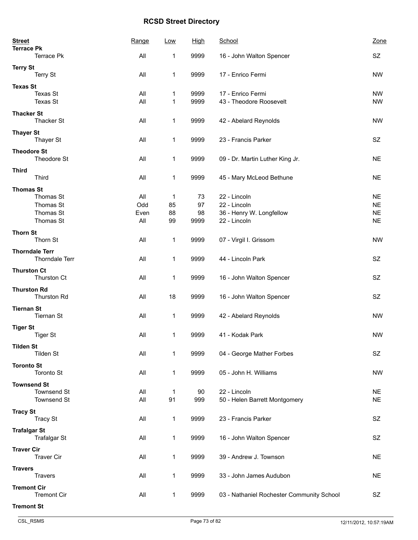| <b>Terrace Pk</b><br>All<br>9999<br>SZ<br>1<br>16 - John Walton Spencer<br><b>Terry St</b><br>Terry St<br>All<br>9999<br><b>NW</b><br>1<br>17 - Enrico Fermi<br><b>Texas St</b><br>Texas St<br>All<br>9999<br>17 - Enrico Fermi<br><b>NW</b><br>1<br>Texas St<br>All<br>9999<br>43 - Theodore Roosevelt<br><b>NW</b><br>1<br><b>Thacker St</b><br><b>Thacker St</b><br>All<br>1<br>9999<br>42 - Abelard Reynolds<br><b>NW</b><br><b>Thayer St</b><br>SZ<br>Thayer St<br>All<br>1<br>9999<br>23 - Francis Parker<br><b>Theodore St</b><br>Theodore St<br>All<br>1<br>9999<br><b>NE</b><br>09 - Dr. Martin Luther King Jr.<br><b>Third</b><br>Third<br>All<br>1<br>45 - Mary McLeod Bethune<br><b>NE</b><br>9999<br><b>Thomas St</b><br>Thomas St<br>All<br>73<br>22 - Lincoln<br><b>NE</b><br>1<br>Thomas St<br>Odd<br>97<br>85<br>22 - Lincoln<br><b>NE</b><br>Thomas St<br>Even<br>88<br>98<br>36 - Henry W. Longfellow<br><b>NE</b><br>Thomas St<br>All<br><b>NE</b><br>99<br>9999<br>22 - Lincoln<br><b>Thorn St</b><br>Thorn St<br>All<br>1<br>9999<br>07 - Virgil I. Grissom<br><b>NW</b><br><b>Thorndale Terr</b><br>Thorndale Terr<br>All<br>1<br>9999<br>44 - Lincoln Park<br>SZ<br><b>Thurston Ct</b><br>Thurston Ct<br>All<br>9999<br>SZ.<br>1<br>16 - John Walton Spencer<br><b>Thurston Rd</b><br>18<br><b>Thurston Rd</b><br>All<br>9999<br>16 - John Walton Spencer<br>SZ<br><b>Tiernan St</b><br><b>Tiernan St</b><br>All<br>1<br><b>NW</b><br>9999<br>42 - Abelard Reynolds<br><b>Tiger St</b><br><b>Tiger St</b><br>9999<br>All<br>1<br>41 - Kodak Park<br><b>NW</b><br><b>Tilden St</b><br><b>Tilden St</b><br>All<br>1<br>04 - George Mather Forbes<br>SZ.<br>9999<br><b>Toronto St</b><br>All<br>Toronto St<br>1<br>9999<br>05 - John H. Williams<br><b>NW</b><br><b>Townsend St</b><br><b>Townsend St</b><br>All<br>22 - Lincoln<br>90<br><b>NE</b><br>1<br>Townsend St<br>All<br>91<br>50 - Helen Barrett Montgomery<br><b>NE</b><br>999<br><b>Tracy St</b><br><b>Tracy St</b><br>All<br>1<br>23 - Francis Parker<br>SZ<br>9999<br><b>Trafalgar St</b><br><b>Trafalgar St</b><br>All<br>9999<br>SZ<br>1<br>16 - John Walton Spencer<br><b>Traver Cir</b><br><b>Traver Cir</b><br>All<br>1<br>39 - Andrew J. Townson<br><b>NE</b><br>9999<br><b>Travers</b><br><b>Travers</b><br>All<br>1<br>9999<br>33 - John James Audubon<br><b>NE</b><br><b>Tremont Cir</b><br><b>Tremont Cir</b><br>All<br>1<br>9999<br>03 - Nathaniel Rochester Community School<br>SZ<br><b>Tremont St</b> | <b>Street</b><br><b>Terrace Pk</b> | Range | <b>Low</b> | <u>High</u> | School | Zone |
|--------------------------------------------------------------------------------------------------------------------------------------------------------------------------------------------------------------------------------------------------------------------------------------------------------------------------------------------------------------------------------------------------------------------------------------------------------------------------------------------------------------------------------------------------------------------------------------------------------------------------------------------------------------------------------------------------------------------------------------------------------------------------------------------------------------------------------------------------------------------------------------------------------------------------------------------------------------------------------------------------------------------------------------------------------------------------------------------------------------------------------------------------------------------------------------------------------------------------------------------------------------------------------------------------------------------------------------------------------------------------------------------------------------------------------------------------------------------------------------------------------------------------------------------------------------------------------------------------------------------------------------------------------------------------------------------------------------------------------------------------------------------------------------------------------------------------------------------------------------------------------------------------------------------------------------------------------------------------------------------------------------------------------------------------------------------------------------------------------------------------------------------------------------------------------------------------------------------------------------------------------------------------------------------------------------------------------------------------------------------------------------------------------------------------------------------------------------------------------------------------------|------------------------------------|-------|------------|-------------|--------|------|
|                                                                                                                                                                                                                                                                                                                                                                                                                                                                                                                                                                                                                                                                                                                                                                                                                                                                                                                                                                                                                                                                                                                                                                                                                                                                                                                                                                                                                                                                                                                                                                                                                                                                                                                                                                                                                                                                                                                                                                                                                                                                                                                                                                                                                                                                                                                                                                                                                                                                                                        |                                    |       |            |             |        |      |
|                                                                                                                                                                                                                                                                                                                                                                                                                                                                                                                                                                                                                                                                                                                                                                                                                                                                                                                                                                                                                                                                                                                                                                                                                                                                                                                                                                                                                                                                                                                                                                                                                                                                                                                                                                                                                                                                                                                                                                                                                                                                                                                                                                                                                                                                                                                                                                                                                                                                                                        |                                    |       |            |             |        |      |
|                                                                                                                                                                                                                                                                                                                                                                                                                                                                                                                                                                                                                                                                                                                                                                                                                                                                                                                                                                                                                                                                                                                                                                                                                                                                                                                                                                                                                                                                                                                                                                                                                                                                                                                                                                                                                                                                                                                                                                                                                                                                                                                                                                                                                                                                                                                                                                                                                                                                                                        |                                    |       |            |             |        |      |
|                                                                                                                                                                                                                                                                                                                                                                                                                                                                                                                                                                                                                                                                                                                                                                                                                                                                                                                                                                                                                                                                                                                                                                                                                                                                                                                                                                                                                                                                                                                                                                                                                                                                                                                                                                                                                                                                                                                                                                                                                                                                                                                                                                                                                                                                                                                                                                                                                                                                                                        |                                    |       |            |             |        |      |
|                                                                                                                                                                                                                                                                                                                                                                                                                                                                                                                                                                                                                                                                                                                                                                                                                                                                                                                                                                                                                                                                                                                                                                                                                                                                                                                                                                                                                                                                                                                                                                                                                                                                                                                                                                                                                                                                                                                                                                                                                                                                                                                                                                                                                                                                                                                                                                                                                                                                                                        |                                    |       |            |             |        |      |
|                                                                                                                                                                                                                                                                                                                                                                                                                                                                                                                                                                                                                                                                                                                                                                                                                                                                                                                                                                                                                                                                                                                                                                                                                                                                                                                                                                                                                                                                                                                                                                                                                                                                                                                                                                                                                                                                                                                                                                                                                                                                                                                                                                                                                                                                                                                                                                                                                                                                                                        |                                    |       |            |             |        |      |
|                                                                                                                                                                                                                                                                                                                                                                                                                                                                                                                                                                                                                                                                                                                                                                                                                                                                                                                                                                                                                                                                                                                                                                                                                                                                                                                                                                                                                                                                                                                                                                                                                                                                                                                                                                                                                                                                                                                                                                                                                                                                                                                                                                                                                                                                                                                                                                                                                                                                                                        |                                    |       |            |             |        |      |
|                                                                                                                                                                                                                                                                                                                                                                                                                                                                                                                                                                                                                                                                                                                                                                                                                                                                                                                                                                                                                                                                                                                                                                                                                                                                                                                                                                                                                                                                                                                                                                                                                                                                                                                                                                                                                                                                                                                                                                                                                                                                                                                                                                                                                                                                                                                                                                                                                                                                                                        |                                    |       |            |             |        |      |
|                                                                                                                                                                                                                                                                                                                                                                                                                                                                                                                                                                                                                                                                                                                                                                                                                                                                                                                                                                                                                                                                                                                                                                                                                                                                                                                                                                                                                                                                                                                                                                                                                                                                                                                                                                                                                                                                                                                                                                                                                                                                                                                                                                                                                                                                                                                                                                                                                                                                                                        |                                    |       |            |             |        |      |
|                                                                                                                                                                                                                                                                                                                                                                                                                                                                                                                                                                                                                                                                                                                                                                                                                                                                                                                                                                                                                                                                                                                                                                                                                                                                                                                                                                                                                                                                                                                                                                                                                                                                                                                                                                                                                                                                                                                                                                                                                                                                                                                                                                                                                                                                                                                                                                                                                                                                                                        |                                    |       |            |             |        |      |
|                                                                                                                                                                                                                                                                                                                                                                                                                                                                                                                                                                                                                                                                                                                                                                                                                                                                                                                                                                                                                                                                                                                                                                                                                                                                                                                                                                                                                                                                                                                                                                                                                                                                                                                                                                                                                                                                                                                                                                                                                                                                                                                                                                                                                                                                                                                                                                                                                                                                                                        |                                    |       |            |             |        |      |
|                                                                                                                                                                                                                                                                                                                                                                                                                                                                                                                                                                                                                                                                                                                                                                                                                                                                                                                                                                                                                                                                                                                                                                                                                                                                                                                                                                                                                                                                                                                                                                                                                                                                                                                                                                                                                                                                                                                                                                                                                                                                                                                                                                                                                                                                                                                                                                                                                                                                                                        |                                    |       |            |             |        |      |
|                                                                                                                                                                                                                                                                                                                                                                                                                                                                                                                                                                                                                                                                                                                                                                                                                                                                                                                                                                                                                                                                                                                                                                                                                                                                                                                                                                                                                                                                                                                                                                                                                                                                                                                                                                                                                                                                                                                                                                                                                                                                                                                                                                                                                                                                                                                                                                                                                                                                                                        |                                    |       |            |             |        |      |
|                                                                                                                                                                                                                                                                                                                                                                                                                                                                                                                                                                                                                                                                                                                                                                                                                                                                                                                                                                                                                                                                                                                                                                                                                                                                                                                                                                                                                                                                                                                                                                                                                                                                                                                                                                                                                                                                                                                                                                                                                                                                                                                                                                                                                                                                                                                                                                                                                                                                                                        |                                    |       |            |             |        |      |
|                                                                                                                                                                                                                                                                                                                                                                                                                                                                                                                                                                                                                                                                                                                                                                                                                                                                                                                                                                                                                                                                                                                                                                                                                                                                                                                                                                                                                                                                                                                                                                                                                                                                                                                                                                                                                                                                                                                                                                                                                                                                                                                                                                                                                                                                                                                                                                                                                                                                                                        |                                    |       |            |             |        |      |
|                                                                                                                                                                                                                                                                                                                                                                                                                                                                                                                                                                                                                                                                                                                                                                                                                                                                                                                                                                                                                                                                                                                                                                                                                                                                                                                                                                                                                                                                                                                                                                                                                                                                                                                                                                                                                                                                                                                                                                                                                                                                                                                                                                                                                                                                                                                                                                                                                                                                                                        |                                    |       |            |             |        |      |
|                                                                                                                                                                                                                                                                                                                                                                                                                                                                                                                                                                                                                                                                                                                                                                                                                                                                                                                                                                                                                                                                                                                                                                                                                                                                                                                                                                                                                                                                                                                                                                                                                                                                                                                                                                                                                                                                                                                                                                                                                                                                                                                                                                                                                                                                                                                                                                                                                                                                                                        |                                    |       |            |             |        |      |
|                                                                                                                                                                                                                                                                                                                                                                                                                                                                                                                                                                                                                                                                                                                                                                                                                                                                                                                                                                                                                                                                                                                                                                                                                                                                                                                                                                                                                                                                                                                                                                                                                                                                                                                                                                                                                                                                                                                                                                                                                                                                                                                                                                                                                                                                                                                                                                                                                                                                                                        |                                    |       |            |             |        |      |
|                                                                                                                                                                                                                                                                                                                                                                                                                                                                                                                                                                                                                                                                                                                                                                                                                                                                                                                                                                                                                                                                                                                                                                                                                                                                                                                                                                                                                                                                                                                                                                                                                                                                                                                                                                                                                                                                                                                                                                                                                                                                                                                                                                                                                                                                                                                                                                                                                                                                                                        |                                    |       |            |             |        |      |
|                                                                                                                                                                                                                                                                                                                                                                                                                                                                                                                                                                                                                                                                                                                                                                                                                                                                                                                                                                                                                                                                                                                                                                                                                                                                                                                                                                                                                                                                                                                                                                                                                                                                                                                                                                                                                                                                                                                                                                                                                                                                                                                                                                                                                                                                                                                                                                                                                                                                                                        |                                    |       |            |             |        |      |
|                                                                                                                                                                                                                                                                                                                                                                                                                                                                                                                                                                                                                                                                                                                                                                                                                                                                                                                                                                                                                                                                                                                                                                                                                                                                                                                                                                                                                                                                                                                                                                                                                                                                                                                                                                                                                                                                                                                                                                                                                                                                                                                                                                                                                                                                                                                                                                                                                                                                                                        |                                    |       |            |             |        |      |
|                                                                                                                                                                                                                                                                                                                                                                                                                                                                                                                                                                                                                                                                                                                                                                                                                                                                                                                                                                                                                                                                                                                                                                                                                                                                                                                                                                                                                                                                                                                                                                                                                                                                                                                                                                                                                                                                                                                                                                                                                                                                                                                                                                                                                                                                                                                                                                                                                                                                                                        |                                    |       |            |             |        |      |
|                                                                                                                                                                                                                                                                                                                                                                                                                                                                                                                                                                                                                                                                                                                                                                                                                                                                                                                                                                                                                                                                                                                                                                                                                                                                                                                                                                                                                                                                                                                                                                                                                                                                                                                                                                                                                                                                                                                                                                                                                                                                                                                                                                                                                                                                                                                                                                                                                                                                                                        |                                    |       |            |             |        |      |
|                                                                                                                                                                                                                                                                                                                                                                                                                                                                                                                                                                                                                                                                                                                                                                                                                                                                                                                                                                                                                                                                                                                                                                                                                                                                                                                                                                                                                                                                                                                                                                                                                                                                                                                                                                                                                                                                                                                                                                                                                                                                                                                                                                                                                                                                                                                                                                                                                                                                                                        |                                    |       |            |             |        |      |
|                                                                                                                                                                                                                                                                                                                                                                                                                                                                                                                                                                                                                                                                                                                                                                                                                                                                                                                                                                                                                                                                                                                                                                                                                                                                                                                                                                                                                                                                                                                                                                                                                                                                                                                                                                                                                                                                                                                                                                                                                                                                                                                                                                                                                                                                                                                                                                                                                                                                                                        |                                    |       |            |             |        |      |
|                                                                                                                                                                                                                                                                                                                                                                                                                                                                                                                                                                                                                                                                                                                                                                                                                                                                                                                                                                                                                                                                                                                                                                                                                                                                                                                                                                                                                                                                                                                                                                                                                                                                                                                                                                                                                                                                                                                                                                                                                                                                                                                                                                                                                                                                                                                                                                                                                                                                                                        |                                    |       |            |             |        |      |
|                                                                                                                                                                                                                                                                                                                                                                                                                                                                                                                                                                                                                                                                                                                                                                                                                                                                                                                                                                                                                                                                                                                                                                                                                                                                                                                                                                                                                                                                                                                                                                                                                                                                                                                                                                                                                                                                                                                                                                                                                                                                                                                                                                                                                                                                                                                                                                                                                                                                                                        |                                    |       |            |             |        |      |
|                                                                                                                                                                                                                                                                                                                                                                                                                                                                                                                                                                                                                                                                                                                                                                                                                                                                                                                                                                                                                                                                                                                                                                                                                                                                                                                                                                                                                                                                                                                                                                                                                                                                                                                                                                                                                                                                                                                                                                                                                                                                                                                                                                                                                                                                                                                                                                                                                                                                                                        |                                    |       |            |             |        |      |
|                                                                                                                                                                                                                                                                                                                                                                                                                                                                                                                                                                                                                                                                                                                                                                                                                                                                                                                                                                                                                                                                                                                                                                                                                                                                                                                                                                                                                                                                                                                                                                                                                                                                                                                                                                                                                                                                                                                                                                                                                                                                                                                                                                                                                                                                                                                                                                                                                                                                                                        |                                    |       |            |             |        |      |
|                                                                                                                                                                                                                                                                                                                                                                                                                                                                                                                                                                                                                                                                                                                                                                                                                                                                                                                                                                                                                                                                                                                                                                                                                                                                                                                                                                                                                                                                                                                                                                                                                                                                                                                                                                                                                                                                                                                                                                                                                                                                                                                                                                                                                                                                                                                                                                                                                                                                                                        |                                    |       |            |             |        |      |
|                                                                                                                                                                                                                                                                                                                                                                                                                                                                                                                                                                                                                                                                                                                                                                                                                                                                                                                                                                                                                                                                                                                                                                                                                                                                                                                                                                                                                                                                                                                                                                                                                                                                                                                                                                                                                                                                                                                                                                                                                                                                                                                                                                                                                                                                                                                                                                                                                                                                                                        |                                    |       |            |             |        |      |
|                                                                                                                                                                                                                                                                                                                                                                                                                                                                                                                                                                                                                                                                                                                                                                                                                                                                                                                                                                                                                                                                                                                                                                                                                                                                                                                                                                                                                                                                                                                                                                                                                                                                                                                                                                                                                                                                                                                                                                                                                                                                                                                                                                                                                                                                                                                                                                                                                                                                                                        |                                    |       |            |             |        |      |
|                                                                                                                                                                                                                                                                                                                                                                                                                                                                                                                                                                                                                                                                                                                                                                                                                                                                                                                                                                                                                                                                                                                                                                                                                                                                                                                                                                                                                                                                                                                                                                                                                                                                                                                                                                                                                                                                                                                                                                                                                                                                                                                                                                                                                                                                                                                                                                                                                                                                                                        |                                    |       |            |             |        |      |
|                                                                                                                                                                                                                                                                                                                                                                                                                                                                                                                                                                                                                                                                                                                                                                                                                                                                                                                                                                                                                                                                                                                                                                                                                                                                                                                                                                                                                                                                                                                                                                                                                                                                                                                                                                                                                                                                                                                                                                                                                                                                                                                                                                                                                                                                                                                                                                                                                                                                                                        |                                    |       |            |             |        |      |
|                                                                                                                                                                                                                                                                                                                                                                                                                                                                                                                                                                                                                                                                                                                                                                                                                                                                                                                                                                                                                                                                                                                                                                                                                                                                                                                                                                                                                                                                                                                                                                                                                                                                                                                                                                                                                                                                                                                                                                                                                                                                                                                                                                                                                                                                                                                                                                                                                                                                                                        |                                    |       |            |             |        |      |
|                                                                                                                                                                                                                                                                                                                                                                                                                                                                                                                                                                                                                                                                                                                                                                                                                                                                                                                                                                                                                                                                                                                                                                                                                                                                                                                                                                                                                                                                                                                                                                                                                                                                                                                                                                                                                                                                                                                                                                                                                                                                                                                                                                                                                                                                                                                                                                                                                                                                                                        |                                    |       |            |             |        |      |
|                                                                                                                                                                                                                                                                                                                                                                                                                                                                                                                                                                                                                                                                                                                                                                                                                                                                                                                                                                                                                                                                                                                                                                                                                                                                                                                                                                                                                                                                                                                                                                                                                                                                                                                                                                                                                                                                                                                                                                                                                                                                                                                                                                                                                                                                                                                                                                                                                                                                                                        |                                    |       |            |             |        |      |
|                                                                                                                                                                                                                                                                                                                                                                                                                                                                                                                                                                                                                                                                                                                                                                                                                                                                                                                                                                                                                                                                                                                                                                                                                                                                                                                                                                                                                                                                                                                                                                                                                                                                                                                                                                                                                                                                                                                                                                                                                                                                                                                                                                                                                                                                                                                                                                                                                                                                                                        |                                    |       |            |             |        |      |
|                                                                                                                                                                                                                                                                                                                                                                                                                                                                                                                                                                                                                                                                                                                                                                                                                                                                                                                                                                                                                                                                                                                                                                                                                                                                                                                                                                                                                                                                                                                                                                                                                                                                                                                                                                                                                                                                                                                                                                                                                                                                                                                                                                                                                                                                                                                                                                                                                                                                                                        |                                    |       |            |             |        |      |
|                                                                                                                                                                                                                                                                                                                                                                                                                                                                                                                                                                                                                                                                                                                                                                                                                                                                                                                                                                                                                                                                                                                                                                                                                                                                                                                                                                                                                                                                                                                                                                                                                                                                                                                                                                                                                                                                                                                                                                                                                                                                                                                                                                                                                                                                                                                                                                                                                                                                                                        |                                    |       |            |             |        |      |
|                                                                                                                                                                                                                                                                                                                                                                                                                                                                                                                                                                                                                                                                                                                                                                                                                                                                                                                                                                                                                                                                                                                                                                                                                                                                                                                                                                                                                                                                                                                                                                                                                                                                                                                                                                                                                                                                                                                                                                                                                                                                                                                                                                                                                                                                                                                                                                                                                                                                                                        |                                    |       |            |             |        |      |
|                                                                                                                                                                                                                                                                                                                                                                                                                                                                                                                                                                                                                                                                                                                                                                                                                                                                                                                                                                                                                                                                                                                                                                                                                                                                                                                                                                                                                                                                                                                                                                                                                                                                                                                                                                                                                                                                                                                                                                                                                                                                                                                                                                                                                                                                                                                                                                                                                                                                                                        |                                    |       |            |             |        |      |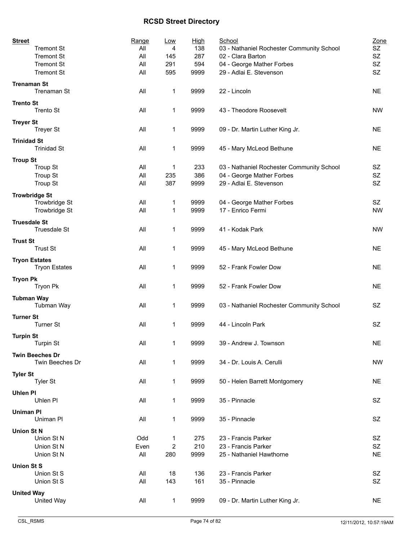| <b>Street</b>                              | Range       | Low         | <b>High</b> | School                                     | Zone            |
|--------------------------------------------|-------------|-------------|-------------|--------------------------------------------|-----------------|
| <b>Tremont St</b>                          | All         | 4           | 138         | 03 - Nathaniel Rochester Community School  | SZ              |
| <b>Tremont St</b>                          | All         | 145         | 287         | 02 - Clara Barton                          | SZ              |
| <b>Tremont St</b>                          | All         | 291         | 594         | 04 - George Mather Forbes                  | SZ<br><b>SZ</b> |
| <b>Tremont St</b>                          | All         | 595         | 9999        | 29 - Adlai E. Stevenson                    |                 |
| <b>Trenaman St</b><br>Trenaman St          | All         | 1           | 9999        | 22 - Lincoln                               | <b>NE</b>       |
| <b>Trento St</b><br>Trento St              | All         | 1           | 9999        | 43 - Theodore Roosevelt                    | <b>NW</b>       |
| <b>Treyer St</b><br><b>Treyer St</b>       | All         | 1           | 9999        | 09 - Dr. Martin Luther King Jr.            | <b>NE</b>       |
| <b>Trinidad St</b><br><b>Trinidad St</b>   | All         | 1           | 9999        | 45 - Mary McLeod Bethune                   | <b>NE</b>       |
|                                            |             |             |             |                                            |                 |
| <b>Troup St</b><br><b>Troup St</b>         | All         | 1           | 233         | 03 - Nathaniel Rochester Community School  | SZ              |
| <b>Troup St</b>                            | All         | 235         | 386         | 04 - George Mather Forbes                  | SZ              |
| <b>Troup St</b>                            | All         | 387         | 9999        | 29 - Adlai E. Stevenson                    | SZ              |
|                                            |             |             |             |                                            |                 |
| <b>Trowbridge St</b><br>Trowbridge St      | All         | 1           | 9999        | 04 - George Mather Forbes                  | SZ              |
| Trowbridge St                              | All         | 1           | 9999        | 17 - Enrico Fermi                          | <b>NW</b>       |
|                                            |             |             |             |                                            |                 |
| <b>Truesdale St</b><br><b>Truesdale St</b> | All         | 1           | 9999        | 41 - Kodak Park                            | <b>NW</b>       |
| <b>Trust St</b>                            |             |             |             |                                            |                 |
| <b>Trust St</b>                            | All         | 1           | 9999        | 45 - Mary McLeod Bethune                   | <b>NE</b>       |
| <b>Tryon Estates</b>                       |             |             |             |                                            |                 |
| <b>Tryon Estates</b>                       | All         | 1           | 9999        | 52 - Frank Fowler Dow                      | <b>NE</b>       |
| <b>Tryon Pk</b>                            |             |             |             |                                            |                 |
| Tryon Pk                                   | All         | 1           | 9999        | 52 - Frank Fowler Dow                      | <b>NE</b>       |
|                                            |             |             |             |                                            |                 |
| <b>Tubman Way</b><br>Tubman Way            | All         | 1           | 9999        | 03 - Nathaniel Rochester Community School  | <b>SZ</b>       |
|                                            |             |             |             |                                            |                 |
| <b>Turner St</b><br><b>Turner St</b>       | All         | 1           | 9999        | 44 - Lincoln Park                          | SZ              |
|                                            |             |             |             |                                            |                 |
| <b>Turpin St</b>                           |             |             |             |                                            |                 |
| <b>Turpin St</b>                           | All         | 1           | 9999        | 39 - Andrew J. Townson                     | NE.             |
| <b>Twin Beeches Dr</b>                     |             |             |             |                                            |                 |
| Twin Beeches Dr                            | All         | $\mathbf 1$ | 9999        | 34 - Dr. Louis A. Cerulli                  | <b>NW</b>       |
| <b>Tyler St</b>                            |             |             |             |                                            |                 |
| <b>Tyler St</b>                            | All         | 1           | 9999        | 50 - Helen Barrett Montgomery              | <b>NE</b>       |
| <b>Uhlen PI</b>                            |             |             |             |                                            |                 |
| Uhlen Pl                                   | All         | 1           | 9999        | 35 - Pinnacle                              | SZ              |
| <b>Uniman PI</b>                           |             |             |             |                                            |                 |
| Uniman PI                                  | All         | 1           | 9999        | 35 - Pinnacle                              | SZ              |
|                                            |             |             |             |                                            |                 |
| <b>Union St N</b>                          |             |             |             |                                            |                 |
| Union St N<br>Union St N                   | Odd         | 1           | 275<br>210  | 23 - Francis Parker<br>23 - Francis Parker | SZ<br>SZ        |
| Union St N                                 | Even<br>All | 2<br>280    | 9999        | 25 - Nathaniel Hawthorne                   | <b>NE</b>       |
|                                            |             |             |             |                                            |                 |
| <b>Union St S</b>                          |             |             |             |                                            |                 |
| Union St S                                 | All         | 18          | 136         | 23 - Francis Parker                        | SZ              |
| Union St S                                 | All         | 143         | 161         | 35 - Pinnacle                              | SZ              |
| <b>United Way</b>                          |             |             |             |                                            |                 |
| United Way                                 | All         | $\mathbf 1$ | 9999        | 09 - Dr. Martin Luther King Jr.            | <b>NE</b>       |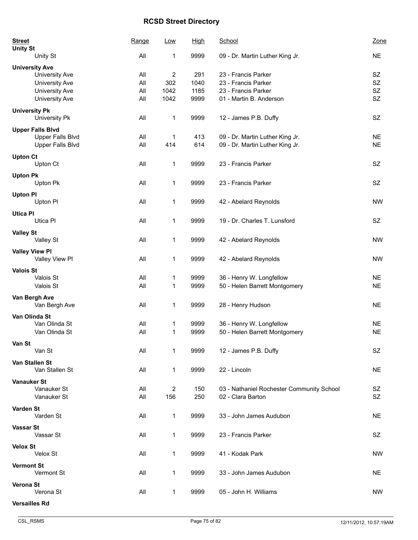| <b>Street</b><br><b>Unity St</b>        | Range | <b>Low</b>              | <b>High</b> | School                                    | Zone      |
|-----------------------------------------|-------|-------------------------|-------------|-------------------------------------------|-----------|
| Unity St                                | All   | 1                       | 9999        | 09 - Dr. Martin Luther King Jr.           | <b>NE</b> |
| <b>University Ave</b>                   |       |                         |             |                                           |           |
| University Ave                          | All   | $\overline{\mathbf{c}}$ | 291         | 23 - Francis Parker                       | SZ        |
| University Ave                          | All   | 302                     | 1040        | 23 - Francis Parker                       | <b>SZ</b> |
| University Ave                          | All   | 1042                    | 1185        | 23 - Francis Parker                       | SZ        |
| University Ave                          | All   | 1042                    | 9999        | 01 - Martin B. Anderson                   | <b>SZ</b> |
| <b>University Pk</b><br>University Pk   | All   | 1                       | 9999        | 12 - James P.B. Duffy                     | SZ        |
| <b>Upper Falls Blvd</b>                 |       |                         |             |                                           |           |
| <b>Upper Falls Blvd</b>                 | All   | 1                       | 413         | 09 - Dr. Martin Luther King Jr.           | <b>NE</b> |
| <b>Upper Falls Blvd</b>                 | All   | 414                     | 614         | 09 - Dr. Martin Luther King Jr.           | <b>NE</b> |
| <b>Upton Ct</b>                         |       |                         |             |                                           |           |
| Upton Ct                                | All   | 1                       | 9999        | 23 - Francis Parker                       | SZ        |
| <b>Upton Pk</b>                         |       |                         |             |                                           |           |
| Upton Pk                                | All   | 1                       | 9999        | 23 - Francis Parker                       | SZ        |
|                                         |       |                         |             |                                           |           |
| <b>Upton PI</b>                         |       |                         |             |                                           |           |
| Upton PI                                | All   | 1                       | 9999        | 42 - Abelard Reynolds                     | <b>NW</b> |
| <b>Utica PI</b>                         |       |                         |             |                                           |           |
| Utica Pl                                | All   | 1                       | 9999        | 19 - Dr. Charles T. Lunsford              | SZ        |
| <b>Valley St</b>                        |       |                         |             |                                           |           |
| Valley St                               | All   | 1                       | 9999        | 42 - Abelard Reynolds                     | <b>NW</b> |
|                                         |       |                         |             |                                           |           |
| <b>Valley View PI</b><br>Valley View Pl | All   | $\mathbf 1$             | 9999        | 42 - Abelard Reynolds                     | <b>NW</b> |
|                                         |       |                         |             |                                           |           |
| <b>Valois St</b>                        |       |                         |             |                                           |           |
| Valois St                               | All   | 1                       | 9999        | 36 - Henry W. Longfellow                  | <b>NE</b> |
| Valois St                               | All   | 1                       | 9999        | 50 - Helen Barrett Montgomery             | <b>NE</b> |
| Van Bergh Ave                           |       |                         |             |                                           |           |
| Van Bergh Ave                           | All   | 1                       | 9999        | 28 - Henry Hudson                         | <b>NE</b> |
| Van Olinda St                           |       |                         |             |                                           |           |
| Van Olinda St                           | All   | 1                       | 9999        | 36 - Henry W. Longfellow                  | <b>NE</b> |
| Van Olinda St                           | All   | 1                       | 9999        | 50 - Helen Barrett Montgomery             | <b>NE</b> |
| Van St                                  |       |                         |             |                                           |           |
| Van St                                  | All   | 1                       | 9999        | 12 - James P.B. Duffy                     | SZ        |
|                                         |       |                         |             |                                           |           |
| Van Stallen St                          |       |                         |             |                                           |           |
| Van Stallen St                          | All   | 1                       | 9999        | 22 - Lincoln                              | <b>NE</b> |
| <b>Vanauker St</b>                      |       |                         |             |                                           |           |
| Vanauker St                             | All   | 2                       | 150         | 03 - Nathaniel Rochester Community School | SZ        |
| Vanauker St                             | All   | 156                     | 250         | 02 - Clara Barton                         | SZ        |
| Varden St                               |       |                         |             |                                           |           |
| Varden St                               | All   | 1                       | 9999        | 33 - John James Audubon                   | <b>NE</b> |
|                                         |       |                         |             |                                           |           |
| <b>Vassar St</b><br>Vassar St           | All   | 1                       |             | 23 - Francis Parker                       | SZ        |
|                                         |       |                         | 9999        |                                           |           |
| <b>Velox St</b>                         |       |                         |             |                                           |           |
| Velox St                                | All   | 1                       | 9999        | 41 - Kodak Park                           | NW        |
| <b>Vermont St</b>                       |       |                         |             |                                           |           |
| Vermont St                              | All   | 1                       | 9999        | 33 - John James Audubon                   | <b>NE</b> |
| Verona St                               |       |                         |             |                                           |           |
| Verona St                               | All   | 1                       | 9999        | 05 - John H. Williams                     | <b>NW</b> |
|                                         |       |                         |             |                                           |           |
| <b>Versailles Rd</b>                    |       |                         |             |                                           |           |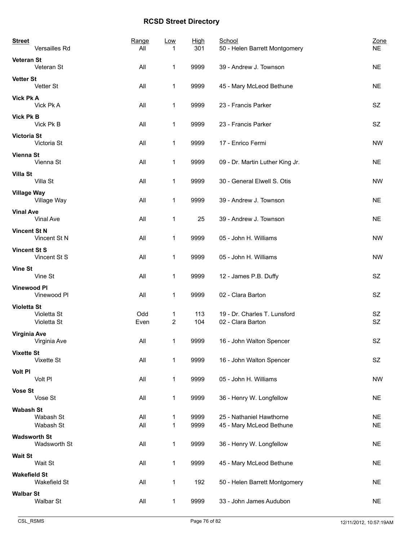| <b>Street</b><br>Versailles Rd                   | Range<br>All | Low               | <u>High</u><br>301 | School<br>50 - Helen Barrett Montgomery              | Zone<br><b>NE</b>      |
|--------------------------------------------------|--------------|-------------------|--------------------|------------------------------------------------------|------------------------|
| Veteran St<br>Veteran St                         | All          | 1                 | 9999               | 39 - Andrew J. Townson                               | <b>NE</b>              |
| <b>Vetter St</b><br>Vetter St                    | All          | 1                 | 9999               | 45 - Mary McLeod Bethune                             | <b>NE</b>              |
| <b>Vick Pk A</b><br>Vick Pk A                    | All          | 1                 | 9999               | 23 - Francis Parker                                  | SZ                     |
| <b>Vick Pk B</b><br>Vick Pk B                    | All          | 1                 | 9999               | 23 - Francis Parker                                  | SZ                     |
| <b>Victoria St</b><br>Victoria St                | All          | 1                 | 9999               | 17 - Enrico Fermi                                    | <b>NW</b>              |
| <b>Vienna St</b><br>Vienna St                    | All          | 1                 | 9999               | 09 - Dr. Martin Luther King Jr.                      | <b>NE</b>              |
| <b>Villa St</b><br>Villa St                      | All          | 1                 | 9999               | 30 - General Elwell S. Otis                          | <b>NW</b>              |
| <b>Village Way</b><br>Village Way                | All          | 1                 | 9999               | 39 - Andrew J. Townson                               | <b>NE</b>              |
| <b>Vinal Ave</b><br>Vinal Ave                    | All          | 1                 | 25                 | 39 - Andrew J. Townson                               | <b>NE</b>              |
| <b>Vincent St N</b><br>Vincent St N              | All          | 1                 | 9999               | 05 - John H. Williams                                | <b>NW</b>              |
| <b>Vincent St S</b><br>Vincent St S              | All          | 1                 | 9999               | 05 - John H. Williams                                | <b>NW</b>              |
| <b>Vine St</b><br>Vine St                        | All          | 1                 | 9999               | 12 - James P.B. Duffy                                | SZ                     |
| <b>Vinewood PI</b><br>Vinewood PI                | All          | 1                 | 9999               | 02 - Clara Barton                                    | SZ                     |
| <b>Violetta St</b><br>Violetta St<br>Violetta St | Odd<br>Even  | 1<br>2            | 113<br>104         | 19 - Dr. Charles T. Lunsford<br>02 - Clara Barton    | SZ<br>SZ               |
| Virginia Ave<br>Virginia Ave                     | All          | $\mathbf{1}$      | 9999               | 16 - John Walton Spencer                             | SZ                     |
| <b>Vixette St</b><br>Vixette St                  | All          | $\mathbf{1}$      | 9999               | 16 - John Walton Spencer                             | SZ                     |
| <b>Volt PI</b><br>Volt PI                        | All          | $\mathbf{1}$      | 9999               | 05 - John H. Williams                                | <b>NW</b>              |
| <b>Vose St</b><br>Vose St                        | All          | $\mathbf{1}$      | 9999               | 36 - Henry W. Longfellow                             | <b>NE</b>              |
| <b>Wabash St</b><br>Wabash St<br>Wabash St       | All<br>All   | 1<br>$\mathbf{1}$ | 9999<br>9999       | 25 - Nathaniel Hawthorne<br>45 - Mary McLeod Bethune | <b>NE</b><br><b>NE</b> |
| <b>Wadsworth St</b><br>Wadsworth St              | All          | 1                 | 9999               | 36 - Henry W. Longfellow                             | <b>NE</b>              |
| <b>Wait St</b><br>Wait St                        | All          | 1                 | 9999               | 45 - Mary McLeod Bethune                             | <b>NE</b>              |
| <b>Wakefield St</b><br>Wakefield St              | All          | 1                 | 192                | 50 - Helen Barrett Montgomery                        | <b>NE</b>              |
| <b>Walbar St</b><br>Walbar St                    | All          | $\mathbf{1}$      | 9999               | 33 - John James Audubon                              | <b>NE</b>              |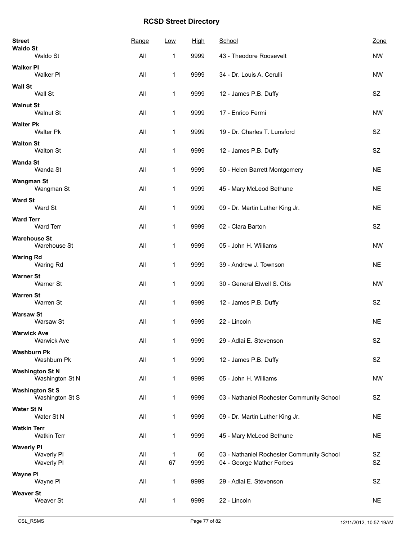| <b>Street</b><br><b>Waldo St</b>              | Range      | Low          | <b>High</b> | School                                                                 | Zone      |
|-----------------------------------------------|------------|--------------|-------------|------------------------------------------------------------------------|-----------|
| Waldo St                                      | All        | 1            | 9999        | 43 - Theodore Roosevelt                                                | <b>NW</b> |
| <b>Walker PI</b><br>Walker PI                 | All        | 1            | 9999        | 34 - Dr. Louis A. Cerulli                                              | <b>NW</b> |
| <b>Wall St</b><br>Wall St                     | All        | $\mathbf 1$  | 9999        | 12 - James P.B. Duffy                                                  | SZ        |
| <b>Walnut St</b><br>Walnut St                 | All        | 1            | 9999        | 17 - Enrico Fermi                                                      | <b>NW</b> |
| <b>Walter Pk</b><br><b>Walter Pk</b>          | All        | 1            | 9999        | 19 - Dr. Charles T. Lunsford                                           | SZ        |
| <b>Walton St</b><br><b>Walton St</b>          | All        | $\mathbf{1}$ | 9999        | 12 - James P.B. Duffy                                                  | SZ        |
| <b>Wanda St</b><br>Wanda St                   | All        | 1            | 9999        | 50 - Helen Barrett Montgomery                                          | <b>NE</b> |
| <b>Wangman St</b><br>Wangman St               | All        | 1            | 9999        | 45 - Mary McLeod Bethune                                               | <b>NE</b> |
| <b>Ward St</b><br>Ward St                     | All        | $\mathbf{1}$ | 9999        | 09 - Dr. Martin Luther King Jr.                                        | <b>NE</b> |
| <b>Ward Terr</b><br><b>Ward Terr</b>          | All        | 1            | 9999        | 02 - Clara Barton                                                      | SZ        |
| <b>Warehouse St</b><br>Warehouse St           | All        | 1            | 9999        | 05 - John H. Williams                                                  | <b>NW</b> |
| <b>Waring Rd</b><br>Waring Rd                 | All        | 1            | 9999        | 39 - Andrew J. Townson                                                 | <b>NE</b> |
| <b>Warner St</b><br>Warner St                 | All        | 1            | 9999        | 30 - General Elwell S. Otis                                            | <b>NW</b> |
| <b>Warren St</b><br>Warren St                 | All        | 1            | 9999        | 12 - James P.B. Duffy                                                  | SZ        |
| <b>Warsaw St</b><br>Warsaw St                 | All        | 1            | 9999        | 22 - Lincoln                                                           | <b>NE</b> |
| <b>Warwick Ave</b><br><b>Warwick Ave</b>      | All        | 1            | 9999        | 29 - Adlai E. Stevenson                                                | SZ        |
| <b>Washburn Pk</b><br>Washburn Pk             | All        | $\mathbf{1}$ | 9999        | 12 - James P.B. Duffy                                                  | SZ        |
| <b>Washington St N</b><br>Washington St N     | All        | $\mathbf{1}$ | 9999        | 05 - John H. Williams                                                  | <b>NW</b> |
| <b>Washington St S</b><br>Washington St S     | All        | 1            | 9999        | 03 - Nathaniel Rochester Community School                              | SZ        |
| <b>Water St N</b><br>Water St N               | All        | $\mathbf{1}$ | 9999        | 09 - Dr. Martin Luther King Jr.                                        | <b>NE</b> |
| <b>Watkin Terr</b><br><b>Watkin Terr</b>      | All        | 1            | 9999        | 45 - Mary McLeod Bethune                                               | <b>NE</b> |
| <b>Waverly PI</b><br>Waverly Pl<br>Waverly PI | All<br>All | 1<br>67      | 66<br>9999  | 03 - Nathaniel Rochester Community School<br>04 - George Mather Forbes | SZ<br>SZ  |
| <b>Wayne PI</b><br>Wayne PI                   | All        | 1            | 9999        | 29 - Adlai E. Stevenson                                                | SZ        |
| <b>Weaver St</b><br>Weaver St                 | All        | $\mathbf{1}$ | 9999        | 22 - Lincoln                                                           | <b>NE</b> |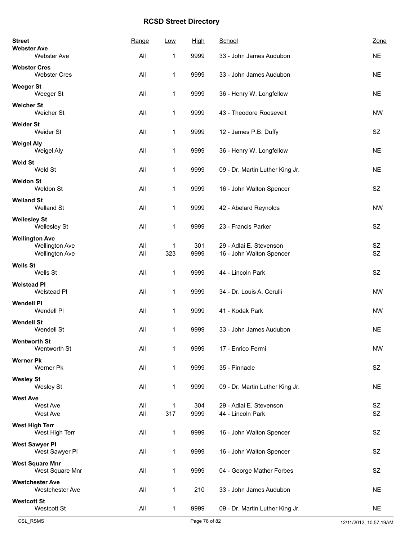| <b>Street</b><br><b>Webster Ave</b>                                     | Range      | Low          | <b>High</b> | School                                              | Zone            |
|-------------------------------------------------------------------------|------------|--------------|-------------|-----------------------------------------------------|-----------------|
| Webster Ave                                                             | All        | 1            | 9999        | 33 - John James Audubon                             | <b>NE</b>       |
| <b>Webster Cres</b><br><b>Webster Cres</b>                              | All        | 1            | 9999        | 33 - John James Audubon                             | <b>NE</b>       |
| <b>Weeger St</b><br>Weeger St                                           | All        | 1            | 9999        | 36 - Henry W. Longfellow                            | <b>NE</b>       |
| <b>Weicher St</b><br>Weicher St                                         | All        | 1            | 9999        | 43 - Theodore Roosevelt                             | <b>NW</b>       |
| <b>Weider St</b><br>Weider St                                           | All        | 1            | 9999        | 12 - James P.B. Duffy                               | SZ              |
| <b>Weigel Aly</b><br>Weigel Aly                                         | All        | 1            | 9999        | 36 - Henry W. Longfellow                            | <b>NE</b>       |
| Weld St<br>Weld St                                                      | All        | 1            | 9999        | 09 - Dr. Martin Luther King Jr.                     | <b>NE</b>       |
| <b>Weldon St</b><br>Weldon St                                           | All        | 1            | 9999        | 16 - John Walton Spencer                            | SZ              |
| <b>Welland St</b><br>Welland St                                         | All        | 1            | 9999        | 42 - Abelard Reynolds                               | <b>NW</b>       |
| <b>Wellesley St</b><br><b>Wellesley St</b>                              | All        | 1            | 9999        | 23 - Francis Parker                                 | SZ              |
| <b>Wellington Ave</b><br><b>Wellington Ave</b><br><b>Wellington Ave</b> | All<br>All | 1<br>323     | 301<br>9999 | 29 - Adlai E. Stevenson<br>16 - John Walton Spencer | SZ<br><b>SZ</b> |
| <b>Wells St</b><br>Wells St                                             | All        | 1            | 9999        | 44 - Lincoln Park                                   | SZ              |
| <b>Welstead PI</b><br>Welstead Pl                                       | All        | 1            | 9999        | 34 - Dr. Louis A. Cerulli                           | <b>NW</b>       |
| <b>Wendell PI</b><br>Wendell PI                                         | All        | $\mathbf{1}$ | 9999        | 41 - Kodak Park                                     | <b>NW</b>       |
| <b>Wendell St</b><br>Wendell St                                         | All        | 1            | 9999        | 33 - John James Audubon                             | <b>NE</b>       |
| <b>Wentworth St</b><br>Wentworth St                                     | All        | 1            | 9999        | 17 - Enrico Fermi                                   | <b>NW</b>       |
| <b>Werner Pk</b><br>Werner Pk                                           | All        | 1            | 9999        | 35 - Pinnacle                                       | SZ              |
| <b>Wesley St</b><br>Wesley St                                           | All        | 1            | 9999        | 09 - Dr. Martin Luther King Jr.                     | <b>NE</b>       |
| <b>West Ave</b><br>West Ave<br>West Ave                                 | All<br>All | 1<br>317     | 304<br>9999 | 29 - Adlai E. Stevenson<br>44 - Lincoln Park        | SZ<br>SZ        |
| <b>West High Terr</b><br>West High Terr                                 | All        | 1            | 9999        | 16 - John Walton Spencer                            | SZ              |
| <b>West Sawyer PI</b><br>West Sawyer PI                                 | All        | 1            | 9999        | 16 - John Walton Spencer                            | <b>SZ</b>       |
| <b>West Square Mnr</b><br>West Square Mnr                               | All        | 1            | 9999        | 04 - George Mather Forbes                           | SZ              |
| <b>Westchester Ave</b><br><b>Westchester Ave</b>                        | All        | 1            | 210         | 33 - John James Audubon                             | <b>NE</b>       |
| <b>Westcott St</b><br>Westcott St                                       | All        | 1            | 9999        | 09 - Dr. Martin Luther King Jr.                     | <b>NE</b>       |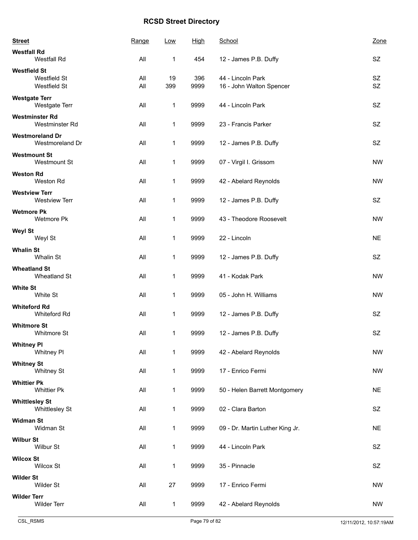| <b>Street</b>         |                                              | Range      | Low          | High        | School                                        | Zone            |
|-----------------------|----------------------------------------------|------------|--------------|-------------|-----------------------------------------------|-----------------|
| <b>Westfall Rd</b>    | Westfall Rd                                  | All        | 1            | 454         | 12 - James P.B. Duffy                         | SZ              |
| <b>Westfield St</b>   | Westfield St<br>Westfield St                 | All<br>All | 19<br>399    | 396<br>9999 | 44 - Lincoln Park<br>16 - John Walton Spencer | SZ<br><b>SZ</b> |
| <b>Westgate Terr</b>  | Westgate Terr                                | All        | 1            | 9999        | 44 - Lincoln Park                             | <b>SZ</b>       |
|                       | <b>Westminster Rd</b><br>Westminster Rd      | All        | 1            | 9999        | 23 - Francis Parker                           | <b>SZ</b>       |
|                       | <b>Westmoreland Dr</b><br>Westmoreland Dr    | All        | $\mathbf{1}$ | 9999        | 12 - James P.B. Duffy                         | SZ              |
|                       | <b>Westmount St</b><br>Westmount St          | All        | 1            | 9999        | 07 - Virgil I. Grissom                        | <b>NW</b>       |
| <b>Weston Rd</b>      | Weston Rd                                    | All        | 1            | 9999        | 42 - Abelard Reynolds                         | <b>NW</b>       |
|                       | <b>Westview Terr</b><br><b>Westview Terr</b> | All        | 1            | 9999        | 12 - James P.B. Duffy                         | SZ              |
| <b>Wetmore Pk</b>     | Wetmore Pk                                   | All        | 1            | 9999        | 43 - Theodore Roosevelt                       | <b>NW</b>       |
| <b>Weyl St</b>        | Weyl St                                      | All        | 1            | 9999        | 22 - Lincoln                                  | <b>NE</b>       |
| <b>Whalin St</b>      | Whalin St                                    | All        | 1            | 9999        | 12 - James P.B. Duffy                         | SZ              |
| <b>Wheatland St</b>   | Wheatland St                                 | All        | $\mathbf{1}$ | 9999        | 41 - Kodak Park                               | <b>NW</b>       |
| <b>White St</b>       | White St                                     | All        | 1            | 9999        | 05 - John H. Williams                         | <b>NW</b>       |
| <b>Whiteford Rd</b>   | Whiteford Rd                                 | All        | $\mathbf{1}$ | 9999        | 12 - James P.B. Duffy                         | SZ              |
| <b>Whitmore St</b>    | Whitmore St                                  | All        | 1            | 9999        | 12 - James P.B. Duffy                         | <b>SZ</b>       |
| <b>Whitney PI</b>     | Whitney PI                                   | All        | 1            | 9999        | 42 - Abelard Reynolds                         | <b>NW</b>       |
| <b>Whitney St</b>     | <b>Whitney St</b>                            | All        | 1            | 9999        | 17 - Enrico Fermi                             | <b>NW</b>       |
| <b>Whittier Pk</b>    | <b>Whittier Pk</b>                           | All        | 1            | 9999        | 50 - Helen Barrett Montgomery                 | <b>NE</b>       |
| <b>Whittlesley St</b> | Whittlesley St                               | All        | 1            | 9999        | 02 - Clara Barton                             | SZ              |
| <b>Widman St</b>      | Widman St                                    | All        | 1            | 9999        | 09 - Dr. Martin Luther King Jr.               | <b>NE</b>       |
| <b>Wilbur St</b>      | Wilbur St                                    | All        | 1            | 9999        | 44 - Lincoln Park                             | SZ              |
| <b>Wilcox St</b>      | <b>Wilcox St</b>                             | All        | 1            | 9999        | 35 - Pinnacle                                 | SZ              |
| <b>Wilder St</b>      | Wilder St                                    | All        | 27           | 9999        | 17 - Enrico Fermi                             | <b>NW</b>       |
| <b>Wilder Terr</b>    | <b>Wilder Terr</b>                           | All        | $\mathbf{1}$ | 9999        | 42 - Abelard Reynolds                         | <b>NW</b>       |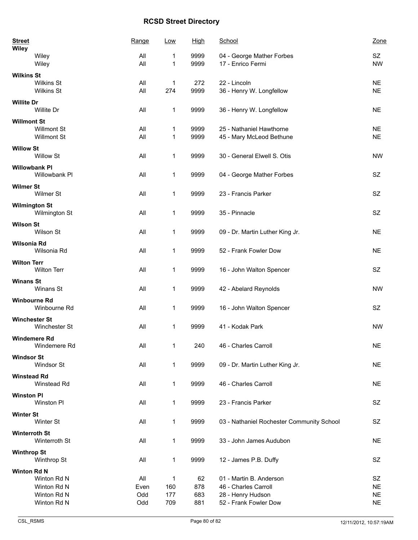| <b>Street</b><br><b>Wiley</b>   | Range | Low | <u>High</u> | School                                    | Zone      |
|---------------------------------|-------|-----|-------------|-------------------------------------------|-----------|
| Wiley                           | All   | 1   | 9999        | 04 - George Mather Forbes                 | SZ        |
| Wiley                           | All   | 1   | 9999        | 17 - Enrico Fermi                         | <b>NW</b> |
| <b>Wilkins St</b>               |       |     |             |                                           |           |
| <b>Wilkins St</b>               | All   | 1   | 272         | 22 - Lincoln                              | <b>NE</b> |
| Wilkins St                      | All   | 274 | 9999        | 36 - Henry W. Longfellow                  | <b>NE</b> |
|                                 |       |     |             |                                           |           |
| <b>Willite Dr</b><br>Willite Dr | All   | 1   | 9999        | 36 - Henry W. Longfellow                  | <b>NE</b> |
| <b>Willmont St</b>              |       |     |             |                                           |           |
| <b>Willmont St</b>              | All   | 1   | 9999        | 25 - Nathaniel Hawthorne                  | <b>NE</b> |
| <b>Willmont St</b>              | All   | 1   | 9999        | 45 - Mary McLeod Bethune                  | <b>NE</b> |
| <b>Willow St</b>                |       |     |             |                                           |           |
| Willow St                       | All   | 1   | 9999        | 30 - General Elwell S. Otis               | <b>NW</b> |
|                                 |       |     |             |                                           |           |
| <b>Willowbank PI</b>            |       |     |             |                                           |           |
| Willowbank PI                   | All   | 1   | 9999        | 04 - George Mather Forbes                 | <b>SZ</b> |
| <b>Wilmer St</b>                |       |     |             |                                           |           |
| Wilmer St                       | All   | 1   | 9999        | 23 - Francis Parker                       | <b>SZ</b> |
|                                 |       |     |             |                                           |           |
| <b>Wilmington St</b>            |       |     |             |                                           |           |
| Wilmington St                   | All   | 1   | 9999        | 35 - Pinnacle                             | SZ        |
| <b>Wilson St</b>                |       |     |             |                                           |           |
| Wilson St                       | All   | 1   | 9999        | 09 - Dr. Martin Luther King Jr.           | <b>NE</b> |
|                                 |       |     |             |                                           |           |
| Wilsonia Rd                     |       |     |             |                                           |           |
| Wilsonia Rd                     | All   | 1   | 9999        | 52 - Frank Fowler Dow                     | <b>NE</b> |
| <b>Wilton Terr</b>              |       |     |             |                                           |           |
| <b>Wilton Terr</b>              | All   | 1   | 9999        | 16 - John Walton Spencer                  | SZ        |
|                                 |       |     |             |                                           |           |
| <b>Winans St</b>                |       |     |             |                                           |           |
| Winans St                       | All   | 1   | 9999        | 42 - Abelard Reynolds                     | <b>NW</b> |
| <b>Winbourne Rd</b>             |       |     |             |                                           |           |
| Winbourne Rd                    | All   | 1   | 9999        | 16 - John Walton Spencer                  | SZ        |
|                                 |       |     |             |                                           |           |
| <b>Winchester St</b>            |       |     |             |                                           |           |
| <b>Winchester St</b>            | All   | 1   | 9999        | 41 - Kodak Park                           | <b>NW</b> |
| <b>Windemere Rd</b>             |       |     |             |                                           |           |
| Windemere Rd                    | All   | 1   | 240         | 46 - Charles Carroll                      | <b>NE</b> |
|                                 |       |     |             |                                           |           |
| <b>Windsor St</b>               |       |     |             |                                           |           |
| Windsor St                      | All   | 1   | 9999        | 09 - Dr. Martin Luther King Jr.           | <b>NE</b> |
| <b>Winstead Rd</b>              |       |     |             |                                           |           |
| Winstead Rd                     | All   | 1   | 9999        | 46 - Charles Carroll                      | <b>NE</b> |
|                                 |       |     |             |                                           |           |
| <b>Winston PI</b>               |       |     |             |                                           |           |
| Winston PI                      | All   | 1   | 9999        | 23 - Francis Parker                       | SZ        |
| <b>Winter St</b>                |       |     |             |                                           |           |
| Winter St                       | All   | 1   | 9999        | 03 - Nathaniel Rochester Community School | SZ        |
|                                 |       |     |             |                                           |           |
| <b>Winterroth St</b>            |       |     |             |                                           |           |
| Winterroth St                   | All   | 1   | 9999        | 33 - John James Audubon                   | <b>NE</b> |
| <b>Winthrop St</b>              |       |     |             |                                           |           |
| Winthrop St                     | All   | 1   | 9999        | 12 - James P.B. Duffy                     | SZ        |
|                                 |       |     |             |                                           |           |
| Winton Rd N                     |       |     |             |                                           |           |
| Winton Rd N                     | All   | 1   | 62          | 01 - Martin B. Anderson                   | SZ        |
| Winton Rd N                     | Even  | 160 | 878         | 46 - Charles Carroll                      | <b>NE</b> |
| Winton Rd N                     | Odd   | 177 | 683         | 28 - Henry Hudson                         | <b>NE</b> |
| Winton Rd N                     | Odd   | 709 | 881         | 52 - Frank Fowler Dow                     | <b>NE</b> |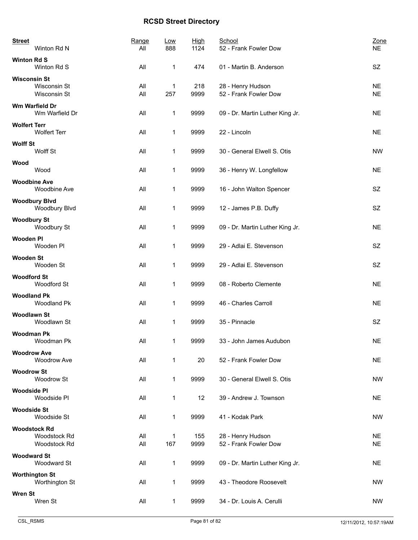| <b>Street</b>       | Winton Rd N                                         | Range<br>All | Low<br>888          | <b>High</b><br>1124 | School<br>52 - Frank Fowler Dow            | Zone<br><b>NE</b>      |
|---------------------|-----------------------------------------------------|--------------|---------------------|---------------------|--------------------------------------------|------------------------|
| <b>Winton Rd S</b>  | Winton Rd S                                         | All          | 1                   | 474                 | 01 - Martin B. Anderson                    | <b>SZ</b>              |
| <b>Wisconsin St</b> | Wisconsin St<br>Wisconsin St                        | All<br>All   | 1<br>257            | 218<br>9999         | 28 - Henry Hudson<br>52 - Frank Fowler Dow | <b>NE</b><br><b>NE</b> |
|                     | Wm Warfield Dr<br>Wm Warfield Dr                    | All          | 1                   | 9999                | 09 - Dr. Martin Luther King Jr.            | <b>NE</b>              |
| <b>Wolfert Terr</b> | <b>Wolfert Terr</b>                                 | All          | $\mathbf 1$         | 9999                | 22 - Lincoln                               | <b>NE</b>              |
| <b>Wolff St</b>     | Wolff St                                            | All          | $\mathbf 1$         | 9999                | 30 - General Elwell S. Otis                | <b>NW</b>              |
| Wood                | Wood                                                | All          | $\mathbf 1$         | 9999                | 36 - Henry W. Longfellow                   | <b>NE</b>              |
|                     | <b>Woodbine Ave</b><br>Woodbine Ave                 | All          | 1                   | 9999                | 16 - John Walton Spencer                   | SZ                     |
|                     | <b>Woodbury Blvd</b><br>Woodbury Blvd               | All          | $\mathbf 1$         | 9999                | 12 - James P.B. Duffy                      | SZ                     |
| <b>Woodbury St</b>  | Woodbury St                                         | All          | 1                   | 9999                | 09 - Dr. Martin Luther King Jr.            | <b>NE</b>              |
| <b>Wooden PI</b>    | Wooden PI                                           | All          | 1                   | 9999                | 29 - Adlai E. Stevenson                    | SZ                     |
| <b>Wooden St</b>    | Wooden St                                           | All          | 1                   | 9999                | 29 - Adlai E. Stevenson                    | SZ                     |
| <b>Woodford St</b>  | Woodford St                                         | All          | 1                   | 9999                | 08 - Roberto Clemente                      | <b>NE</b>              |
| <b>Woodland Pk</b>  | Woodland Pk                                         | All          | 1                   | 9999                | 46 - Charles Carroll                       | <b>NE</b>              |
| <b>Woodlawn St</b>  | Woodlawn St                                         | All          | 1                   | 9999                | 35 - Pinnacle                              | SZ                     |
| <b>Woodman Pk</b>   | Woodman Pk                                          | All          | 1                   | 9999                | 33 - John James Audubon                    | $N\mathsf{E}$          |
| <b>Woodrow Ave</b>  | <b>Woodrow Ave</b>                                  | All          | 1                   | 20                  | 52 - Frank Fowler Dow                      | <b>NE</b>              |
| <b>Woodrow St</b>   | Woodrow St                                          | All          | $\mathbf 1$         | 9999                | 30 - General Elwell S. Otis                | <b>NW</b>              |
| <b>Woodside PI</b>  | Woodside PI                                         | All          | 1                   | 12                  | 39 - Andrew J. Townson                     | <b>NE</b>              |
| <b>Woodside St</b>  | Woodside St                                         | All          | 1                   | 9999                | 41 - Kodak Park                            | <b>NW</b>              |
|                     | <b>Woodstock Rd</b><br>Woodstock Rd<br>Woodstock Rd | All<br>All   | $\mathbf{1}$<br>167 | 155<br>9999         | 28 - Henry Hudson<br>52 - Frank Fowler Dow | <b>NE</b><br><b>NE</b> |
| <b>Woodward St</b>  | Woodward St                                         | All          | 1                   | 9999                | 09 - Dr. Martin Luther King Jr.            | <b>NE</b>              |
|                     | <b>Worthington St</b><br>Worthington St             | All          | 1                   | 9999                | 43 - Theodore Roosevelt                    | <b>NW</b>              |
| <b>Wren St</b>      | Wren St                                             | All          | 1                   | 9999                | 34 - Dr. Louis A. Cerulli                  | <b>NW</b>              |